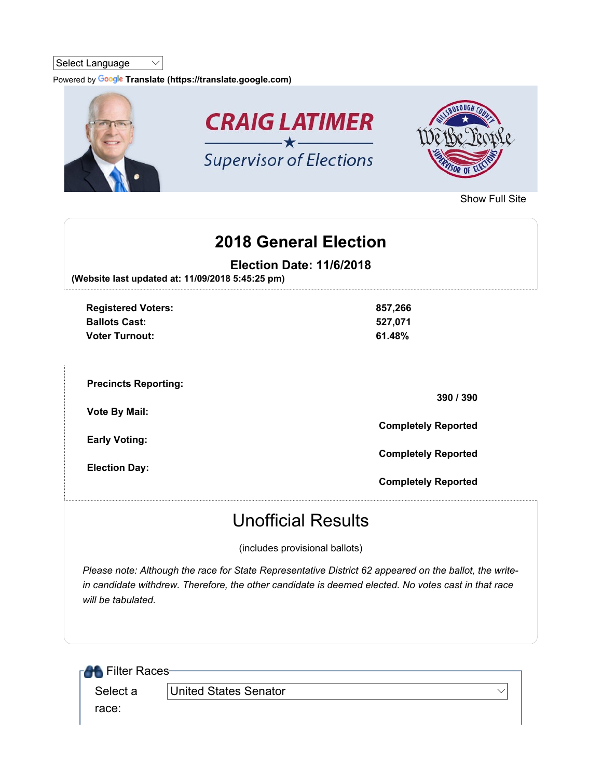## Select Language  $\vee$

Powered by Google Translate (https://translate.google.com)



Show Full Site

## 2018 General Election

Election Date: 11/6/2018

(Website last updated at: 11/09/2018 5:45:25 pm)

| <b>Registered Voters:</b><br><b>Ballots Cast:</b><br><b>Voter Turnout:</b> | 857,266<br>527,071<br>61.48% |
|----------------------------------------------------------------------------|------------------------------|
| <b>Precincts Reporting:</b>                                                | 390 / 390                    |
| <b>Vote By Mail:</b><br><b>Early Voting:</b>                               | <b>Completely Reported</b>   |
| <b>Election Day:</b>                                                       | <b>Completely Reported</b>   |
|                                                                            | <b>Completely Reported</b>   |

## Unofficial Results

(includes provisional ballots)

Please note: Although the race for State Representative District 62 appeared on the ballot, the writein candidate withdrew. Therefore, the other candidate is deemed elected. No votes cast in that race will be tabulated.

| <b>RAL</b> Filter Races- |                       |  |
|--------------------------|-----------------------|--|
| Select a                 | United States Senator |  |
| race:                    |                       |  |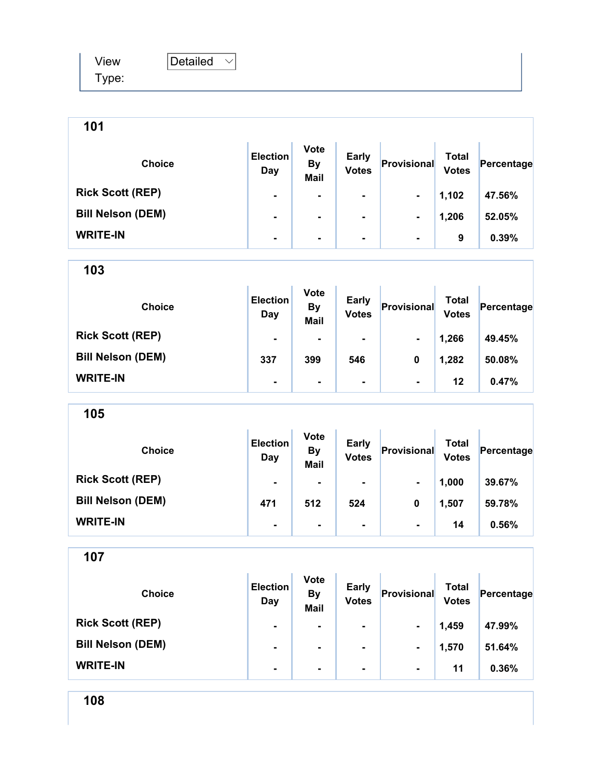| View  | Detailed |  |
|-------|----------|--|
| Type: |          |  |

| 101                      |                        |                                         |                              |                |                              |            |
|--------------------------|------------------------|-----------------------------------------|------------------------------|----------------|------------------------------|------------|
| <b>Choice</b>            | <b>Election</b><br>Day | <b>Vote</b><br><b>By</b><br><b>Mail</b> | <b>Early</b><br><b>Votes</b> | Provisional    | <b>Total</b><br><b>Votes</b> | Percentage |
| <b>Rick Scott (REP)</b>  |                        | ۰                                       |                              | $\blacksquare$ | 1,102                        | 47.56%     |
| <b>Bill Nelson (DEM)</b> | ۰                      | ۰                                       | $\blacksquare$               |                | 1,206                        | 52.05%     |
| <b>WRITE-IN</b>          | ۰                      | ۰                                       | ۰                            | $\blacksquare$ | 9                            | 0.39%      |

| 103                      |                        |                                         |                              |                |                              |            |
|--------------------------|------------------------|-----------------------------------------|------------------------------|----------------|------------------------------|------------|
| <b>Choice</b>            | <b>Election</b><br>Day | <b>Vote</b><br><b>By</b><br><b>Mail</b> | <b>Early</b><br><b>Votes</b> | Provisional    | <b>Total</b><br><b>Votes</b> | Percentage |
| <b>Rick Scott (REP)</b>  | ۰                      | $\blacksquare$                          | $\blacksquare$               | $\blacksquare$ | 1,266                        | 49.45%     |
| <b>Bill Nelson (DEM)</b> | 337                    | 399                                     | 546                          | 0              | 1,282                        | 50.08%     |
| <b>WRITE-IN</b>          | ۰                      | $\blacksquare$                          | ۰.                           | $\blacksquare$ | 12                           | 0.47%      |

| <b>Choice</b>            | <b>Election</b><br>Day | <b>Vote</b><br><b>By</b><br><b>Mail</b> | <b>Early</b><br><b>Votes</b> | Provisional    | Total<br><b>Votes</b> | Percentage |
|--------------------------|------------------------|-----------------------------------------|------------------------------|----------------|-----------------------|------------|
| <b>Rick Scott (REP)</b>  | $\blacksquare$         |                                         | ۰                            | $\blacksquare$ | 1,000                 | 39.67%     |
| <b>Bill Nelson (DEM)</b> | 471                    | 512                                     | 524                          | 0              | 1,507                 | 59.78%     |
| <b>WRITE-IN</b>          | $\blacksquare$         | ۰                                       | ۰                            | $\blacksquare$ | 14                    | 0.56%      |

107

| <b>Choice</b>            | <b>Election</b><br>Day | <b>Vote</b><br><b>By</b><br><b>Mail</b> | <b>Early</b><br><b>Votes</b> | Provisional    | Total<br><b>Votes</b> | Percentage |
|--------------------------|------------------------|-----------------------------------------|------------------------------|----------------|-----------------------|------------|
| <b>Rick Scott (REP)</b>  | $\blacksquare$         | $\blacksquare$                          | ۰                            | $\blacksquare$ | 1,459                 | 47.99%     |
| <b>Bill Nelson (DEM)</b> | $\blacksquare$         | ۰                                       | ۰                            | $\blacksquare$ | 1,570                 | 51.64%     |
| <b>WRITE-IN</b>          | $\blacksquare$         |                                         | ۰                            | $\blacksquare$ | 11                    | 0.36%      |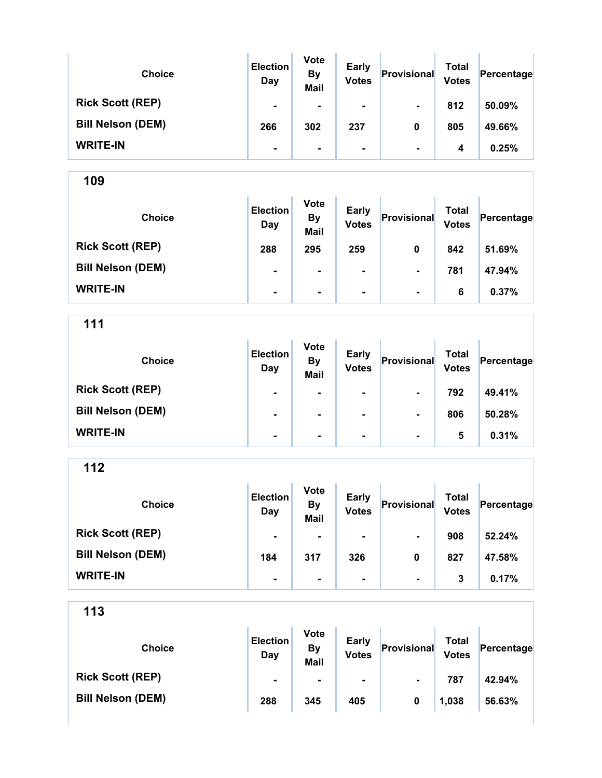| <b>Choice</b>            | <b>Election</b><br>Day | <b>Vote</b><br><b>By</b><br><b>Mail</b> | <b>Early</b><br><b>Votes</b> | Provisional    | Total<br><b>Votes</b> | Percentage |
|--------------------------|------------------------|-----------------------------------------|------------------------------|----------------|-----------------------|------------|
| <b>Rick Scott (REP)</b>  | ۰                      |                                         | ۰                            | $\blacksquare$ | 812                   | 50.09%     |
| <b>Bill Nelson (DEM)</b> | 266                    | 302                                     | 237                          | 0              | 805                   | 49.66%     |
| <b>WRITE-IN</b>          | ۰                      | ۰                                       | ۰                            | $\blacksquare$ | 4                     | 0.25%      |

| <b>Choice</b>            | <b>Election</b><br>Day | <b>Vote</b><br><b>By</b><br><b>Mail</b> | <b>Early</b><br><b>Votes</b> | Provisional    | <b>Total</b><br><b>Votes</b> | Percentage |
|--------------------------|------------------------|-----------------------------------------|------------------------------|----------------|------------------------------|------------|
| <b>Rick Scott (REP)</b>  | 288                    | 295                                     | 259                          | 0              | 842                          | 51.69%     |
| <b>Bill Nelson (DEM)</b> | ۰                      | $\blacksquare$                          | $\blacksquare$               | $\blacksquare$ | 781                          | 47.94%     |
| <b>WRITE-IN</b>          | ۰                      | $\blacksquare$                          | ۰                            | $\blacksquare$ | 6                            | 0.37%      |

111

| <b>Choice</b>            | <b>Election</b><br>Day | <b>Vote</b><br><b>By</b><br><b>Mail</b> | <b>Early</b><br><b>Votes</b> | Provisional    | <b>Total</b><br><b>Votes</b> | Percentage |
|--------------------------|------------------------|-----------------------------------------|------------------------------|----------------|------------------------------|------------|
| <b>Rick Scott (REP)</b>  | $\blacksquare$         | ۰                                       | $\blacksquare$               | $\blacksquare$ | 792                          | 49.41%     |
| <b>Bill Nelson (DEM)</b> | $\blacksquare$         | ۰                                       | $\blacksquare$               | $\blacksquare$ | 806                          | 50.28%     |
| <b>WRITE-IN</b>          | $\blacksquare$         | $\blacksquare$                          | $\blacksquare$               | $\blacksquare$ | 5                            | 0.31%      |

112

| <b>Choice</b>            | <b>Election</b><br>Day | <b>Vote</b><br><b>By</b><br><b>Mail</b> | <b>Early</b><br><b>Votes</b> | Provisional    | Total<br><b>Votes</b> | Percentage |
|--------------------------|------------------------|-----------------------------------------|------------------------------|----------------|-----------------------|------------|
| <b>Rick Scott (REP)</b>  | $\blacksquare$         | $\blacksquare$                          | $\blacksquare$               | $\blacksquare$ | 908                   | 52.24%     |
| <b>Bill Nelson (DEM)</b> | 184                    | 317                                     | 326                          | 0              | 827                   | 47.58%     |
| <b>WRITE-IN</b>          | $\blacksquare$         | ۰                                       | $\blacksquare$               | $\blacksquare$ | 3                     | 0.17%      |

| <b>Choice</b>            | <b>Election</b><br>Day | <b>Vote</b><br><b>By</b><br>Mail | <b>Early</b><br><b>Votes</b> | Provisional    | Total<br><b>Votes</b> | Percentage |
|--------------------------|------------------------|----------------------------------|------------------------------|----------------|-----------------------|------------|
| <b>Rick Scott (REP)</b>  |                        |                                  | ۰.                           | $\blacksquare$ | 787                   | 42.94%     |
| <b>Bill Nelson (DEM)</b> | 288                    | 345                              | 405                          |                | 1,038                 | 56.63%     |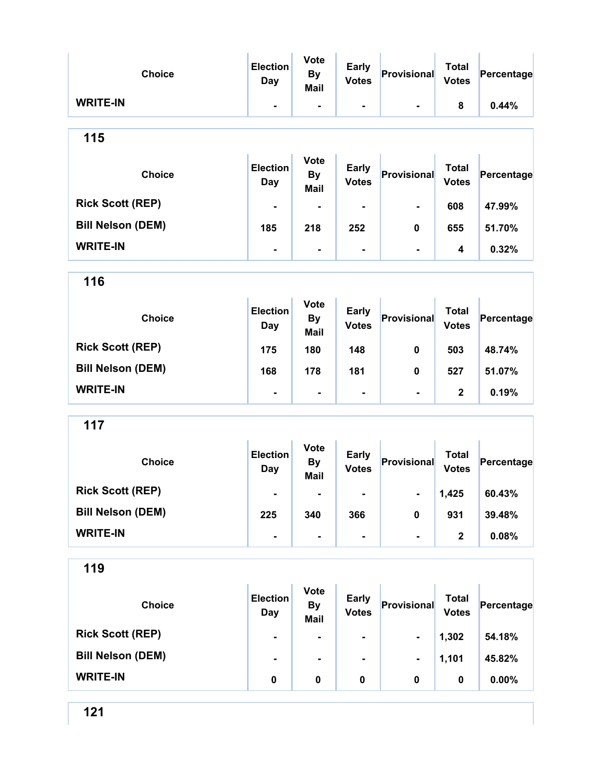| <b>Choice</b>            | <b>Election</b><br><b>Day</b> | <b>Vote</b><br><b>By</b><br><b>Mail</b> | <b>Early</b><br><b>Votes</b> | Provisional    | <b>Total</b><br><b>Votes</b> | Percentage |
|--------------------------|-------------------------------|-----------------------------------------|------------------------------|----------------|------------------------------|------------|
| <b>WRITE-IN</b>          | $\blacksquare$                | $\overline{\phantom{a}}$                | -                            |                | 8                            | 0.44%      |
| 115                      |                               |                                         |                              |                |                              |            |
| <b>Choice</b>            | <b>Election</b><br><b>Day</b> | <b>Vote</b><br><b>By</b><br><b>Mail</b> | <b>Early</b><br><b>Votes</b> | Provisional    | <b>Total</b><br><b>Votes</b> | Percentage |
| <b>Rick Scott (REP)</b>  |                               | $\blacksquare$                          |                              |                | 608                          | 47.99%     |
| <b>Bill Nelson (DEM)</b> | 185                           | 218                                     | 252                          | 0              | 655                          | 51.70%     |
| <b>WRITE-IN</b>          |                               | $\blacksquare$                          | ۰                            | $\blacksquare$ | 4                            | 0.32%      |
| 116                      |                               |                                         |                              |                |                              |            |
| <b>Choice</b>            | <b>Election</b><br>Day        | <b>Vote</b><br><b>By</b><br><b>Mail</b> | <b>Early</b><br><b>Votes</b> | Provisional    | <b>Total</b><br><b>Votes</b> | Percentage |
| <b>Rick Scott (REP)</b>  | 175                           | 180                                     | 148                          | 0              | 503                          | 48.74%     |
| <b>Bill Nelson (DEM)</b> | 168                           | 178                                     | 181                          | 0              | 527                          | 51.07%     |
| <b>WRITE-IN</b>          | $\blacksquare$                | $\blacksquare$                          | $\blacksquare$               | $\blacksquare$ | $\mathbf{2}$                 | 0.19%      |
| 117                      |                               |                                         |                              |                |                              |            |
| <b>Choice</b>            | <b>Election</b><br><b>Day</b> | <b>Vote</b><br><b>By</b><br><b>Mail</b> | <b>Early</b><br><b>Votes</b> | Provisional    | <b>Total</b><br><b>Votes</b> | Percentage |
| <b>Rick Scott (REP)</b>  |                               |                                         |                              |                | 1,425                        | 60.43%     |
| <b>Bill Nelson (DEM)</b> | 225                           | 340                                     | 366                          | $\pmb{0}$      | 931                          | 39.48%     |
| <b>WRITE-IN</b>          |                               | $\blacksquare$                          | -                            | -              | $\mathbf{2}$                 | 0.08%      |
| 119                      |                               |                                         |                              |                |                              |            |
| <b>Choice</b>            | <b>Election</b><br><b>Day</b> | <b>Vote</b><br><b>By</b><br><b>Mail</b> | <b>Early</b><br><b>Votes</b> | Provisional    | <b>Total</b><br><b>Votes</b> | Percentage |
| <b>Rick Scott (REP)</b>  | $\blacksquare$                | $\blacksquare$                          |                              | ۰.             | 1,302                        | 54.18%     |
| <b>Bill Nelson (DEM)</b> | $\blacksquare$                | $\blacksquare$                          | $\blacksquare$               | ۰              | 1,101                        | 45.82%     |
| <b>WRITE-IN</b>          | 0                             | 0                                       | 0                            | 0              | 0                            | 0.00%      |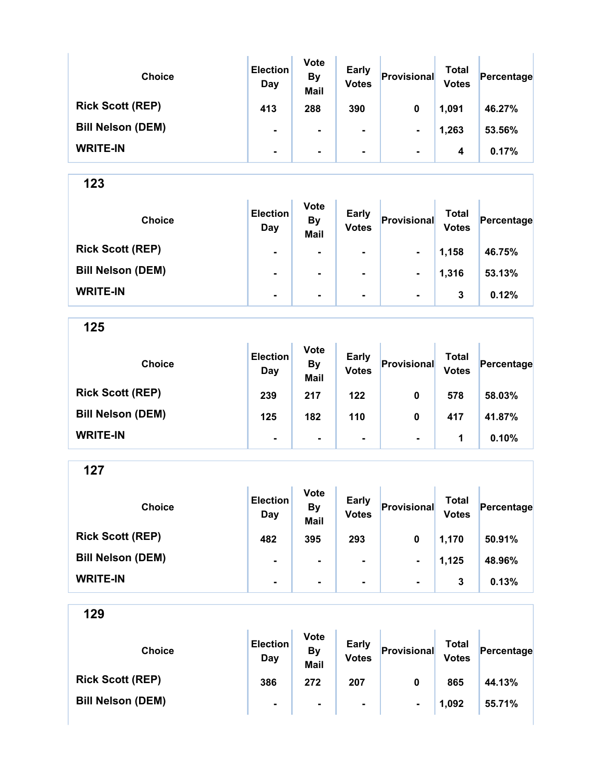| <b>Choice</b>            | <b>Election</b><br>Day | <b>Vote</b><br><b>By</b><br><b>Mail</b> | <b>Early</b><br><b>Votes</b> | Provisional    | Total<br><b>Votes</b> | Percentage |
|--------------------------|------------------------|-----------------------------------------|------------------------------|----------------|-----------------------|------------|
| <b>Rick Scott (REP)</b>  | 413                    | 288                                     | 390                          | 0              | 1,091                 | 46.27%     |
| <b>Bill Nelson (DEM)</b> | $\blacksquare$         | ۰                                       | $\blacksquare$               | $\blacksquare$ | 1,263                 | 53.56%     |
| <b>WRITE-IN</b>          | $\blacksquare$         | ۰                                       | $\blacksquare$               | $\blacksquare$ | 4                     | 0.17%      |

Ŷ.

123

| <b>Choice</b>            | <b>Election</b><br>Day | <b>Vote</b><br><b>By</b><br><b>Mail</b> | <b>Early</b><br><b>Votes</b> | Provisional    | Total<br><b>Votes</b> | Percentage |
|--------------------------|------------------------|-----------------------------------------|------------------------------|----------------|-----------------------|------------|
| <b>Rick Scott (REP)</b>  | $\blacksquare$         | ۰                                       | ۰                            | $\blacksquare$ | 1,158                 | 46.75%     |
| <b>Bill Nelson (DEM)</b> | $\blacksquare$         | $\blacksquare$                          | ۰                            | $\blacksquare$ | 1,316                 | 53.13%     |
| <b>WRITE-IN</b>          | ۰                      | $\blacksquare$                          | ۰                            | $\blacksquare$ | 3                     | 0.12%      |

125

| <b>Choice</b>            | <b>Election</b><br>Day | <b>Vote</b><br><b>By</b><br><b>Mail</b> | <b>Early</b><br><b>Votes</b> | Provisional    | Total<br><b>Votes</b> | Percentage |
|--------------------------|------------------------|-----------------------------------------|------------------------------|----------------|-----------------------|------------|
| <b>Rick Scott (REP)</b>  | 239                    | 217                                     | 122                          | 0              | 578                   | 58.03%     |
| <b>Bill Nelson (DEM)</b> | 125                    | 182                                     | 110                          | 0              | 417                   | 41.87%     |
| <b>WRITE-IN</b>          | $\blacksquare$         | $\blacksquare$                          | $\blacksquare$               | $\blacksquare$ | 1                     | 0.10%      |

127

| <b>Choice</b>            | <b>Election</b><br>Day | <b>Vote</b><br><b>By</b><br><b>Mail</b> | <b>Early</b><br><b>Votes</b> | Provisional    | Total<br><b>Votes</b> | Percentage |
|--------------------------|------------------------|-----------------------------------------|------------------------------|----------------|-----------------------|------------|
| <b>Rick Scott (REP)</b>  | 482                    | 395                                     | 293                          | 0              | 1,170                 | 50.91%     |
| <b>Bill Nelson (DEM)</b> | ۰                      | $\blacksquare$                          | $\blacksquare$               | $\blacksquare$ | 1,125                 | 48.96%     |
| <b>WRITE-IN</b>          | ۰                      |                                         |                              | $\blacksquare$ | 3                     | 0.13%      |

| <b>Choice</b>            | <b>Election</b><br>Day | <b>Vote</b><br>By<br><b>Mail</b> | <b>Early</b><br><b>Votes</b> | Provisional    | Total<br><b>Votes</b> | Percentage |
|--------------------------|------------------------|----------------------------------|------------------------------|----------------|-----------------------|------------|
| <b>Rick Scott (REP)</b>  | 386                    | 272                              | 207                          | 0              | 865                   | 44.13%     |
| <b>Bill Nelson (DEM)</b> | ۰                      | $\blacksquare$                   | $\blacksquare$               | $\blacksquare$ | 1,092                 | 55.71%     |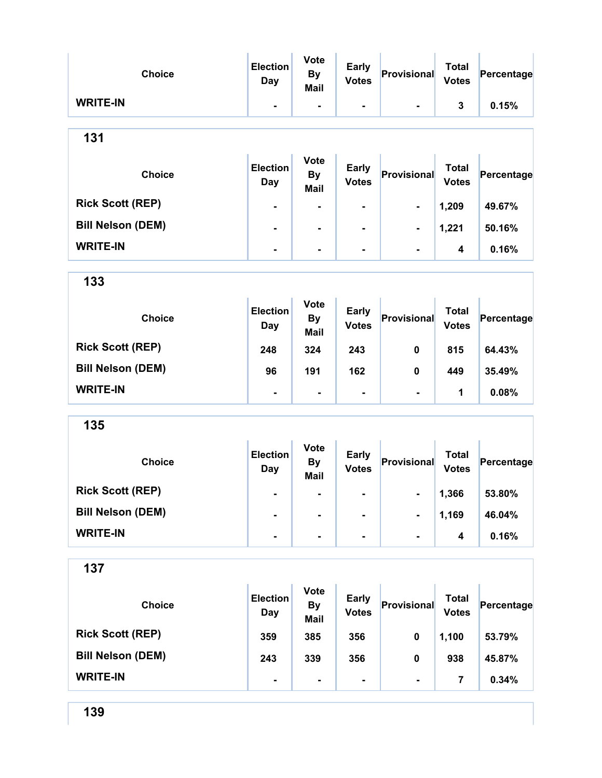| <b>Choice</b>            | <b>Election</b><br><b>Day</b> | <b>Vote</b><br><b>By</b><br><b>Mail</b> | <b>Early</b><br><b>Votes</b> | Provisional    | <b>Total</b><br><b>Votes</b> | Percentage |
|--------------------------|-------------------------------|-----------------------------------------|------------------------------|----------------|------------------------------|------------|
| <b>WRITE-IN</b>          | $\blacksquare$                | $\blacksquare$                          | $\blacksquare$               |                | $\mathbf{3}$                 | 0.15%      |
| 131                      |                               |                                         |                              |                |                              |            |
| <b>Choice</b>            | <b>Election</b><br>Day        | <b>Vote</b><br><b>By</b><br><b>Mail</b> | <b>Early</b><br><b>Votes</b> | Provisional    | <b>Total</b><br><b>Votes</b> | Percentage |
| <b>Rick Scott (REP)</b>  | $\blacksquare$                |                                         | $\blacksquare$               | $\blacksquare$ | 1,209                        | 49.67%     |
| <b>Bill Nelson (DEM)</b> | $\blacksquare$                | $\overline{\phantom{a}}$                | $\blacksquare$               | $\blacksquare$ | 1,221                        | 50.16%     |
| <b>WRITE-IN</b>          | $\blacksquare$                | $\blacksquare$                          | $\blacksquare$               | $\blacksquare$ | 4                            | 0.16%      |
| 133                      |                               |                                         |                              |                |                              |            |
| <b>Choice</b>            | <b>Election</b><br><b>Day</b> | <b>Vote</b><br><b>By</b><br><b>Mail</b> | <b>Early</b><br><b>Votes</b> | Provisional    | <b>Total</b><br><b>Votes</b> | Percentage |
| <b>Rick Scott (REP)</b>  | 248                           | 324                                     | 243                          | $\mathbf 0$    | 815                          | 64.43%     |
| <b>Bill Nelson (DEM)</b> | 96                            | 191                                     | 162                          | 0              | 449                          | 35.49%     |
| <b>WRITE-IN</b>          | $\blacksquare$                | $\blacksquare$                          | $\blacksquare$               |                | 1                            | 0.08%      |
| 135                      |                               |                                         |                              |                |                              |            |
| <b>Choice</b>            | <b>Election</b><br>Day        | <b>Vote</b><br><b>By</b><br><b>Mail</b> | <b>Early</b><br><b>Votes</b> | Provisional    | Total<br><b>Votes</b>        | Percentage |
| <b>Rick Scott (REP)</b>  | $\blacksquare$                |                                         | $\blacksquare$               |                | 1,366                        | 53.80%     |
| <b>Bill Nelson (DEM)</b> | $\blacksquare$                | $\blacksquare$                          |                              |                | 1,169                        | 46.04%     |
| <b>WRITE-IN</b>          | $\blacksquare$                | ä,                                      | ä,                           |                | 4                            | 0.16%      |

| <b>Choice</b>            | <b>Election</b><br>Day | <b>Vote</b><br><b>By</b><br>Mail | <b>Early</b><br><b>Votes</b> | Provisional    | Total<br><b>Votes</b> | Percentage |
|--------------------------|------------------------|----------------------------------|------------------------------|----------------|-----------------------|------------|
| <b>Rick Scott (REP)</b>  | 359                    | 385                              | 356                          | 0              | 1,100                 | 53.79%     |
| <b>Bill Nelson (DEM)</b> | 243                    | 339                              | 356                          | 0              | 938                   | 45.87%     |
| <b>WRITE-IN</b>          | $\blacksquare$         | ٠                                | $\blacksquare$               | $\blacksquare$ |                       | 0.34%      |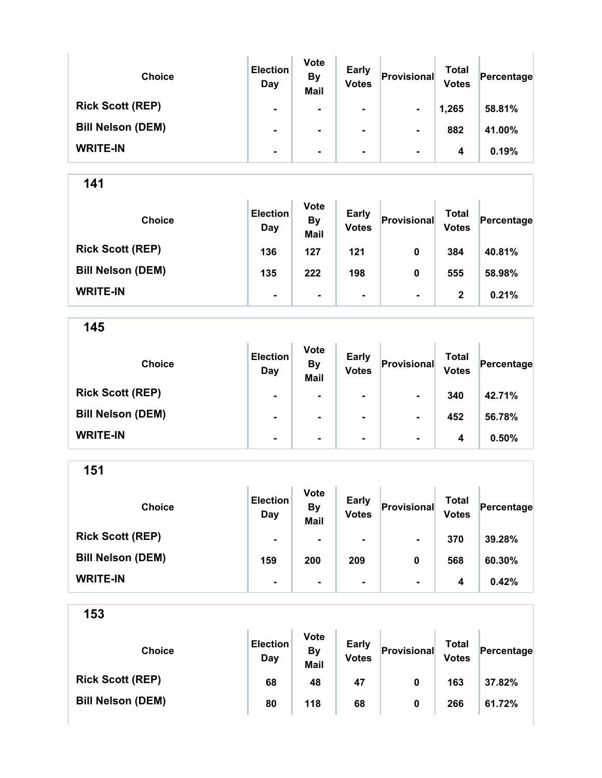| <b>Choice</b>            | <b>Election</b><br>Day | <b>Vote</b><br><b>By</b><br><b>Mail</b> | <b>Early</b><br><b>Votes</b> | Provisional    | Total<br><b>Votes</b> | Percentage |
|--------------------------|------------------------|-----------------------------------------|------------------------------|----------------|-----------------------|------------|
| <b>Rick Scott (REP)</b>  | $\blacksquare$         | ۰.                                      | $\blacksquare$               | $\blacksquare$ | 1,265                 | 58.81%     |
| <b>Bill Nelson (DEM)</b> | $\blacksquare$         |                                         | $\blacksquare$               | $\blacksquare$ | 882                   | 41.00%     |
| <b>WRITE-IN</b>          | $\blacksquare$         |                                         | $\blacksquare$               | $\blacksquare$ | 4                     | 0.19%      |

÷.

141

| <b>Choice</b>            | <b>Election</b><br>Day | <b>Vote</b><br><b>By</b><br><b>Mail</b> | <b>Early</b><br><b>Votes</b> | Provisional    | Total<br><b>Votes</b> | Percentage |
|--------------------------|------------------------|-----------------------------------------|------------------------------|----------------|-----------------------|------------|
| <b>Rick Scott (REP)</b>  | 136                    | 127                                     | 121                          | 0              | 384                   | 40.81%     |
| <b>Bill Nelson (DEM)</b> | 135                    | 222                                     | 198                          | 0              | 555                   | 58.98%     |
| <b>WRITE-IN</b>          | $\blacksquare$         | ۰                                       | ٠                            | $\blacksquare$ | 2                     | 0.21%      |

145

| <b>Choice</b>            | <b>Election</b><br>Day | <b>Vote</b><br><b>By</b><br><b>Mail</b> | <b>Early</b><br><b>Votes</b> | Provisional    | Total<br><b>Votes</b> | Percentage |
|--------------------------|------------------------|-----------------------------------------|------------------------------|----------------|-----------------------|------------|
| <b>Rick Scott (REP)</b>  | $\blacksquare$         | ٠                                       | $\blacksquare$               | $\blacksquare$ | 340                   | 42.71%     |
| <b>Bill Nelson (DEM)</b> | ۰                      | $\blacksquare$                          | $\blacksquare$               | $\blacksquare$ | 452                   | 56.78%     |
| <b>WRITE-IN</b>          | ۰                      | $\blacksquare$                          | $\blacksquare$               | $\blacksquare$ | 4                     | 0.50%      |

151

| <b>Choice</b>            | <b>Election</b><br>Day | <b>Vote</b><br><b>By</b><br><b>Mail</b> | <b>Early</b><br><b>Votes</b> | Provisional    | <b>Total</b><br><b>Votes</b> | Percentage |
|--------------------------|------------------------|-----------------------------------------|------------------------------|----------------|------------------------------|------------|
| <b>Rick Scott (REP)</b>  | $\blacksquare$         |                                         | ۰                            | $\blacksquare$ | 370                          | 39.28%     |
| <b>Bill Nelson (DEM)</b> | 159                    | 200                                     | 209                          | 0              | 568                          | 60.30%     |
| <b>WRITE-IN</b>          | $\blacksquare$         | ۰                                       | ۰                            | $\blacksquare$ | 4                            | 0.42%      |

| <b>Choice</b>            | <b>Election</b><br>Day | <b>Vote</b><br>By<br><b>Mail</b> | <b>Early</b><br><b>Votes</b> | Provisional | Total<br><b>Votes</b> | Percentage |
|--------------------------|------------------------|----------------------------------|------------------------------|-------------|-----------------------|------------|
| <b>Rick Scott (REP)</b>  | 68                     | 48                               | 47                           | 0           | 163                   | 37.82%     |
| <b>Bill Nelson (DEM)</b> | 80                     | 118                              | 68                           | 0           | 266                   | 61.72%     |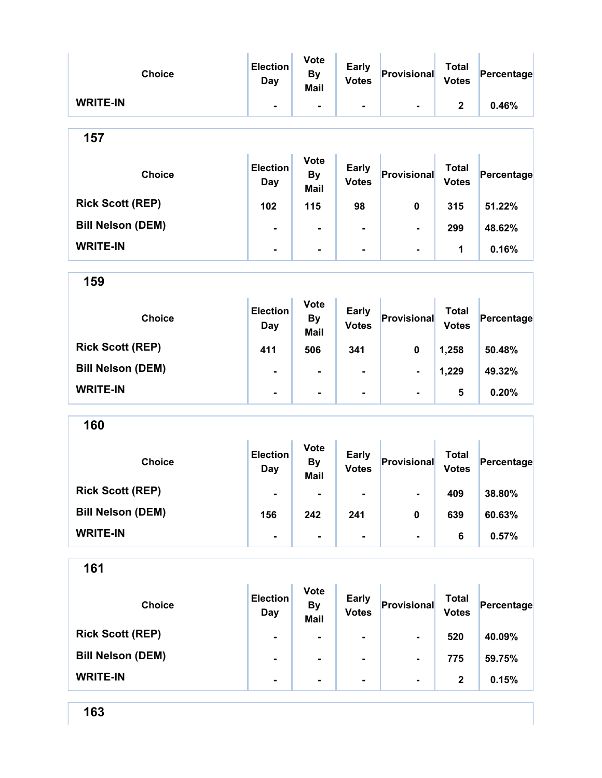| <b>Choice</b>            | <b>Election</b><br><b>Day</b> | <b>Vote</b><br><b>By</b><br>Mail        | <b>Early</b><br><b>Votes</b> | Provisional    | <b>Total</b><br><b>Votes</b> | Percentage |
|--------------------------|-------------------------------|-----------------------------------------|------------------------------|----------------|------------------------------|------------|
| <b>WRITE-IN</b>          | $\blacksquare$                | $\blacksquare$                          | $\blacksquare$               | $\blacksquare$ | $\mathbf{2}$                 | 0.46%      |
| 157                      |                               |                                         |                              |                |                              |            |
| <b>Choice</b>            | <b>Election</b><br>Day        | <b>Vote</b><br><b>By</b><br>Mail        | <b>Early</b><br><b>Votes</b> | Provisional    | <b>Total</b><br><b>Votes</b> | Percentage |
| <b>Rick Scott (REP)</b>  | 102                           | 115                                     | 98                           | 0              | 315                          | 51.22%     |
| <b>Bill Nelson (DEM)</b> |                               | $\blacksquare$                          |                              |                | 299                          | 48.62%     |
| <b>WRITE-IN</b>          | Ξ.                            | $\overline{\phantom{a}}$                | -                            | $\blacksquare$ | 1                            | 0.16%      |
| 159                      |                               |                                         |                              |                |                              |            |
| <b>Choice</b>            | <b>Election</b><br><b>Day</b> | <b>Vote</b><br><b>By</b><br><b>Mail</b> | <b>Early</b><br><b>Votes</b> | Provisional    | <b>Total</b><br><b>Votes</b> | Percentage |
| <b>Rick Scott (REP)</b>  | 411                           | 506                                     | 341                          | 0              | 1,258                        | 50.48%     |
| <b>Bill Nelson (DEM)</b> | $\blacksquare$                | $\blacksquare$                          |                              | $\blacksquare$ | 1,229                        | 49.32%     |
| <b>WRITE-IN</b>          | $\blacksquare$                | $\blacksquare$                          |                              |                | 5                            | 0.20%      |
| 160                      |                               |                                         |                              |                |                              |            |
| <b>Choice</b>            | <b>Election</b><br><b>Day</b> | <b>Vote</b><br><b>By</b><br><b>Mail</b> | <b>Early</b><br><b>Votes</b> | Provisional    | <b>Total</b><br><b>Votes</b> | Percentage |
| <b>Rick Scott (REP)</b>  |                               |                                         |                              | ٠              | 409                          | 38.80%     |
| <b>Bill Nelson (DEM)</b> | 156                           | 242                                     | 241                          | 0              | 639                          | 60.63%     |
| <b>WRITE-IN</b>          | $\overline{\phantom{0}}$      | $\blacksquare$                          | ٠                            | $\blacksquare$ | 6                            | 0.57%      |
| 161                      |                               |                                         |                              |                |                              |            |
| <b>Choice</b>            | <b>Election</b><br>Day        | <b>Vote</b><br><b>By</b><br><b>Mail</b> | <b>Early</b><br><b>Votes</b> | Provisional    | <b>Total</b><br><b>Votes</b> | Percentage |
| <b>Rick Scott (REP)</b>  | $\overline{\phantom{a}}$      | -                                       | ۰                            | $\blacksquare$ | 520                          | 40.09%     |
| <b>Bill Nelson (DEM)</b> | ۰                             | ٠                                       | ۰                            | $\blacksquare$ | 775                          | 59.75%     |

WRITE-IN  $\begin{vmatrix} 1 & 1 & 1 \ 1 & 1 & 1 \end{vmatrix}$  .  $\begin{vmatrix} 1 & 1 & 1 \ 1 & 1 & 1 \end{vmatrix}$  .  $\begin{vmatrix} 1 & 1 & 1 \ 2 & 1 & 1 \end{vmatrix}$  .  $\begin{vmatrix} 2 & 1 & 1 \ 2 & 1 & 1 \end{vmatrix}$  .  $\begin{vmatrix} 0.15\% & 1 \end{vmatrix}$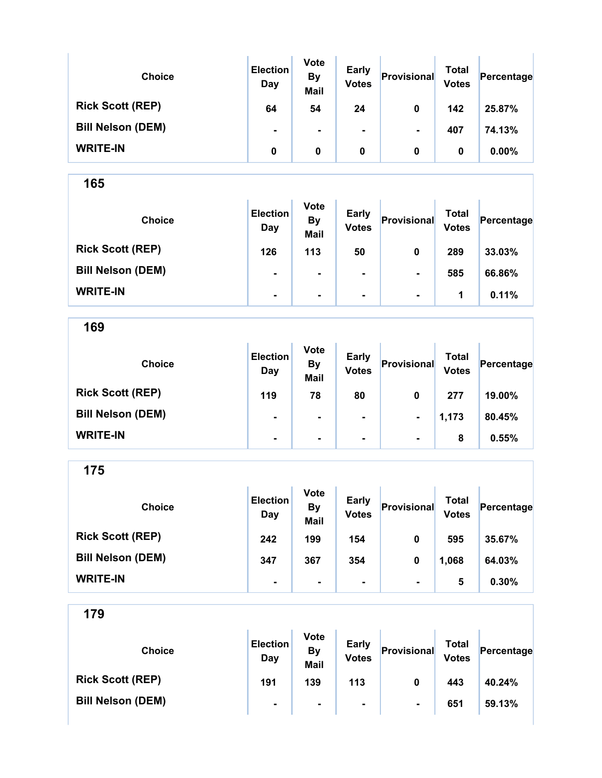| <b>Choice</b>            | <b>Election</b><br>Day | <b>Vote</b><br><b>By</b><br><b>Mail</b> | <b>Early</b><br><b>Votes</b> | Provisional    | Total<br><b>Votes</b> | Percentage |
|--------------------------|------------------------|-----------------------------------------|------------------------------|----------------|-----------------------|------------|
| <b>Rick Scott (REP)</b>  | 64                     | 54                                      | 24                           | 0              | 142                   | 25.87%     |
| <b>Bill Nelson (DEM)</b> | $\blacksquare$         | ۰                                       | ۰.                           | $\blacksquare$ | 407                   | 74.13%     |
| <b>WRITE-IN</b>          | 0                      | 0                                       | 0                            | 0              | 0                     | $0.00\%$   |

| <b>Choice</b>            | <b>Election</b><br>Day | <b>Vote</b><br><b>By</b><br><b>Mail</b> | <b>Early</b><br><b>Votes</b> | Provisional    | Total<br><b>Votes</b> | Percentage |
|--------------------------|------------------------|-----------------------------------------|------------------------------|----------------|-----------------------|------------|
| <b>Rick Scott (REP)</b>  | 126                    | 113                                     | 50                           | 0              | 289                   | 33.03%     |
| <b>Bill Nelson (DEM)</b> | $\blacksquare$         | $\blacksquare$                          | $\blacksquare$               | $\blacksquare$ | 585                   | 66.86%     |
| <b>WRITE-IN</b>          | $\blacksquare$         | ۰                                       | $\blacksquare$               | $\blacksquare$ | 1                     | 0.11%      |

169

| <b>Choice</b>            | <b>Election</b><br>Day | <b>Vote</b><br><b>By</b><br><b>Mail</b> | <b>Early</b><br><b>Votes</b> | Provisional    | Total<br><b>Votes</b> | Percentage |
|--------------------------|------------------------|-----------------------------------------|------------------------------|----------------|-----------------------|------------|
| <b>Rick Scott (REP)</b>  | 119                    | 78                                      | 80                           | 0              | 277                   | 19.00%     |
| <b>Bill Nelson (DEM)</b> | $\blacksquare$         | $\blacksquare$                          | $\blacksquare$               | $\blacksquare$ | 1,173                 | 80.45%     |
| <b>WRITE-IN</b>          | $\blacksquare$         | $\blacksquare$                          | $\blacksquare$               | $\blacksquare$ | 8                     | 0.55%      |

175

| <b>Choice</b>            | <b>Election</b><br>Day | <b>Vote</b><br><b>By</b><br><b>Mail</b> | <b>Early</b><br><b>Votes</b> | Provisional    | Total<br><b>Votes</b> | Percentage |
|--------------------------|------------------------|-----------------------------------------|------------------------------|----------------|-----------------------|------------|
| <b>Rick Scott (REP)</b>  | 242                    | 199                                     | 154                          | 0              | 595                   | 35.67%     |
| <b>Bill Nelson (DEM)</b> | 347                    | 367                                     | 354                          | 0              | 1,068                 | 64.03%     |
| <b>WRITE-IN</b>          | ۰                      | ۰                                       | ۰                            | $\blacksquare$ | 5                     | 0.30%      |

| <b>Choice</b>            | <b>Election</b><br>Day | <b>Vote</b><br>By<br><b>Mail</b> | <b>Early</b><br><b>Votes</b> | Provisional    | Total<br><b>Votes</b> | Percentage |
|--------------------------|------------------------|----------------------------------|------------------------------|----------------|-----------------------|------------|
| <b>Rick Scott (REP)</b>  | 191                    | 139                              | 113                          | 0              | 443                   | 40.24%     |
| <b>Bill Nelson (DEM)</b> | $\blacksquare$         |                                  | ۰.                           | $\blacksquare$ | 651                   | 59.13%     |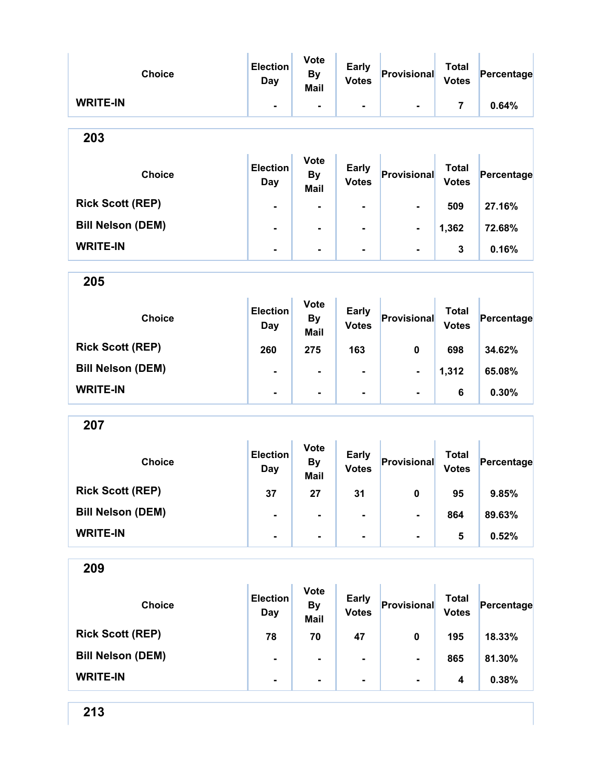| <b>Choice</b>            | <b>Election</b><br><b>Day</b> | <b>Vote</b><br><b>By</b><br><b>Mail</b> | <b>Early</b><br><b>Votes</b> | Provisional    | <b>Total</b><br><b>Votes</b> | Percentage |
|--------------------------|-------------------------------|-----------------------------------------|------------------------------|----------------|------------------------------|------------|
| <b>WRITE-IN</b>          | -                             |                                         |                              |                | 7                            | 0.64%      |
| 203                      |                               |                                         |                              |                |                              |            |
| <b>Choice</b>            | <b>Election</b><br><b>Day</b> | <b>Vote</b><br><b>By</b><br><b>Mail</b> | <b>Early</b><br><b>Votes</b> | Provisional    | <b>Total</b><br><b>Votes</b> | Percentage |
| <b>Rick Scott (REP)</b>  |                               |                                         |                              |                | 509                          | 27.16%     |
| <b>Bill Nelson (DEM)</b> | -                             | -                                       | -                            |                | 1,362                        | 72.68%     |
| <b>WRITE-IN</b>          | $\blacksquare$                | $\blacksquare$                          | -                            |                | 3                            | 0.16%      |
| 205                      |                               |                                         |                              |                |                              |            |
| <b>Choice</b>            | <b>Election</b><br>Day        | <b>Vote</b><br><b>By</b><br><b>Mail</b> | <b>Early</b><br><b>Votes</b> | Provisional    | <b>Total</b><br><b>Votes</b> | Percentage |
| <b>Rick Scott (REP)</b>  | 260                           | 275                                     | 163                          | 0              | 698                          | 34.62%     |
| <b>Bill Nelson (DEM)</b> | $\blacksquare$                | $\blacksquare$                          |                              | $\blacksquare$ | 1,312                        | 65.08%     |
| <b>WRITE-IN</b>          | $\blacksquare$                | $\blacksquare$                          | ۰                            | $\blacksquare$ | 6                            | 0.30%      |
| 207                      |                               |                                         |                              |                |                              |            |
| <b>Choice</b>            | <b>Election</b><br>Day        | <b>Vote</b><br><b>By</b><br><b>Mail</b> | <b>Early</b><br><b>Votes</b> | Provisional    | <b>Total</b><br><b>Votes</b> | Percentage |
| <b>Rick Scott (REP)</b>  | 37                            | 27                                      | 31                           | $\pmb{0}$      | 95                           | 9.85%      |
| <b>Bill Nelson (DEM)</b> |                               |                                         |                              |                | 864                          | 89.63%     |
| <b>WRITE-IN</b>          |                               | -                                       |                              |                | 5                            | 0.52%      |
| 209                      |                               |                                         |                              |                |                              |            |

| <b>Choice</b>            | <b>Election</b><br>Day | <b>Vote</b><br><b>By</b><br><b>Mail</b> | <b>Early</b><br><b>Votes</b> | Provisional    | <b>Total</b><br><b>Votes</b> | Percentage |
|--------------------------|------------------------|-----------------------------------------|------------------------------|----------------|------------------------------|------------|
| <b>Rick Scott (REP)</b>  | 78                     | 70                                      | 47                           | 0              | 195                          | 18.33%     |
| <b>Bill Nelson (DEM)</b> | $\blacksquare$         | ۰                                       |                              | $\blacksquare$ | 865                          | 81.30%     |
| <b>WRITE-IN</b>          | $\blacksquare$         | ۰                                       |                              | $\blacksquare$ | 4                            | 0.38%      |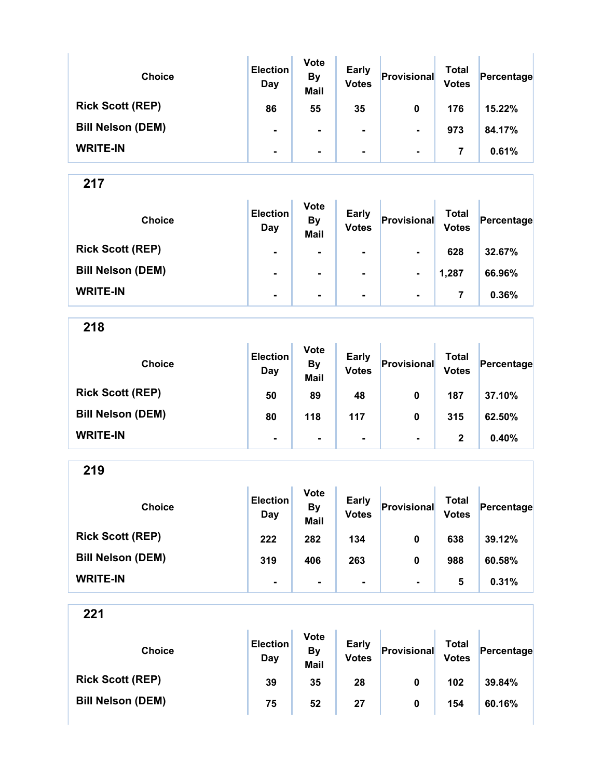| <b>Choice</b>            | <b>Election</b><br>Day | <b>Vote</b><br><b>By</b><br><b>Mail</b> | <b>Early</b><br><b>Votes</b> | Provisional    | Total<br><b>Votes</b> | Percentage |
|--------------------------|------------------------|-----------------------------------------|------------------------------|----------------|-----------------------|------------|
| <b>Rick Scott (REP)</b>  | 86                     | 55                                      | 35                           | 0              | 176                   | 15.22%     |
| <b>Bill Nelson (DEM)</b> | $\blacksquare$         | $\blacksquare$                          | $\blacksquare$               | $\blacksquare$ | 973                   | 84.17%     |
| <b>WRITE-IN</b>          | $\blacksquare$         | $\blacksquare$                          | $\blacksquare$               | $\blacksquare$ |                       | 0.61%      |

| <b>Choice</b>            | <b>Election</b><br>Day | <b>Vote</b><br><b>By</b><br><b>Mail</b> | <b>Early</b><br><b>Votes</b> | Provisional    | Total<br><b>Votes</b> | Percentage |
|--------------------------|------------------------|-----------------------------------------|------------------------------|----------------|-----------------------|------------|
| <b>Rick Scott (REP)</b>  | $\blacksquare$         | ۰                                       | $\blacksquare$               | $\blacksquare$ | 628                   | 32.67%     |
| <b>Bill Nelson (DEM)</b> | $\blacksquare$         | ۰.                                      | $\blacksquare$               | $\blacksquare$ | 1,287                 | 66.96%     |
| <b>WRITE-IN</b>          | $\blacksquare$         | $\blacksquare$                          | $\blacksquare$               | $\blacksquare$ |                       | 0.36%      |

218

| <b>Choice</b>            | <b>Election</b><br>Day | <b>Vote</b><br><b>By</b><br><b>Mail</b> | <b>Early</b><br><b>Votes</b> | Provisional    | <b>Total</b><br><b>Votes</b> | Percentage |
|--------------------------|------------------------|-----------------------------------------|------------------------------|----------------|------------------------------|------------|
| <b>Rick Scott (REP)</b>  | 50                     | 89                                      | 48                           | 0              | 187                          | 37.10%     |
| <b>Bill Nelson (DEM)</b> | 80                     | 118                                     | 117                          | 0              | 315                          | 62.50%     |
| <b>WRITE-IN</b>          | $\blacksquare$         | $\blacksquare$                          | $\blacksquare$               | $\blacksquare$ | 2                            | 0.40%      |

219

| <b>Choice</b>            | <b>Election</b><br>Day | <b>Vote</b><br><b>By</b><br><b>Mail</b> | <b>Early</b><br><b>Votes</b> | Provisional    | <b>Total</b><br><b>Votes</b> | Percentage |
|--------------------------|------------------------|-----------------------------------------|------------------------------|----------------|------------------------------|------------|
| <b>Rick Scott (REP)</b>  | 222                    | 282                                     | 134                          | 0              | 638                          | 39.12%     |
| <b>Bill Nelson (DEM)</b> | 319                    | 406                                     | 263                          | 0              | 988                          | 60.58%     |
| <b>WRITE-IN</b>          | ۰                      |                                         | $\blacksquare$               | $\blacksquare$ | 5                            | 0.31%      |

| <b>Choice</b>            | <b>Election</b><br>Day | <b>Vote</b><br>By<br><b>Mail</b> | <b>Early</b><br><b>Votes</b> | Provisional | Total<br><b>Votes</b> | Percentage |
|--------------------------|------------------------|----------------------------------|------------------------------|-------------|-----------------------|------------|
| <b>Rick Scott (REP)</b>  | 39                     | 35                               | 28                           | 0           | 102                   | 39.84%     |
| <b>Bill Nelson (DEM)</b> | 75                     | 52                               | 27                           | 0           | 154                   | 60.16%     |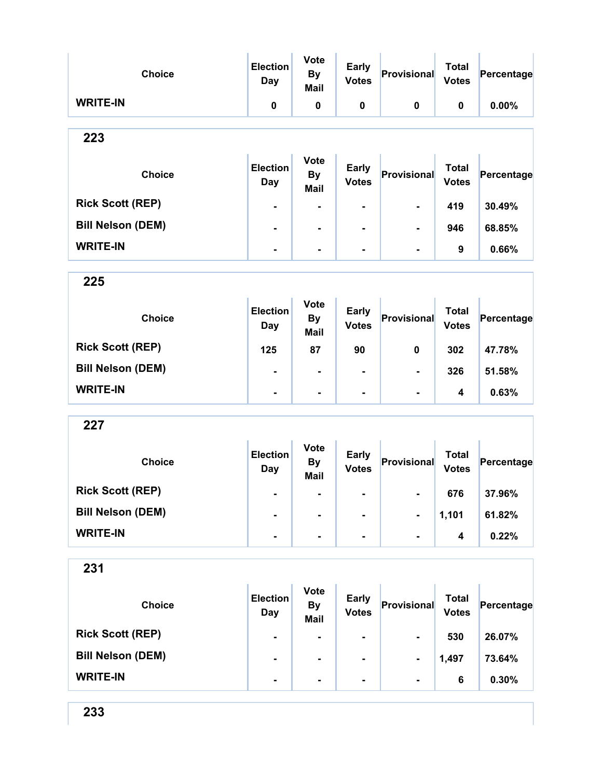| <b>Choice</b>            | <b>Election</b><br><b>Day</b> | <b>Vote</b><br><b>By</b><br><b>Mail</b> | <b>Early</b><br><b>Votes</b> | Provisional    | <b>Total</b><br><b>Votes</b> | Percentage |
|--------------------------|-------------------------------|-----------------------------------------|------------------------------|----------------|------------------------------|------------|
| <b>WRITE-IN</b>          | $\pmb{0}$                     | $\pmb{0}$                               | $\pmb{0}$                    | $\mathbf 0$    | $\mathbf 0$                  | 0.00%      |
| 223                      |                               |                                         |                              |                |                              |            |
| <b>Choice</b>            | <b>Election</b><br><b>Day</b> | <b>Vote</b><br><b>By</b><br><b>Mail</b> | <b>Early</b><br><b>Votes</b> | Provisional    | <b>Total</b><br><b>Votes</b> | Percentage |
| <b>Rick Scott (REP)</b>  | $\blacksquare$                | $\blacksquare$                          | $\blacksquare$               |                | 419                          | 30.49%     |
| <b>Bill Nelson (DEM)</b> | $\blacksquare$                | $\blacksquare$                          |                              |                | 946                          | 68.85%     |
| <b>WRITE-IN</b>          |                               | $\blacksquare$                          | $\blacksquare$               | $\blacksquare$ | 9                            | 0.66%      |
| 225                      |                               |                                         |                              |                |                              |            |
| <b>Choice</b>            | <b>Election</b><br><b>Day</b> | <b>Vote</b><br><b>By</b><br><b>Mail</b> | <b>Early</b><br><b>Votes</b> | Provisional    | <b>Total</b><br><b>Votes</b> | Percentage |
| <b>Rick Scott (REP)</b>  | 125                           | 87                                      | 90                           | $\mathbf 0$    | 302                          | 47.78%     |
| <b>Bill Nelson (DEM)</b> | $\blacksquare$                | $\blacksquare$                          | $\blacksquare$               | $\blacksquare$ | 326                          | 51.58%     |
| <b>WRITE-IN</b>          | $\blacksquare$                | $\blacksquare$                          | $\blacksquare$               | -              | $\overline{\mathbf{4}}$      | 0.63%      |
| 227                      |                               |                                         |                              |                |                              |            |
| <b>Choice</b>            | <b>Election</b><br><b>Day</b> | <b>Vote</b><br><b>By</b><br><b>Mail</b> | <b>Early</b><br><b>Votes</b> | Provisional    | <b>Total</b><br><b>Votes</b> | Percentage |
| <b>Rick Scott (REP)</b>  |                               | $\blacksquare$                          | $\blacksquare$               |                | 676                          | 37.96%     |

| <b>Bill Nelson (DEM)</b> | $\blacksquare$ | $\overline{\phantom{a}}$ | $\blacksquare$ | $\blacksquare$ | 1,101 | 61.82% |
|--------------------------|----------------|--------------------------|----------------|----------------|-------|--------|
| <b>WRITE-IN</b>          |                |                          | ۰.             | $\blacksquare$ |       | 0.22%  |

| <b>Choice</b>            | <b>Election</b><br>Day | <b>Vote</b><br><b>By</b><br><b>Mail</b> | <b>Early</b><br><b>Votes</b> | Provisional    | <b>Total</b><br><b>Votes</b> | Percentage |
|--------------------------|------------------------|-----------------------------------------|------------------------------|----------------|------------------------------|------------|
| <b>Rick Scott (REP)</b>  | $\blacksquare$         |                                         | $\blacksquare$               | $\blacksquare$ | 530                          | 26.07%     |
| <b>Bill Nelson (DEM)</b> | $\blacksquare$         | $\blacksquare$                          | $\blacksquare$               | $\blacksquare$ | 1,497                        | 73.64%     |
| <b>WRITE-IN</b>          | $\blacksquare$         | $\blacksquare$                          | $\blacksquare$               | $\blacksquare$ | 6                            | 0.30%      |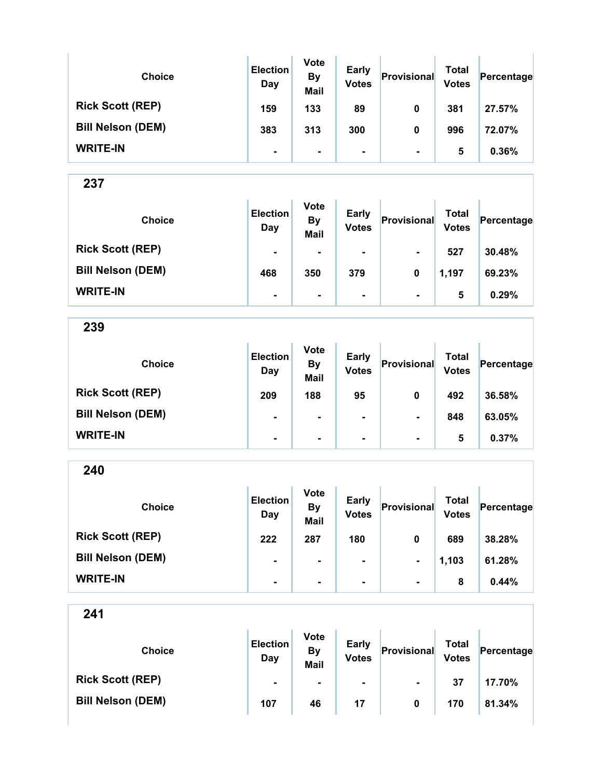| <b>Choice</b>            | <b>Election</b><br>Day | <b>Vote</b><br><b>By</b><br><b>Mail</b> | <b>Early</b><br><b>Votes</b> | Provisional    | Total<br><b>Votes</b> | Percentage |
|--------------------------|------------------------|-----------------------------------------|------------------------------|----------------|-----------------------|------------|
| <b>Rick Scott (REP)</b>  | 159                    | 133                                     | 89                           | 0              | 381                   | 27.57%     |
| <b>Bill Nelson (DEM)</b> | 383                    | 313                                     | 300                          | 0              | 996                   | 72.07%     |
| <b>WRITE-IN</b>          | ۰                      | $\blacksquare$                          |                              | $\blacksquare$ | 5                     | 0.36%      |

| <b>Choice</b>            | <b>Election</b><br>Day | <b>Vote</b><br><b>By</b><br><b>Mail</b> | <b>Early</b><br><b>Votes</b> | Provisional    | Total<br><b>Votes</b> | Percentage |
|--------------------------|------------------------|-----------------------------------------|------------------------------|----------------|-----------------------|------------|
| <b>Rick Scott (REP)</b>  | $\blacksquare$         | $\blacksquare$                          | $\blacksquare$               | $\blacksquare$ | 527                   | 30.48%     |
| <b>Bill Nelson (DEM)</b> | 468                    | 350                                     | 379                          | 0              | 1,197                 | 69.23%     |
| <b>WRITE-IN</b>          | $\blacksquare$         | $\blacksquare$                          | ۰.                           | $\blacksquare$ | 5                     | 0.29%      |

239

| <b>Choice</b>            | <b>Election</b><br>Day | <b>Vote</b><br><b>By</b><br><b>Mail</b> | <b>Early</b><br><b>Votes</b> | Provisional    | Total<br><b>Votes</b> | Percentage |
|--------------------------|------------------------|-----------------------------------------|------------------------------|----------------|-----------------------|------------|
| <b>Rick Scott (REP)</b>  | 209                    | 188                                     | 95                           | 0              | 492                   | 36.58%     |
| <b>Bill Nelson (DEM)</b> | $\blacksquare$         | $\blacksquare$                          | $\blacksquare$               | $\blacksquare$ | 848                   | 63.05%     |
| <b>WRITE-IN</b>          | $\blacksquare$         | $\blacksquare$                          | $\blacksquare$               | $\blacksquare$ | 5                     | 0.37%      |

240

| <b>Choice</b>            | <b>Election</b><br>Day | <b>Vote</b><br><b>By</b><br><b>Mail</b> | <b>Early</b><br><b>Votes</b> | Provisional    | <b>Total</b><br><b>Votes</b> | Percentage |
|--------------------------|------------------------|-----------------------------------------|------------------------------|----------------|------------------------------|------------|
| <b>Rick Scott (REP)</b>  | 222                    | 287                                     | 180                          | 0              | 689                          | 38.28%     |
| <b>Bill Nelson (DEM)</b> | $\blacksquare$         | $\blacksquare$                          | ۰                            | $\blacksquare$ | 1,103                        | 61.28%     |
| <b>WRITE-IN</b>          | $\blacksquare$         |                                         | ۰                            | $\blacksquare$ | 8                            | 0.44%      |

| <b>Choice</b>            | <b>Election</b><br>Day | <b>Vote</b><br><b>By</b><br><b>Mail</b> | <b>Early</b><br><b>Votes</b> | Provisional    | <b>Total</b><br><b>Votes</b> | Percentage |
|--------------------------|------------------------|-----------------------------------------|------------------------------|----------------|------------------------------|------------|
| <b>Rick Scott (REP)</b>  | $\blacksquare$         | $\blacksquare$                          | $\blacksquare$               | $\blacksquare$ | 37                           | 17.70%     |
| <b>Bill Nelson (DEM)</b> | 107                    | 46                                      | 17                           | 0              | 170                          | 81.34%     |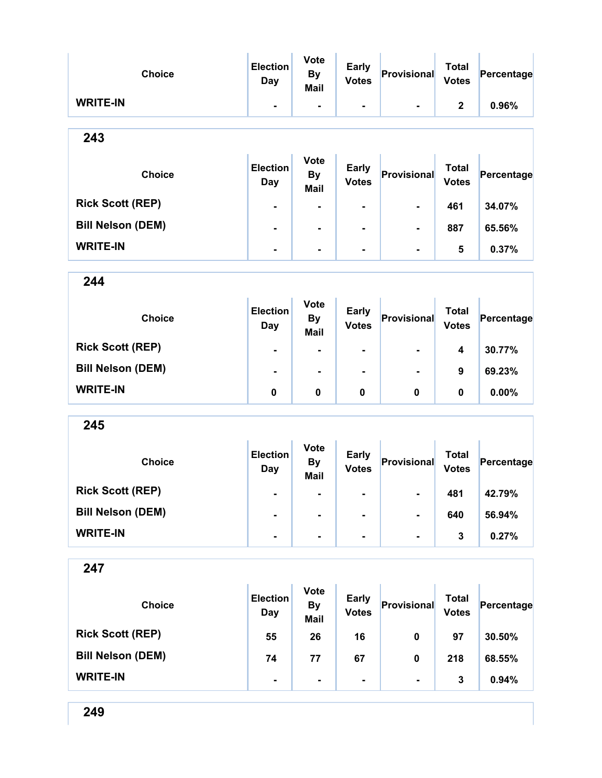| <b>Choice</b>            | <b>Election</b><br>Day | <b>Vote</b><br><b>By</b><br><b>Mail</b> | <b>Early</b><br><b>Votes</b> | Provisional    | <b>Total</b><br><b>Votes</b> | Percentage |
|--------------------------|------------------------|-----------------------------------------|------------------------------|----------------|------------------------------|------------|
| <b>WRITE-IN</b>          | $\blacksquare$         | $\blacksquare$                          | $\blacksquare$               | $\blacksquare$ | $\mathbf{2}$                 | 0.96%      |
| 243                      |                        |                                         |                              |                |                              |            |
| <b>Choice</b>            | <b>Election</b><br>Day | <b>Vote</b><br><b>By</b><br><b>Mail</b> | <b>Early</b><br><b>Votes</b> | Provisional    | <b>Total</b><br><b>Votes</b> | Percentage |
| <b>Rick Scott (REP)</b>  | $\blacksquare$         | $\blacksquare$                          | $\blacksquare$               | $\blacksquare$ | 461                          | 34.07%     |
| <b>Bill Nelson (DEM)</b> | $\blacksquare$         | $\blacksquare$                          | $\blacksquare$               | $\blacksquare$ | 887                          | 65.56%     |
| <b>WRITE-IN</b>          | $\blacksquare$         | $\blacksquare$                          | ۰                            | $\blacksquare$ | 5                            | 0.37%      |

| <b>Choice</b>            | <b>Election</b><br>Day | <b>Vote</b><br><b>By</b><br><b>Mail</b> | <b>Early</b><br><b>Votes</b> | Provisional    | <b>Total</b><br><b>Votes</b> | Percentage |
|--------------------------|------------------------|-----------------------------------------|------------------------------|----------------|------------------------------|------------|
| <b>Rick Scott (REP)</b>  | $\blacksquare$         | $\blacksquare$                          | ۰                            | $\blacksquare$ | 4                            | 30.77%     |
| <b>Bill Nelson (DEM)</b> | $\blacksquare$         | ۰                                       | ۰                            | $\blacksquare$ | 9                            | 69.23%     |
| <b>WRITE-IN</b>          | 0                      | 0                                       | 0                            | 0              | 0                            | $0.00\%$   |

245

| <b>Choice</b>            | <b>Election</b><br>Day | <b>Vote</b><br><b>By</b><br><b>Mail</b> | <b>Early</b><br><b>Votes</b> | Provisional    | Total<br><b>Votes</b> | Percentage |
|--------------------------|------------------------|-----------------------------------------|------------------------------|----------------|-----------------------|------------|
| <b>Rick Scott (REP)</b>  | $\blacksquare$         | $\blacksquare$                          | $\blacksquare$               | $\blacksquare$ | 481                   | 42.79%     |
| <b>Bill Nelson (DEM)</b> | $\blacksquare$         | $\blacksquare$                          | $\blacksquare$               | $\blacksquare$ | 640                   | 56.94%     |
| <b>WRITE-IN</b>          | $\blacksquare$         | $\blacksquare$                          | $\blacksquare$               | $\blacksquare$ | 3                     | 0.27%      |

| <b>Choice</b>            | <b>Election</b><br>Day | <b>Vote</b><br><b>By</b><br><b>Mail</b> | <b>Early</b><br><b>Votes</b> | Provisional    | <b>Total</b><br><b>Votes</b> | Percentage |
|--------------------------|------------------------|-----------------------------------------|------------------------------|----------------|------------------------------|------------|
| <b>Rick Scott (REP)</b>  | 55                     | 26                                      | 16                           | 0              | 97                           | 30.50%     |
| <b>Bill Nelson (DEM)</b> | 74                     | 77                                      | 67                           | 0              | 218                          | 68.55%     |
| <b>WRITE-IN</b>          | $\blacksquare$         | $\blacksquare$                          | ۰                            | $\blacksquare$ | 3                            | 0.94%      |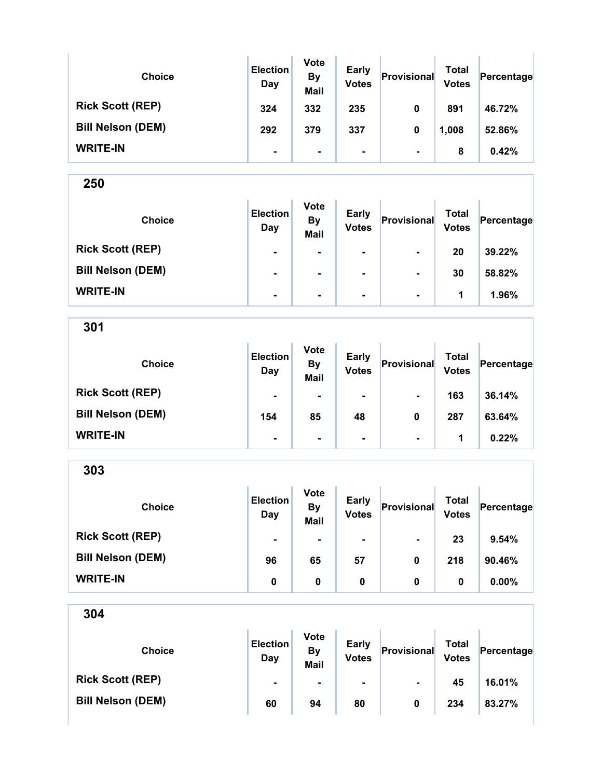| <b>Choice</b>            | <b>Election</b><br>Day | <b>Vote</b><br><b>By</b><br><b>Mail</b> | <b>Early</b><br><b>Votes</b> | Provisional    | <b>Total</b><br><b>Votes</b> | Percentage |
|--------------------------|------------------------|-----------------------------------------|------------------------------|----------------|------------------------------|------------|
| <b>Rick Scott (REP)</b>  | 324                    | 332                                     | 235                          | 0              | 891                          | 46.72%     |
| <b>Bill Nelson (DEM)</b> | 292                    | 379                                     | 337                          | 0              | 1,008                        | 52.86%     |
| <b>WRITE-IN</b>          | $\blacksquare$         | $\blacksquare$                          | ۰                            | $\blacksquare$ | 8                            | 0.42%      |

| <b>Choice</b>            | <b>Election</b><br>Day | <b>Vote</b><br><b>By</b><br><b>Mail</b> | <b>Early</b><br><b>Votes</b> | Provisional    | Total<br><b>Votes</b> | Percentage |
|--------------------------|------------------------|-----------------------------------------|------------------------------|----------------|-----------------------|------------|
| <b>Rick Scott (REP)</b>  | $\blacksquare$         | $\blacksquare$                          | $\blacksquare$               | ۰              | 20                    | 39.22%     |
| <b>Bill Nelson (DEM)</b> | $\blacksquare$         |                                         | $\blacksquare$               | $\blacksquare$ | 30                    | 58.82%     |
| <b>WRITE-IN</b>          | $\blacksquare$         | $\blacksquare$                          | $\blacksquare$               | $\blacksquare$ | 1                     | 1.96%      |

301 Choice **Election** 

| <b>Choice</b>            | <b>Election</b><br>Day | <b>By</b><br><b>Mail</b> | <b>Early</b><br><b>Votes</b> | Provisional    | <b>Total</b><br><b>Votes</b> | Percentage |
|--------------------------|------------------------|--------------------------|------------------------------|----------------|------------------------------|------------|
| <b>Rick Scott (REP)</b>  | $\blacksquare$         | $\blacksquare$           | $\blacksquare$               | $\blacksquare$ | 163                          | 36.14%     |
| <b>Bill Nelson (DEM)</b> | 154                    | 85                       | 48                           | 0              | 287                          | 63.64%     |
| <b>WRITE-IN</b>          | $\blacksquare$         |                          |                              | $\blacksquare$ |                              | 0.22%      |

Vote

| 303                      |                        |                                         |                              |                |                              |            |
|--------------------------|------------------------|-----------------------------------------|------------------------------|----------------|------------------------------|------------|
| <b>Choice</b>            | <b>Election</b><br>Day | <b>Vote</b><br><b>By</b><br><b>Mail</b> | <b>Early</b><br><b>Votes</b> | Provisional    | <b>Total</b><br><b>Votes</b> | Percentage |
| <b>Rick Scott (REP)</b>  | ۰                      | ۰                                       | $\blacksquare$               | $\blacksquare$ | 23                           | 9.54%      |
| <b>Bill Nelson (DEM)</b> | 96                     | 65                                      | 57                           | 0              | 218                          | 90.46%     |
| <b>WRITE-IN</b>          | 0                      | $\bf{0}$                                | 0                            | 0              | 0                            | 0.00%      |

| <b>Choice</b>            | <b>Election</b><br>Day | <b>Vote</b><br>By<br><b>Mail</b> | <b>Early</b><br><b>Votes</b> | Provisional    | Total<br><b>Votes</b> | Percentage |
|--------------------------|------------------------|----------------------------------|------------------------------|----------------|-----------------------|------------|
| <b>Rick Scott (REP)</b>  | $\blacksquare$         | $\blacksquare$                   | ۰.                           | $\blacksquare$ | 45                    | 16.01%     |
| <b>Bill Nelson (DEM)</b> | 60                     | 94                               | 80                           | 0              | 234                   | 83.27%     |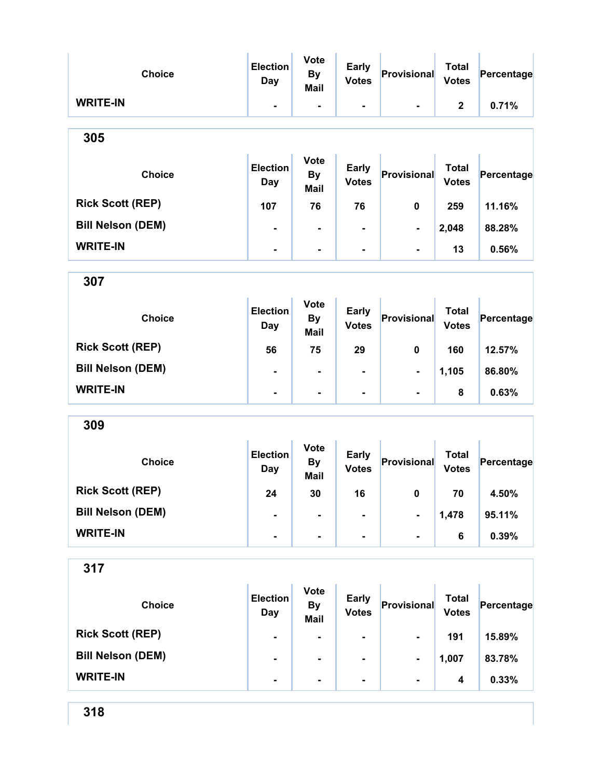| <b>Choice</b>            | <b>Election</b><br><b>Day</b> | <b>Vote</b><br><b>By</b><br><b>Mail</b> | <b>Early</b><br><b>Votes</b> | Provisional    | <b>Total</b><br><b>Votes</b> | Percentage |
|--------------------------|-------------------------------|-----------------------------------------|------------------------------|----------------|------------------------------|------------|
| <b>WRITE-IN</b>          | ۰                             | -                                       | -                            |                | $\mathbf{2}$                 | 0.71%      |
| 305                      |                               |                                         |                              |                |                              |            |
| <b>Choice</b>            | <b>Election</b><br><b>Day</b> | <b>Vote</b><br><b>By</b><br><b>Mail</b> | <b>Early</b><br><b>Votes</b> | Provisional    | <b>Total</b><br><b>Votes</b> | Percentage |
| <b>Rick Scott (REP)</b>  | 107                           | 76                                      | 76                           | 0              | 259                          | 11.16%     |
| <b>Bill Nelson (DEM)</b> | -                             | $\blacksquare$                          | -                            | $\blacksquare$ | 2,048                        | 88.28%     |
| <b>WRITE-IN</b>          | -                             | $\blacksquare$                          |                              |                | 13                           | 0.56%      |
| 307                      |                               |                                         |                              |                |                              |            |
| <b>Choice</b>            | <b>Election</b><br><b>Day</b> | <b>Vote</b><br><b>By</b><br><b>Mail</b> | <b>Early</b><br><b>Votes</b> | Provisional    | <b>Total</b><br><b>Votes</b> | Percentage |
| <b>Rick Scott (REP)</b>  | 56                            | 75                                      | 29                           | 0              | 160                          | 12.57%     |
| <b>Bill Nelson (DEM)</b> | ۰                             |                                         |                              |                | 1,105                        | 86.80%     |
| <b>WRITE-IN</b>          | Ξ.                            | $\blacksquare$                          | Ē.                           | $\blacksquare$ | 8                            | 0.63%      |
| 309                      |                               |                                         |                              |                |                              |            |
| <b>Choice</b>            | <b>Election</b><br>Day        | <b>Vote</b><br><b>By</b><br><b>Mail</b> | <b>Early</b><br><b>Votes</b> | Provisional    | <b>Total</b><br><b>Votes</b> | Percentage |
| <b>Rick Scott (REP)</b>  | 24                            | 30                                      | 16                           | 0              | 70                           | 4.50%      |
| <b>Bill Nelson (DEM)</b> | -                             |                                         |                              | -              | 1,478                        | 95.11%     |
| <b>WRITE-IN</b>          | -                             | ۰                                       | ۰                            | $\blacksquare$ | 6                            | 0.39%      |
| 317                      |                               |                                         |                              |                |                              |            |
| <b>Choice</b>            | <b>Election</b><br><b>Day</b> | <b>Vote</b><br><b>By</b><br><b>Mail</b> | <b>Early</b><br><b>Votes</b> | Provisional    | <b>Total</b><br><b>Votes</b> | Percentage |
| <b>Rick Scott (REP)</b>  | -                             | -                                       | -                            | $\blacksquare$ | 191                          | 15.89%     |

Bill Nelson (DEM) - - - - 1,007 83.78%

WRITE-IN  $\begin{vmatrix} 1 & 1 & 1 \ 1 & 1 & 1 \end{vmatrix}$  .  $\begin{vmatrix} 1 & 1 & 1 \ 1 & 1 & 1 \end{vmatrix}$  .  $\begin{vmatrix} 1 & 1 & 1 \ 1 & 1 & 1 \end{vmatrix}$  .  $\begin{vmatrix} 1 & 1 & 1 \ 1 & 1 & 1 \end{vmatrix}$  .  $\begin{vmatrix} 1 & 1 & 1 \ 1 & 1 & 1 \end{vmatrix}$  .  $\begin{vmatrix} 1 & 1 & 1 \ 1 & 1 & 1 \end{vmatrix}$  .  $\begin{vmatrix}$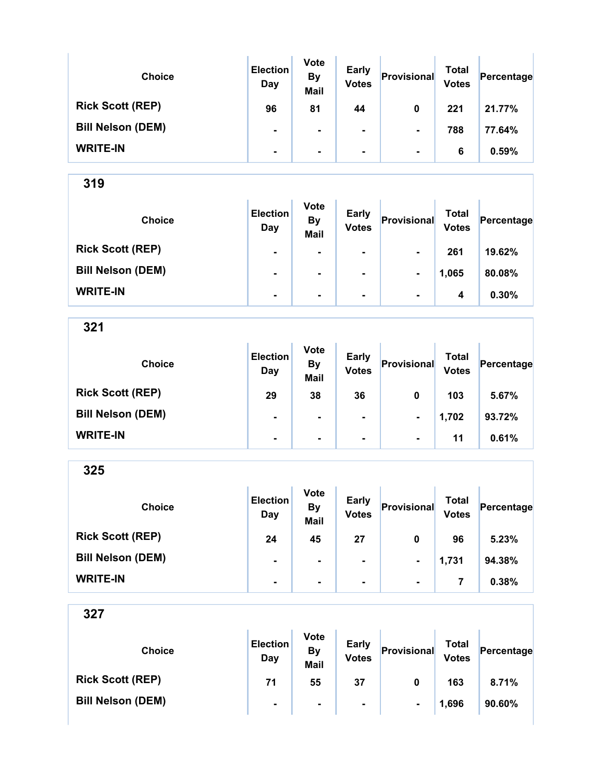| <b>Choice</b>            | <b>Election</b><br>Day | <b>Vote</b><br><b>By</b><br><b>Mail</b> | <b>Early</b><br><b>Votes</b> | Provisional    | Total<br><b>Votes</b> | Percentage |
|--------------------------|------------------------|-----------------------------------------|------------------------------|----------------|-----------------------|------------|
| <b>Rick Scott (REP)</b>  | 96                     | 81                                      | 44                           | 0              | 221                   | 21.77%     |
| <b>Bill Nelson (DEM)</b> | ۰                      |                                         | ۰.                           | $\blacksquare$ | 788                   | 77.64%     |
| <b>WRITE-IN</b>          | $\blacksquare$         | ۰.                                      | ۰.                           | $\blacksquare$ | 6                     | 0.59%      |

| <b>Choice</b>            | <b>Election</b><br>Day | <b>Vote</b><br><b>By</b><br><b>Mail</b> | <b>Early</b><br><b>Votes</b> | Provisional    | Total<br><b>Votes</b> | Percentage |
|--------------------------|------------------------|-----------------------------------------|------------------------------|----------------|-----------------------|------------|
| <b>Rick Scott (REP)</b>  | $\blacksquare$         | $\blacksquare$                          | $\blacksquare$               | $\blacksquare$ | 261                   | 19.62%     |
| <b>Bill Nelson (DEM)</b> | $\blacksquare$         | $\blacksquare$                          | $\blacksquare$               | $\blacksquare$ | 1,065                 | 80.08%     |
| <b>WRITE-IN</b>          | $\blacksquare$         | $\blacksquare$                          | $\blacksquare$               | $\blacksquare$ | 4                     | 0.30%      |

321

| <b>Choice</b>            | <b>Election</b><br>Day | <b>Vote</b><br><b>By</b><br><b>Mail</b> | <b>Early</b><br><b>Votes</b> | Provisional    | <b>Total</b><br><b>Votes</b> | Percentage |
|--------------------------|------------------------|-----------------------------------------|------------------------------|----------------|------------------------------|------------|
| <b>Rick Scott (REP)</b>  | 29                     | 38                                      | 36                           | 0              | 103                          | 5.67%      |
| <b>Bill Nelson (DEM)</b> | ۰                      |                                         | ۰.                           | $\blacksquare$ | 1,702                        | 93.72%     |
| <b>WRITE-IN</b>          | ۰                      | $\blacksquare$                          | $\blacksquare$               | $\blacksquare$ | 11                           | 0.61%      |

325

| <b>Choice</b>            | <b>Election</b><br>Day | <b>Vote</b><br><b>By</b><br><b>Mail</b> | <b>Early</b><br><b>Votes</b> | Provisional    | <b>Total</b><br><b>Votes</b> | Percentage |
|--------------------------|------------------------|-----------------------------------------|------------------------------|----------------|------------------------------|------------|
| <b>Rick Scott (REP)</b>  | 24                     | 45                                      | 27                           | 0              | 96                           | 5.23%      |
| <b>Bill Nelson (DEM)</b> | $\blacksquare$         | $\blacksquare$                          | $\blacksquare$               | $\blacksquare$ | 1,731                        | 94.38%     |
| <b>WRITE-IN</b>          | $\blacksquare$         | $\blacksquare$                          | $\blacksquare$               | $\blacksquare$ |                              | 0.38%      |

| <b>Choice</b>            | <b>Election</b><br>Day | <b>Vote</b><br><b>By</b><br>Mail | <b>Early</b><br><b>Votes</b> | Provisional    | <b>Total</b><br><b>Votes</b> | Percentage |
|--------------------------|------------------------|----------------------------------|------------------------------|----------------|------------------------------|------------|
| <b>Rick Scott (REP)</b>  | 71                     | 55                               | 37                           | 0              | 163                          | 8.71%      |
| <b>Bill Nelson (DEM)</b> | $\blacksquare$         | $\blacksquare$                   | $\blacksquare$               | $\blacksquare$ | 1,696                        | 90.60%     |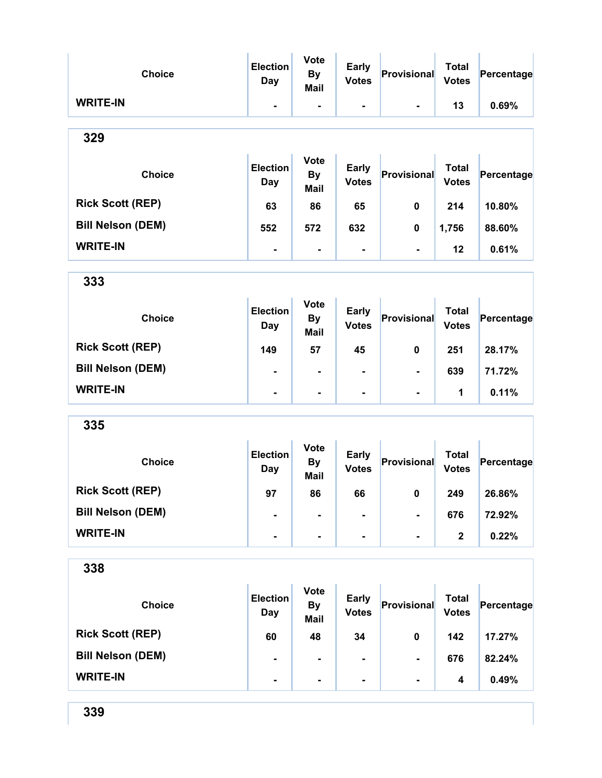| <b>Choice</b>            | <b>Election</b><br><b>Day</b> | <b>Vote</b><br><b>By</b><br><b>Mail</b> | <b>Early</b><br><b>Votes</b> | Provisional    | <b>Total</b><br><b>Votes</b> | Percentage |
|--------------------------|-------------------------------|-----------------------------------------|------------------------------|----------------|------------------------------|------------|
| <b>WRITE-IN</b>          | $\blacksquare$                | $\blacksquare$                          | ۰                            |                | 13                           | 0.69%      |
| 329                      |                               |                                         |                              |                |                              |            |
| <b>Choice</b>            | <b>Election</b><br>Day        | <b>Vote</b><br><b>By</b><br>Mail        | <b>Early</b><br><b>Votes</b> | Provisional    | <b>Total</b><br><b>Votes</b> | Percentage |
| <b>Rick Scott (REP)</b>  | 63                            | 86                                      | 65                           | $\mathbf 0$    | 214                          | 10.80%     |
| <b>Bill Nelson (DEM)</b> | 552                           | 572                                     | 632                          | 0              | 1,756                        | 88.60%     |
| <b>WRITE-IN</b>          | $\blacksquare$                | $\blacksquare$                          | $\blacksquare$               | $\blacksquare$ | 12                           | 0.61%      |
| 333                      |                               |                                         |                              |                |                              |            |
| <b>Choice</b>            | <b>Election</b><br>Day        | <b>Vote</b><br><b>By</b><br>Mail        | <b>Early</b><br><b>Votes</b> | Provisional    | <b>Total</b><br><b>Votes</b> | Percentage |
| <b>Rick Scott (REP)</b>  | 149                           | 57                                      | 45                           | $\mathbf 0$    | 251                          | 28.17%     |
| <b>Bill Nelson (DEM)</b> |                               | $\blacksquare$                          | $\blacksquare$               | $\blacksquare$ | 639                          | 71.72%     |
| <b>WRITE-IN</b>          | Ξ.                            | $\blacksquare$                          | -                            | Ξ.             | 1                            | 0.11%      |
| 335                      |                               |                                         |                              |                |                              |            |
| <b>Choice</b>            | <b>Election</b><br>Day        | <b>Vote</b><br><b>By</b><br><b>Mail</b> | <b>Early</b><br><b>Votes</b> | Provisional    | <b>Total</b><br><b>Votes</b> | Percentage |
| <b>Rick Scott (REP)</b>  | 97                            | 86                                      | 66                           | $\mathbf 0$    | 249                          | 26.86%     |
| <b>Bill Nelson (DEM)</b> |                               |                                         |                              | ۰.             | 676                          | 72.92%     |
| <b>WRITE-IN</b>          |                               | $\blacksquare$                          | ۰                            |                | $\mathbf{2}$                 | 0.22%      |
| 338                      |                               |                                         |                              |                |                              |            |
| <b>Choice</b>            | <b>Election</b><br><b>Day</b> | <b>Vote</b><br><b>By</b><br><b>Mail</b> | <b>Early</b><br><b>Votes</b> | Provisional    | <b>Total</b><br><b>Votes</b> | Percentage |
| <b>Rick Scott (REP)</b>  | 60                            | 48                                      | 34                           | $\pmb{0}$      | 142                          | 17.27%     |
| <b>Bill Nelson (DEM)</b> |                               |                                         |                              |                | 676                          | 82.24%     |
| <b>WRITE-IN</b>          |                               |                                         |                              |                | 4                            | 0.49%      |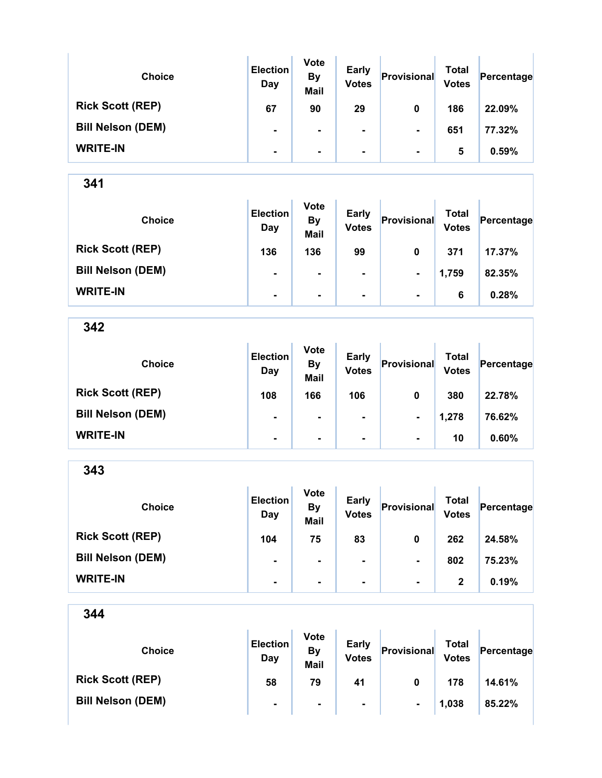| <b>Choice</b>            | <b>Election</b><br>Day | <b>Vote</b><br><b>By</b><br><b>Mail</b> | <b>Early</b><br><b>Votes</b> | Provisional    | Total<br><b>Votes</b> | Percentage |
|--------------------------|------------------------|-----------------------------------------|------------------------------|----------------|-----------------------|------------|
| <b>Rick Scott (REP)</b>  | 67                     | 90                                      | 29                           | 0              | 186                   | 22.09%     |
| <b>Bill Nelson (DEM)</b> | ۰                      |                                         |                              | $\blacksquare$ | 651                   | 77.32%     |
| <b>WRITE-IN</b>          | $\blacksquare$         |                                         | ۰.                           | $\blacksquare$ | 5                     | 0.59%      |

| <b>Choice</b>            | <b>Election</b><br>Day | <b>Vote</b><br><b>By</b><br><b>Mail</b> | <b>Early</b><br><b>Votes</b> | Provisional    | Total<br><b>Votes</b> | Percentage |
|--------------------------|------------------------|-----------------------------------------|------------------------------|----------------|-----------------------|------------|
| <b>Rick Scott (REP)</b>  | 136                    | 136                                     | 99                           | 0              | 371                   | 17.37%     |
| <b>Bill Nelson (DEM)</b> | $\blacksquare$         | $\blacksquare$                          | $\blacksquare$               | $\blacksquare$ | 1,759                 | 82.35%     |
| <b>WRITE-IN</b>          | $\blacksquare$         | $\blacksquare$                          | $\blacksquare$               | $\blacksquare$ | 6                     | 0.28%      |

342

| <b>Choice</b>            | <b>Election</b><br>Day | <b>Vote</b><br><b>By</b><br><b>Mail</b> | <b>Early</b><br><b>Votes</b> | Provisional    | <b>Total</b><br><b>Votes</b> | Percentage |
|--------------------------|------------------------|-----------------------------------------|------------------------------|----------------|------------------------------|------------|
| <b>Rick Scott (REP)</b>  | 108                    | 166                                     | 106                          | 0              | 380                          | 22.78%     |
| <b>Bill Nelson (DEM)</b> | $\blacksquare$         | ٠                                       | ۰.                           | $\blacksquare$ | 1,278                        | 76.62%     |
| <b>WRITE-IN</b>          | ۰                      | $\blacksquare$                          | $\blacksquare$               | $\blacksquare$ | 10                           | 0.60%      |

343 Choice **Election** Day Vote By Mail Early Early Provisional Total<br>Votes Provisional Votes  $Percentage$ Rick Scott (REP) 104 75 83 0 262 24.58% Bill Nelson (DEM) - - - - - - 802 75.23% WRITE-IN  $\begin{vmatrix} 1 & 1 & 1 \ 1 & 1 & 1 \end{vmatrix}$  .  $\begin{vmatrix} 1 & 1 & 1 \ 1 & 1 & 1 \end{vmatrix}$  .  $\begin{vmatrix} 1 & 1 & 1 \ 2 & 1 & 1 \end{vmatrix}$  .  $\begin{vmatrix} 2 & 0.19\% \end{vmatrix}$ 

| 344                      |                        |                                         |                              |             |                              |            |
|--------------------------|------------------------|-----------------------------------------|------------------------------|-------------|------------------------------|------------|
| <b>Choice</b>            | <b>Election</b><br>Day | <b>Vote</b><br><b>By</b><br><b>Mail</b> | <b>Early</b><br><b>Votes</b> | Provisional | <b>Total</b><br><b>Votes</b> | Percentage |
| <b>Rick Scott (REP)</b>  | 58                     | 79                                      | 41                           | $\mathbf 0$ | 178                          | 14.61%     |
| <b>Bill Nelson (DEM)</b> | $\blacksquare$         | ۰                                       | ۰                            |             | 1,038                        | 85.22%     |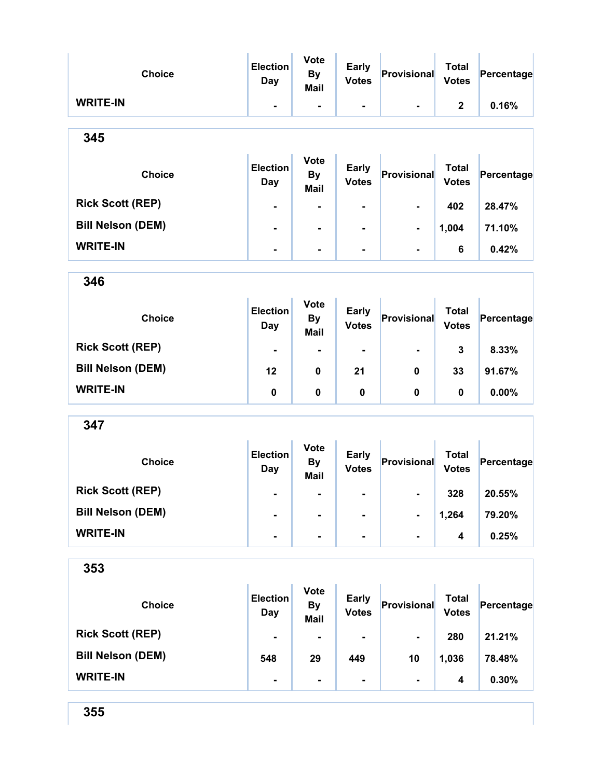| <b>Choice</b>            | <b>Election</b><br>Day        | <b>Vote</b><br>By<br>Mail        | <b>Early</b><br><b>Votes</b> | Provisional    | <b>Total</b><br><b>Votes</b> | Percentage |
|--------------------------|-------------------------------|----------------------------------|------------------------------|----------------|------------------------------|------------|
| <b>WRITE-IN</b>          | $\blacksquare$                | $\blacksquare$                   | ۰.                           | $\blacksquare$ | $\mathbf{2}$                 | 0.16%      |
| 345                      |                               |                                  |                              |                |                              |            |
| <b>Choice</b>            | <b>Election</b><br><b>Day</b> | <b>Vote</b><br><b>By</b><br>Mail | <b>Early</b><br><b>Votes</b> | Provisional    | <b>Total</b><br><b>Votes</b> | Percentage |
| <b>Rick Scott (REP)</b>  | $\blacksquare$                | ۰                                | $\blacksquare$               | $\blacksquare$ | 402                          | 28.47%     |
| <b>Bill Nelson (DEM)</b> | $\blacksquare$                | ۰                                | $\blacksquare$               | ۰              | 1,004                        | 71.10%     |
| <b>WRITE-IN</b>          | $\blacksquare$                | $\blacksquare$                   | $\blacksquare$               | $\blacksquare$ | 6                            | 0.42%      |
| 346                      |                               |                                  |                              |                |                              |            |

| <b>Choice</b>            | <b>Election</b><br>Day | <b>Vote</b><br><b>By</b><br><b>Mail</b> | Early<br><b>Votes</b> | Provisional    | <b>Total</b><br><b>Votes</b> | Percentage |
|--------------------------|------------------------|-----------------------------------------|-----------------------|----------------|------------------------------|------------|
| <b>Rick Scott (REP)</b>  | ۰                      | ۰                                       | ۰                     | $\blacksquare$ | 3                            | 8.33%      |
| <b>Bill Nelson (DEM)</b> | 12                     | 0                                       | 21                    | 0              | 33                           | 91.67%     |
| <b>WRITE-IN</b>          | 0                      | 0                                       | 0                     | 0              | 0                            | 0.00%      |

| <b>Choice</b>            | <b>Election</b><br>Day | <b>Vote</b><br><b>By</b><br><b>Mail</b> | <b>Early</b><br><b>Votes</b> | Provisional    | Total<br><b>Votes</b> | Percentage |
|--------------------------|------------------------|-----------------------------------------|------------------------------|----------------|-----------------------|------------|
| <b>Rick Scott (REP)</b>  | $\blacksquare$         | $\blacksquare$                          | $\blacksquare$               | $\blacksquare$ | 328                   | 20.55%     |
| <b>Bill Nelson (DEM)</b> | ۰                      | $\blacksquare$                          | $\blacksquare$               | $\blacksquare$ | 1,264                 | 79.20%     |
| <b>WRITE-IN</b>          | $\blacksquare$         |                                         |                              | $\blacksquare$ | 4                     | 0.25%      |

| ×<br>×<br>ï<br>v<br>×<br>۰.<br>۰,<br>×<br>M. |
|----------------------------------------------|
|----------------------------------------------|

| <b>Choice</b>            | <b>Election</b><br>Day | <b>Vote</b><br><b>By</b><br><b>Mail</b> | <b>Early</b><br><b>Votes</b> | Provisional    | Total<br><b>Votes</b> | Percentage |
|--------------------------|------------------------|-----------------------------------------|------------------------------|----------------|-----------------------|------------|
| <b>Rick Scott (REP)</b>  | $\blacksquare$         | ٠                                       | ۰.                           | $\blacksquare$ | 280                   | 21.21%     |
| <b>Bill Nelson (DEM)</b> | 548                    | 29                                      | 449                          | 10             | 1,036                 | 78.48%     |
| <b>WRITE-IN</b>          | $\blacksquare$         | ٠                                       | ۰                            | $\blacksquare$ | 4                     | 0.30%      |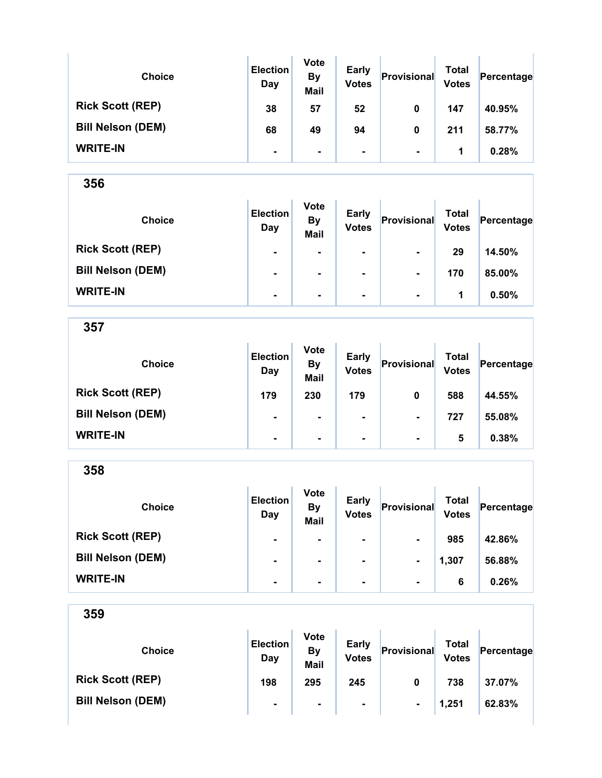| <b>Choice</b>            | <b>Election</b><br>Day | <b>Vote</b><br><b>By</b><br><b>Mail</b> | <b>Early</b><br><b>Votes</b> | Provisional    | Total<br><b>Votes</b> | Percentage |
|--------------------------|------------------------|-----------------------------------------|------------------------------|----------------|-----------------------|------------|
| <b>Rick Scott (REP)</b>  | 38                     | 57                                      | 52                           | 0              | 147                   | 40.95%     |
| <b>Bill Nelson (DEM)</b> | 68                     | 49                                      | 94                           | 0              | 211                   | 58.77%     |
| <b>WRITE-IN</b>          | $\blacksquare$         | $\blacksquare$                          | ۰                            | $\blacksquare$ | 1                     | 0.28%      |

Y.

356

| <b>Choice</b>            | <b>Election</b><br>Day | <b>Vote</b><br><b>By</b><br><b>Mail</b> | <b>Early</b><br><b>Votes</b> | Provisional    | Total<br><b>Votes</b> | Percentage |
|--------------------------|------------------------|-----------------------------------------|------------------------------|----------------|-----------------------|------------|
| <b>Rick Scott (REP)</b>  | $\blacksquare$         | ۰                                       | $\blacksquare$               | $\blacksquare$ | 29                    | 14.50%     |
| <b>Bill Nelson (DEM)</b> | $\blacksquare$         | $\blacksquare$                          | $\blacksquare$               |                | 170                   | 85.00%     |
| <b>WRITE-IN</b>          | ۰                      | $\blacksquare$                          | $\blacksquare$               | $\blacksquare$ | 1                     | 0.50%      |

| <b>Choice</b>            | <b>Election</b><br>Day | <b>Vote</b><br><b>By</b><br><b>Mail</b> | <b>Early</b><br><b>Votes</b> | Provisional    | Total<br><b>Votes</b> | Percentage |
|--------------------------|------------------------|-----------------------------------------|------------------------------|----------------|-----------------------|------------|
| <b>Rick Scott (REP)</b>  | 179                    | 230                                     | 179                          | 0              | 588                   | 44.55%     |
| <b>Bill Nelson (DEM)</b> | $\blacksquare$         | $\blacksquare$                          | ۰                            | $\blacksquare$ | 727                   | 55.08%     |
| <b>WRITE-IN</b>          | $\blacksquare$         | $\blacksquare$                          | ۰                            | $\blacksquare$ | 5                     | 0.38%      |

| 358                      |                        |                                         |                              |                |                              |            |
|--------------------------|------------------------|-----------------------------------------|------------------------------|----------------|------------------------------|------------|
| <b>Choice</b>            | <b>Election</b><br>Day | <b>Vote</b><br><b>By</b><br><b>Mail</b> | <b>Early</b><br><b>Votes</b> | Provisional    | <b>Total</b><br><b>Votes</b> | Percentage |
| <b>Rick Scott (REP)</b>  | ۰                      | ۰                                       | ۰                            |                | 985                          | 42.86%     |
| <b>Bill Nelson (DEM)</b> |                        | ۰                                       | ۰                            | $\blacksquare$ | 1,307                        | 56.88%     |
| <b>WRITE-IN</b>          | ۰                      | ۰                                       | ۰                            | $\blacksquare$ | 6                            | 0.26%      |

| 359                      |                        |                                         |                       |                |                       |            |
|--------------------------|------------------------|-----------------------------------------|-----------------------|----------------|-----------------------|------------|
| <b>Choice</b>            | <b>Election</b><br>Day | <b>Vote</b><br><b>By</b><br><b>Mail</b> | Early<br><b>Votes</b> | Provisional    | Total<br><b>Votes</b> | Percentage |
| <b>Rick Scott (REP)</b>  | 198                    | 295                                     | 245                   | 0              | 738                   | 37.07%     |
| <b>Bill Nelson (DEM)</b> | $\blacksquare$         | $\blacksquare$                          | $\blacksquare$        | $\blacksquare$ | 1,251                 | 62.83%     |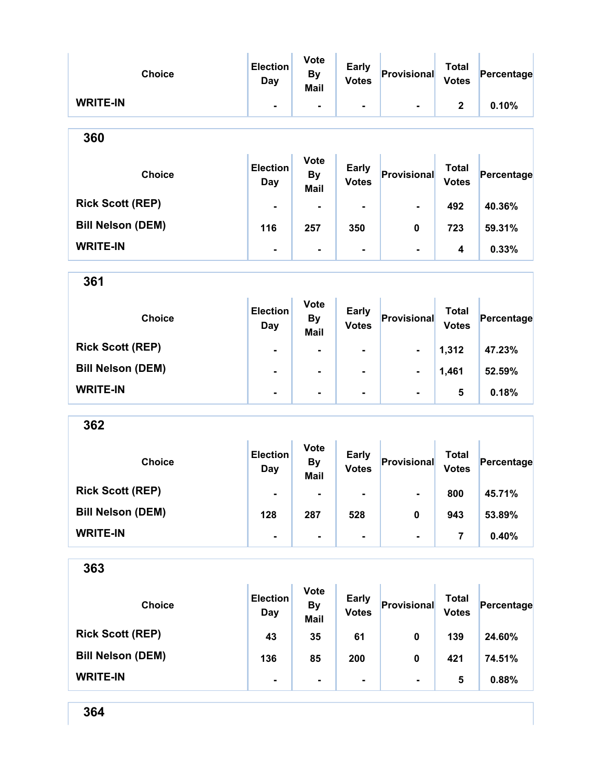| <b>Choice</b>            | <b>Election</b><br>Day        | <b>Vote</b><br><b>By</b><br>Mail        | <b>Early</b><br><b>Votes</b> | Provisional        | <b>Total</b><br><b>Votes</b> | Percentage |
|--------------------------|-------------------------------|-----------------------------------------|------------------------------|--------------------|------------------------------|------------|
| <b>WRITE-IN</b>          | ۰                             | $\overline{\phantom{a}}$                | $\blacksquare$               | $\blacksquare$     | $\mathbf 2$                  | 0.10%      |
| 360                      |                               |                                         |                              |                    |                              |            |
| <b>Choice</b>            | <b>Election</b><br><b>Day</b> | <b>Vote</b><br><b>By</b><br>Mail        | <b>Early</b><br><b>Votes</b> | Provisional        | <b>Total</b><br><b>Votes</b> | Percentage |
| <b>Rick Scott (REP)</b>  |                               | $\blacksquare$                          |                              | $\blacksquare$     | 492                          | 40.36%     |
| <b>Bill Nelson (DEM)</b> | 116                           | 257                                     | 350                          | 0                  | 723                          | 59.31%     |
| <b>WRITE-IN</b>          | $\blacksquare$                | $\blacksquare$                          | $\blacksquare$               | $\blacksquare$     | 4                            | 0.33%      |
| 361                      |                               |                                         |                              |                    |                              |            |
| <b>Choice</b>            | <b>Election</b><br><b>Day</b> | <b>Vote</b><br><b>By</b><br><b>Mail</b> | <b>Early</b><br><b>Votes</b> | Provisional        | <b>Total</b><br><b>Votes</b> | Percentage |
| <b>Rick Scott (REP)</b>  | $\blacksquare$                |                                         |                              |                    | 1,312                        | 47.23%     |
| <b>Bill Nelson (DEM)</b> |                               | $\blacksquare$                          | $\blacksquare$               | $\blacksquare$     | 1,461                        | 52.59%     |
| <b>WRITE-IN</b>          | ۰                             | ۰                                       | $\blacksquare$               |                    | 5                            | 0.18%      |
| 362                      |                               |                                         |                              |                    |                              |            |
| <b>Choice</b>            | <b>Election</b><br><b>Day</b> | <b>Vote</b><br><b>By</b><br><b>Mail</b> | Early<br><b>Votes</b>        | <b>Provisional</b> | <b>Total</b><br><b>Votes</b> | Percentage |
| <b>Rick Scott (REP)</b>  | ۰                             |                                         |                              | $\blacksquare$     | 800                          | 45.71%     |
| <b>Bill Nelson (DEM)</b> | 128                           | 287                                     | 528                          | 0                  | 943                          | 53.89%     |
| <b>WRITE-IN</b>          | ٠                             | ۰                                       | ۰                            | $\blacksquare$     | $\overline{7}$               | 0.40%      |
| 363                      |                               |                                         |                              |                    |                              |            |
| <b>Choice</b>            | <b>Election</b><br>Day        | <b>Vote</b><br><b>By</b><br><b>Mail</b> | <b>Early</b><br><b>Votes</b> | Provisional        | <b>Total</b><br><b>Votes</b> | Percentage |
| <b>Rick Scott (REP)</b>  | 43                            | 35                                      | 61                           | 0                  | 139                          | 24.60%     |
| <b>Bill Nelson (DEM)</b> | 136                           | 85                                      | 200                          | 0                  | 421                          | 74.51%     |

WRITE-IN  $\begin{vmatrix} 1 & 1 & 1 \ 1 & 1 & 1 \end{vmatrix}$  .  $\begin{vmatrix} 1 & 1 & 1 \ 1 & 1 & 1 \end{vmatrix}$  .  $\begin{vmatrix} 1 & 1 & 1 \ 1 & 1 & 1 \end{vmatrix}$  .  $\begin{vmatrix} 1 & 1 & 1 \ 1 & 1 & 1 \end{vmatrix}$  .  $\begin{vmatrix} 1 & 1 & 1 \ 1 & 1 & 1 \end{vmatrix}$  .  $\begin{vmatrix} 1 & 1 & 1 \ 1 & 1 & 1 \end{vmatrix}$  .  $\begin{vmatrix}$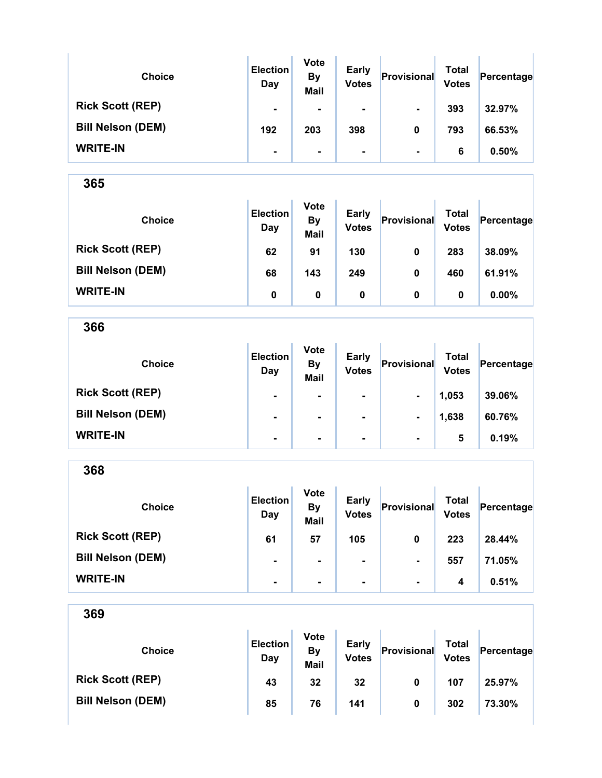| <b>Choice</b>            | <b>Election</b><br>Day | <b>Vote</b><br><b>By</b><br><b>Mail</b> | <b>Early</b><br><b>Votes</b> | Provisional    | <b>Total</b><br><b>Votes</b> | Percentage |
|--------------------------|------------------------|-----------------------------------------|------------------------------|----------------|------------------------------|------------|
| <b>Rick Scott (REP)</b>  | $\blacksquare$         | ۰.                                      | ۰                            | $\blacksquare$ | 393                          | 32.97%     |
| <b>Bill Nelson (DEM)</b> | 192                    | 203                                     | 398                          | 0              | 793                          | 66.53%     |
| <b>WRITE-IN</b>          | $\blacksquare$         | ۰.                                      | ۰                            | $\blacksquare$ | 6                            | 0.50%      |

| <b>Choice</b>            | <b>Election</b><br>Day | <b>Vote</b><br><b>By</b><br><b>Mail</b> | <b>Early</b><br><b>Votes</b> | Provisional | Total<br><b>Votes</b> | Percentage |
|--------------------------|------------------------|-----------------------------------------|------------------------------|-------------|-----------------------|------------|
| <b>Rick Scott (REP)</b>  | 62                     | 91                                      | 130                          | 0           | 283                   | 38.09%     |
| <b>Bill Nelson (DEM)</b> | 68                     | 143                                     | 249                          | 0           | 460                   | 61.91%     |
| <b>WRITE-IN</b>          | 0                      | 0                                       | 0                            | 0           | 0                     | $0.00\%$   |

366

| <b>Choice</b>            | <b>Election</b><br>Day | <b>Vote</b><br><b>By</b><br><b>Mail</b> | <b>Early</b><br><b>Votes</b> | Provisional    | Total<br><b>Votes</b> | Percentage |
|--------------------------|------------------------|-----------------------------------------|------------------------------|----------------|-----------------------|------------|
| <b>Rick Scott (REP)</b>  | $\blacksquare$         | $\blacksquare$                          | $\blacksquare$               | $\blacksquare$ | 1,053                 | 39.06%     |
| <b>Bill Nelson (DEM)</b> | $\blacksquare$         | $\blacksquare$                          | $\blacksquare$               | $\blacksquare$ | 1,638                 | 60.76%     |
| <b>WRITE-IN</b>          | $\blacksquare$         | $\blacksquare$                          | ۰                            | $\blacksquare$ | 5                     | 0.19%      |

368 Choice **Election** Day Vote By Mail Early Early Provisional Total<br>Votes Provisional Votes  $Percentage$ Rick Scott (REP) 61 57 105 0 223 28.44% Bill Nelson (DEM) - - - - - - - 557 71.05% WRITE-IN  $\begin{vmatrix} 1 & 1 & 1 \ 1 & 1 & 1 \end{vmatrix}$  .  $\begin{vmatrix} 1 & 1 & 1 \ 1 & 1 & 1 \end{vmatrix}$  .  $\begin{vmatrix} 1 & 1 & 1 \ 1 & 1 & 1 \end{vmatrix}$  .  $\begin{vmatrix} 1 & 1 & 1 \ 1 & 1 & 1 \end{vmatrix}$  .  $\begin{vmatrix} 1 & 1 & 1 \ 1 & 1 & 1 \end{vmatrix}$  .  $\begin{vmatrix} 1 & 1 & 1 \ 1 & 1 & 1 \end{vmatrix}$  .  $\begin{vmatrix}$ 

| 369                      |                        |                                         |                              |             |                              |            |
|--------------------------|------------------------|-----------------------------------------|------------------------------|-------------|------------------------------|------------|
| <b>Choice</b>            | <b>Election</b><br>Day | <b>Vote</b><br><b>By</b><br><b>Mail</b> | <b>Early</b><br><b>Votes</b> | Provisional | <b>Total</b><br><b>Votes</b> | Percentage |
| <b>Rick Scott (REP)</b>  | 43                     | 32                                      | 32                           | 0           | 107                          | 25.97%     |
| <b>Bill Nelson (DEM)</b> | 85                     | 76                                      | 141                          | 0           | 302                          | 73.30%     |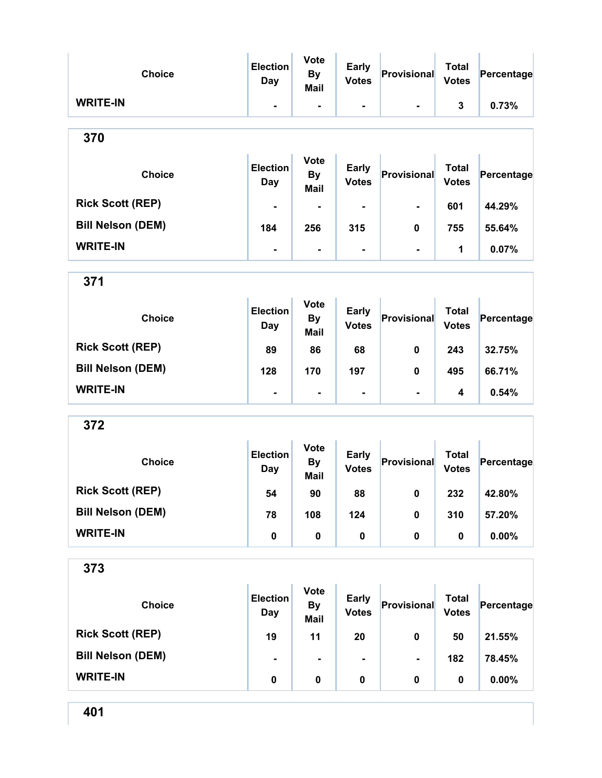| <b>Choice</b>            | <b>Election</b><br><b>Day</b> | <b>Vote</b><br><b>By</b><br>Mail        | <b>Early</b><br><b>Votes</b> | Provisional    | <b>Total</b><br><b>Votes</b> | Percentage |
|--------------------------|-------------------------------|-----------------------------------------|------------------------------|----------------|------------------------------|------------|
| <b>WRITE-IN</b>          | $\blacksquare$                | $\blacksquare$                          | ۰                            |                | 3                            | 0.73%      |
| 370                      |                               |                                         |                              |                |                              |            |
| <b>Choice</b>            | <b>Election</b><br>Day        | <b>Vote</b><br><b>By</b><br>Mail        | <b>Early</b><br><b>Votes</b> | Provisional    | <b>Total</b><br><b>Votes</b> | Percentage |
| <b>Rick Scott (REP)</b>  |                               |                                         |                              |                | 601                          | 44.29%     |
| <b>Bill Nelson (DEM)</b> | 184                           | 256                                     | 315                          | 0              | 755                          | 55.64%     |
| <b>WRITE-IN</b>          | $\blacksquare$                | $\blacksquare$                          | $\blacksquare$               | $\blacksquare$ | 1                            | 0.07%      |
| 371                      |                               |                                         |                              |                |                              |            |
| <b>Choice</b>            | <b>Election</b><br>Day        | <b>Vote</b><br><b>By</b><br>Mail        | <b>Early</b><br><b>Votes</b> | Provisional    | <b>Total</b><br><b>Votes</b> | Percentage |
| <b>Rick Scott (REP)</b>  | 89                            | 86                                      | 68                           | 0              | 243                          | 32.75%     |
| <b>Bill Nelson (DEM)</b> | 128                           | 170                                     | 197                          | 0              | 495                          | 66.71%     |
| <b>WRITE-IN</b>          | $\blacksquare$                | $\blacksquare$                          | $\overline{\phantom{a}}$     | $\blacksquare$ | 4                            | 0.54%      |
| 372                      |                               |                                         |                              |                |                              |            |
| <b>Choice</b>            | <b>Election</b><br>Day        | <b>Vote</b><br><b>By</b><br><b>Mail</b> | <b>Early</b><br><b>Votes</b> | Provisional    | <b>Total</b><br><b>Votes</b> | Percentage |
| <b>Rick Scott (REP)</b>  | 54                            | 90                                      | 88                           | $\mathbf 0$    | 232                          | 42.80%     |
| <b>Bill Nelson (DEM)</b> | 78                            | 108                                     | 124                          | 0              | 310                          | 57.20%     |
| <b>WRITE-IN</b>          | $\pmb{0}$                     | $\pmb{0}$                               | $\pmb{0}$                    | 0              | 0                            | 0.00%      |
| 373                      |                               |                                         |                              |                |                              |            |
| <b>Choice</b>            | <b>Election</b><br><b>Day</b> | <b>Vote</b><br><b>By</b><br><b>Mail</b> | <b>Early</b><br><b>Votes</b> | Provisional    | <b>Total</b><br><b>Votes</b> | Percentage |
| <b>Rick Scott (REP)</b>  | 19                            | 11                                      | 20                           | $\pmb{0}$      | 50                           | 21.55%     |
| <b>Bill Nelson (DEM)</b> |                               | $\blacksquare$                          |                              |                | 182                          | 78.45%     |
| <b>WRITE-IN</b>          | $\pmb{0}$                     | 0                                       | $\pmb{0}$                    | 0              | $\pmb{0}$                    | 0.00%      |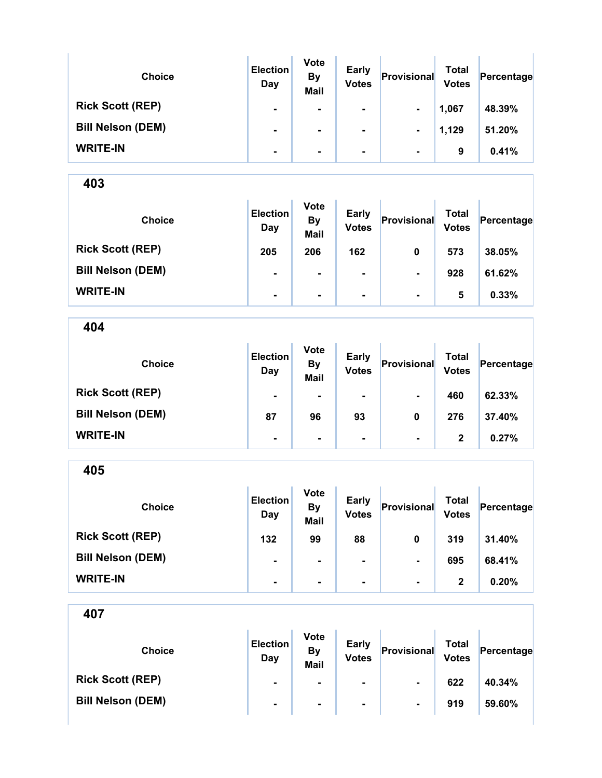| <b>Choice</b>            | <b>Election</b><br>Day | <b>Vote</b><br><b>By</b><br><b>Mail</b> | <b>Early</b><br><b>Votes</b> | Provisional    | Total<br><b>Votes</b> | Percentage |
|--------------------------|------------------------|-----------------------------------------|------------------------------|----------------|-----------------------|------------|
| <b>Rick Scott (REP)</b>  | $\blacksquare$         | ۰                                       | $\blacksquare$               | $\blacksquare$ | 1,067                 | 48.39%     |
| <b>Bill Nelson (DEM)</b> | $\blacksquare$         | ۰                                       | ۰                            | $\blacksquare$ | 1,129                 | 51.20%     |
| <b>WRITE-IN</b>          | $\blacksquare$         | ۰                                       | ۰                            | $\blacksquare$ | 9                     | 0.41%      |

| <b>Choice</b>            | <b>Election</b><br>Day | <b>Vote</b><br><b>By</b><br><b>Mail</b> | <b>Early</b><br><b>Votes</b> | Provisional    | <b>Total</b><br><b>Votes</b> | Percentage |
|--------------------------|------------------------|-----------------------------------------|------------------------------|----------------|------------------------------|------------|
| <b>Rick Scott (REP)</b>  | 205                    | 206                                     | 162                          | 0              | 573                          | 38.05%     |
| <b>Bill Nelson (DEM)</b> | $\blacksquare$         | $\blacksquare$                          | $\blacksquare$               | $\blacksquare$ | 928                          | 61.62%     |
| <b>WRITE-IN</b>          | $\blacksquare$         | $\blacksquare$                          | $\blacksquare$               | $\blacksquare$ | 5                            | 0.33%      |

404

| <b>Choice</b>            | <b>Election</b><br>Day | <b>Vote</b><br><b>By</b><br><b>Mail</b> | <b>Early</b><br><b>Votes</b> | Provisional    | <b>Total</b><br><b>Votes</b> | Percentage |
|--------------------------|------------------------|-----------------------------------------|------------------------------|----------------|------------------------------|------------|
| <b>Rick Scott (REP)</b>  | $\blacksquare$         |                                         | $\blacksquare$               | $\blacksquare$ | 460                          | 62.33%     |
| <b>Bill Nelson (DEM)</b> | 87                     | 96                                      | 93                           | 0              | 276                          | 37.40%     |
| <b>WRITE-IN</b>          | ۰                      | $\blacksquare$                          | $\blacksquare$               | $\blacksquare$ | 2                            | 0.27%      |

405 Choice **Election** Day Vote By Mail Early Early Provisional Total<br>Votes Provisional Votes  $Percentage$ Rick Scott (REP) 132 99 88 0 319 31.40% Bill Nelson (DEM) - - - - 695 68.41% WRITE-IN - - - - 2 0.20%

| <b>Choice</b>            | <b>Election</b><br>Day | <b>Vote</b><br>By<br>Mail | <b>Early</b><br><b>Votes</b> | Provisional    | Total<br><b>Votes</b> | Percentage |
|--------------------------|------------------------|---------------------------|------------------------------|----------------|-----------------------|------------|
| <b>Rick Scott (REP)</b>  | $\blacksquare$         | $\blacksquare$            | $\blacksquare$               | $\blacksquare$ | 622                   | 40.34%     |
| <b>Bill Nelson (DEM)</b> | $\blacksquare$         | $\blacksquare$            | $\blacksquare$               | ۰              | 919                   | 59.60%     |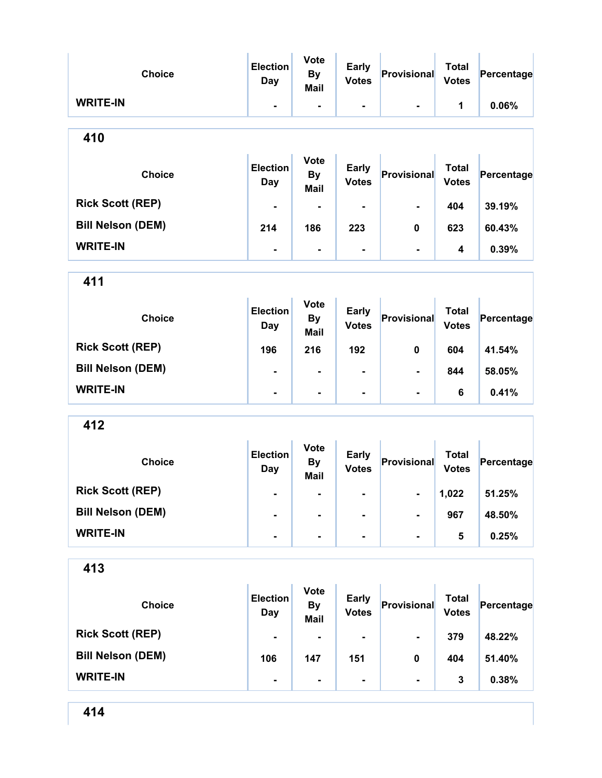|                          | <b>Election</b>               | <b>Vote</b>                             |                              |                    |                              |            |
|--------------------------|-------------------------------|-----------------------------------------|------------------------------|--------------------|------------------------------|------------|
| <b>Choice</b>            | <b>Day</b>                    | <b>By</b>                               | <b>Early</b><br><b>Votes</b> | Provisional        | <b>Total</b><br><b>Votes</b> | Percentage |
| <b>WRITE-IN</b>          | $\blacksquare$                | <b>Mail</b><br>$\blacksquare$           | $\blacksquare$               |                    | 1                            | 0.06%      |
| 410                      |                               |                                         |                              |                    |                              |            |
| <b>Choice</b>            | <b>Election</b><br><b>Day</b> | <b>Vote</b><br><b>By</b><br><b>Mail</b> | <b>Early</b><br><b>Votes</b> | Provisional        | <b>Total</b><br><b>Votes</b> | Percentage |
| <b>Rick Scott (REP)</b>  |                               |                                         |                              |                    | 404                          | 39.19%     |
| <b>Bill Nelson (DEM)</b> | 214                           | 186                                     | 223                          | $\mathbf 0$        | 623                          | 60.43%     |
| <b>WRITE-IN</b>          | $\blacksquare$                | $\blacksquare$                          | Ξ.                           | $\blacksquare$     | 4                            | 0.39%      |
| 411                      |                               |                                         |                              |                    |                              |            |
| <b>Choice</b>            | <b>Election</b><br><b>Day</b> | <b>Vote</b><br><b>By</b><br><b>Mail</b> | <b>Early</b><br><b>Votes</b> | Provisional        | <b>Total</b><br><b>Votes</b> | Percentage |
| <b>Rick Scott (REP)</b>  | 196                           | 216                                     | 192                          | $\mathbf 0$        | 604                          | 41.54%     |
| <b>Bill Nelson (DEM)</b> |                               |                                         |                              |                    | 844                          | 58.05%     |
| <b>WRITE-IN</b>          | $\blacksquare$                | $\blacksquare$                          | $\blacksquare$               |                    | 6                            | 0.41%      |
| 412                      |                               |                                         |                              |                    |                              |            |
| <b>Choice</b>            | <b>Election</b><br><b>Day</b> | <b>Vote</b><br><b>By</b><br>Mail        | <b>Early</b><br><b>Votes</b> | <b>Provisional</b> | <b>Total</b><br><b>Votes</b> | Percentage |
| <b>Rick Scott (REP)</b>  |                               |                                         |                              |                    | 1,022                        | 51.25%     |
| <b>Bill Nelson (DEM)</b> |                               |                                         |                              |                    | 967                          | 48.50%     |
| <b>WRITE-IN</b>          | $\blacksquare$                | $\blacksquare$                          | -                            | ۰                  | 5                            | 0.25%      |
| 413                      |                               |                                         |                              |                    |                              |            |
|                          | <b>Election</b>               | <b>Vote</b>                             | <b>Early</b>                 |                    | <b>Total</b>                 |            |

| <b>Choice</b>            | <b>Election</b><br>Day | <b>Vote</b><br><b>By</b><br><b>Mail</b> | <b>Early</b><br><b>Votes</b> | Provisional    | Total<br><b>Votes</b> | Percentage |
|--------------------------|------------------------|-----------------------------------------|------------------------------|----------------|-----------------------|------------|
| <b>Rick Scott (REP)</b>  | $\blacksquare$         | $\blacksquare$                          | ۰.                           | $\blacksquare$ | 379                   | 48.22%     |
| <b>Bill Nelson (DEM)</b> | 106                    | 147                                     | 151                          | 0              | 404                   | 51.40%     |
| <b>WRITE-IN</b>          | $\blacksquare$         | $\blacksquare$                          |                              |                | 3                     | 0.38%      |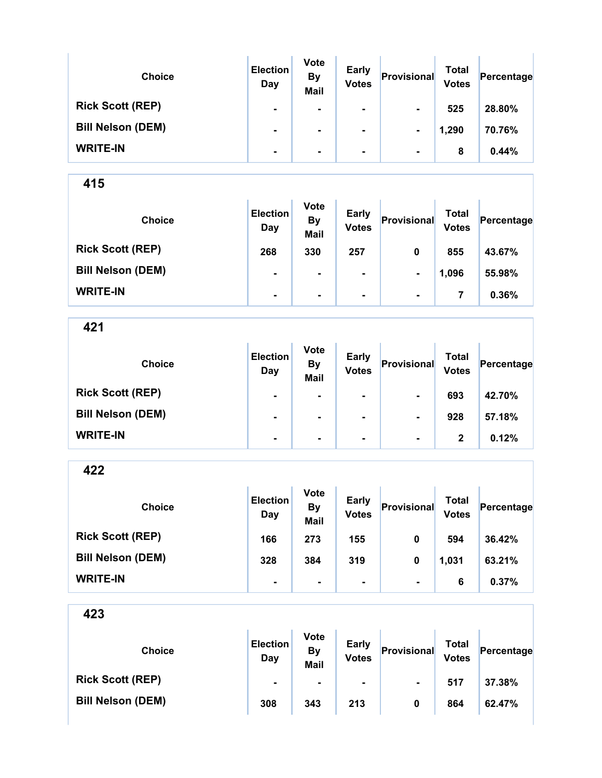| <b>Choice</b>            | <b>Election</b><br>Day | <b>Vote</b><br><b>By</b><br><b>Mail</b> | <b>Early</b><br><b>Votes</b> | Provisional    | <b>Total</b><br><b>Votes</b> | Percentage |
|--------------------------|------------------------|-----------------------------------------|------------------------------|----------------|------------------------------|------------|
| <b>Rick Scott (REP)</b>  | $\blacksquare$         | ۰                                       | $\blacksquare$               | $\blacksquare$ | 525                          | 28.80%     |
| <b>Bill Nelson (DEM)</b> | $\blacksquare$         | ۰                                       | ۰                            | $\blacksquare$ | 1,290                        | 70.76%     |
| <b>WRITE-IN</b>          | $\blacksquare$         | ۰                                       | $\blacksquare$               | $\blacksquare$ | 8                            | 0.44%      |

| <b>Choice</b>            | <b>Election</b><br>Day | <b>Vote</b><br><b>By</b><br><b>Mail</b> | <b>Early</b><br><b>Votes</b> | Provisional    | Total<br><b>Votes</b> | Percentage |
|--------------------------|------------------------|-----------------------------------------|------------------------------|----------------|-----------------------|------------|
| <b>Rick Scott (REP)</b>  | 268                    | 330                                     | 257                          | 0              | 855                   | 43.67%     |
| <b>Bill Nelson (DEM)</b> | $\blacksquare$         | $\blacksquare$                          | $\blacksquare$               | $\blacksquare$ | 1,096                 | 55.98%     |
| <b>WRITE-IN</b>          | $\blacksquare$         | ۰                                       | $\blacksquare$               | $\blacksquare$ | 7                     | 0.36%      |

421

| <b>Choice</b>            | <b>Election</b><br>Day | <b>Vote</b><br><b>By</b><br><b>Mail</b> | <b>Early</b><br><b>Votes</b> | Provisional    | <b>Total</b><br><b>Votes</b> | Percentage |
|--------------------------|------------------------|-----------------------------------------|------------------------------|----------------|------------------------------|------------|
| <b>Rick Scott (REP)</b>  | $\blacksquare$         | $\blacksquare$                          | $\blacksquare$               | $\blacksquare$ | 693                          | 42.70%     |
| <b>Bill Nelson (DEM)</b> | $\blacksquare$         | ۰                                       | $\blacksquare$               | $\blacksquare$ | 928                          | 57.18%     |
| <b>WRITE-IN</b>          | ۰                      | $\blacksquare$                          | $\blacksquare$               | $\blacksquare$ | $\mathbf{2}$                 | 0.12%      |

422

| <b>Choice</b>            | <b>Election</b><br>Day | <b>Vote</b><br><b>By</b><br><b>Mail</b> | <b>Early</b><br><b>Votes</b> | Provisional    | Total<br><b>Votes</b> | Percentage |
|--------------------------|------------------------|-----------------------------------------|------------------------------|----------------|-----------------------|------------|
| <b>Rick Scott (REP)</b>  | 166                    | 273                                     | 155                          | 0              | 594                   | 36.42%     |
| <b>Bill Nelson (DEM)</b> | 328                    | 384                                     | 319                          | 0              | 1,031                 | 63.21%     |
| <b>WRITE-IN</b>          | ۰                      |                                         |                              | $\blacksquare$ | 6                     | 0.37%      |

| <b>Choice</b>            | <b>Election</b><br>Day | <b>Vote</b><br>By<br><b>Mail</b> | <b>Early</b><br><b>Votes</b> | Provisional    | Total<br><b>Votes</b> | Percentage |
|--------------------------|------------------------|----------------------------------|------------------------------|----------------|-----------------------|------------|
| <b>Rick Scott (REP)</b>  | $\blacksquare$         | $\blacksquare$                   | ۰.                           | $\blacksquare$ | 517                   | 37.38%     |
| <b>Bill Nelson (DEM)</b> | 308                    | 343                              | 213                          | 0              | 864                   | 62.47%     |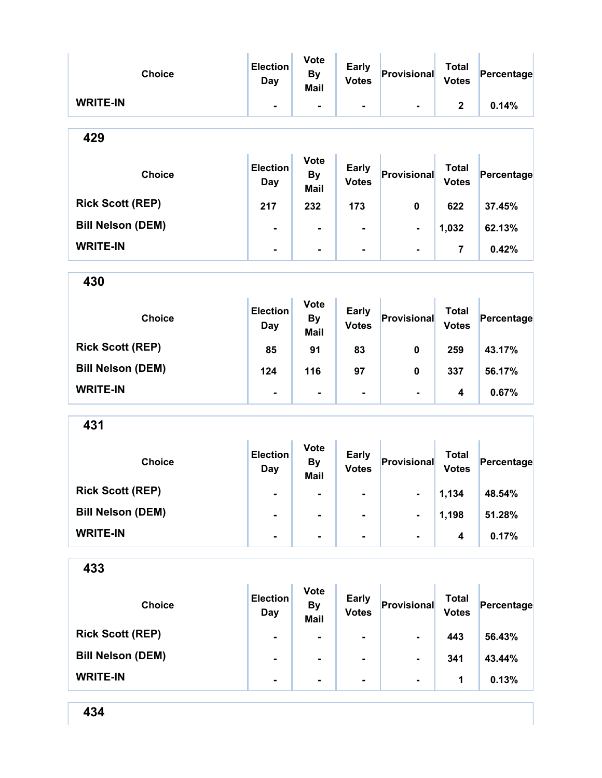| <b>Choice</b>            | <b>Election</b><br><b>Day</b> | <b>Vote</b><br><b>By</b><br><b>Mail</b> | <b>Early</b><br><b>Votes</b> | Provisional    | <b>Total</b><br><b>Votes</b> | Percentage |
|--------------------------|-------------------------------|-----------------------------------------|------------------------------|----------------|------------------------------|------------|
| <b>WRITE-IN</b>          | $\blacksquare$                | $\blacksquare$                          | $\blacksquare$               |                | $\mathbf{2}$                 | 0.14%      |
| 429                      |                               |                                         |                              |                |                              |            |
| <b>Choice</b>            | <b>Election</b><br><b>Day</b> | <b>Vote</b><br><b>By</b><br><b>Mail</b> | <b>Early</b><br><b>Votes</b> | Provisional    | <b>Total</b><br><b>Votes</b> | Percentage |
| <b>Rick Scott (REP)</b>  | 217                           | 232                                     | 173                          | 0              | 622                          | 37.45%     |
| <b>Bill Nelson (DEM)</b> | $\blacksquare$                | $\blacksquare$                          |                              | -              | 1,032                        | 62.13%     |
| <b>WRITE-IN</b>          | $\blacksquare$                | $\blacksquare$                          |                              | $\blacksquare$ | 7                            | 0.42%      |
| 430                      |                               |                                         |                              |                |                              |            |
| <b>Choice</b>            | <b>Election</b><br>Day        | <b>Vote</b><br><b>By</b><br><b>Mail</b> | <b>Early</b><br><b>Votes</b> | Provisional    | <b>Total</b><br><b>Votes</b> | Percentage |
| <b>Rick Scott (REP)</b>  | 85                            | 91                                      | 83                           | 0              | 259                          | 43.17%     |
| <b>Bill Nelson (DEM)</b> | 124                           | 116                                     | 97                           | 0              | 337                          | 56.17%     |
| <b>WRITE-IN</b>          | Ξ.                            | $\blacksquare$                          | $\blacksquare$               | $\blacksquare$ | 4                            | 0.67%      |
| 431                      |                               |                                         |                              |                |                              |            |
| <b>Choice</b>            | <b>Election</b><br><b>Day</b> | <b>Vote</b><br><b>By</b><br>Mail        | <b>Early</b><br><b>Votes</b> | Provisional    | <b>Total</b><br><b>Votes</b> | Percentage |
| <b>Rick Scott (REP)</b>  | -                             |                                         |                              | -              | 1,134                        | 48.54%     |
| <b>Bill Nelson (DEM)</b> |                               |                                         |                              |                | 1,198                        | 51.28%     |
| <b>WRITE-IN</b>          | $\blacksquare$                | Ξ.                                      | $\blacksquare$               | $\blacksquare$ | 4                            | 0.17%      |
| 433                      |                               |                                         |                              |                |                              |            |
| <b>Choice</b>            | <b>Election</b><br><b>Day</b> | <b>Vote</b><br><b>By</b><br><b>Mail</b> | <b>Early</b><br><b>Votes</b> | Provisional    | <b>Total</b><br><b>Votes</b> | Percentage |
| <b>Rick Scott (REP)</b>  |                               |                                         |                              |                | 443                          | 56.43%     |

Bill Nelson (DEM) - - - - - 341 43.44%

WRITE-IN - - - - 1 0.13%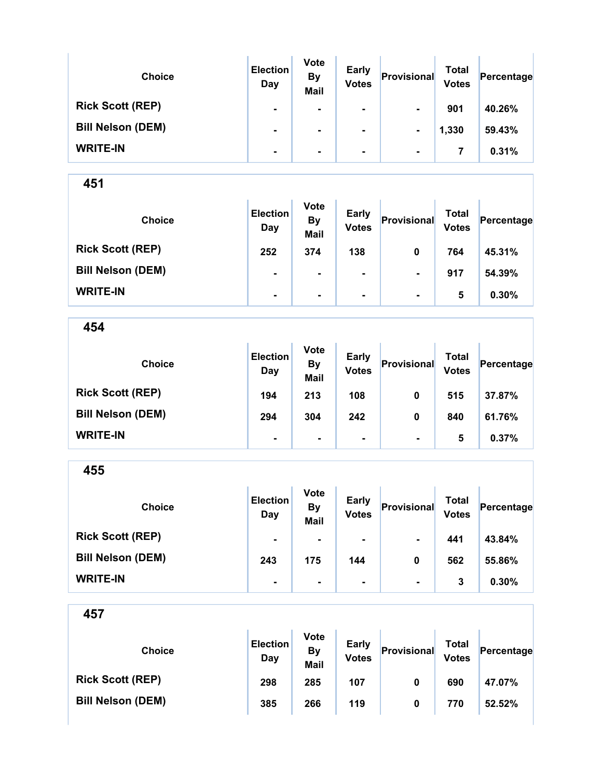| <b>Choice</b>            | <b>Election</b><br>Day | <b>Vote</b><br><b>By</b><br><b>Mail</b> | Early<br><b>Votes</b> | Provisional    | Total<br><b>Votes</b> | Percentage |
|--------------------------|------------------------|-----------------------------------------|-----------------------|----------------|-----------------------|------------|
| <b>Rick Scott (REP)</b>  | $\blacksquare$         | $\blacksquare$                          | $\blacksquare$        | $\blacksquare$ | 901                   | 40.26%     |
| <b>Bill Nelson (DEM)</b> | $\blacksquare$         |                                         |                       | $\blacksquare$ | 1,330                 | 59.43%     |
| <b>WRITE-IN</b>          | $\blacksquare$         | ۰.                                      |                       | $\blacksquare$ | 7                     | 0.31%      |

| <b>Choice</b>            | <b>Election</b><br>Day | <b>Vote</b><br><b>By</b><br><b>Mail</b> | <b>Early</b><br><b>Votes</b> | Provisional    | Total<br><b>Votes</b> | Percentage |
|--------------------------|------------------------|-----------------------------------------|------------------------------|----------------|-----------------------|------------|
| <b>Rick Scott (REP)</b>  | 252                    | 374                                     | 138                          | 0              | 764                   | 45.31%     |
| <b>Bill Nelson (DEM)</b> | $\blacksquare$         | $\blacksquare$                          | $\blacksquare$               | $\blacksquare$ | 917                   | 54.39%     |
| <b>WRITE-IN</b>          | $\blacksquare$         | $\blacksquare$                          | $\blacksquare$               | $\blacksquare$ | 5                     | 0.30%      |

454

| <b>Choice</b>            | <b>Election</b><br>Day | <b>Vote</b><br><b>By</b><br><b>Mail</b> | <b>Early</b><br><b>Votes</b> | Provisional    | Total<br><b>Votes</b> | Percentage |
|--------------------------|------------------------|-----------------------------------------|------------------------------|----------------|-----------------------|------------|
| <b>Rick Scott (REP)</b>  | 194                    | 213                                     | 108                          | 0              | 515                   | 37.87%     |
| <b>Bill Nelson (DEM)</b> | 294                    | 304                                     | 242                          | 0              | 840                   | 61.76%     |
| <b>WRITE-IN</b>          | $\blacksquare$         | $\blacksquare$                          | ۰                            | $\blacksquare$ | 5                     | 0.37%      |

455 Choice **Election** Day Vote By Mail Early Early Provisional Total<br>Votes Provisional Votes  $Percentage$ Rick Scott (REP) - - - - - - - - 441 43.84% Bill Nelson (DEM) 243 175 144 0 562 55.86% WRITE-IN - - - - 3 0.30%

| <b>Choice</b>            | <b>Election</b><br>Day | <b>Vote</b><br>By<br>Mail | <b>Early</b><br><b>Votes</b> | Provisional | Total<br><b>Votes</b> | Percentage |
|--------------------------|------------------------|---------------------------|------------------------------|-------------|-----------------------|------------|
| <b>Rick Scott (REP)</b>  | 298                    | 285                       | 107                          | 0           | 690                   | 47.07%     |
| <b>Bill Nelson (DEM)</b> | 385                    | 266                       | 119                          | 0           | 770                   | 52.52%     |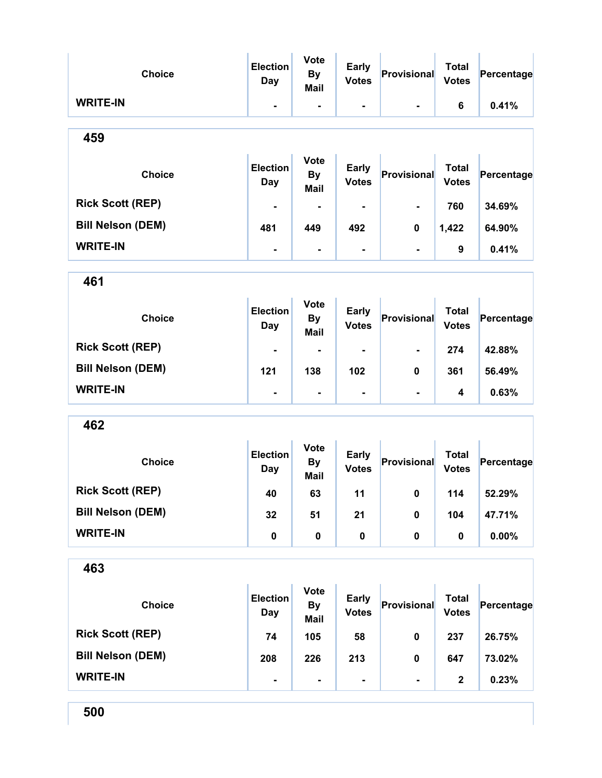| <b>Choice</b>            | <b>Election</b><br><b>Day</b> | <b>Vote</b><br><b>By</b><br>Mail        | <b>Early</b><br><b>Votes</b> | Provisional    | <b>Total</b><br><b>Votes</b> | Percentage |
|--------------------------|-------------------------------|-----------------------------------------|------------------------------|----------------|------------------------------|------------|
| <b>WRITE-IN</b>          | $\blacksquare$                | $\overline{\phantom{a}}$                | $\blacksquare$               | $\blacksquare$ | 6                            | 0.41%      |
| 459                      |                               |                                         |                              |                |                              |            |
| <b>Choice</b>            | <b>Election</b><br><b>Day</b> | <b>Vote</b><br><b>By</b><br><b>Mail</b> | <b>Early</b><br><b>Votes</b> | Provisional    | <b>Total</b><br><b>Votes</b> | Percentage |
| <b>Rick Scott (REP)</b>  |                               | $\blacksquare$                          |                              | ۰              | 760                          | 34.69%     |
| <b>Bill Nelson (DEM)</b> | 481                           | 449                                     | 492                          | 0              | 1,422                        | 64.90%     |
| <b>WRITE-IN</b>          | -                             | $\blacksquare$                          |                              | $\blacksquare$ | 9                            | 0.41%      |
| 461                      |                               |                                         |                              |                |                              |            |
| <b>Choice</b>            | <b>Election</b><br><b>Day</b> | <b>Vote</b><br><b>By</b><br><b>Mail</b> | <b>Early</b><br><b>Votes</b> | Provisional    | <b>Total</b><br><b>Votes</b> | Percentage |
| <b>Rick Scott (REP)</b>  |                               |                                         |                              |                | 274                          | 42.88%     |
| <b>Bill Nelson (DEM)</b> | 121                           | 138                                     | 102                          | 0              | 361                          | 56.49%     |
| <b>WRITE-IN</b>          |                               | $\blacksquare$                          |                              | $\blacksquare$ | 4                            | 0.63%      |
| 462                      |                               |                                         |                              |                |                              |            |
| <b>Choice</b>            | <b>Election</b><br>Day        | Vote<br><b>By</b><br><b>Mail</b>        | <b>Early</b><br><b>Votes</b> | Provisional    | <b>Total</b><br><b>Votes</b> | Percentage |
| <b>Rick Scott (REP)</b>  | 40                            | 63                                      | 11                           | 0              | 114                          | 52.29%     |
| <b>Bill Nelson (DEM)</b> | 32                            | 51                                      | 21                           | $\pmb{0}$      | 104                          | 47.71%     |
| <b>WRITE-IN</b>          | $\pmb{0}$                     | $\pmb{0}$                               | $\mathbf 0$                  | 0              | 0                            | 0.00%      |
| 463                      |                               |                                         |                              |                |                              |            |
| <b>Choice</b>            | <b>Election</b><br><b>Day</b> | <b>Vote</b><br><b>By</b><br><b>Mail</b> | <b>Early</b><br><b>Votes</b> | Provisional    | <b>Total</b><br><b>Votes</b> | Percentage |
| <b>Rick Scott (REP)</b>  | 74                            | 105                                     | 58                           | 0              | 237                          | 26.75%     |
| <b>Bill Nelson (DEM)</b> | 208                           | 226                                     | 213                          | 0              | 647                          | 73.02%     |
| <b>WRITE-IN</b>          | -                             | ۰                                       | ۰                            | $\blacksquare$ | $\mathbf 2$                  | 0.23%      |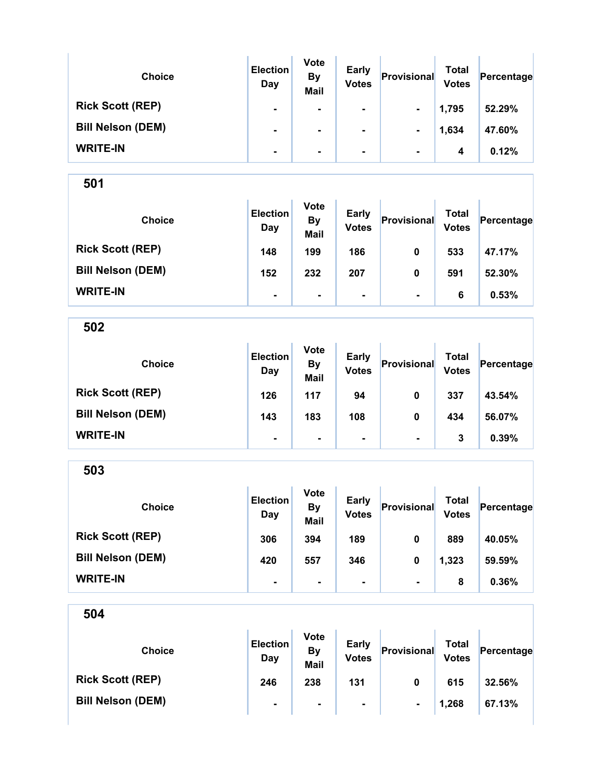| <b>Choice</b>            | <b>Election</b><br>Day | <b>Vote</b><br><b>By</b><br><b>Mail</b> | <b>Early</b><br><b>Votes</b> | Provisional    | Total<br><b>Votes</b> | Percentage |
|--------------------------|------------------------|-----------------------------------------|------------------------------|----------------|-----------------------|------------|
| <b>Rick Scott (REP)</b>  | $\blacksquare$         | $\blacksquare$                          | ۰                            | $\blacksquare$ | 1,795                 | 52.29%     |
| <b>Bill Nelson (DEM)</b> | $\blacksquare$         | ۰                                       |                              | $\blacksquare$ | 1,634                 | 47.60%     |
| <b>WRITE-IN</b>          | $\blacksquare$         | ۰.                                      |                              | $\blacksquare$ | 4                     | 0.12%      |

| <b>Choice</b>            | <b>Election</b><br>Day | <b>Vote</b><br><b>By</b><br><b>Mail</b> | <b>Early</b><br><b>Votes</b> | Provisional    | Total<br><b>Votes</b> | Percentage |
|--------------------------|------------------------|-----------------------------------------|------------------------------|----------------|-----------------------|------------|
| <b>Rick Scott (REP)</b>  | 148                    | 199                                     | 186                          | 0              | 533                   | 47.17%     |
| <b>Bill Nelson (DEM)</b> | 152                    | 232                                     | 207                          | 0              | 591                   | 52.30%     |
| <b>WRITE-IN</b>          | $\blacksquare$         | $\blacksquare$                          | $\blacksquare$               | $\blacksquare$ | 6                     | 0.53%      |

502

| <b>Choice</b>            | <b>Election</b><br>Day | <b>Vote</b><br><b>By</b><br><b>Mail</b> | <b>Early</b><br><b>Votes</b> | Provisional    | Total<br><b>Votes</b> | Percentage |
|--------------------------|------------------------|-----------------------------------------|------------------------------|----------------|-----------------------|------------|
| <b>Rick Scott (REP)</b>  | 126                    | 117                                     | 94                           | 0              | 337                   | 43.54%     |
| <b>Bill Nelson (DEM)</b> | 143                    | 183                                     | 108                          | 0              | 434                   | 56.07%     |
| <b>WRITE-IN</b>          | $\blacksquare$         | $\blacksquare$                          | ۰                            | $\blacksquare$ | 3                     | 0.39%      |

503 Choice **Election** Day Vote By Mail Early Early **Provisional** Total Votes Percentage Rick Scott (REP) 306 394 189 0 889 40.05% Bill Nelson (DEM) 420 420 557 346 0 1,323 59.59% WRITE-IN - - - - 8 0.36%

504 Choice **Election** Day Vote By Mail Early Early **Provisional** Total Votes Percentage Rick Scott (REP) 246 238 131 0 615 32.56% Bill Nelson (DEM) - - - - - - - - - - - - - - 1,268 67.13%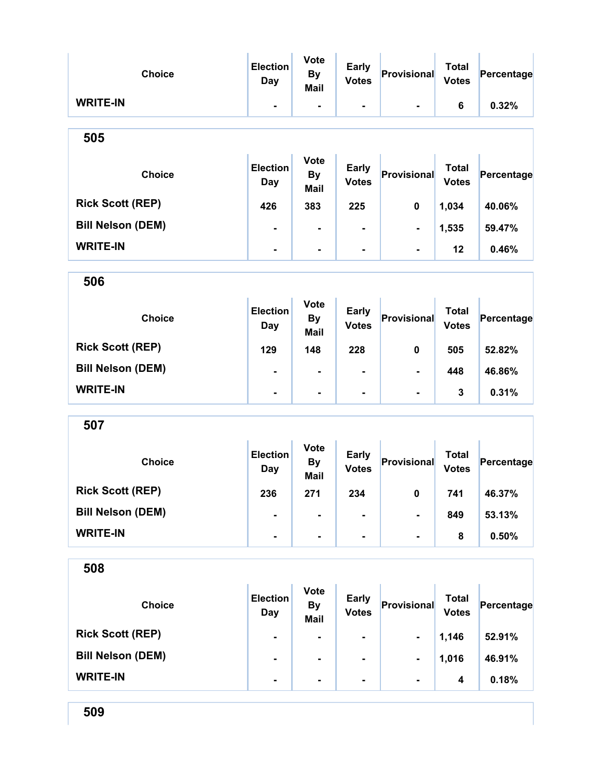| <b>Choice</b>            | <b>Election</b><br><b>Day</b> | <b>Vote</b><br><b>By</b><br><b>Mail</b> | <b>Early</b><br><b>Votes</b> | Provisional    | <b>Total</b><br><b>Votes</b> | Percentage |
|--------------------------|-------------------------------|-----------------------------------------|------------------------------|----------------|------------------------------|------------|
| <b>WRITE-IN</b>          | ۰                             | ۰                                       | ۰                            |                | 6                            | 0.32%      |
| 505                      |                               |                                         |                              |                |                              |            |
| <b>Choice</b>            | <b>Election</b><br><b>Day</b> | <b>Vote</b><br><b>By</b><br><b>Mail</b> | <b>Early</b><br><b>Votes</b> | Provisional    | <b>Total</b><br><b>Votes</b> | Percentage |
| <b>Rick Scott (REP)</b>  | 426                           | 383                                     | 225                          | 0              | 1,034                        | 40.06%     |
| <b>Bill Nelson (DEM)</b> | $\blacksquare$                | ۰                                       |                              | $\blacksquare$ | 1,535                        | 59.47%     |
| <b>WRITE-IN</b>          | $\blacksquare$                | $\blacksquare$                          |                              | $\blacksquare$ | 12                           | 0.46%      |
| 506                      |                               |                                         |                              |                |                              |            |
| <b>Choice</b>            | <b>Election</b><br><b>Day</b> | <b>Vote</b><br><b>By</b><br><b>Mail</b> | <b>Early</b><br><b>Votes</b> | Provisional    | <b>Total</b><br><b>Votes</b> | Percentage |
| <b>Rick Scott (REP)</b>  | 129                           | 148                                     | 228                          | 0              | 505                          | 52.82%     |
| <b>Bill Nelson (DEM)</b> |                               | $\blacksquare$                          |                              |                | 448                          | 46.86%     |
| <b>WRITE-IN</b>          | ٠.                            | $\blacksquare$                          | ۰                            | $\blacksquare$ | 3                            | 0.31%      |
| 507                      |                               |                                         |                              |                |                              |            |
| <b>Choice</b>            | <b>Election</b><br><b>Day</b> | <b>Vote</b><br><b>By</b><br><b>Mail</b> | <b>Early</b><br><b>Votes</b> | Provisional    | <b>Total</b><br><b>Votes</b> | Percentage |
| <b>Rick Scott (REP)</b>  | 236                           | 271                                     | 234                          | $\pmb{0}$      | 741                          | 46.37%     |
| <b>Bill Nelson (DEM)</b> |                               |                                         |                              | -              | 849                          | 53.13%     |
| <b>WRITE-IN</b>          | ۰                             |                                         |                              | $\blacksquare$ | 8                            | 0.50%      |
| 508                      |                               |                                         |                              |                |                              |            |
| <b>Choice</b>            | <b>Election</b><br>Day        | <b>Vote</b><br><b>By</b><br><b>Mail</b> | <b>Early</b><br><b>Votes</b> | Provisional    | <b>Total</b><br><b>Votes</b> | Percentage |
| <b>Rick Scott (REP)</b>  | $\blacksquare$                | $\blacksquare$                          |                              | ۰.             | 1,146                        | 52.91%     |
| <b>Bill Nelson (DEM)</b> |                               |                                         |                              |                | 1,016                        | 46.91%     |
| <b>WRITE-IN</b>          | ۰                             |                                         |                              | $\blacksquare$ | 4                            | 0.18%      |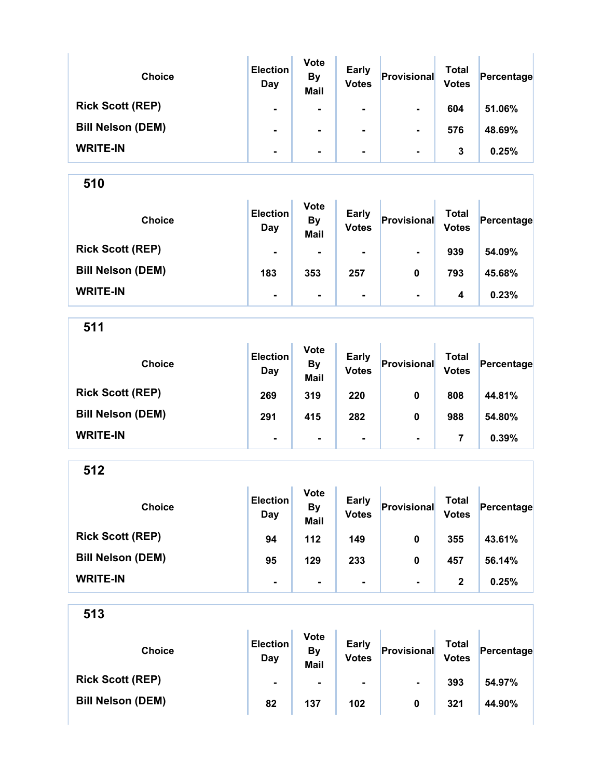| <b>Choice</b>            | <b>Election</b><br>Day | <b>Vote</b><br><b>By</b><br><b>Mail</b> | <b>Early</b><br><b>Votes</b> | Provisional    | Total<br><b>Votes</b> | Percentage |
|--------------------------|------------------------|-----------------------------------------|------------------------------|----------------|-----------------------|------------|
| <b>Rick Scott (REP)</b>  | $\blacksquare$         | ۰                                       | $\blacksquare$               | $\blacksquare$ | 604                   | 51.06%     |
| <b>Bill Nelson (DEM)</b> | $\blacksquare$         | ۰                                       |                              | $\blacksquare$ | 576                   | 48.69%     |
| <b>WRITE-IN</b>          | $\blacksquare$         | ۰                                       | $\blacksquare$               | $\blacksquare$ | 3                     | 0.25%      |

Ŷ.

510

| <b>Choice</b>            | <b>Election</b><br>Day | <b>Vote</b><br><b>By</b><br><b>Mail</b> | <b>Early</b><br><b>Votes</b> | Provisional    | <b>Total</b><br><b>Votes</b> | Percentage |
|--------------------------|------------------------|-----------------------------------------|------------------------------|----------------|------------------------------|------------|
| <b>Rick Scott (REP)</b>  | $\blacksquare$         | $\blacksquare$                          | $\blacksquare$               | $\blacksquare$ | 939                          | 54.09%     |
| <b>Bill Nelson (DEM)</b> | 183                    | 353                                     | 257                          | 0              | 793                          | 45.68%     |
| <b>WRITE-IN</b>          | $\blacksquare$         | $\blacksquare$                          | $\blacksquare$               | $\blacksquare$ | 4                            | 0.23%      |

511

| <b>Choice</b>            | <b>Election</b><br>Day | <b>Vote</b><br><b>By</b><br><b>Mail</b> | <b>Early</b><br><b>Votes</b> | Provisional    | Total<br><b>Votes</b> | Percentage |
|--------------------------|------------------------|-----------------------------------------|------------------------------|----------------|-----------------------|------------|
| <b>Rick Scott (REP)</b>  | 269                    | 319                                     | 220                          | 0              | 808                   | 44.81%     |
| <b>Bill Nelson (DEM)</b> | 291                    | 415                                     | 282                          | 0              | 988                   | 54.80%     |
| <b>WRITE-IN</b>          | $\blacksquare$         | ۰                                       | ۰                            | $\blacksquare$ | 7                     | 0.39%      |

512

| <b>Choice</b>            | <b>Election</b><br>Day | <b>Vote</b><br><b>By</b><br><b>Mail</b> | <b>Early</b><br><b>Votes</b> | Provisional    | <b>Total</b><br><b>Votes</b> | Percentage |
|--------------------------|------------------------|-----------------------------------------|------------------------------|----------------|------------------------------|------------|
| <b>Rick Scott (REP)</b>  | 94                     | 112                                     | 149                          | 0              | 355                          | 43.61%     |
| <b>Bill Nelson (DEM)</b> | 95                     | 129                                     | 233                          | 0              | 457                          | 56.14%     |
| <b>WRITE-IN</b>          | $\blacksquare$         | $\blacksquare$                          | ۰.                           | $\blacksquare$ | 2                            | 0.25%      |

| <b>Choice</b>            | <b>Election</b><br>Day | <b>Vote</b><br>By<br>Mail | <b>Early</b><br><b>Votes</b> | Provisional    | Total<br><b>Votes</b> | Percentage |
|--------------------------|------------------------|---------------------------|------------------------------|----------------|-----------------------|------------|
| <b>Rick Scott (REP)</b>  | $\blacksquare$         | $\blacksquare$            | $\blacksquare$               | $\blacksquare$ | 393                   | 54.97%     |
| <b>Bill Nelson (DEM)</b> | 82                     | 137                       | 102                          | 0              | 321                   | 44.90%     |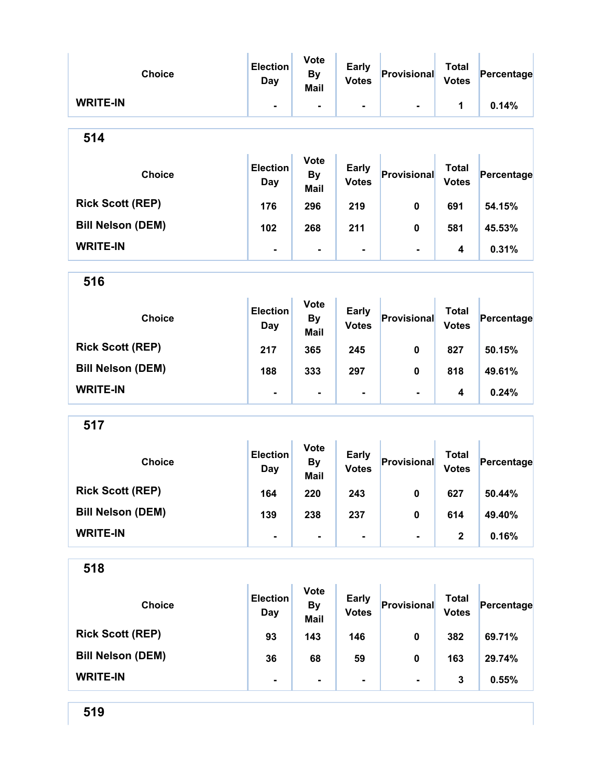| <b>Choice</b>            | <b>Election</b><br><b>Day</b> | <b>Vote</b><br><b>By</b><br>Mail        | <b>Early</b><br><b>Votes</b> | Provisional    | <b>Total</b><br><b>Votes</b> | Percentage |  |  |
|--------------------------|-------------------------------|-----------------------------------------|------------------------------|----------------|------------------------------|------------|--|--|
| <b>WRITE-IN</b>          |                               | $\blacksquare$                          | $\blacksquare$               | $\blacksquare$ | 1                            | 0.14%      |  |  |
| 514                      |                               |                                         |                              |                |                              |            |  |  |
| <b>Choice</b>            | <b>Election</b><br>Day        | <b>Vote</b><br><b>By</b><br><b>Mail</b> | <b>Early</b><br><b>Votes</b> | Provisional    | <b>Total</b><br><b>Votes</b> | Percentage |  |  |
| <b>Rick Scott (REP)</b>  | 176                           | 296                                     | 219                          | $\mathbf 0$    | 691                          | 54.15%     |  |  |
| <b>Bill Nelson (DEM)</b> | 102                           | 268                                     | 211                          | 0              | 581                          | 45.53%     |  |  |
| <b>WRITE-IN</b>          | -                             | ۰                                       | $\blacksquare$               | $\blacksquare$ | 4                            | 0.31%      |  |  |
| 516                      |                               |                                         |                              |                |                              |            |  |  |
| <b>Choice</b>            | <b>Election</b><br>Day        | <b>Vote</b><br><b>By</b><br><b>Mail</b> | <b>Early</b><br><b>Votes</b> | Provisional    | <b>Total</b><br><b>Votes</b> | Percentage |  |  |
| <b>Rick Scott (REP)</b>  | 217                           | 365                                     | 245                          | $\mathbf 0$    | 827                          | 50.15%     |  |  |
| <b>Bill Nelson (DEM)</b> | 188                           | 333                                     | 297                          | 0              | 818                          | 49.61%     |  |  |
| <b>WRITE-IN</b>          | $\blacksquare$                | $\blacksquare$                          | $\blacksquare$               | $\blacksquare$ | 4                            | 0.24%      |  |  |
| 517                      |                               |                                         |                              |                |                              |            |  |  |
| <b>Choice</b>            | <b>Election</b><br>Day        | <b>Vote</b><br><b>By</b><br><b>Mail</b> | <b>Early</b><br><b>Votes</b> | Provisional    | <b>Total</b><br><b>Votes</b> | Percentage |  |  |
| <b>Rick Scott (REP)</b>  | 164                           | 220                                     | 243                          | $\mathbf 0$    | 627                          | 50.44%     |  |  |
| <b>Bill Nelson (DEM)</b> | 139                           | 238                                     | 237                          | $\mathbf 0$    | 614                          | 49.40%     |  |  |
| <b>WRITE-IN</b>          |                               | $\blacksquare$                          |                              |                | $\mathbf{2}$                 | 0.16%      |  |  |
| 518                      |                               |                                         |                              |                |                              |            |  |  |
| <b>Choice</b>            | <b>Election</b><br><b>Day</b> | <b>Vote</b><br><b>By</b><br><b>Mail</b> | <b>Early</b><br><b>Votes</b> | Provisional    | <b>Total</b><br><b>Votes</b> | Percentage |  |  |
| <b>Rick Scott (REP)</b>  | 93                            | 143                                     | 146                          | $\pmb{0}$      | 382                          | 69.71%     |  |  |
| <b>Bill Nelson (DEM)</b> | 36                            | 68                                      | 59                           | 0              | 163                          | 29.74%     |  |  |
| <b>WRITE-IN</b>          |                               | ٠                                       | $\blacksquare$               | $\blacksquare$ | 3                            | 0.55%      |  |  |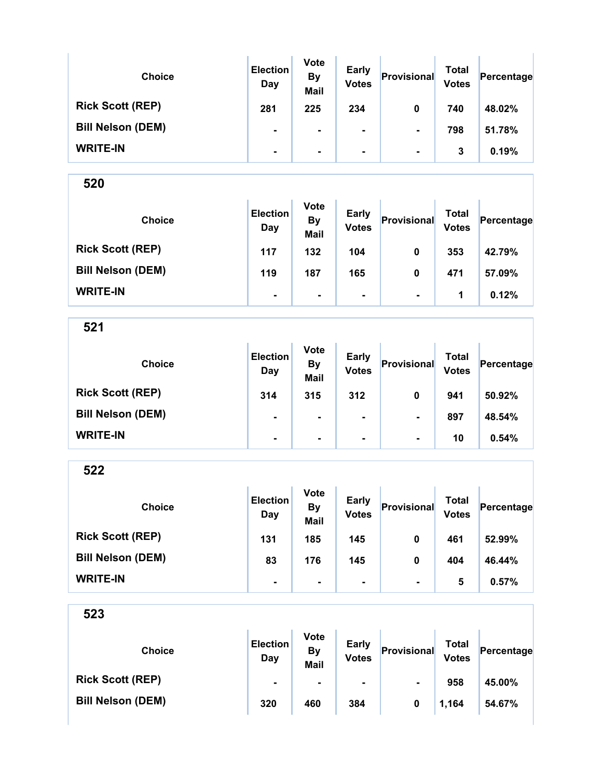| <b>Choice</b>            | <b>Election</b><br>Day | <b>Vote</b><br><b>By</b><br><b>Mail</b> | <b>Early</b><br><b>Votes</b> | Provisional    | Total<br><b>Votes</b> | Percentage |  |
|--------------------------|------------------------|-----------------------------------------|------------------------------|----------------|-----------------------|------------|--|
| <b>Rick Scott (REP)</b>  | 281                    | 225                                     | 234                          | 0              | 740                   | 48.02%     |  |
| <b>Bill Nelson (DEM)</b> | ۰                      |                                         |                              | $\blacksquare$ | 798                   | 51.78%     |  |
| <b>WRITE-IN</b>          | $\blacksquare$         | ۰.                                      | ۰.                           | $\blacksquare$ | 3                     | 0.19%      |  |

| <b>Choice</b>            | <b>Election</b><br>Day | <b>Vote</b><br><b>By</b><br><b>Mail</b> | <b>Early</b><br><b>Votes</b> | Provisional    | Total<br><b>Votes</b> | Percentage |
|--------------------------|------------------------|-----------------------------------------|------------------------------|----------------|-----------------------|------------|
| <b>Rick Scott (REP)</b>  | 117                    | 132                                     | 104                          | 0              | 353                   | 42.79%     |
| <b>Bill Nelson (DEM)</b> | 119                    | 187                                     | 165                          | 0              | 471                   | 57.09%     |
| <b>WRITE-IN</b>          | $\blacksquare$         | $\blacksquare$                          | ۰.                           | $\blacksquare$ | 1                     | 0.12%      |

521

| <b>Choice</b>            | <b>Election</b><br>Day | <b>Vote</b><br><b>By</b><br><b>Mail</b> | <b>Early</b><br><b>Votes</b> | Provisional    | <b>Total</b><br><b>Votes</b> | Percentage |
|--------------------------|------------------------|-----------------------------------------|------------------------------|----------------|------------------------------|------------|
| <b>Rick Scott (REP)</b>  | 314                    | 315                                     | 312                          | 0              | 941                          | 50.92%     |
| <b>Bill Nelson (DEM)</b> | ۰                      | $\blacksquare$                          | $\blacksquare$               | $\blacksquare$ | 897                          | 48.54%     |
| <b>WRITE-IN</b>          | ۰                      | $\blacksquare$                          | $\blacksquare$               | $\blacksquare$ | 10                           | 0.54%      |

522

| <b>Choice</b>            | <b>Election</b><br>Day | <b>Vote</b><br><b>By</b><br><b>Mail</b> | <b>Early</b><br><b>Votes</b> | Provisional    | <b>Total</b><br><b>Votes</b> | Percentage |
|--------------------------|------------------------|-----------------------------------------|------------------------------|----------------|------------------------------|------------|
| <b>Rick Scott (REP)</b>  | 131                    | 185                                     | 145                          | 0              | 461                          | 52.99%     |
| <b>Bill Nelson (DEM)</b> | 83                     | 176                                     | 145                          | 0              | 404                          | 46.44%     |
| <b>WRITE-IN</b>          | ۰                      |                                         |                              | $\blacksquare$ | 5                            | 0.57%      |

| <b>Choice</b>            | <b>Election</b><br>Day | <b>Vote</b><br>By<br>Mail | <b>Early</b><br><b>Votes</b> | Provisional    | Total<br><b>Votes</b> | Percentage |
|--------------------------|------------------------|---------------------------|------------------------------|----------------|-----------------------|------------|
| <b>Rick Scott (REP)</b>  | $\blacksquare$         | $\blacksquare$            | $\blacksquare$               | $\blacksquare$ | 958                   | 45.00%     |
| <b>Bill Nelson (DEM)</b> | 320                    | 460                       | 384                          |                | 1,164                 | 54.67%     |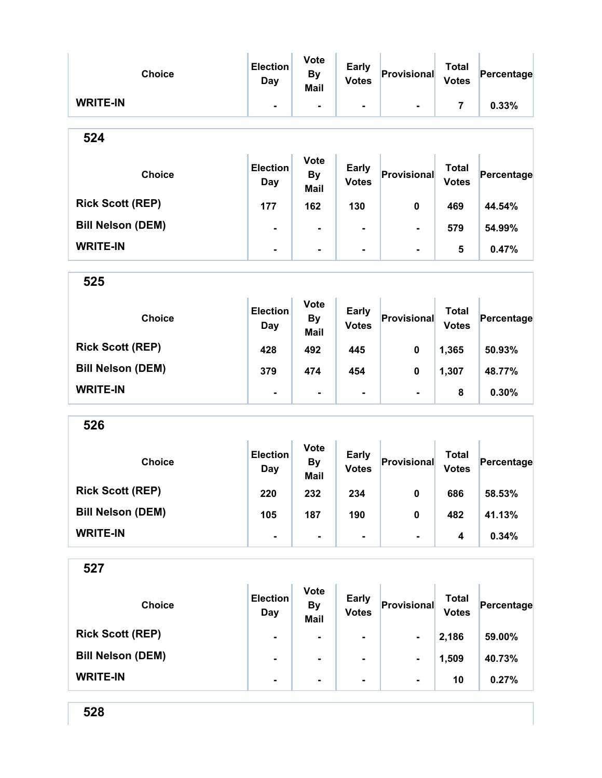| <b>Choice</b>            | <b>Election</b><br><b>Day</b> | <b>Vote</b><br><b>By</b><br><b>Mail</b> | <b>Early</b><br><b>Votes</b> | Provisional    | <b>Total</b><br><b>Votes</b> | Percentage |
|--------------------------|-------------------------------|-----------------------------------------|------------------------------|----------------|------------------------------|------------|
| <b>WRITE-IN</b>          | ٠.                            | $\blacksquare$                          | -                            | $\blacksquare$ | 7                            | 0.33%      |
| 524                      |                               |                                         |                              |                |                              |            |
| <b>Choice</b>            | <b>Election</b><br>Day        | <b>Vote</b><br><b>By</b><br><b>Mail</b> | <b>Early</b><br><b>Votes</b> | Provisional    | <b>Total</b><br><b>Votes</b> | Percentage |
| <b>Rick Scott (REP)</b>  | 177                           | 162                                     | 130                          | 0              | 469                          | 44.54%     |
| <b>Bill Nelson (DEM)</b> | $\blacksquare$                | $\blacksquare$                          |                              | $\blacksquare$ | 579                          | 54.99%     |
| <b>WRITE-IN</b>          | $\blacksquare$                | $\blacksquare$                          |                              | $\blacksquare$ | 5                            | 0.47%      |
| 525                      |                               |                                         |                              |                |                              |            |
| <b>Choice</b>            | <b>Election</b><br>Day        | <b>Vote</b><br><b>By</b><br><b>Mail</b> | <b>Early</b><br><b>Votes</b> | Provisional    | <b>Total</b><br><b>Votes</b> | Percentage |
| <b>Rick Scott (REP)</b>  | 428                           | 492                                     | 445                          | 0              | 1,365                        | 50.93%     |
| <b>Bill Nelson (DEM)</b> | 379                           | 474                                     | 454                          | 0              | 1,307                        | 48.77%     |
| <b>WRITE-IN</b>          | $\blacksquare$                | $\blacksquare$                          | $\blacksquare$               | $\blacksquare$ | 8                            | 0.30%      |
| 526                      |                               |                                         |                              |                |                              |            |
| <b>Choice</b>            | <b>Election</b><br><b>Day</b> | <b>Vote</b><br><b>By</b><br><b>Mail</b> | <b>Early</b><br><b>Votes</b> | Provisional    | <b>Total</b><br><b>Votes</b> | Percentage |
| <b>Rick Scott (REP)</b>  | 220                           | 232                                     | 234                          | $\mathbf{0}$   | 686                          | 58.53%     |
| <b>Bill Nelson (DEM)</b> | 105                           | 187                                     | 190                          | 0              | 482                          | 41.13%     |
| <b>WRITE-IN</b>          | $\blacksquare$                | $\blacksquare$                          | -                            | $\blacksquare$ | 4                            | 0.34%      |
| 527                      |                               |                                         |                              |                |                              |            |
| <b>Choice</b>            | <b>Election</b><br><b>Day</b> | <b>Vote</b><br><b>By</b><br><b>Mail</b> | <b>Early</b><br><b>Votes</b> | Provisional    | <b>Total</b><br><b>Votes</b> | Percentage |
| <b>Rick Scott (REP)</b>  |                               |                                         | ۰                            | $\blacksquare$ | 2,186                        | 59.00%     |
| <b>Bill Nelson (DEM)</b> | $\blacksquare$                | $\overline{\phantom{a}}$                | -                            | -              | 1,509                        | 40.73%     |
| <b>WRITE-IN</b>          | $\blacksquare$                | ٠                                       |                              | $\blacksquare$ | 10                           | 0.27%      |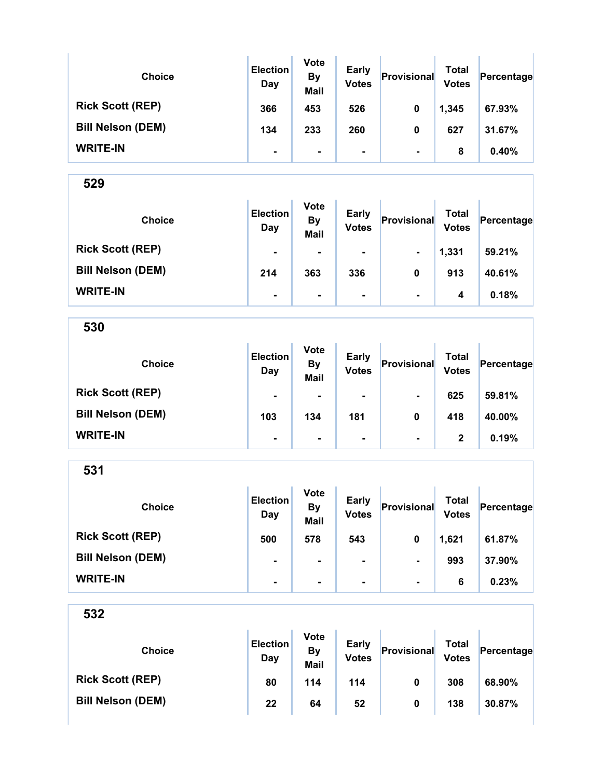| <b>Choice</b>            | <b>Election</b><br>Day | <b>Vote</b><br><b>By</b><br><b>Mail</b> | <b>Early</b><br><b>Votes</b> | Provisional    | Total<br><b>Votes</b> | Percentage |
|--------------------------|------------------------|-----------------------------------------|------------------------------|----------------|-----------------------|------------|
| <b>Rick Scott (REP)</b>  | 366                    | 453                                     | 526                          | 0              | 1,345                 | 67.93%     |
| <b>Bill Nelson (DEM)</b> | 134                    | 233                                     | 260                          | 0              | 627                   | 31.67%     |
| <b>WRITE-IN</b>          | $\blacksquare$         | $\blacksquare$                          | ۰                            | $\blacksquare$ | 8                     | 0.40%      |

| <b>Choice</b>            | <b>Election</b><br>Day | <b>Vote</b><br><b>By</b><br><b>Mail</b> | <b>Early</b><br><b>Votes</b> | Provisional    | Total<br><b>Votes</b> | Percentage |
|--------------------------|------------------------|-----------------------------------------|------------------------------|----------------|-----------------------|------------|
| <b>Rick Scott (REP)</b>  | $\blacksquare$         | $\blacksquare$                          | $\blacksquare$               | $\blacksquare$ | 1,331                 | 59.21%     |
| <b>Bill Nelson (DEM)</b> | 214                    | 363                                     | 336                          | 0              | 913                   | 40.61%     |
| <b>WRITE-IN</b>          | $\blacksquare$         | $\blacksquare$                          | ۰                            | $\blacksquare$ | 4                     | 0.18%      |

530

| <b>Choice</b>            | <b>Election</b><br>Day | <b>Vote</b><br><b>By</b><br><b>Mail</b> | <b>Early</b><br><b>Votes</b> | Provisional    | <b>Total</b><br><b>Votes</b> | Percentage |
|--------------------------|------------------------|-----------------------------------------|------------------------------|----------------|------------------------------|------------|
| <b>Rick Scott (REP)</b>  | $\blacksquare$         | $\blacksquare$                          | $\blacksquare$               | $\blacksquare$ | 625                          | 59.81%     |
| <b>Bill Nelson (DEM)</b> | 103                    | 134                                     | 181                          | 0              | 418                          | 40.00%     |
| <b>WRITE-IN</b>          | $\blacksquare$         | ٠                                       | ٠                            | $\blacksquare$ | 2                            | 0.19%      |

531

| <b>Choice</b>            | <b>Election</b><br>Day | <b>Vote</b><br><b>By</b><br><b>Mail</b> | <b>Early</b><br><b>Votes</b> | Provisional    | Total<br><b>Votes</b> | Percentage |
|--------------------------|------------------------|-----------------------------------------|------------------------------|----------------|-----------------------|------------|
| <b>Rick Scott (REP)</b>  | 500                    | 578                                     | 543                          | 0              | 1,621                 | 61.87%     |
| <b>Bill Nelson (DEM)</b> | $\blacksquare$         |                                         | $\blacksquare$               | $\blacksquare$ | 993                   | 37.90%     |
| <b>WRITE-IN</b>          | ٠                      | ۰.                                      | ۰                            | $\blacksquare$ | 6                     | 0.23%      |

| <b>Choice</b>            | <b>Election</b><br>Day | <b>Vote</b><br>By<br>Mail | <b>Early</b><br><b>Votes</b> | Provisional | Total<br><b>Votes</b> | Percentage |
|--------------------------|------------------------|---------------------------|------------------------------|-------------|-----------------------|------------|
| <b>Rick Scott (REP)</b>  | 80                     | 114                       | 114                          | 0           | 308                   | 68.90%     |
| <b>Bill Nelson (DEM)</b> | 22                     | 64                        | 52                           | 0           | 138                   | 30.87%     |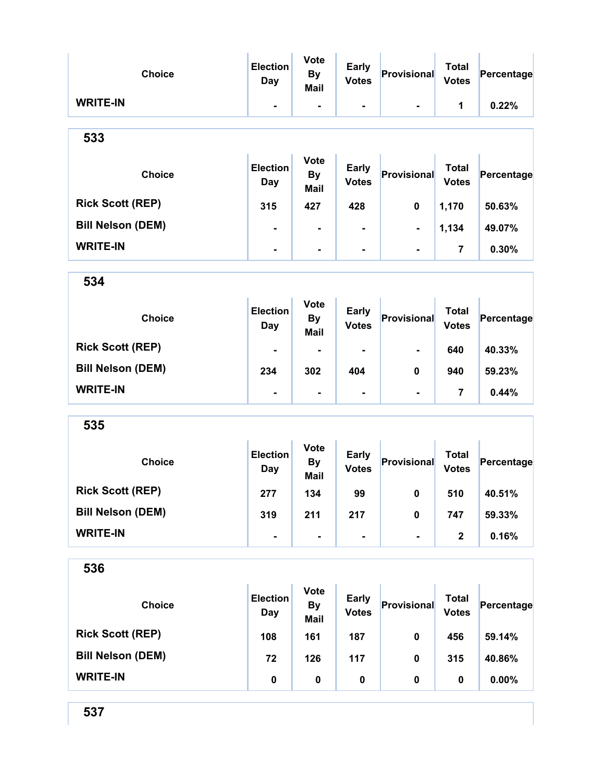| <b>Choice</b>            | <b>Election</b><br><b>Day</b> | <b>Vote</b><br><b>By</b><br>Mail        | <b>Early</b><br><b>Votes</b> | Provisional    | <b>Total</b><br><b>Votes</b> | Percentage |
|--------------------------|-------------------------------|-----------------------------------------|------------------------------|----------------|------------------------------|------------|
| <b>WRITE-IN</b>          | ۰                             | $\overline{\phantom{a}}$                | $\blacksquare$               | $\blacksquare$ | 1                            | 0.22%      |
| 533                      |                               |                                         |                              |                |                              |            |
| <b>Choice</b>            | <b>Election</b><br><b>Day</b> | <b>Vote</b><br><b>By</b><br><b>Mail</b> | <b>Early</b><br><b>Votes</b> | Provisional    | <b>Total</b><br><b>Votes</b> | Percentage |
| <b>Rick Scott (REP)</b>  | 315                           | 427                                     | 428                          | 0              | 1,170                        | 50.63%     |
| <b>Bill Nelson (DEM)</b> |                               | $\blacksquare$                          |                              | -              | 1,134                        | 49.07%     |
| <b>WRITE-IN</b>          | Ξ.                            | $\overline{\phantom{a}}$                |                              | $\blacksquare$ | 7                            | 0.30%      |
| 534                      |                               |                                         |                              |                |                              |            |
| <b>Choice</b>            | <b>Election</b><br><b>Day</b> | <b>Vote</b><br><b>By</b><br><b>Mail</b> | <b>Early</b><br><b>Votes</b> | Provisional    | <b>Total</b><br><b>Votes</b> | Percentage |
| <b>Rick Scott (REP)</b>  |                               |                                         |                              |                | 640                          | 40.33%     |
| <b>Bill Nelson (DEM)</b> | 234                           | 302                                     | 404                          | 0              | 940                          | 59.23%     |
| <b>WRITE-IN</b>          |                               | $\blacksquare$                          |                              | $\blacksquare$ | 7                            | 0.44%      |
| 535                      |                               |                                         |                              |                |                              |            |
| <b>Choice</b>            | <b>Election</b><br><b>Day</b> | <b>Vote</b><br><b>By</b><br><b>Mail</b> | <b>Early</b><br><b>Votes</b> | Provisional    | <b>Total</b><br><b>Votes</b> | Percentage |
| <b>Rick Scott (REP)</b>  | 277                           | 134                                     | 99                           | 0              | 510                          | 40.51%     |
| <b>Bill Nelson (DEM)</b> | 319                           | 211                                     | 217                          | $\pmb{0}$      | 747                          | 59.33%     |
| <b>WRITE-IN</b>          | $\blacksquare$                | $\blacksquare$                          | ۰                            | $\blacksquare$ | $\mathbf{2}$                 | 0.16%      |
| 536                      |                               |                                         |                              |                |                              |            |
| <b>Choice</b>            | <b>Election</b><br><b>Day</b> | <b>Vote</b><br><b>By</b><br><b>Mail</b> | <b>Early</b><br><b>Votes</b> | Provisional    | <b>Total</b><br><b>Votes</b> | Percentage |
| <b>Rick Scott (REP)</b>  | 108                           | 161                                     | 187                          | 0              | 456                          | 59.14%     |
| <b>Bill Nelson (DEM)</b> | 72                            | 126                                     | 117                          | 0              | 315                          | 40.86%     |
| <b>WRITE-IN</b>          | $\pmb{0}$                     | $\pmb{0}$                               | $\pmb{0}$                    | 0              | $\mathbf 0$                  | $0.00\%$   |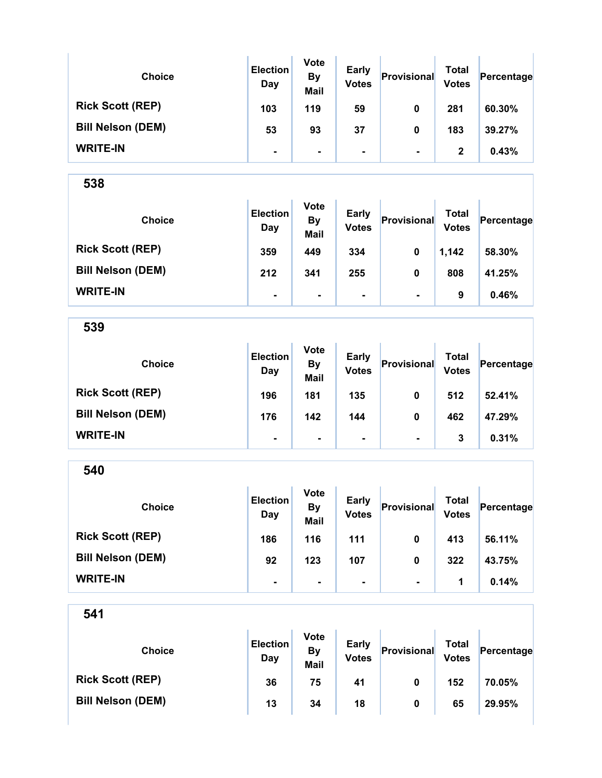| <b>Choice</b>            | <b>Election</b><br>Day | <b>Vote</b><br><b>By</b><br><b>Mail</b> | <b>Early</b><br><b>Votes</b> | Provisional    | Total<br><b>Votes</b> | Percentage |
|--------------------------|------------------------|-----------------------------------------|------------------------------|----------------|-----------------------|------------|
| <b>Rick Scott (REP)</b>  | 103                    | 119                                     | 59                           | 0              | 281                   | 60.30%     |
| <b>Bill Nelson (DEM)</b> | 53                     | 93                                      | 37                           | 0              | 183                   | 39.27%     |
| <b>WRITE-IN</b>          | ۰                      | $\blacksquare$                          | ۰                            | $\blacksquare$ | $\mathbf{2}$          | 0.43%      |

| <b>Choice</b>            | <b>Election</b><br>Day | <b>Vote</b><br><b>By</b><br><b>Mail</b> | <b>Early</b><br><b>Votes</b> | Provisional    | Total<br><b>Votes</b> | Percentage |
|--------------------------|------------------------|-----------------------------------------|------------------------------|----------------|-----------------------|------------|
| <b>Rick Scott (REP)</b>  | 359                    | 449                                     | 334                          | 0              | 1,142                 | 58.30%     |
| <b>Bill Nelson (DEM)</b> | 212                    | 341                                     | 255                          | 0              | 808                   | 41.25%     |
| <b>WRITE-IN</b>          | $\blacksquare$         | $\blacksquare$                          | $\blacksquare$               | $\blacksquare$ | 9                     | 0.46%      |

539

| <b>Choice</b>            | <b>Election</b><br>Day | <b>Vote</b><br><b>By</b><br><b>Mail</b> | <b>Early</b><br><b>Votes</b> | Provisional    | Total<br><b>Votes</b> | Percentage |
|--------------------------|------------------------|-----------------------------------------|------------------------------|----------------|-----------------------|------------|
| <b>Rick Scott (REP)</b>  | 196                    | 181                                     | 135                          | 0              | 512                   | 52.41%     |
| <b>Bill Nelson (DEM)</b> | 176                    | 142                                     | 144                          | 0              | 462                   | 47.29%     |
| <b>WRITE-IN</b>          | $\blacksquare$         | $\blacksquare$                          | $\blacksquare$               | $\blacksquare$ | 3                     | 0.31%      |

540

| <b>Choice</b>            | <b>Election</b><br>Day | <b>Vote</b><br><b>By</b><br><b>Mail</b> | <b>Early</b><br><b>Votes</b> | Provisional    | <b>Total</b><br><b>Votes</b> | Percentage |
|--------------------------|------------------------|-----------------------------------------|------------------------------|----------------|------------------------------|------------|
| <b>Rick Scott (REP)</b>  | 186                    | 116                                     | 111                          | $\mathbf 0$    | 413                          | 56.11%     |
| <b>Bill Nelson (DEM)</b> | 92                     | 123                                     | 107                          | 0              | 322                          | 43.75%     |
| <b>WRITE-IN</b>          | $\blacksquare$         | $\blacksquare$                          | $\blacksquare$               | $\blacksquare$ | 1                            | 0.14%      |

| <b>Choice</b>            | <b>Election</b><br>Day | <b>Vote</b><br><b>By</b><br>Mail | <b>Early</b><br><b>Votes</b> | Provisional | Total<br><b>Votes</b> | Percentage |
|--------------------------|------------------------|----------------------------------|------------------------------|-------------|-----------------------|------------|
| <b>Rick Scott (REP)</b>  | 36                     | 75                               | 41                           | 0           | 152                   | 70.05%     |
| <b>Bill Nelson (DEM)</b> | 13                     | 34                               | 18                           | 0           | 65                    | 29.95%     |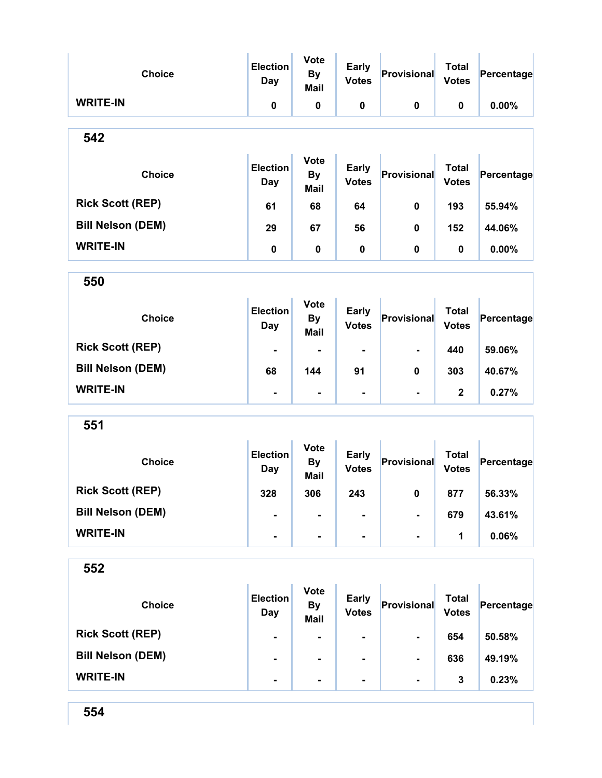| <b>Choice</b>            | <b>Election</b><br>Day        | <b>Vote</b><br><b>By</b><br>Mail        | <b>Early</b><br><b>Votes</b> | Provisional    | <b>Total</b><br><b>Votes</b> | Percentage |
|--------------------------|-------------------------------|-----------------------------------------|------------------------------|----------------|------------------------------|------------|
| <b>WRITE-IN</b>          | 0                             | 0                                       | $\pmb{0}$                    | $\mathbf 0$    | 0                            | 0.00%      |
| 542                      |                               |                                         |                              |                |                              |            |
| <b>Choice</b>            | <b>Election</b><br>Day        | <b>Vote</b><br><b>By</b><br>Mail        | <b>Early</b><br><b>Votes</b> | Provisional    | <b>Total</b><br><b>Votes</b> | Percentage |
| <b>Rick Scott (REP)</b>  | 61                            | 68                                      | 64                           | $\mathbf 0$    | 193                          | 55.94%     |
| <b>Bill Nelson (DEM)</b> | 29                            | 67                                      | 56                           | 0              | 152                          | 44.06%     |
| <b>WRITE-IN</b>          | 0                             | $\pmb{0}$                               | 0                            | 0              | 0                            | 0.00%      |
| 550                      |                               |                                         |                              |                |                              |            |
| <b>Choice</b>            | <b>Election</b><br><b>Day</b> | <b>Vote</b><br><b>By</b><br><b>Mail</b> | <b>Early</b><br><b>Votes</b> | Provisional    | <b>Total</b><br><b>Votes</b> | Percentage |
| <b>Rick Scott (REP)</b>  | ۰                             | $\blacksquare$                          | $\blacksquare$               | $\blacksquare$ | 440                          | 59.06%     |
| <b>Bill Nelson (DEM)</b> | 68                            | 144                                     | 91                           | 0              | 303                          | 40.67%     |
| <b>WRITE-IN</b>          | -                             | $\blacksquare$                          | $\blacksquare$               | $\blacksquare$ | $\mathbf 2$                  | 0.27%      |
| 551                      |                               |                                         |                              |                |                              |            |
| <b>Choice</b>            | <b>Election</b><br>Day        | <b>Vote</b><br><b>By</b><br><b>Mail</b> | <b>Early</b><br><b>Votes</b> | Provisional    | <b>Total</b><br><b>Votes</b> | Percentage |
| <b>Rick Scott (REP)</b>  | 328                           | 306                                     | 243                          | $\mathbf 0$    | 877                          | 56.33%     |
| <b>Bill Nelson (DEM)</b> |                               |                                         |                              |                | 679                          | 43.61%     |
| <b>WRITE-IN</b>          |                               |                                         |                              |                | 1                            | 0.06%      |
| 552                      |                               |                                         |                              |                |                              |            |
| <b>Choice</b>            | <b>Election</b><br><b>Day</b> | <b>Vote</b><br><b>By</b><br><b>Mail</b> | <b>Early</b><br><b>Votes</b> | Provisional    | <b>Total</b><br><b>Votes</b> | Percentage |
| <b>Rick Scott (REP)</b>  |                               |                                         |                              |                | 654                          | 50.58%     |
| <b>Bill Nelson (DEM)</b> |                               |                                         |                              |                | 636                          | 49.19%     |
| <b>WRITE-IN</b>          |                               |                                         |                              | ۰              | 3                            | 0.23%      |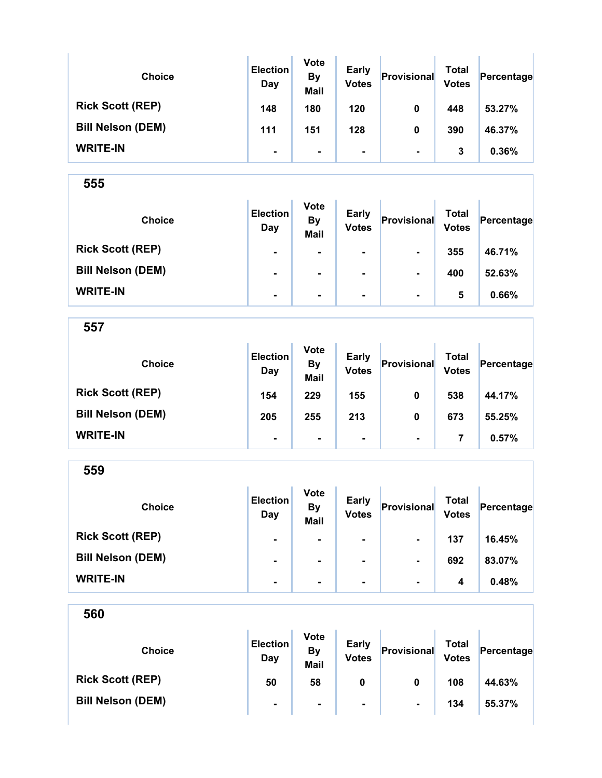| <b>Choice</b>            | <b>Election</b><br>Day | <b>Vote</b><br><b>By</b><br><b>Mail</b> | <b>Early</b><br><b>Votes</b> | Provisional    | Total<br><b>Votes</b> | Percentage |
|--------------------------|------------------------|-----------------------------------------|------------------------------|----------------|-----------------------|------------|
| <b>Rick Scott (REP)</b>  | 148                    | 180                                     | 120                          | 0              | 448                   | 53.27%     |
| <b>Bill Nelson (DEM)</b> | 111                    | 151                                     | 128                          | 0              | 390                   | 46.37%     |
| <b>WRITE-IN</b>          | $\blacksquare$         | $\blacksquare$                          | ۰                            | $\blacksquare$ | 3                     | 0.36%      |

| <b>Choice</b>            | <b>Election</b><br>Day | <b>Vote</b><br><b>By</b><br><b>Mail</b> | <b>Early</b><br><b>Votes</b> | Provisional    | <b>Total</b><br><b>Votes</b> | Percentage |
|--------------------------|------------------------|-----------------------------------------|------------------------------|----------------|------------------------------|------------|
| <b>Rick Scott (REP)</b>  | $\blacksquare$         | $\blacksquare$                          | $\blacksquare$               | $\blacksquare$ | 355                          | 46.71%     |
| <b>Bill Nelson (DEM)</b> | $\blacksquare$         |                                         | $\blacksquare$               | $\blacksquare$ | 400                          | 52.63%     |
| <b>WRITE-IN</b>          | $\blacksquare$         | $\blacksquare$                          | ۰.                           | $\blacksquare$ | 5                            | 0.66%      |

557

| <b>Choice</b>            | <b>Election</b><br>Day | <b>Vote</b><br><b>By</b><br><b>Mail</b> | <b>Early</b><br><b>Votes</b> | Provisional    | Total<br><b>Votes</b> | Percentage |
|--------------------------|------------------------|-----------------------------------------|------------------------------|----------------|-----------------------|------------|
| <b>Rick Scott (REP)</b>  | 154                    | 229                                     | 155                          | 0              | 538                   | 44.17%     |
| <b>Bill Nelson (DEM)</b> | 205                    | 255                                     | 213                          | 0              | 673                   | 55.25%     |
| <b>WRITE-IN</b>          |                        | ۰                                       | $\blacksquare$               | $\blacksquare$ | 7                     | 0.57%      |

559 Choice **Election Day** Vote By Mail Early Early Provisional Total<br>Votes Provisional Votes  $Percentage$ Rick Scott (REP) - - - - 137 16.45% Bill Nelson (DEM) - - - - - - - - - - - - - - - - - - 83.07% WRITE-IN  $\begin{vmatrix} 1 & 1 & 1 \ 1 & 1 & 1 \end{vmatrix}$  .  $\begin{vmatrix} 1 & 1 & 1 \ 1 & 1 & 1 \end{vmatrix}$  .  $\begin{vmatrix} 1 & 1 & 1 \ 1 & 1 & 1 \end{vmatrix}$  .  $\begin{vmatrix} 1 & 1 & 1 \ 1 & 1 & 1 \end{vmatrix}$  .  $\begin{vmatrix} 1 & 1 & 1 \ 1 & 1 & 1 \end{vmatrix}$  .  $\begin{vmatrix} 1 & 1 & 1 \ 1 & 1 & 1 \end{vmatrix}$  .  $\begin{vmatrix}$ 

| 560                      |                        |                                         |                              |                |                              |            |
|--------------------------|------------------------|-----------------------------------------|------------------------------|----------------|------------------------------|------------|
| <b>Choice</b>            | <b>Election</b><br>Day | <b>Vote</b><br><b>By</b><br><b>Mail</b> | <b>Early</b><br><b>Votes</b> | Provisional    | <b>Total</b><br><b>Votes</b> | Percentage |
| <b>Rick Scott (REP)</b>  | 50                     | 58                                      | 0                            | 0              | 108                          | 44.63%     |
| <b>Bill Nelson (DEM)</b> | $\blacksquare$         | $\blacksquare$                          | $\blacksquare$               | $\blacksquare$ | 134                          | 55.37%     |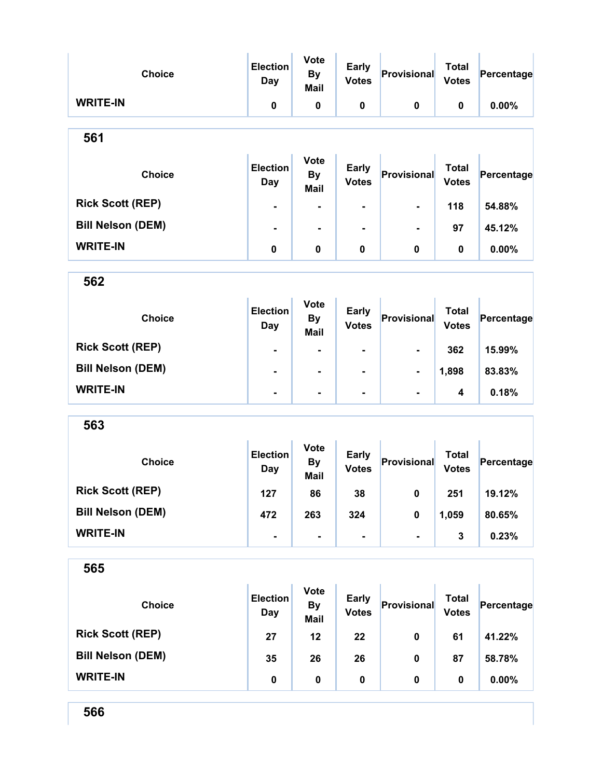| <b>Choice</b>            | <b>Election</b><br><b>Day</b> | <b>Vote</b><br><b>By</b><br><b>Mail</b> | <b>Early</b><br><b>Votes</b> | Provisional    | <b>Total</b><br><b>Votes</b> | Percentage |
|--------------------------|-------------------------------|-----------------------------------------|------------------------------|----------------|------------------------------|------------|
| <b>WRITE-IN</b>          | 0                             | 0                                       | $\pmb{0}$                    | $\pmb{0}$      | 0                            | 0.00%      |
| 561                      |                               |                                         |                              |                |                              |            |
| <b>Choice</b>            | <b>Election</b><br><b>Day</b> | <b>Vote</b><br><b>By</b><br><b>Mail</b> | <b>Early</b><br><b>Votes</b> | Provisional    | <b>Total</b><br><b>Votes</b> | Percentage |
| <b>Rick Scott (REP)</b>  | $\blacksquare$                | ۰                                       | -                            |                | 118                          | 54.88%     |
| <b>Bill Nelson (DEM)</b> | $\blacksquare$                | $\blacksquare$                          |                              |                | 97                           | 45.12%     |
| <b>WRITE-IN</b>          | $\pmb{0}$                     | 0                                       | $\pmb{0}$                    | 0              | $\pmb{0}$                    | 0.00%      |
| 562                      |                               |                                         |                              |                |                              |            |
| <b>Choice</b>            | <b>Election</b><br><b>Day</b> | <b>Vote</b><br><b>By</b><br><b>Mail</b> | <b>Early</b><br><b>Votes</b> | Provisional    | <b>Total</b><br><b>Votes</b> | Percentage |
| <b>Rick Scott (REP)</b>  | $\blacksquare$                | $\blacksquare$                          | -                            | $\blacksquare$ | 362                          | 15.99%     |
| <b>Bill Nelson (DEM)</b> |                               | $\blacksquare$                          | $\blacksquare$               | -              | 1,898                        | 83.83%     |
| <b>WRITE-IN</b>          | $\blacksquare$                | $\blacksquare$                          | -                            | $\blacksquare$ | 4                            | 0.18%      |
| 563                      |                               |                                         |                              |                |                              |            |
| <b>Choice</b>            | <b>Election</b><br><b>Day</b> | <b>Vote</b><br><b>By</b><br><b>Mail</b> | <b>Early</b><br><b>Votes</b> | Provisional    | <b>Total</b><br><b>Votes</b> | Percentage |
| <b>Rick Scott (REP)</b>  | 127                           | 86                                      | 38                           | $\mathbf{0}$   | 251                          | 19.12%     |
| <b>Bill Nelson (DEM)</b> | 472                           | 263                                     | 324                          | $\pmb{0}$      | 1,059                        | 80.65%     |
| <b>WRITE-IN</b>          | $\blacksquare$                |                                         |                              | $\blacksquare$ | 3                            | 0.23%      |
| 565                      |                               |                                         |                              |                |                              |            |
| <b>Choice</b>            | <b>Election</b><br><b>Day</b> | <b>Vote</b><br><b>By</b><br><b>Mail</b> | <b>Early</b><br><b>Votes</b> | Provisional    | <b>Total</b><br><b>Votes</b> | Percentage |
| <b>Rick Scott (REP)</b>  | 27                            | 12                                      | 22                           | 0              | 61                           | 41.22%     |
| <b>Bill Nelson (DEM)</b> | 35                            | 26                                      | 26                           | 0              | 87                           | 58.78%     |
| <b>WRITE-IN</b>          | $\pmb{0}$                     | $\pmb{0}$                               | $\pmb{0}$                    | 0              | 0                            | 0.00%      |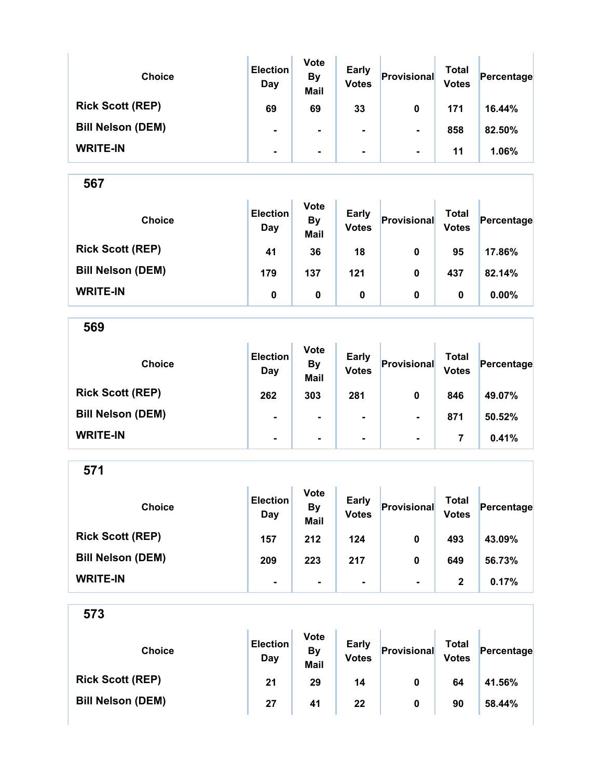| <b>Choice</b>            | <b>Election</b><br>Day | <b>Vote</b><br><b>By</b><br><b>Mail</b> | <b>Early</b><br><b>Votes</b> | Provisional    | Total<br><b>Votes</b> | Percentage |
|--------------------------|------------------------|-----------------------------------------|------------------------------|----------------|-----------------------|------------|
| <b>Rick Scott (REP)</b>  | 69                     | 69                                      | 33                           | 0              | 171                   | 16.44%     |
| <b>Bill Nelson (DEM)</b> | $\blacksquare$         | ۰                                       | ۰.                           | $\blacksquare$ | 858                   | 82.50%     |
| <b>WRITE-IN</b>          | $\blacksquare$         | $\blacksquare$                          | ۰                            | $\blacksquare$ | 11                    | 1.06%      |

| <b>Choice</b>            | <b>Election</b><br>Day | <b>Vote</b><br><b>By</b><br><b>Mail</b> | <b>Early</b><br><b>Votes</b> | Provisional | Total<br><b>Votes</b> | Percentage |
|--------------------------|------------------------|-----------------------------------------|------------------------------|-------------|-----------------------|------------|
| <b>Rick Scott (REP)</b>  | 41                     | 36                                      | 18                           | 0           | 95                    | 17.86%     |
| <b>Bill Nelson (DEM)</b> | 179                    | 137                                     | 121                          | 0           | 437                   | 82.14%     |
| <b>WRITE-IN</b>          | 0                      | 0                                       | 0                            | 0           | 0                     | $0.00\%$   |

569

| <b>Choice</b>            | <b>Election</b><br>Day | <b>Vote</b><br><b>By</b><br><b>Mail</b> | <b>Early</b><br><b>Votes</b> | Provisional    | Total<br><b>Votes</b> | Percentage |
|--------------------------|------------------------|-----------------------------------------|------------------------------|----------------|-----------------------|------------|
| <b>Rick Scott (REP)</b>  | 262                    | 303                                     | 281                          | 0              | 846                   | 49.07%     |
| <b>Bill Nelson (DEM)</b> | ۰                      | $\blacksquare$                          | $\blacksquare$               | $\blacksquare$ | 871                   | 50.52%     |
| <b>WRITE-IN</b>          | $\blacksquare$         | $\blacksquare$                          | $\blacksquare$               | $\blacksquare$ |                       | 0.41%      |

571

| <b>Choice</b>            | <b>Election</b><br>Day | <b>Vote</b><br><b>By</b><br><b>Mail</b> | <b>Early</b><br><b>Votes</b> | Provisional    | Total<br><b>Votes</b> | Percentage |
|--------------------------|------------------------|-----------------------------------------|------------------------------|----------------|-----------------------|------------|
| <b>Rick Scott (REP)</b>  | 157                    | 212                                     | 124                          | 0              | 493                   | 43.09%     |
| <b>Bill Nelson (DEM)</b> | 209                    | 223                                     | 217                          | 0              | 649                   | 56.73%     |
| <b>WRITE-IN</b>          | ۰                      |                                         |                              | $\blacksquare$ | 2                     | 0.17%      |

| <b>Choice</b>            | <b>Election</b><br>Day | <b>Vote</b><br>By<br><b>Mail</b> | <b>Early</b><br><b>Votes</b> | Provisional | Total<br><b>Votes</b> | Percentage |
|--------------------------|------------------------|----------------------------------|------------------------------|-------------|-----------------------|------------|
| <b>Rick Scott (REP)</b>  | 21                     | 29                               | 14                           | 0           | 64                    | 41.56%     |
| <b>Bill Nelson (DEM)</b> | 27                     | 41                               | 22                           | 0           | 90                    | 58.44%     |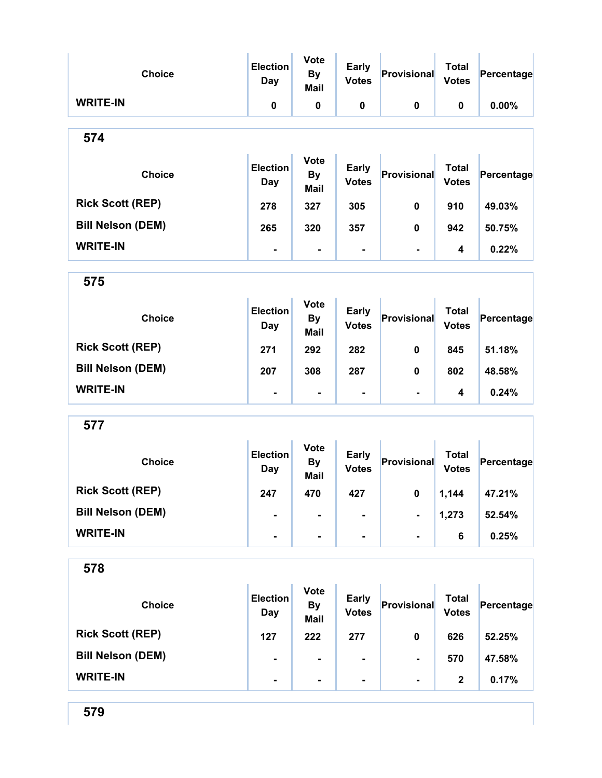| <b>Choice</b>            | <b>Election</b><br><b>Day</b> | <b>Vote</b><br><b>By</b><br><b>Mail</b> | <b>Early</b><br><b>Votes</b> | Provisional    | <b>Total</b><br><b>Votes</b> | Percentage |
|--------------------------|-------------------------------|-----------------------------------------|------------------------------|----------------|------------------------------|------------|
| <b>WRITE-IN</b>          | 0                             | $\pmb{0}$                               | $\pmb{0}$                    | $\pmb{0}$      | 0                            | 0.00%      |
| 574                      |                               |                                         |                              |                |                              |            |
| <b>Choice</b>            | <b>Election</b><br>Day        | <b>Vote</b><br><b>By</b><br>Mail        | <b>Early</b><br><b>Votes</b> | Provisional    | <b>Total</b><br><b>Votes</b> | Percentage |
| <b>Rick Scott (REP)</b>  | 278                           | 327                                     | 305                          | 0              | 910                          | 49.03%     |
| <b>Bill Nelson (DEM)</b> | 265                           | 320                                     | 357                          | 0              | 942                          | 50.75%     |
| <b>WRITE-IN</b>          | $\blacksquare$                | $\blacksquare$                          | Ξ.                           | $\blacksquare$ | 4                            | 0.22%      |
| 575                      |                               |                                         |                              |                |                              |            |
| <b>Choice</b>            | <b>Election</b><br>Day        | <b>Vote</b><br><b>By</b><br><b>Mail</b> | <b>Early</b><br><b>Votes</b> | Provisional    | <b>Total</b><br><b>Votes</b> | Percentage |
| <b>Rick Scott (REP)</b>  | 271                           | 292                                     | 282                          | $\mathbf 0$    | 845                          | 51.18%     |
| <b>Bill Nelson (DEM)</b> | 207                           | 308                                     | 287                          | 0              | 802                          | 48.58%     |
| <b>WRITE-IN</b>          |                               | $\blacksquare$                          | ۰                            | $\blacksquare$ | 4                            | 0.24%      |
| 577                      |                               |                                         |                              |                |                              |            |
| <b>Choice</b>            | <b>Election</b><br><b>Day</b> | <b>Vote</b><br><b>By</b><br><b>Mail</b> | <b>Early</b><br><b>Votes</b> | Provisional    | <b>Total</b><br><b>Votes</b> | Percentage |
| <b>Rick Scott (REP)</b>  | 247                           | 470                                     | 427                          | 0              | 1,144                        | 47.21%     |
| <b>Bill Nelson (DEM)</b> |                               |                                         |                              |                | 1,273                        | 52.54%     |
| <b>WRITE-IN</b>          |                               | ۰                                       | Ξ.                           |                | 6                            | 0.25%      |
| 578                      |                               |                                         |                              |                |                              |            |
| <b>Choice</b>            | <b>Election</b><br><b>Day</b> | <b>Vote</b><br><b>By</b><br><b>Mail</b> | <b>Early</b><br><b>Votes</b> | Provisional    | <b>Total</b><br><b>Votes</b> | Percentage |
| <b>Rick Scott (REP)</b>  | 127                           | 222                                     | 277                          | 0              | 626                          | 52.25%     |
| <b>Bill Nelson (DEM)</b> |                               |                                         |                              |                | 570                          | 47.58%     |
| <b>WRITE-IN</b>          |                               |                                         |                              |                | $\boldsymbol{2}$             | 0.17%      |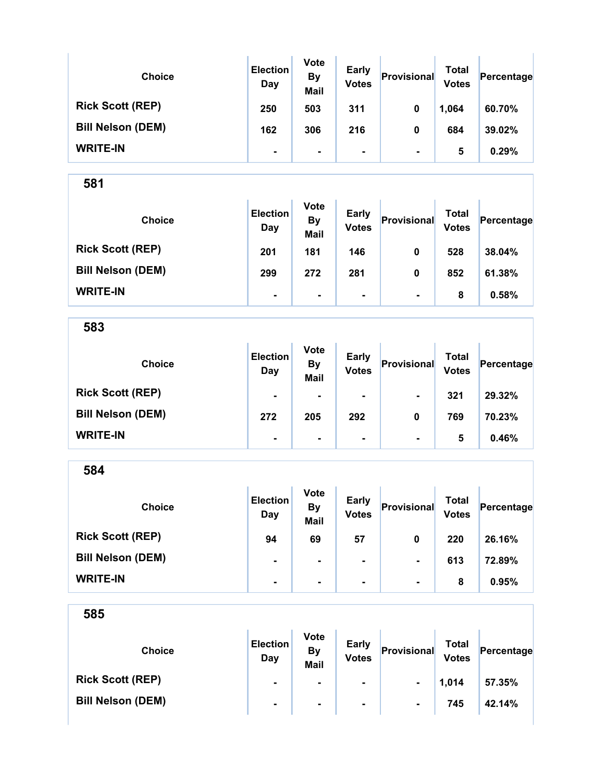| <b>Choice</b>            | <b>Election</b><br>Day | <b>Vote</b><br><b>By</b><br><b>Mail</b> | Early<br><b>Votes</b> | Provisional    | Total<br><b>Votes</b> | Percentage |
|--------------------------|------------------------|-----------------------------------------|-----------------------|----------------|-----------------------|------------|
| <b>Rick Scott (REP)</b>  | 250                    | 503                                     | 311                   | 0              | 1,064                 | 60.70%     |
| <b>Bill Nelson (DEM)</b> | 162                    | 306                                     | 216                   | 0              | 684                   | 39.02%     |
| <b>WRITE-IN</b>          | $\blacksquare$         | $\blacksquare$                          | ۰                     | $\blacksquare$ | 5                     | 0.29%      |

| <b>Choice</b>            | <b>Election</b><br>Day | <b>Vote</b><br><b>By</b><br><b>Mail</b> | <b>Early</b><br><b>Votes</b> | Provisional    | Total<br><b>Votes</b> | Percentage |
|--------------------------|------------------------|-----------------------------------------|------------------------------|----------------|-----------------------|------------|
| <b>Rick Scott (REP)</b>  | 201                    | 181                                     | 146                          | 0              | 528                   | 38.04%     |
| <b>Bill Nelson (DEM)</b> | 299                    | 272                                     | 281                          | 0              | 852                   | 61.38%     |
| <b>WRITE-IN</b>          | $\blacksquare$         | $\blacksquare$                          | $\blacksquare$               | $\blacksquare$ | 8                     | 0.58%      |

583

| <b>Choice</b>            | <b>Election</b><br>Day | <b>Vote</b><br><b>By</b><br><b>Mail</b> | <b>Early</b><br><b>Votes</b> | Provisional    | <b>Total</b><br><b>Votes</b> | Percentage |
|--------------------------|------------------------|-----------------------------------------|------------------------------|----------------|------------------------------|------------|
| <b>Rick Scott (REP)</b>  | $\blacksquare$         | $\blacksquare$                          | $\blacksquare$               | $\blacksquare$ | 321                          | 29.32%     |
| <b>Bill Nelson (DEM)</b> | 272                    | 205                                     | 292                          | 0              | 769                          | 70.23%     |
| <b>WRITE-IN</b>          | $\blacksquare$         | ۰                                       | $\blacksquare$               | $\blacksquare$ | 5                            | 0.46%      |

584 Choice **Election** Day Vote By Mail Early Early Provisional Total<br>Votes Provisional Votes  $Percentage$ Rick Scott (REP) 94 69 57 0 220 26.16% Bill Nelson (DEM) - - - - - - 613 72.89% WRITE-IN - - - - 8 0.95%

| <b>Choice</b>            | <b>Election</b><br>Day | <b>Vote</b><br>By<br><b>Mail</b> | <b>Early</b><br><b>Votes</b> | Provisional    | Total<br><b>Votes</b> | Percentage |
|--------------------------|------------------------|----------------------------------|------------------------------|----------------|-----------------------|------------|
| <b>Rick Scott (REP)</b>  | $\blacksquare$         |                                  | $\blacksquare$               | $\blacksquare$ | 1,014                 | 57.35%     |
| <b>Bill Nelson (DEM)</b> | $\blacksquare$         | $\blacksquare$                   | $\blacksquare$               | $\blacksquare$ | 745                   | 42.14%     |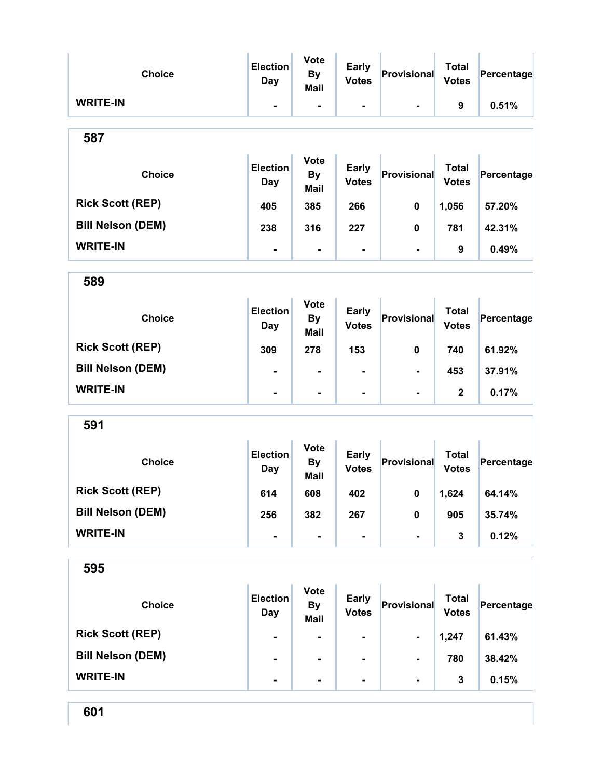| <b>Choice</b>            | <b>Election</b><br><b>Day</b> | <b>Vote</b><br><b>By</b><br><b>Mail</b> | <b>Early</b><br><b>Votes</b> | Provisional        | <b>Total</b><br><b>Votes</b> | Percentage |
|--------------------------|-------------------------------|-----------------------------------------|------------------------------|--------------------|------------------------------|------------|
| <b>WRITE-IN</b>          | $\blacksquare$                | $\blacksquare$                          |                              | $\blacksquare$     | 9                            | 0.51%      |
| 587                      |                               |                                         |                              |                    |                              |            |
| <b>Choice</b>            | <b>Election</b><br>Day        | <b>Vote</b><br><b>By</b><br>Mail        | <b>Early</b><br><b>Votes</b> | Provisional        | <b>Total</b><br><b>Votes</b> | Percentage |
| <b>Rick Scott (REP)</b>  | 405                           | 385                                     | 266                          | 0                  | 1,056                        | 57.20%     |
| <b>Bill Nelson (DEM)</b> | 238                           | 316                                     | 227                          | 0                  | 781                          | 42.31%     |
| <b>WRITE-IN</b>          | $\blacksquare$                | $\blacksquare$                          | $\blacksquare$               | $\blacksquare$     | 9                            | 0.49%      |
| 589                      |                               |                                         |                              |                    |                              |            |
| <b>Choice</b>            | <b>Election</b><br>Day        | <b>Vote</b><br><b>By</b><br><b>Mail</b> | <b>Early</b><br><b>Votes</b> | Provisional        | <b>Total</b><br><b>Votes</b> | Percentage |
| <b>Rick Scott (REP)</b>  | 309                           | 278                                     | 153                          | 0                  | 740                          | 61.92%     |
| <b>Bill Nelson (DEM)</b> |                               | $\blacksquare$                          | $\blacksquare$               |                    | 453                          | 37.91%     |
| <b>WRITE-IN</b>          | $\blacksquare$                | $\blacksquare$                          | $\blacksquare$               | $\blacksquare$     | $\mathbf 2$                  | 0.17%      |
| 591                      |                               |                                         |                              |                    |                              |            |
| <b>Choice</b>            | <b>Election</b><br>Day        | <b>Vote</b><br><b>By</b><br><b>Mail</b> | <b>Early</b><br><b>Votes</b> | Provisional        | <b>Total</b><br><b>Votes</b> | Percentage |
| <b>Rick Scott (REP)</b>  | 614                           | 608                                     | 402                          | $\mathbf{0}$       | 1,624                        | 64.14%     |
| <b>Bill Nelson (DEM)</b> | 256                           | 382                                     | 267                          | 0                  | 905                          | 35.74%     |
| <b>WRITE-IN</b>          |                               | $\blacksquare$                          | -                            |                    | 3                            | 0.12%      |
| 595                      |                               |                                         |                              |                    |                              |            |
| <b>Choice</b>            | <b>Election</b><br><b>Day</b> | <b>Vote</b><br><b>By</b><br><b>Mail</b> | <b>Early</b><br><b>Votes</b> | <b>Provisional</b> | <b>Total</b><br><b>Votes</b> | Percentage |
| <b>Rick Scott (REP)</b>  |                               |                                         |                              |                    | 1,247                        | 61.43%     |
| <b>Bill Nelson (DEM)</b> |                               |                                         |                              |                    | 780                          | 38.42%     |
| <b>WRITE-IN</b>          |                               | $\blacksquare$                          | -                            | $\blacksquare$     | 3                            | 0.15%      |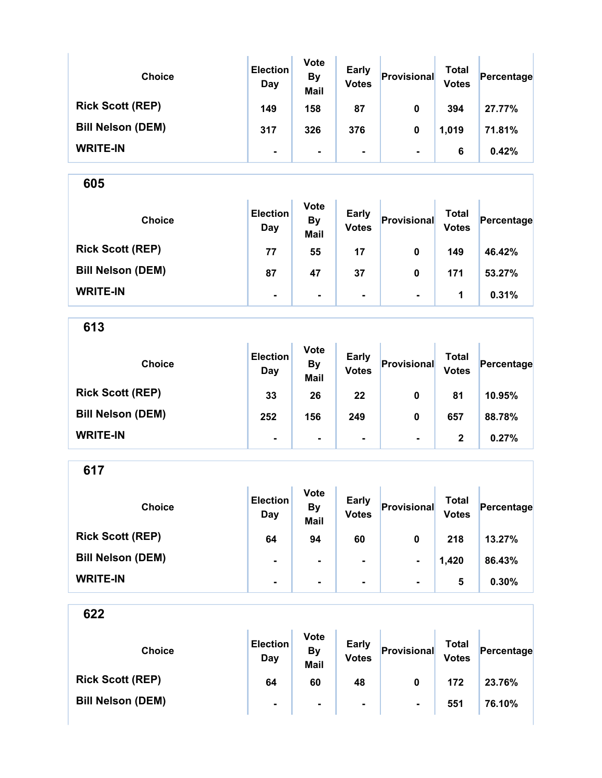| <b>Choice</b>            | <b>Election</b><br>Day | <b>Vote</b><br><b>By</b><br><b>Mail</b> | <b>Early</b><br><b>Votes</b> | Provisional    | Total<br><b>Votes</b> | Percentage |
|--------------------------|------------------------|-----------------------------------------|------------------------------|----------------|-----------------------|------------|
| <b>Rick Scott (REP)</b>  | 149                    | 158                                     | 87                           | 0              | 394                   | 27.77%     |
| <b>Bill Nelson (DEM)</b> | 317                    | 326                                     | 376                          | 0              | 1,019                 | 71.81%     |
| <b>WRITE-IN</b>          | ۰                      | $\blacksquare$                          | ۰                            | $\blacksquare$ | 6                     | 0.42%      |

Y.

605

| <b>Choice</b>            | <b>Election</b><br>Day | <b>Vote</b><br><b>By</b><br><b>Mail</b> | <b>Early</b><br><b>Votes</b> | Provisional    | Total<br><b>Votes</b> | Percentage |
|--------------------------|------------------------|-----------------------------------------|------------------------------|----------------|-----------------------|------------|
| <b>Rick Scott (REP)</b>  | 77                     | 55                                      | 17                           | 0              | 149                   | 46.42%     |
| <b>Bill Nelson (DEM)</b> | 87                     | 47                                      | 37                           | 0              | 171                   | 53.27%     |
| <b>WRITE-IN</b>          | $\blacksquare$         | $\blacksquare$                          | $\blacksquare$               | $\blacksquare$ | 1                     | 0.31%      |

613

| <b>Choice</b>            | <b>Election</b><br>Day | <b>Vote</b><br><b>By</b><br><b>Mail</b> | <b>Early</b><br><b>Votes</b> | Provisional    | <b>Total</b><br><b>Votes</b> | Percentage |
|--------------------------|------------------------|-----------------------------------------|------------------------------|----------------|------------------------------|------------|
| <b>Rick Scott (REP)</b>  | 33                     | 26                                      | 22                           | 0              | 81                           | 10.95%     |
| <b>Bill Nelson (DEM)</b> | 252                    | 156                                     | 249                          | 0              | 657                          | 88.78%     |
| <b>WRITE-IN</b>          | $\blacksquare$         | $\blacksquare$                          | $\blacksquare$               | $\blacksquare$ | 2                            | 0.27%      |

617

| <b>Choice</b>            | <b>Election</b><br>Day | <b>Vote</b><br><b>By</b><br><b>Mail</b> | <b>Early</b><br><b>Votes</b> | Provisional    | Total<br><b>Votes</b> | Percentage |
|--------------------------|------------------------|-----------------------------------------|------------------------------|----------------|-----------------------|------------|
| <b>Rick Scott (REP)</b>  | 64                     | 94                                      | 60                           | 0              | 218                   | 13.27%     |
| <b>Bill Nelson (DEM)</b> | $\blacksquare$         |                                         | $\blacksquare$               | $\blacksquare$ | 1,420                 | 86.43%     |
| <b>WRITE-IN</b>          | ۰                      |                                         |                              | $\blacksquare$ | 5                     | 0.30%      |

| <b>Choice</b>            | <b>Election</b><br>Day | <b>Vote</b><br><b>By</b><br>Mail | <b>Early</b><br><b>Votes</b> | Provisional    | Total<br><b>Votes</b> | Percentage |
|--------------------------|------------------------|----------------------------------|------------------------------|----------------|-----------------------|------------|
| <b>Rick Scott (REP)</b>  | 64                     | 60                               | 48                           | 0              | 172                   | 23.76%     |
| <b>Bill Nelson (DEM)</b> | $\blacksquare$         | $\blacksquare$                   | $\blacksquare$               | $\blacksquare$ | 551                   | 76.10%     |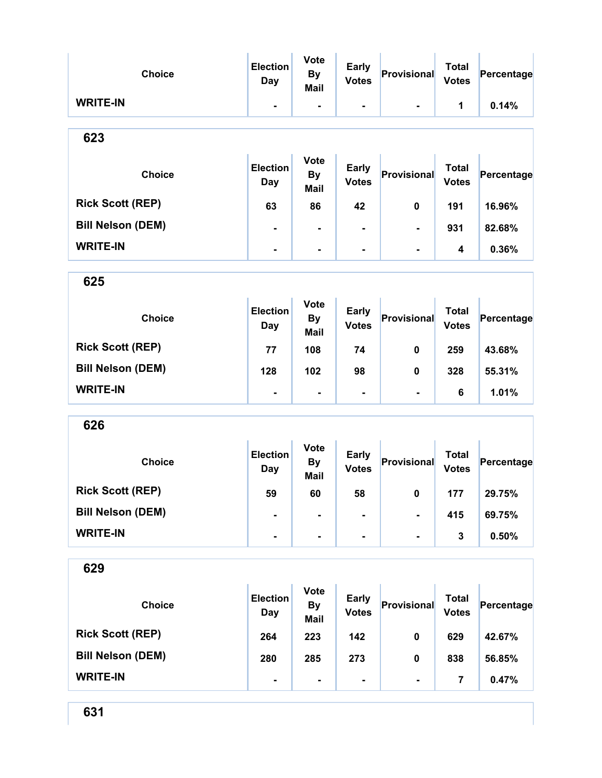| <b>Choice</b>            | <b>Election</b><br><b>Day</b> | <b>Vote</b><br><b>By</b><br><b>Mail</b> | <b>Early</b><br><b>Votes</b> | Provisional              | <b>Total</b><br><b>Votes</b> | Percentage |
|--------------------------|-------------------------------|-----------------------------------------|------------------------------|--------------------------|------------------------------|------------|
| <b>WRITE-IN</b>          | ۰                             | $\overline{\phantom{a}}$                | $\blacksquare$               | $\blacksquare$           | 1                            | 0.14%      |
| 623                      |                               |                                         |                              |                          |                              |            |
| <b>Choice</b>            | <b>Election</b><br><b>Day</b> | <b>Vote</b><br><b>By</b><br><b>Mail</b> | <b>Early</b><br><b>Votes</b> | Provisional              | <b>Total</b><br><b>Votes</b> | Percentage |
| <b>Rick Scott (REP)</b>  | 63                            | 86                                      | 42                           | 0                        | 191                          | 16.96%     |
| <b>Bill Nelson (DEM)</b> |                               | $\blacksquare$                          |                              |                          | 931                          | 82.68%     |
| <b>WRITE-IN</b>          | Ξ.                            | $\blacksquare$                          | -                            | $\blacksquare$           | 4                            | 0.36%      |
| 625                      |                               |                                         |                              |                          |                              |            |
| <b>Choice</b>            | <b>Election</b><br><b>Day</b> | <b>Vote</b><br><b>By</b><br><b>Mail</b> | <b>Early</b><br><b>Votes</b> | Provisional              | <b>Total</b><br><b>Votes</b> | Percentage |
| <b>Rick Scott (REP)</b>  | 77                            | 108                                     | 74                           | 0                        | 259                          | 43.68%     |
| <b>Bill Nelson (DEM)</b> | 128                           | 102                                     | 98                           | 0                        | 328                          | 55.31%     |
| <b>WRITE-IN</b>          |                               | $\blacksquare$                          | ۰                            | $\blacksquare$           | 6                            | 1.01%      |
| 626                      |                               |                                         |                              |                          |                              |            |
| <b>Choice</b>            | <b>Election</b><br><b>Day</b> | <b>Vote</b><br><b>By</b><br>Mail        | <b>Early</b><br><b>Votes</b> | Provisional              | <b>Total</b><br><b>Votes</b> | Percentage |
| <b>Rick Scott (REP)</b>  | 59                            | 60                                      | 58                           | $\mathbf{0}$             | 177                          | 29.75%     |
| <b>Bill Nelson (DEM)</b> | Ξ.                            |                                         |                              | $\overline{\phantom{0}}$ | 415                          | 69.75%     |
| <b>WRITE-IN</b>          | $\blacksquare$                | $\blacksquare$                          | ۰                            | $\blacksquare$           | 3                            | 0.50%      |
| 629                      |                               |                                         |                              |                          |                              |            |
| <b>Choice</b>            | <b>Election</b><br><b>Day</b> | <b>Vote</b><br><b>By</b><br><b>Mail</b> | <b>Early</b><br><b>Votes</b> | Provisional              | <b>Total</b><br><b>Votes</b> | Percentage |
| <b>Rick Scott (REP)</b>  | 264                           | 223                                     | 142                          | 0                        | 629                          | 42.67%     |
| <b>Bill Nelson (DEM)</b> | 280                           | 285                                     | 273                          | 0                        | 838                          | 56.85%     |
| <b>WRITE-IN</b>          | $\qquad \qquad \blacksquare$  | ۰                                       | ۰                            | $\blacksquare$           | $\overline{7}$               | 0.47%      |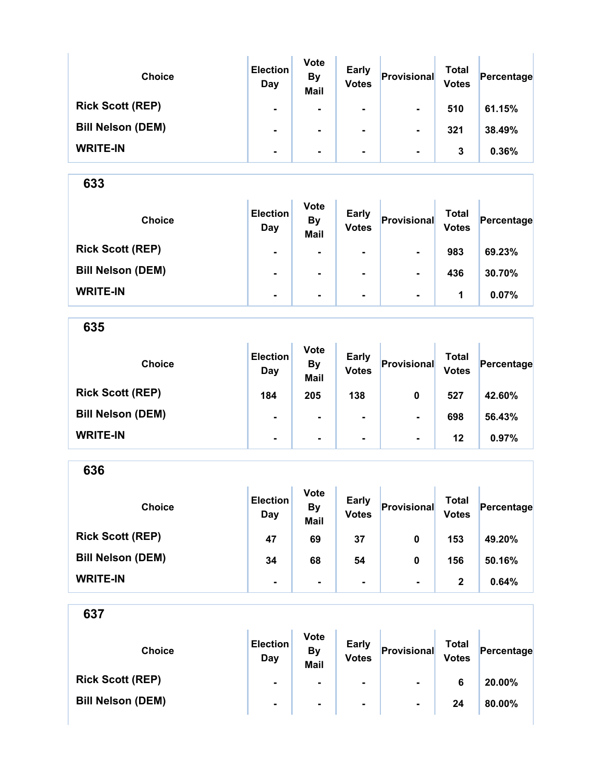| <b>Choice</b>            | <b>Election</b><br>Day | <b>Vote</b><br><b>By</b><br><b>Mail</b> | <b>Early</b><br><b>Votes</b> | Provisional    | Total<br><b>Votes</b> | Percentage |
|--------------------------|------------------------|-----------------------------------------|------------------------------|----------------|-----------------------|------------|
| <b>Rick Scott (REP)</b>  | $\blacksquare$         |                                         | ۰.                           | $\blacksquare$ | 510                   | 61.15%     |
| <b>Bill Nelson (DEM)</b> | ۰                      |                                         |                              | $\blacksquare$ | 321                   | 38.49%     |
| <b>WRITE-IN</b>          | $\blacksquare$         |                                         | ۰.                           | $\blacksquare$ | 3                     | 0.36%      |

| <b>Choice</b>            | <b>Election</b><br>Day | <b>Vote</b><br><b>By</b><br><b>Mail</b> | <b>Early</b><br><b>Votes</b> | Provisional    | <b>Total</b><br><b>Votes</b> | Percentage |
|--------------------------|------------------------|-----------------------------------------|------------------------------|----------------|------------------------------|------------|
| <b>Rick Scott (REP)</b>  | $\blacksquare$         | ٠                                       | $\blacksquare$               | $\blacksquare$ | 983                          | 69.23%     |
| <b>Bill Nelson (DEM)</b> | $\blacksquare$         |                                         | $\blacksquare$               | $\blacksquare$ | 436                          | 30.70%     |
| <b>WRITE-IN</b>          | $\blacksquare$         | $\blacksquare$                          | $\blacksquare$               | $\blacksquare$ | 1                            | 0.07%      |

635

| <b>Choice</b>            | <b>Election</b><br>Day | <b>Vote</b><br><b>By</b><br><b>Mail</b> | <b>Early</b><br><b>Votes</b> | Provisional    | Total<br><b>Votes</b> | Percentage |
|--------------------------|------------------------|-----------------------------------------|------------------------------|----------------|-----------------------|------------|
| <b>Rick Scott (REP)</b>  | 184                    | 205                                     | 138                          | 0              | 527                   | 42.60%     |
| <b>Bill Nelson (DEM)</b> | $\blacksquare$         | $\blacksquare$                          | $\blacksquare$               | $\blacksquare$ | 698                   | 56.43%     |
| <b>WRITE-IN</b>          | $\blacksquare$         | $\blacksquare$                          | $\blacksquare$               | $\blacksquare$ | 12                    | 0.97%      |

636 Choice **Election** Day Vote By Mail Early Early Provisional Total<br>Votes Provisional Votes  $Percentage$ Rick Scott (REP) 47 69 37 0 153 49.20% Bill Nelson (DEM) 34 68 54 0 156 50.16% WRITE-IN  $\begin{vmatrix} 1 & 1 & 1 \ 1 & 1 & 1 \end{vmatrix}$  .  $\begin{vmatrix} 1 & 1 & 1 \ 1 & 1 & 1 \end{vmatrix}$  .  $\begin{vmatrix} 1 & 1 & 1 \ 2 & 1 & 1 \end{vmatrix}$  0.64%

| <b>Choice</b>            | <b>Election</b><br>Day | <b>Vote</b><br><b>By</b><br><b>Mail</b> | <b>Early</b><br><b>Votes</b> | Provisional    | Total<br><b>Votes</b> | Percentage |
|--------------------------|------------------------|-----------------------------------------|------------------------------|----------------|-----------------------|------------|
| <b>Rick Scott (REP)</b>  | $\blacksquare$         | $\blacksquare$                          | $\blacksquare$               | $\blacksquare$ | 6                     | 20.00%     |
| <b>Bill Nelson (DEM)</b> | $\blacksquare$         | $\blacksquare$                          | $\blacksquare$               | $\blacksquare$ | 24                    | 80.00%     |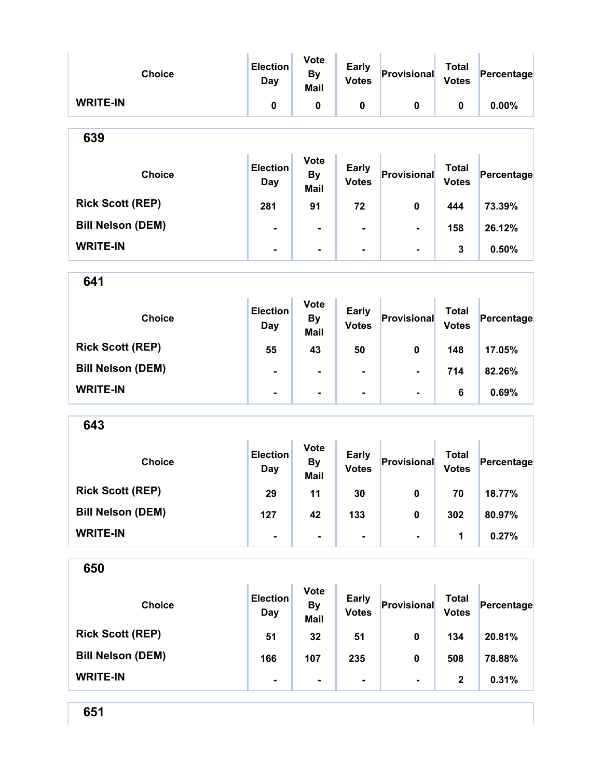| <b>Choice</b>            | <b>Election</b><br>Day        | <b>Vote</b><br><b>By</b><br><b>Mail</b> | <b>Early</b><br><b>Votes</b> | Provisional        | <b>Total</b><br><b>Votes</b> | Percentage |
|--------------------------|-------------------------------|-----------------------------------------|------------------------------|--------------------|------------------------------|------------|
| <b>WRITE-IN</b>          | 0                             | 0                                       | 0                            | 0                  | 0                            | 0.00%      |
| 639                      |                               |                                         |                              |                    |                              |            |
| <b>Choice</b>            | <b>Election</b><br>Day        | <b>Vote</b><br>By<br><b>Mail</b>        | <b>Early</b><br><b>Votes</b> | Provisional        | <b>Total</b><br><b>Votes</b> | Percentage |
| <b>Rick Scott (REP)</b>  | 281                           | 91                                      | 72                           | 0                  | 444                          | 73.39%     |
| <b>Bill Nelson (DEM)</b> | $\blacksquare$                | $\blacksquare$                          | $\blacksquare$               |                    | 158                          | 26.12%     |
| <b>WRITE-IN</b>          | $\blacksquare$                | $\blacksquare$                          | ۰                            | $\blacksquare$     | 3                            | 0.50%      |
| 641                      |                               |                                         |                              |                    |                              |            |
| <b>Choice</b>            | <b>Election</b><br><b>Day</b> | <b>Vote</b><br><b>By</b><br><b>Mail</b> | <b>Early</b><br><b>Votes</b> | <b>Provisional</b> | <b>Total</b><br><b>Votes</b> | Percentage |
| <b>Rick Scott (REP)</b>  | 55                            | 43                                      | 50                           | 0                  | 148                          | 17.05%     |
| <b>Bill Nelson (DEM)</b> |                               | $\blacksquare$                          |                              |                    | 714                          | 82.26%     |
| <b>WRITE-IN</b>          | $\blacksquare$                | $\blacksquare$                          | -                            | $\blacksquare$     | 6                            | 0.69%      |
| 643                      |                               |                                         |                              |                    |                              |            |
| <b>Choice</b>            | <b>Election</b><br><b>Day</b> | <b>Vote</b><br><b>By</b><br><b>Mail</b> | <b>Early</b><br><b>Votes</b> | Provisional        | <b>Total</b><br><b>Votes</b> | Percentage |
| <b>Rick Scott (REP)</b>  | 29                            | 11                                      | 30                           | $\mathbf 0$        | 70                           | 18.77%     |
| <b>Bill Nelson (DEM)</b> | 127                           | 42                                      | 133                          | $\pmb{0}$          | 302                          | 80.97%     |
| <b>WRITE-IN</b>          | $\blacksquare$                | $\blacksquare$                          | $\blacksquare$               | $\blacksquare$     | 1                            | 0.27%      |
| 650                      |                               |                                         |                              |                    |                              |            |
| <b>Choice</b>            | <b>Election</b><br><b>Day</b> | <b>Vote</b><br><b>By</b><br><b>Mail</b> | <b>Early</b><br><b>Votes</b> | Provisional        | <b>Total</b><br><b>Votes</b> | Percentage |
| <b>Rick Scott (REP)</b>  | 51                            | 32                                      | 51                           | 0                  | 134                          | 20.81%     |
| <b>Bill Nelson (DEM)</b> | 166                           | 107                                     | 235                          | $\pmb{0}$          | 508                          | 78.88%     |
| <b>WRITE-IN</b>          |                               | $\blacksquare$                          |                              | $\blacksquare$     | $\mathbf 2$                  | 0.31%      |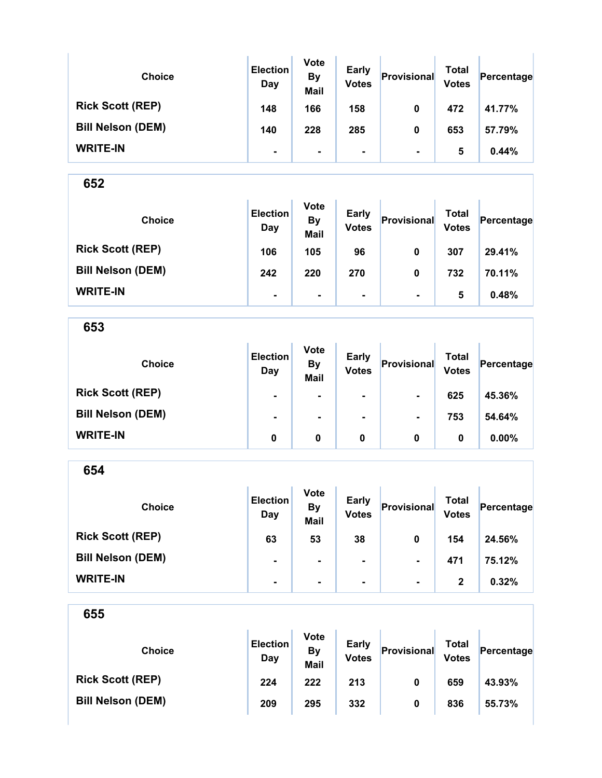| <b>Choice</b>            | <b>Election</b><br>Day | <b>Vote</b><br><b>By</b><br><b>Mail</b> | <b>Early</b><br><b>Votes</b> | Provisional    | <b>Total</b><br><b>Votes</b> | Percentage |
|--------------------------|------------------------|-----------------------------------------|------------------------------|----------------|------------------------------|------------|
| <b>Rick Scott (REP)</b>  | 148                    | 166                                     | 158                          | 0              | 472                          | 41.77%     |
| <b>Bill Nelson (DEM)</b> | 140                    | 228                                     | 285                          | 0              | 653                          | 57.79%     |
| <b>WRITE-IN</b>          | ٠                      | ۰.                                      | ۰                            | $\blacksquare$ | 5                            | 0.44%      |

| <b>Choice</b>            | <b>Election</b><br>Day | <b>Vote</b><br><b>By</b><br><b>Mail</b> | <b>Early</b><br><b>Votes</b> | Provisional    | Total<br><b>Votes</b> | Percentage |
|--------------------------|------------------------|-----------------------------------------|------------------------------|----------------|-----------------------|------------|
| <b>Rick Scott (REP)</b>  | 106                    | 105                                     | 96                           | 0              | 307                   | 29.41%     |
| <b>Bill Nelson (DEM)</b> | 242                    | 220                                     | 270                          | 0              | 732                   | 70.11%     |
| <b>WRITE-IN</b>          | $\blacksquare$         | $\blacksquare$                          | ۰.                           | $\blacksquare$ | 5                     | 0.48%      |

653

| <b>Choice</b>            | <b>Election</b><br>Day | <b>Vote</b><br><b>By</b><br><b>Mail</b> | <b>Early</b><br><b>Votes</b> | Provisional    | <b>Total</b><br><b>Votes</b> | Percentage |
|--------------------------|------------------------|-----------------------------------------|------------------------------|----------------|------------------------------|------------|
| <b>Rick Scott (REP)</b>  | $\blacksquare$         |                                         |                              | $\blacksquare$ | 625                          | 45.36%     |
| <b>Bill Nelson (DEM)</b> | $\blacksquare$         | $\blacksquare$                          | ۰                            | $\blacksquare$ | 753                          | 54.64%     |
| <b>WRITE-IN</b>          | 0                      | 0                                       | 0                            | 0              | 0                            | $0.00\%$   |

| <b>Choice</b>            | <b>Election</b><br>Day | <b>Vote</b><br><b>By</b><br><b>Mail</b> | <b>Early</b><br><b>Votes</b> | Provisional    | <b>Total</b><br><b>Votes</b> | Percentage |
|--------------------------|------------------------|-----------------------------------------|------------------------------|----------------|------------------------------|------------|
| <b>Rick Scott (REP)</b>  | 63                     | 53                                      | 38                           | 0              | 154                          | 24.56%     |
| <b>Bill Nelson (DEM)</b> | $\blacksquare$         | $\blacksquare$                          | ٠                            | $\blacksquare$ | 471                          | 75.12%     |
| <b>WRITE-IN</b>          | $\blacksquare$         | $\blacksquare$                          | $\blacksquare$               | $\blacksquare$ | 2                            | 0.32%      |

| 655                      |                        |                                         |                              |             |                              |            |
|--------------------------|------------------------|-----------------------------------------|------------------------------|-------------|------------------------------|------------|
| <b>Choice</b>            | <b>Election</b><br>Day | <b>Vote</b><br><b>By</b><br><b>Mail</b> | <b>Early</b><br><b>Votes</b> | Provisional | <b>Total</b><br><b>Votes</b> | Percentage |
| <b>Rick Scott (REP)</b>  | 224                    | 222                                     | 213                          | 0           | 659                          | 43.93%     |
| <b>Bill Nelson (DEM)</b> | 209                    | 295                                     | 332                          | 0           | 836                          | 55.73%     |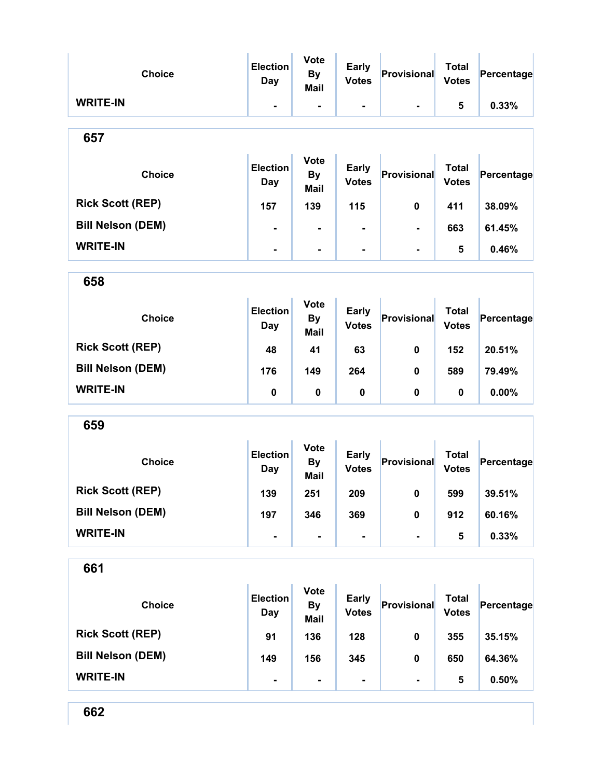| <b>Choice</b>            | <b>Election</b><br><b>Day</b> | <b>Vote</b><br><b>By</b><br><b>Mail</b> | <b>Early</b><br><b>Votes</b> | Provisional    | <b>Total</b><br><b>Votes</b> | Percentage |
|--------------------------|-------------------------------|-----------------------------------------|------------------------------|----------------|------------------------------|------------|
| <b>WRITE-IN</b>          | $\blacksquare$                | $\blacksquare$                          |                              | $\blacksquare$ | 5                            | 0.33%      |
| 657                      |                               |                                         |                              |                |                              |            |
| <b>Choice</b>            | <b>Election</b><br>Day        | <b>Vote</b><br><b>By</b><br><b>Mail</b> | <b>Early</b><br><b>Votes</b> | Provisional    | <b>Total</b><br><b>Votes</b> | Percentage |
| <b>Rick Scott (REP)</b>  | 157                           | 139                                     | 115                          | 0              | 411                          | 38.09%     |
| <b>Bill Nelson (DEM)</b> | ۰                             | $\blacksquare$                          | ۰                            | ۰              | 663                          | 61.45%     |
| <b>WRITE-IN</b>          | $\blacksquare$                | $\blacksquare$                          | Ξ.                           | Ξ.             | 5                            | 0.46%      |
| 658                      |                               |                                         |                              |                |                              |            |
| <b>Choice</b>            | <b>Election</b><br>Day        | <b>Vote</b><br><b>By</b><br><b>Mail</b> | <b>Early</b><br><b>Votes</b> | Provisional    | <b>Total</b><br><b>Votes</b> | Percentage |
| <b>Rick Scott (REP)</b>  | 48                            | 41                                      | 63                           | 0              | 152                          | 20.51%     |
| <b>Bill Nelson (DEM)</b> | 176                           | 149                                     | 264                          | 0              | 589                          | 79.49%     |
| <b>WRITE-IN</b>          | $\pmb{0}$                     | $\pmb{0}$                               | $\pmb{0}$                    | 0              | 0                            | 0.00%      |
| 659                      |                               |                                         |                              |                |                              |            |
| <b>Choice</b>            | <b>Election</b><br>Day        | <b>Vote</b><br><b>By</b><br><b>Mail</b> | <b>Early</b><br><b>Votes</b> | Provisional    | <b>Total</b><br><b>Votes</b> | Percentage |
| <b>Rick Scott (REP)</b>  | 139                           | 251                                     | 209                          | $\mathbf 0$    | 599                          | 39.51%     |
| <b>Bill Nelson (DEM)</b> | 197                           | 346                                     | 369                          | 0              | 912                          | 60.16%     |
| <b>WRITE-IN</b>          |                               |                                         |                              | ۰              | 5                            | 0.33%      |
| 661                      |                               |                                         |                              |                |                              |            |
| <b>Choice</b>            | <b>Election</b><br><b>Day</b> | Vote<br><b>By</b><br><b>Mail</b>        | <b>Early</b><br><b>Votes</b> | Provisional    | <b>Total</b><br><b>Votes</b> | Percentage |
| <b>Rick Scott (REP)</b>  | 91                            | 136                                     | 128                          | 0              | 355                          | 35.15%     |
| <b>Bill Nelson (DEM)</b> | 149                           | 156                                     | 345                          | $\pmb{0}$      | 650                          | 64.36%     |
| <b>WRITE-IN</b>          | $\blacksquare$                | $\blacksquare$                          | -                            | $\blacksquare$ | 5                            | 0.50%      |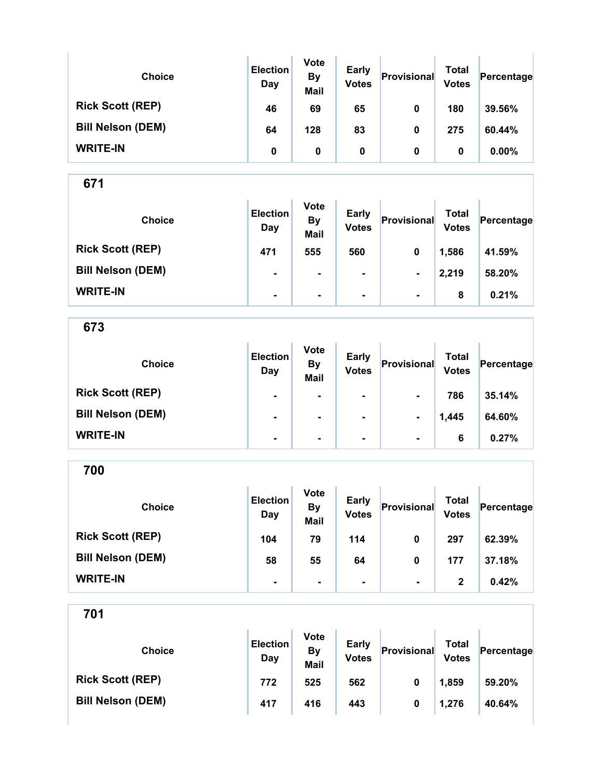| <b>Choice</b>            | <b>Election</b><br>Day | <b>Vote</b><br><b>By</b><br><b>Mail</b> | <b>Early</b><br><b>Votes</b> | Provisional | <b>Total</b><br><b>Votes</b> | Percentage |
|--------------------------|------------------------|-----------------------------------------|------------------------------|-------------|------------------------------|------------|
| <b>Rick Scott (REP)</b>  | 46                     | 69                                      | 65                           | 0           | 180                          | 39.56%     |
| <b>Bill Nelson (DEM)</b> | 64                     | 128                                     | 83                           | 0           | 275                          | 60.44%     |
| <b>WRITE-IN</b>          | 0                      | 0                                       | 0                            | 0           | 0                            | $0.00\%$   |

| <b>Choice</b>            | <b>Election</b><br>Day | <b>Vote</b><br><b>By</b><br><b>Mail</b> | <b>Early</b><br><b>Votes</b> | Provisional    | Total<br><b>Votes</b> | Percentage |
|--------------------------|------------------------|-----------------------------------------|------------------------------|----------------|-----------------------|------------|
| <b>Rick Scott (REP)</b>  | 471                    | 555                                     | 560                          | 0              | 1,586                 | 41.59%     |
| <b>Bill Nelson (DEM)</b> | $\blacksquare$         | $\blacksquare$                          | $\blacksquare$               | $\blacksquare$ | 2,219                 | 58.20%     |
| <b>WRITE-IN</b>          | $\blacksquare$         | $\blacksquare$                          | $\blacksquare$               | $\blacksquare$ | 8                     | 0.21%      |

673

| <b>Choice</b>            | <b>Election</b><br>Day | <b>Vote</b><br><b>By</b><br><b>Mail</b> | <b>Early</b><br><b>Votes</b> | Provisional    | <b>Total</b><br><b>Votes</b> | Percentage |
|--------------------------|------------------------|-----------------------------------------|------------------------------|----------------|------------------------------|------------|
| <b>Rick Scott (REP)</b>  | $\blacksquare$         | $\blacksquare$                          | $\blacksquare$               | $\blacksquare$ | 786                          | 35.14%     |
| <b>Bill Nelson (DEM)</b> | $\blacksquare$         | $\blacksquare$                          | $\blacksquare$               | $\blacksquare$ | 1,445                        | 64.60%     |
| <b>WRITE-IN</b>          | $\blacksquare$         | $\blacksquare$                          | $\blacksquare$               | $\blacksquare$ | 6                            | 0.27%      |

700

| <b>Choice</b>            | <b>Election</b><br>Day | <b>Vote</b><br><b>By</b><br><b>Mail</b> | <b>Early</b><br><b>Votes</b> | Provisional    | <b>Total</b><br><b>Votes</b> | Percentage |
|--------------------------|------------------------|-----------------------------------------|------------------------------|----------------|------------------------------|------------|
| <b>Rick Scott (REP)</b>  | 104                    | 79                                      | 114                          | 0              | 297                          | 62.39%     |
| <b>Bill Nelson (DEM)</b> | 58                     | 55                                      | 64                           | 0              | 177                          | 37.18%     |
| <b>WRITE-IN</b>          |                        |                                         |                              | $\blacksquare$ | 2                            | 0.42%      |

| <b>Choice</b>            | <b>Election</b><br>Day | <b>Vote</b><br><b>By</b><br><b>Mail</b> | <b>Early</b><br><b>Votes</b> | Provisional | Total<br><b>Votes</b> | Percentage |
|--------------------------|------------------------|-----------------------------------------|------------------------------|-------------|-----------------------|------------|
| <b>Rick Scott (REP)</b>  | 772                    | 525                                     | 562                          | 0           | 1,859                 | 59.20%     |
| <b>Bill Nelson (DEM)</b> | 417                    | 416                                     | 443                          | 0           | 1,276                 | 40.64%     |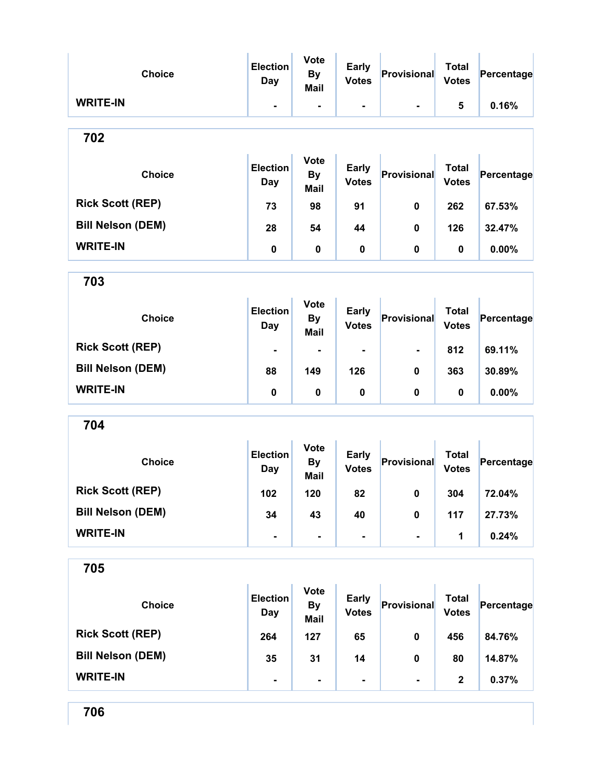| <b>Choice</b>            | <b>Election</b><br>Day        | <b>Vote</b><br><b>By</b><br><b>Mail</b> | <b>Early</b><br><b>Votes</b> | Provisional    | <b>Total</b><br><b>Votes</b> | Percentage |
|--------------------------|-------------------------------|-----------------------------------------|------------------------------|----------------|------------------------------|------------|
| <b>WRITE-IN</b>          | $\blacksquare$                | $\blacksquare$                          | $\blacksquare$               | $\blacksquare$ | 5                            | 0.16%      |
| 702                      |                               |                                         |                              |                |                              |            |
| <b>Choice</b>            | <b>Election</b><br><b>Day</b> | <b>Vote</b><br><b>By</b><br>Mail        | <b>Early</b><br><b>Votes</b> | Provisional    | <b>Total</b><br><b>Votes</b> | Percentage |
| <b>Rick Scott (REP)</b>  | 73                            | 98                                      | 91                           | $\mathbf 0$    | 262                          | 67.53%     |
| <b>Bill Nelson (DEM)</b> | 28                            | 54                                      | 44                           | 0              | 126                          | 32.47%     |
| <b>WRITE-IN</b>          | $\pmb{0}$                     | 0                                       | $\pmb{0}$                    | 0              | 0                            | 0.00%      |
| 703                      |                               |                                         |                              |                |                              |            |
| <b>Choice</b>            | <b>Election</b><br><b>Day</b> | <b>Vote</b><br><b>By</b><br><b>Mail</b> | <b>Early</b><br><b>Votes</b> | Provisional    | <b>Total</b><br><b>Votes</b> | Percentage |
| <b>Rick Scott (REP)</b>  |                               |                                         |                              |                | 812                          | 69.11%     |
| <b>Bill Nelson (DEM)</b> | 88                            | 149                                     | 126                          | 0              | 363                          | 30.89%     |
| <b>WRITE-IN</b>          | $\pmb{0}$                     | $\pmb{0}$                               | $\pmb{0}$                    | $\mathbf 0$    | 0                            | 0.00%      |
| 704                      |                               |                                         |                              |                |                              |            |
| <b>Choice</b>            | <b>Election</b><br><b>Day</b> | <b>Vote</b><br><b>By</b><br><b>Mail</b> | <b>Early</b><br><b>Votes</b> | Provisional    | <b>Total</b><br><b>Votes</b> | Percentage |
| <b>Rick Scott (REP)</b>  | 102                           | 120                                     | 82                           | $\mathbf{0}$   | 304                          | 72.04%     |
| <b>Bill Nelson (DEM)</b> | 34                            | 43                                      | 40                           | $\pmb{0}$      | 117                          | 27.73%     |
| <b>WRITE-IN</b>          | $\blacksquare$                | ٠                                       | $\blacksquare$               | $\blacksquare$ | 1                            | 0.24%      |
| 705                      |                               |                                         |                              |                |                              |            |
| <b>Choice</b>            | <b>Election</b><br><b>Day</b> | <b>Vote</b><br><b>By</b><br><b>Mail</b> | <b>Early</b><br><b>Votes</b> | Provisional    | <b>Total</b><br><b>Votes</b> | Percentage |
| <b>Rick Scott (REP)</b>  | 264                           | 127                                     | 65                           | 0              | 456                          | 84.76%     |
| <b>Bill Nelson (DEM)</b> | 35                            | 31                                      | 14                           | $\mathbf 0$    | 80                           | 14.87%     |
| <b>WRITE-IN</b>          | $\qquad \qquad \blacksquare$  | $\blacksquare$                          | $\overline{\phantom{0}}$     | $\blacksquare$ | $\mathbf 2$                  | 0.37%      |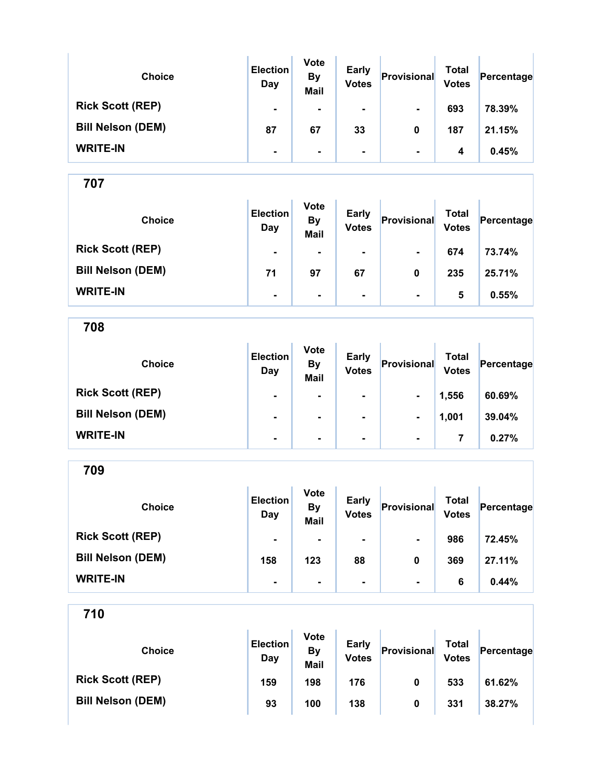| <b>Choice</b>            | <b>Election</b><br>Day | <b>Vote</b><br><b>By</b><br><b>Mail</b> | <b>Early</b><br><b>Votes</b> | Provisional    | <b>Total</b><br><b>Votes</b> | Percentage |
|--------------------------|------------------------|-----------------------------------------|------------------------------|----------------|------------------------------|------------|
| <b>Rick Scott (REP)</b>  | $\blacksquare$         | $\blacksquare$                          | $\blacksquare$               | $\blacksquare$ | 693                          | 78.39%     |
| <b>Bill Nelson (DEM)</b> | 87                     | 67                                      | 33                           | 0              | 187                          | 21.15%     |
| <b>WRITE-IN</b>          | ۰                      | $\blacksquare$                          | $\blacksquare$               | $\blacksquare$ | 4                            | 0.45%      |

| <b>Choice</b>            | <b>Election</b><br>Day | <b>Vote</b><br><b>By</b><br><b>Mail</b> | <b>Early</b><br><b>Votes</b> | Provisional              | Total<br><b>Votes</b> | Percentage |
|--------------------------|------------------------|-----------------------------------------|------------------------------|--------------------------|-----------------------|------------|
| <b>Rick Scott (REP)</b>  | $\blacksquare$         | $\blacksquare$                          | $\blacksquare$               | $\blacksquare$           | 674                   | 73.74%     |
| <b>Bill Nelson (DEM)</b> | 71                     | 97                                      | 67                           | 0                        | 235                   | 25.71%     |
| <b>WRITE-IN</b>          | $\blacksquare$         | $\blacksquare$                          | ۰                            | $\overline{\phantom{a}}$ | 5                     | 0.55%      |

708

| <b>Choice</b>            | <b>Election</b><br>Day | <b>Vote</b><br><b>By</b><br><b>Mail</b> | <b>Early</b><br><b>Votes</b> | Provisional    | <b>Total</b><br><b>Votes</b> | Percentage |
|--------------------------|------------------------|-----------------------------------------|------------------------------|----------------|------------------------------|------------|
| <b>Rick Scott (REP)</b>  | $\blacksquare$         | $\blacksquare$                          | ۰                            | $\blacksquare$ | 1,556                        | 60.69%     |
| <b>Bill Nelson (DEM)</b> | $\blacksquare$         | $\blacksquare$                          | ۰                            | $\blacksquare$ | 1,001                        | 39.04%     |
| <b>WRITE-IN</b>          | ۰                      | $\blacksquare$                          | ۰                            | $\blacksquare$ |                              | 0.27%      |

709

| <b>Choice</b>            | <b>Election</b><br>Day | <b>Vote</b><br><b>By</b><br><b>Mail</b> | <b>Early</b><br><b>Votes</b> | Provisional    | Total<br><b>Votes</b> | Percentage |
|--------------------------|------------------------|-----------------------------------------|------------------------------|----------------|-----------------------|------------|
| <b>Rick Scott (REP)</b>  | $\blacksquare$         | $\blacksquare$                          | $\blacksquare$               | $\blacksquare$ | 986                   | 72.45%     |
| <b>Bill Nelson (DEM)</b> | 158                    | 123                                     | 88                           | 0              | 369                   | 27.11%     |
| <b>WRITE-IN</b>          | $\blacksquare$         |                                         | $\blacksquare$               | $\blacksquare$ | 6                     | 0.44%      |

| <b>Choice</b>            | <b>Election</b><br>Day | <b>Vote</b><br>By<br>Mail | <b>Early</b><br><b>Votes</b> | Provisional | Total<br><b>Votes</b> | Percentage |
|--------------------------|------------------------|---------------------------|------------------------------|-------------|-----------------------|------------|
| <b>Rick Scott (REP)</b>  | 159                    | 198                       | 176                          | 0           | 533                   | 61.62%     |
| <b>Bill Nelson (DEM)</b> | 93                     | 100                       | 138                          | 0           | 331                   | 38.27%     |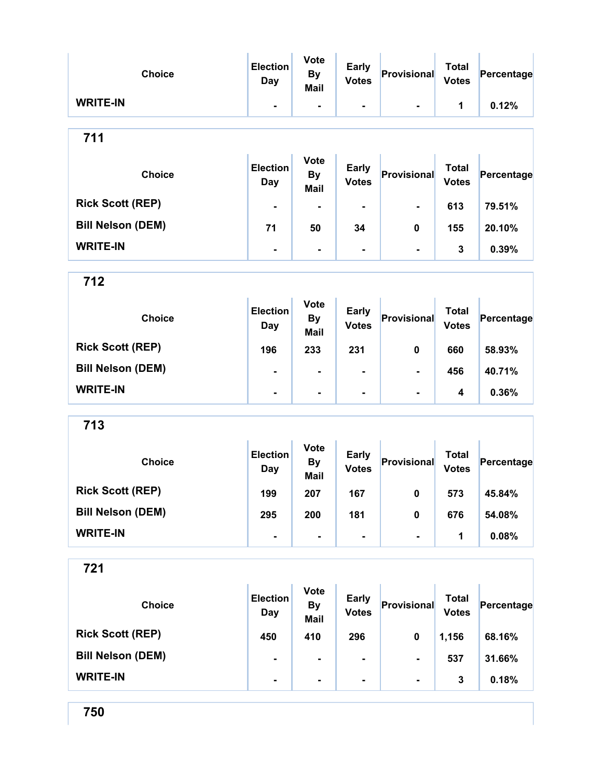| <b>Choice</b>            | <b>Election</b><br><b>Day</b> | <b>Vote</b><br><b>By</b><br>Mail        | <b>Early</b><br><b>Votes</b> | Provisional                  | <b>Total</b><br><b>Votes</b> | Percentage |
|--------------------------|-------------------------------|-----------------------------------------|------------------------------|------------------------------|------------------------------|------------|
| <b>WRITE-IN</b>          | $\blacksquare$                | $\blacksquare$                          | $\blacksquare$               | $\blacksquare$               | 1                            | 0.12%      |
| 711                      |                               |                                         |                              |                              |                              |            |
| <b>Choice</b>            | <b>Election</b><br><b>Day</b> | <b>Vote</b><br><b>By</b><br><b>Mail</b> | <b>Early</b><br><b>Votes</b> | Provisional                  | <b>Total</b><br><b>Votes</b> | Percentage |
| <b>Rick Scott (REP)</b>  | $\blacksquare$                | ۰                                       |                              | $\blacksquare$               | 613                          | 79.51%     |
| <b>Bill Nelson (DEM)</b> | 71                            | 50                                      | 34                           | 0                            | 155                          | 20.10%     |
| <b>WRITE-IN</b>          | $\blacksquare$                | $\blacksquare$                          | $\overline{\phantom{a}}$     | $\blacksquare$               | 3                            | 0.39%      |
| 712                      |                               |                                         |                              |                              |                              |            |
| <b>Choice</b>            | <b>Election</b><br><b>Day</b> | <b>Vote</b><br><b>By</b><br><b>Mail</b> | <b>Early</b><br><b>Votes</b> | Provisional                  | <b>Total</b><br><b>Votes</b> | Percentage |
| <b>Rick Scott (REP)</b>  | 196                           | 233                                     | 231                          | 0                            | 660                          | 58.93%     |
| <b>Bill Nelson (DEM)</b> | $\blacksquare$                | $\blacksquare$                          |                              | $\blacksquare$               | 456                          | 40.71%     |
| <b>WRITE-IN</b>          | $\blacksquare$                | $\blacksquare$                          |                              |                              | 4                            | 0.36%      |
| 713                      |                               |                                         |                              |                              |                              |            |
| <b>Choice</b>            | <b>Election</b><br>Day        | <b>Vote</b><br><b>By</b><br><b>Mail</b> | <b>Early</b><br><b>Votes</b> | Provisional                  | <b>Total</b><br><b>Votes</b> | Percentage |
| <b>Rick Scott (REP)</b>  | 199                           | 207                                     | 167                          | 0                            | 573                          | 45.84%     |
| <b>Bill Nelson (DEM)</b> | 295                           | 200                                     | 181                          | $\pmb{0}$                    | 676                          | 54.08%     |
| <b>WRITE-IN</b>          | $\overline{\phantom{0}}$      | $\blacksquare$                          | ۰                            | $\qquad \qquad \blacksquare$ | 1                            | 0.08%      |
| 721                      |                               |                                         |                              |                              |                              |            |
| <b>Choice</b>            | <b>Election</b><br>Day        | <b>Vote</b><br><b>By</b><br><b>Mail</b> | <b>Early</b><br><b>Votes</b> | Provisional                  | <b>Total</b><br><b>Votes</b> | Percentage |
| <b>Rick Scott (REP)</b>  | 450                           | 410                                     | 296                          | 0                            | 1,156                        | 68.16%     |
| <b>Bill Nelson (DEM)</b> |                               | ۰                                       | ۰                            | $\blacksquare$               | 537                          | 31.66%     |
| <b>WRITE-IN</b>          | $\blacksquare$                | $\blacksquare$                          |                              | $\blacksquare$               | 3                            | 0.18%      |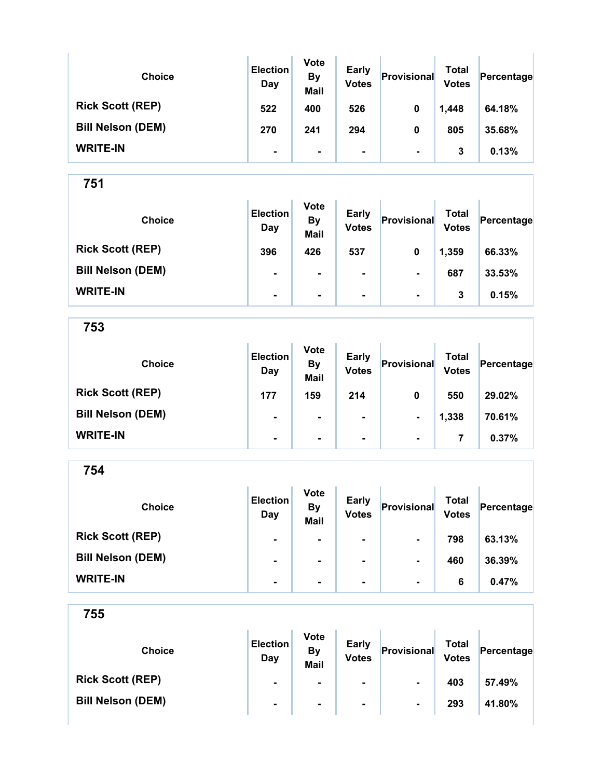| <b>Choice</b>            | <b>Election</b><br>Day | <b>Vote</b><br><b>By</b><br><b>Mail</b> | <b>Early</b><br><b>Votes</b> | Provisional    | Total<br><b>Votes</b> | Percentage |
|--------------------------|------------------------|-----------------------------------------|------------------------------|----------------|-----------------------|------------|
| <b>Rick Scott (REP)</b>  | 522                    | 400                                     | 526                          | 0              | 1,448                 | 64.18%     |
| <b>Bill Nelson (DEM)</b> | 270                    | 241                                     | 294                          | 0              | 805                   | 35.68%     |
| <b>WRITE-IN</b>          | $\blacksquare$         | $\blacksquare$                          | ۰                            | $\blacksquare$ | 3                     | 0.13%      |

| <b>Choice</b>            | <b>Election</b><br>Day | <b>Vote</b><br><b>By</b><br><b>Mail</b> | <b>Early</b><br><b>Votes</b> | Provisional    | Total<br><b>Votes</b> | Percentage |
|--------------------------|------------------------|-----------------------------------------|------------------------------|----------------|-----------------------|------------|
| <b>Rick Scott (REP)</b>  | 396                    | 426                                     | 537                          | 0              | 1,359                 | 66.33%     |
| <b>Bill Nelson (DEM)</b> | $\blacksquare$         |                                         | $\blacksquare$               | $\blacksquare$ | 687                   | 33.53%     |
| <b>WRITE-IN</b>          | $\blacksquare$         | $\blacksquare$                          | $\blacksquare$               | $\blacksquare$ | 3                     | 0.15%      |

753

| <b>Choice</b>            | <b>Election</b><br>Day | <b>Vote</b><br><b>By</b><br><b>Mail</b> | <b>Early</b><br><b>Votes</b> | Provisional    | <b>Total</b><br><b>Votes</b> | Percentage |
|--------------------------|------------------------|-----------------------------------------|------------------------------|----------------|------------------------------|------------|
| <b>Rick Scott (REP)</b>  | 177                    | 159                                     | 214                          | 0              | 550                          | 29.02%     |
| <b>Bill Nelson (DEM)</b> | $\blacksquare$         | $\blacksquare$                          | $\blacksquare$               | $\blacksquare$ | 1,338                        | 70.61%     |
| <b>WRITE-IN</b>          | ۰                      | $\blacksquare$                          | $\blacksquare$               | $\blacksquare$ | 7                            | 0.37%      |

754

| <b>Choice</b>            | <b>Election</b><br>Day | <b>Vote</b><br><b>By</b><br><b>Mail</b> | <b>Early</b><br><b>Votes</b> | Provisional    | <b>Total</b><br><b>Votes</b> | Percentage |
|--------------------------|------------------------|-----------------------------------------|------------------------------|----------------|------------------------------|------------|
| <b>Rick Scott (REP)</b>  | $\blacksquare$         | $\blacksquare$                          | ۰                            | $\blacksquare$ | 798                          | 63.13%     |
| <b>Bill Nelson (DEM)</b> | ۰                      | $\blacksquare$                          | ۰                            | $\blacksquare$ | 460                          | 36.39%     |
| <b>WRITE-IN</b>          | $\blacksquare$         |                                         | ۰                            | $\blacksquare$ | 6                            | 0.47%      |

| <b>Choice</b>            | <b>Election</b><br>Day | <b>Vote</b><br>By<br><b>Mail</b> | <b>Early</b><br><b>Votes</b> | Provisional    | Total<br><b>Votes</b> | Percentage |
|--------------------------|------------------------|----------------------------------|------------------------------|----------------|-----------------------|------------|
| <b>Rick Scott (REP)</b>  | $\blacksquare$         | $\blacksquare$                   | $\blacksquare$               | $\blacksquare$ | 403                   | 57.49%     |
| <b>Bill Nelson (DEM)</b> | $\blacksquare$         | $\blacksquare$                   | $\blacksquare$               | $\blacksquare$ | 293                   | 41.80%     |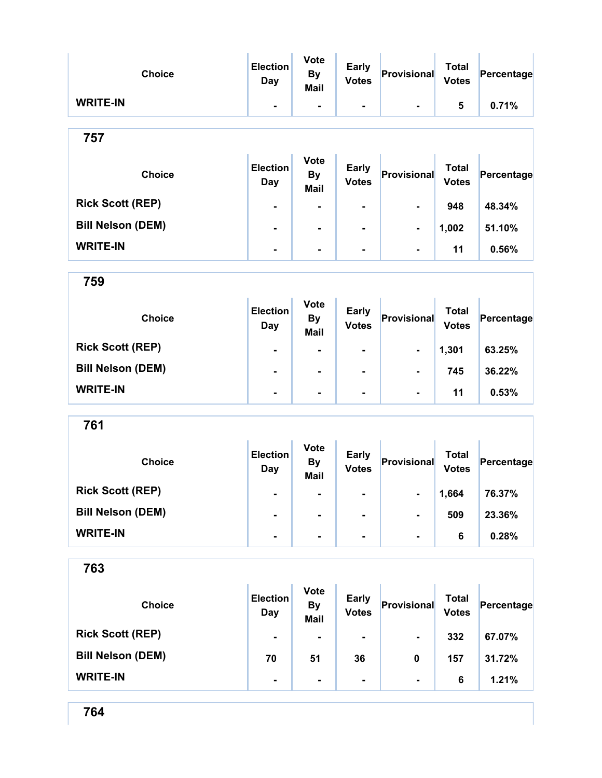| <b>Choice</b>            | <b>Election</b><br>Day        | <b>Vote</b><br><b>By</b><br>Mail        | <b>Early</b><br><b>Votes</b> | Provisional    | <b>Total</b><br><b>Votes</b> | Percentage |
|--------------------------|-------------------------------|-----------------------------------------|------------------------------|----------------|------------------------------|------------|
| <b>WRITE-IN</b>          | $\blacksquare$                | $\blacksquare$                          | $\blacksquare$               | $\blacksquare$ | 5                            | 0.71%      |
| 757                      |                               |                                         |                              |                |                              |            |
| <b>Choice</b>            | <b>Election</b><br><b>Day</b> | <b>Vote</b><br><b>By</b><br><b>Mail</b> | <b>Early</b><br><b>Votes</b> | Provisional    | <b>Total</b><br><b>Votes</b> | Percentage |
| <b>Rick Scott (REP)</b>  | $\blacksquare$                | $\blacksquare$                          | $\blacksquare$               | $\blacksquare$ | 948                          | 48.34%     |
| <b>Bill Nelson (DEM)</b> | ۰                             | $\blacksquare$                          | $\blacksquare$               | $\blacksquare$ | 1,002                        | 51.10%     |
| <b>WRITE-IN</b>          | $\blacksquare$                | $\blacksquare$                          | ۰                            | $\blacksquare$ | 11                           | 0.56%      |

| <b>Choice</b>            | <b>Election</b><br>Day | <b>Vote</b><br><b>By</b><br><b>Mail</b> | <b>Early</b><br><b>Votes</b> | Provisional    | Total<br><b>Votes</b> | Percentage |
|--------------------------|------------------------|-----------------------------------------|------------------------------|----------------|-----------------------|------------|
| <b>Rick Scott (REP)</b>  | $\blacksquare$         | $\blacksquare$                          | $\blacksquare$               | $\blacksquare$ | 1,301                 | 63.25%     |
| <b>Bill Nelson (DEM)</b> | $\blacksquare$         | $\blacksquare$                          | ۰                            | $\blacksquare$ | 745                   | 36.22%     |
| <b>WRITE-IN</b>          | $\blacksquare$         | $\blacksquare$                          | $\blacksquare$               | $\blacksquare$ | 11                    | 0.53%      |

| <b>Choice</b>            | <b>Election</b><br>Day | <b>Vote</b><br><b>By</b><br><b>Mail</b> | <b>Early</b><br><b>Votes</b> | Provisional    | Total<br><b>Votes</b> | Percentage |
|--------------------------|------------------------|-----------------------------------------|------------------------------|----------------|-----------------------|------------|
| <b>Rick Scott (REP)</b>  | ۰                      | $\blacksquare$                          | $\blacksquare$               | $\blacksquare$ | 1,664                 | 76.37%     |
| <b>Bill Nelson (DEM)</b> | ۰                      |                                         | $\blacksquare$               | $\blacksquare$ | 509                   | 23.36%     |
| <b>WRITE-IN</b>          | $\blacksquare$         | $\blacksquare$                          | $\blacksquare$               | $\blacksquare$ | 6                     | 0.28%      |

| ×<br>ï<br>۰.<br>v<br>v<br>w |
|-----------------------------|
|-----------------------------|

| <b>Choice</b>            | <b>Election</b><br>Day | <b>Vote</b><br><b>By</b><br><b>Mail</b> | <b>Early</b><br><b>Votes</b> | Provisional    | <b>Total</b><br><b>Votes</b> | Percentage |
|--------------------------|------------------------|-----------------------------------------|------------------------------|----------------|------------------------------|------------|
| <b>Rick Scott (REP)</b>  | $\blacksquare$         | $\blacksquare$                          | ۰                            | $\blacksquare$ | 332                          | 67.07%     |
| <b>Bill Nelson (DEM)</b> | 70                     | 51                                      | 36                           | 0              | 157                          | 31.72%     |
| <b>WRITE-IN</b>          | $\blacksquare$         | ۰                                       | ۰                            | $\blacksquare$ | 6                            | 1.21%      |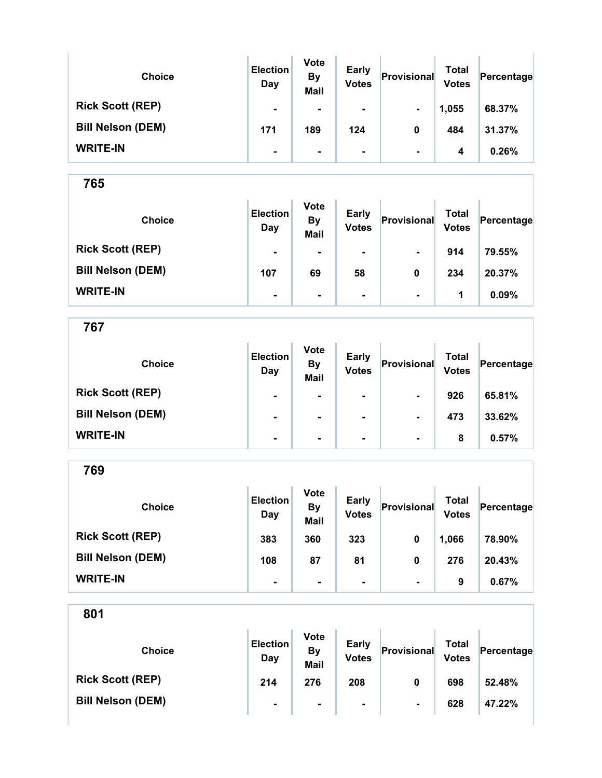| <b>Choice</b>            | <b>Election</b><br>Day | <b>Vote</b><br><b>By</b><br><b>Mail</b> | <b>Early</b><br><b>Votes</b> | Provisional    | Total<br><b>Votes</b> | Percentage |
|--------------------------|------------------------|-----------------------------------------|------------------------------|----------------|-----------------------|------------|
| <b>Rick Scott (REP)</b>  | $\blacksquare$         | $\blacksquare$                          | ۰                            | $\sim$         | 1,055                 | 68.37%     |
| <b>Bill Nelson (DEM)</b> | 171                    | 189                                     | 124                          | 0              | 484                   | 31.37%     |
| <b>WRITE-IN</b>          | $\blacksquare$         | $\blacksquare$                          | ۰                            | $\blacksquare$ | 4                     | 0.26%      |

| <b>Choice</b>            | <b>Election</b><br>Day | <b>Vote</b><br><b>By</b><br>Mail | <b>Early</b><br><b>Votes</b> | Provisional    | Total<br><b>Votes</b> | Percentage |
|--------------------------|------------------------|----------------------------------|------------------------------|----------------|-----------------------|------------|
| <b>Rick Scott (REP)</b>  | $\blacksquare$         | ۰                                | ۰                            | $\blacksquare$ | 914                   | 79.55%     |
| <b>Bill Nelson (DEM)</b> | 107                    | 69                               | 58                           | 0              | 234                   | 20.37%     |
| <b>WRITE-IN</b>          | $\blacksquare$         | ۰                                | ۰                            | $\blacksquare$ | 1                     | 0.09%      |

767

| <b>Choice</b>            | <b>Election</b><br>Day | <b>Vote</b><br><b>By</b><br><b>Mail</b> | <b>Early</b><br><b>Votes</b> | Provisional    | <b>Total</b><br><b>Votes</b> | Percentage |
|--------------------------|------------------------|-----------------------------------------|------------------------------|----------------|------------------------------|------------|
| <b>Rick Scott (REP)</b>  | $\blacksquare$         |                                         | $\blacksquare$               | $\blacksquare$ | 926                          | 65.81%     |
| <b>Bill Nelson (DEM)</b> | $\blacksquare$         | ۰                                       | $\blacksquare$               | $\blacksquare$ | 473                          | 33.62%     |
| <b>WRITE-IN</b>          | $\blacksquare$         | $\blacksquare$                          | $\blacksquare$               | $\blacksquare$ | 8                            | 0.57%      |

769

| <b>Choice</b>            | <b>Election</b><br>Day | <b>Vote</b><br><b>By</b><br><b>Mail</b> | <b>Early</b><br><b>Votes</b> | Provisional    | Total<br><b>Votes</b> | Percentage |
|--------------------------|------------------------|-----------------------------------------|------------------------------|----------------|-----------------------|------------|
| <b>Rick Scott (REP)</b>  | 383                    | 360                                     | 323                          | 0              | 1,066                 | 78.90%     |
| <b>Bill Nelson (DEM)</b> | 108                    | 87                                      | 81                           | 0              | 276                   | 20.43%     |
| <b>WRITE-IN</b>          | ۰                      |                                         |                              | $\blacksquare$ | 9                     | 0.67%      |

| <b>Choice</b>            | <b>Election</b><br>Day | <b>Vote</b><br>By<br>Mail | <b>Early</b><br><b>Votes</b> | Provisional    | Total<br><b>Votes</b> | Percentage |
|--------------------------|------------------------|---------------------------|------------------------------|----------------|-----------------------|------------|
| <b>Rick Scott (REP)</b>  | 214                    | 276                       | 208                          | 0              | 698                   | 52.48%     |
| <b>Bill Nelson (DEM)</b> | $\blacksquare$         | $\blacksquare$            | $\blacksquare$               | $\blacksquare$ | 628                   | 47.22%     |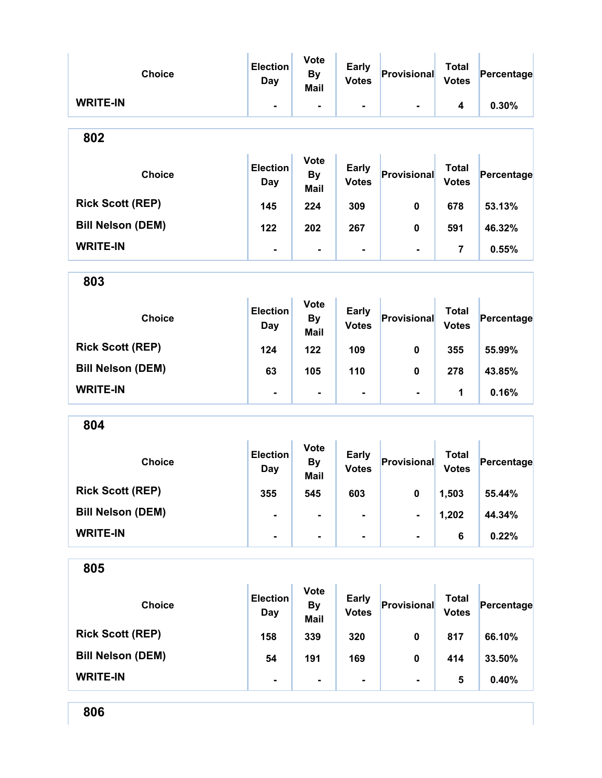| <b>Choice</b>            | <b>Election</b><br><b>Day</b> | <b>Vote</b><br><b>By</b><br><b>Mail</b> | <b>Early</b><br><b>Votes</b> | Provisional              | <b>Total</b><br><b>Votes</b> | Percentage |
|--------------------------|-------------------------------|-----------------------------------------|------------------------------|--------------------------|------------------------------|------------|
| <b>WRITE-IN</b>          | ٠.                            | $\blacksquare$                          | $\blacksquare$               | $\blacksquare$           | 4                            | 0.30%      |
| 802                      |                               |                                         |                              |                          |                              |            |
| <b>Choice</b>            | <b>Election</b><br>Day        | <b>Vote</b><br><b>By</b><br><b>Mail</b> | <b>Early</b><br><b>Votes</b> | Provisional              | <b>Total</b><br><b>Votes</b> | Percentage |
| <b>Rick Scott (REP)</b>  | 145                           | 224                                     | 309                          | 0                        | 678                          | 53.13%     |
| <b>Bill Nelson (DEM)</b> | 122                           | 202                                     | 267                          | 0                        | 591                          | 46.32%     |
| <b>WRITE-IN</b>          | $\blacksquare$                | $\blacksquare$                          | $\blacksquare$               | $\blacksquare$           | 7                            | 0.55%      |
| 803                      |                               |                                         |                              |                          |                              |            |
| <b>Choice</b>            | <b>Election</b><br>Day        | <b>Vote</b><br><b>By</b><br><b>Mail</b> | <b>Early</b><br><b>Votes</b> | Provisional              | <b>Total</b><br><b>Votes</b> | Percentage |
| <b>Rick Scott (REP)</b>  | 124                           | 122                                     | 109                          | 0                        | 355                          | 55.99%     |
| <b>Bill Nelson (DEM)</b> | 63                            | 105                                     | 110                          | 0                        | 278                          | 43.85%     |
| <b>WRITE-IN</b>          | $\blacksquare$                | $\blacksquare$                          | $\blacksquare$               | $\blacksquare$           | 1                            | 0.16%      |
| 804                      |                               |                                         |                              |                          |                              |            |
| <b>Choice</b>            | <b>Election</b><br><b>Day</b> | <b>Vote</b><br><b>By</b><br><b>Mail</b> | <b>Early</b><br><b>Votes</b> | Provisional              | <b>Total</b><br><b>Votes</b> | Percentage |
| <b>Rick Scott (REP)</b>  | 355                           | 545                                     | 603                          | $\mathbf{0}$             | 1,503                        | 55.44%     |
| <b>Bill Nelson (DEM)</b> | $\blacksquare$                | $\blacksquare$                          | $\blacksquare$               | $\overline{\phantom{0}}$ | 1,202                        | 44.34%     |
| <b>WRITE-IN</b>          | ٠.                            | $\blacksquare$                          | $\blacksquare$               | $\blacksquare$           | 6                            | 0.22%      |
| 805                      |                               |                                         |                              |                          |                              |            |
| <b>Choice</b>            | <b>Election</b><br><b>Day</b> | <b>Vote</b><br><b>By</b><br><b>Mail</b> | <b>Early</b><br><b>Votes</b> | Provisional              | <b>Total</b><br><b>Votes</b> | Percentage |
| <b>Rick Scott (REP)</b>  | 158                           | 339                                     | 320                          | 0                        | 817                          | 66.10%     |
| <b>Bill Nelson (DEM)</b> | 54                            | 191                                     | 169                          | $\mathbf 0$              | 414                          | 33.50%     |
| <b>WRITE-IN</b>          | -                             | $\blacksquare$                          | $\blacksquare$               | $\blacksquare$           | 5                            | 0.40%      |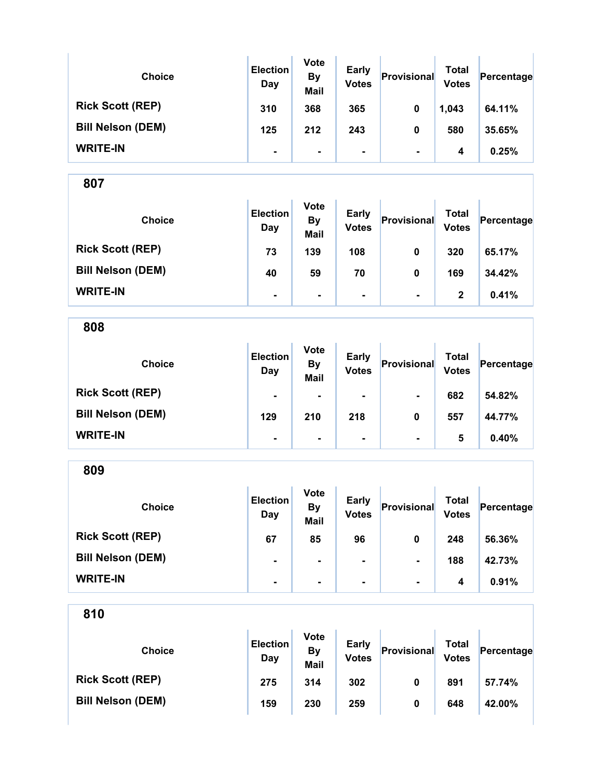| <b>Choice</b>            | <b>Election</b><br>Day | <b>Vote</b><br><b>By</b><br><b>Mail</b> | <b>Early</b><br><b>Votes</b> | Provisional    | <b>Total</b><br><b>Votes</b> | Percentage |
|--------------------------|------------------------|-----------------------------------------|------------------------------|----------------|------------------------------|------------|
| <b>Rick Scott (REP)</b>  | 310                    | 368                                     | 365                          | 0              | 1,043                        | 64.11%     |
| <b>Bill Nelson (DEM)</b> | 125                    | 212                                     | 243                          | 0              | 580                          | 35.65%     |
| <b>WRITE-IN</b>          | ۰                      | ۰.                                      | ۰                            | $\blacksquare$ | 4                            | 0.25%      |

| <b>Choice</b>            | <b>Election</b><br>Day | <b>Vote</b><br><b>By</b><br><b>Mail</b> | <b>Early</b><br><b>Votes</b> | Provisional    | <b>Total</b><br><b>Votes</b> | Percentage |
|--------------------------|------------------------|-----------------------------------------|------------------------------|----------------|------------------------------|------------|
| <b>Rick Scott (REP)</b>  | 73                     | 139                                     | 108                          | 0              | 320                          | 65.17%     |
| <b>Bill Nelson (DEM)</b> | 40                     | 59                                      | 70                           | 0              | 169                          | 34.42%     |
| <b>WRITE-IN</b>          | $\blacksquare$         | $\blacksquare$                          | ۰.                           | $\blacksquare$ | 2                            | 0.41%      |

808 Choice **Election** Day Vote By Mail Early Early Provisional Total<br>Votes Provisional Votes Percentage Rick Scott (REP) - - - - - - 682 54.82% Bill Nelson (DEM) 129 210 218 0 557 44.77% WRITE-IN - - - - 5 0.40%

809 Choice **Election** Day Vote By Mail Early Early **Provisional** Total Votes Percentage Rick Scott (REP) 67 85 96 0 248 56.36% Bill Nelson (DEM) **- | - | - | - | 188 42.73%** WRITE-IN  $\begin{vmatrix} 1 & 1 & 1 \ 1 & 1 & 1 \end{vmatrix}$  .  $\begin{vmatrix} 1 & 1 & 1 \ 1 & 1 & 1 \end{vmatrix}$  .  $\begin{vmatrix} 1 & 1 & 1 \ 1 & 1 & 1 \end{vmatrix}$  .  $\begin{vmatrix} 1 & 1 & 1 \ 1 & 1 & 1 \end{vmatrix}$  .  $\begin{vmatrix} 1 & 1 & 1 \ 1 & 1 & 1 \end{vmatrix}$  .  $\begin{vmatrix} 1 & 1 & 1 \ 1 & 1 & 1 \end{vmatrix}$  .  $\begin{vmatrix}$ 

| <b>Choice</b>            | <b>Election</b><br>Day | <b>Vote</b><br>By<br><b>Mail</b> | <b>Early</b><br><b>Votes</b> | Provisional | Total<br><b>Votes</b> | Percentage |
|--------------------------|------------------------|----------------------------------|------------------------------|-------------|-----------------------|------------|
| <b>Rick Scott (REP)</b>  | 275                    | 314                              | 302                          | 0           | 891                   | 57.74%     |
| <b>Bill Nelson (DEM)</b> | 159                    | 230                              | 259                          | 0           | 648                   | 42.00%     |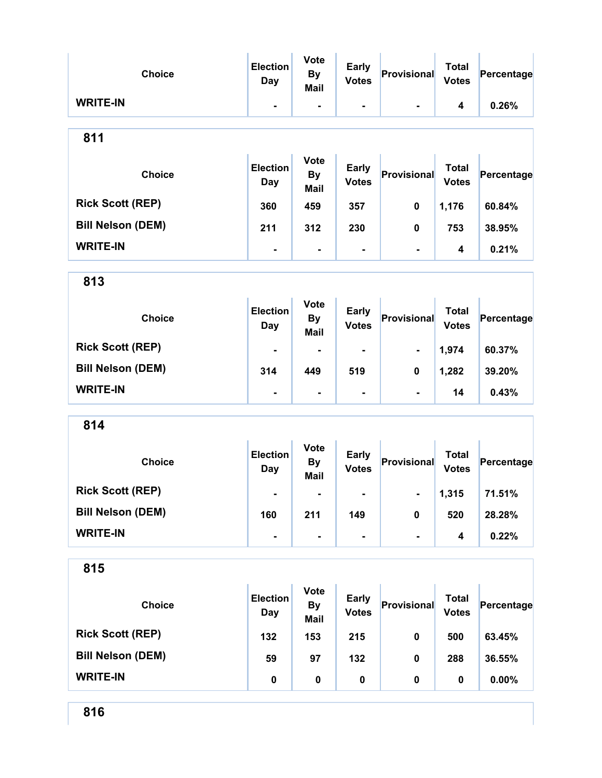| <b>Choice</b>            | <b>Election</b><br><b>Day</b> | <b>Vote</b><br><b>By</b><br><b>Mail</b> | <b>Early</b><br><b>Votes</b> | Provisional    | <b>Total</b><br><b>Votes</b> | Percentage |
|--------------------------|-------------------------------|-----------------------------------------|------------------------------|----------------|------------------------------|------------|
| <b>WRITE-IN</b>          | ۰                             | $\blacksquare$                          | -                            | $\blacksquare$ | 4                            | 0.26%      |
| 811                      |                               |                                         |                              |                |                              |            |
| <b>Choice</b>            | <b>Election</b><br>Day        | <b>Vote</b><br><b>By</b><br><b>Mail</b> | <b>Early</b><br><b>Votes</b> | Provisional    | <b>Total</b><br><b>Votes</b> | Percentage |
| <b>Rick Scott (REP)</b>  | 360                           | 459                                     | 357                          | 0              | 1,176                        | 60.84%     |
| <b>Bill Nelson (DEM)</b> | 211                           | 312                                     | 230                          | 0              | 753                          | 38.95%     |
| <b>WRITE-IN</b>          |                               | $\blacksquare$                          | $\blacksquare$               | $\blacksquare$ | 4                            | 0.21%      |
| 813                      |                               |                                         |                              |                |                              |            |
| <b>Choice</b>            | <b>Election</b><br><b>Day</b> | <b>Vote</b><br><b>By</b><br><b>Mail</b> | <b>Early</b><br><b>Votes</b> | Provisional    | <b>Total</b><br><b>Votes</b> | Percentage |
| <b>Rick Scott (REP)</b>  |                               | $\blacksquare$                          | ۰                            | ۰              | 1,974                        | 60.37%     |
| <b>Bill Nelson (DEM)</b> | 314                           | 449                                     | 519                          | 0              | 1,282                        | 39.20%     |
| <b>WRITE-IN</b>          | $\blacksquare$                | $\blacksquare$                          | $\blacksquare$               | $\blacksquare$ | 14                           | 0.43%      |
| 814                      |                               |                                         |                              |                |                              |            |
| <b>Choice</b>            | <b>Election</b><br>Day        | <b>Vote</b><br><b>By</b><br><b>Mail</b> | <b>Early</b><br><b>Votes</b> | Provisional    | <b>Total</b><br><b>Votes</b> | Percentage |
| <b>Rick Scott (REP)</b>  |                               |                                         |                              |                | 1,315                        | 71.51%     |
| <b>Bill Nelson (DEM)</b> | 160                           | 211                                     | 149                          | 0              | 520                          | 28.28%     |
| <b>WRITE-IN</b>          | $\blacksquare$                | $\blacksquare$                          | $\blacksquare$               | $\blacksquare$ | 4                            | 0.22%      |
| 815                      |                               |                                         |                              |                |                              |            |
| <b>Choice</b>            | <b>Election</b><br><b>Day</b> | <b>Vote</b><br><b>By</b><br><b>Mail</b> | <b>Early</b><br><b>Votes</b> | Provisional    | <b>Total</b><br><b>Votes</b> | Percentage |
| <b>Rick Scott (REP)</b>  | 132                           | 153                                     | 215                          | $\pmb{0}$      | 500                          | 63.45%     |
| <b>Bill Nelson (DEM)</b> | 59                            | 97                                      | 132                          | $\pmb{0}$      | 288                          | 36.55%     |
| <b>WRITE-IN</b>          | $\pmb{0}$                     | $\pmb{0}$                               | $\pmb{0}$                    | 0              | $\pmb{0}$                    | $0.00\%$   |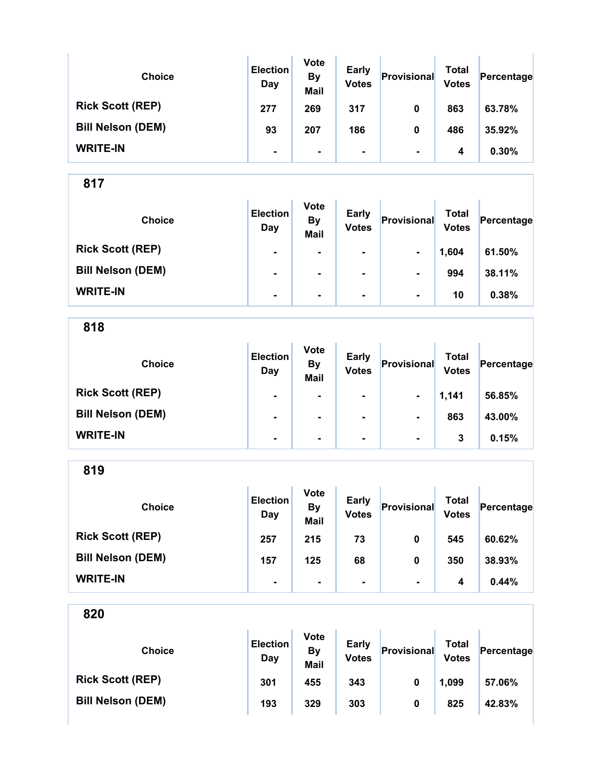| <b>Choice</b>            | <b>Election</b><br>Day | <b>Vote</b><br><b>By</b><br><b>Mail</b> | <b>Early</b><br><b>Votes</b> | Provisional    | Total<br><b>Votes</b> | Percentage |
|--------------------------|------------------------|-----------------------------------------|------------------------------|----------------|-----------------------|------------|
| <b>Rick Scott (REP)</b>  | 277                    | 269                                     | 317                          | 0              | 863                   | 63.78%     |
| <b>Bill Nelson (DEM)</b> | 93                     | 207                                     | 186                          | 0              | 486                   | 35.92%     |
| <b>WRITE-IN</b>          | $\blacksquare$         | $\blacksquare$                          | $\blacksquare$               | $\blacksquare$ | 4                     | 0.30%      |

÷.

817

| <b>Choice</b>            | <b>Election</b><br>Day | <b>Vote</b><br><b>By</b><br><b>Mail</b> | <b>Early</b><br><b>Votes</b> | Provisional    | <b>Total</b><br><b>Votes</b> | Percentage |
|--------------------------|------------------------|-----------------------------------------|------------------------------|----------------|------------------------------|------------|
| <b>Rick Scott (REP)</b>  | $\blacksquare$         | $\blacksquare$                          | $\blacksquare$               | $\blacksquare$ | 1,604                        | 61.50%     |
| <b>Bill Nelson (DEM)</b> | $\blacksquare$         | $\blacksquare$                          | $\blacksquare$               | $\blacksquare$ | 994                          | 38.11%     |
| <b>WRITE-IN</b>          | $\blacksquare$         | $\blacksquare$                          | ۰.                           | $\blacksquare$ | 10                           | 0.38%      |

818

| <b>Choice</b>            | <b>Election</b><br>Day | <b>Vote</b><br><b>By</b><br><b>Mail</b> | <b>Early</b><br><b>Votes</b> | Provisional    | <b>Total</b><br><b>Votes</b> | Percentage |
|--------------------------|------------------------|-----------------------------------------|------------------------------|----------------|------------------------------|------------|
| <b>Rick Scott (REP)</b>  | $\blacksquare$         | ۰.                                      | ۰.                           | $\blacksquare$ | 1,141                        | 56.85%     |
| <b>Bill Nelson (DEM)</b> | ۰                      |                                         | $\blacksquare$               | $\blacksquare$ | 863                          | 43.00%     |
| <b>WRITE-IN</b>          | $\blacksquare$         | ۰.                                      | $\blacksquare$               | $\blacksquare$ | 3                            | 0.15%      |

819

| <b>Choice</b>            | <b>Election</b><br>Day | <b>Vote</b><br><b>By</b><br><b>Mail</b> | <b>Early</b><br><b>Votes</b> | Provisional    | Total<br><b>Votes</b> | Percentage |
|--------------------------|------------------------|-----------------------------------------|------------------------------|----------------|-----------------------|------------|
| <b>Rick Scott (REP)</b>  | 257                    | 215                                     | 73                           | 0              | 545                   | 60.62%     |
| <b>Bill Nelson (DEM)</b> | 157                    | 125                                     | 68                           | 0              | 350                   | 38.93%     |
| <b>WRITE-IN</b>          | ۰                      |                                         |                              | $\blacksquare$ | 4                     | 0.44%      |

| <b>Choice</b>            | <b>Election</b><br>Day | <b>Vote</b><br>By<br><b>Mail</b> | <b>Early</b><br><b>Votes</b> | Provisional | Total<br><b>Votes</b> | Percentage |
|--------------------------|------------------------|----------------------------------|------------------------------|-------------|-----------------------|------------|
| <b>Rick Scott (REP)</b>  | 301                    | 455                              | 343                          | 0           | 1,099                 | 57.06%     |
| <b>Bill Nelson (DEM)</b> | 193                    | 329                              | 303                          | 0           | 825                   | 42.83%     |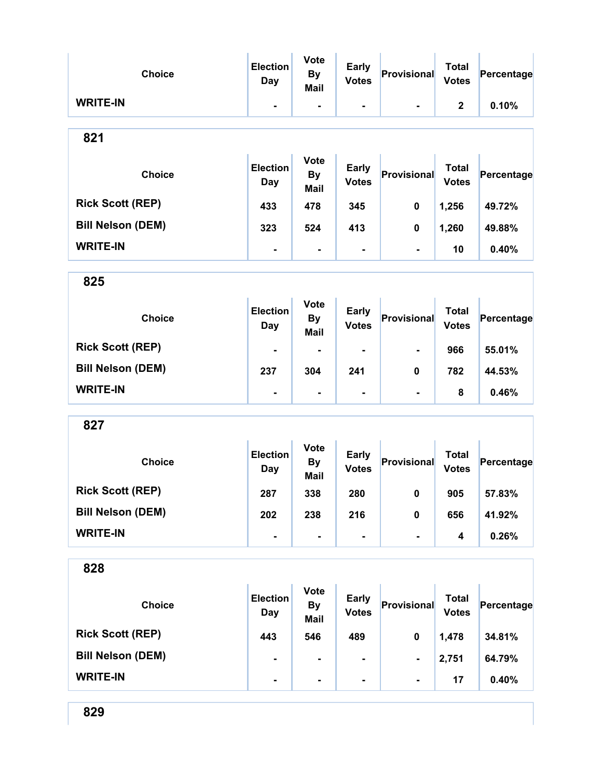| <b>Choice</b>            | <b>Election</b><br><b>Day</b> | <b>Vote</b><br><b>By</b><br><b>Mail</b> | <b>Early</b><br><b>Votes</b> | Provisional    | <b>Total</b><br><b>Votes</b> | Percentage |
|--------------------------|-------------------------------|-----------------------------------------|------------------------------|----------------|------------------------------|------------|
| <b>WRITE-IN</b>          | ٠.                            | $\blacksquare$                          | $\blacksquare$               | $\blacksquare$ | $\mathbf 2$                  | 0.10%      |
| 821                      |                               |                                         |                              |                |                              |            |
| <b>Choice</b>            | <b>Election</b><br>Day        | <b>Vote</b><br><b>By</b><br><b>Mail</b> | <b>Early</b><br><b>Votes</b> | Provisional    | <b>Total</b><br><b>Votes</b> | Percentage |
| <b>Rick Scott (REP)</b>  | 433                           | 478                                     | 345                          | 0              | 1,256                        | 49.72%     |
| <b>Bill Nelson (DEM)</b> | 323                           | 524                                     | 413                          | 0              | 1,260                        | 49.88%     |
| <b>WRITE-IN</b>          | $\blacksquare$                | $\blacksquare$                          | $\blacksquare$               | $\blacksquare$ | 10                           | 0.40%      |
| 825                      |                               |                                         |                              |                |                              |            |
| <b>Choice</b>            | <b>Election</b><br><b>Day</b> | <b>Vote</b><br><b>By</b><br><b>Mail</b> | <b>Early</b><br><b>Votes</b> | Provisional    | <b>Total</b><br><b>Votes</b> | Percentage |
| <b>Rick Scott (REP)</b>  |                               | $\blacksquare$                          |                              | $\blacksquare$ | 966                          | 55.01%     |
| <b>Bill Nelson (DEM)</b> | 237                           | 304                                     | 241                          | 0              | 782                          | 44.53%     |
| <b>WRITE-IN</b>          | $\blacksquare$                | $\blacksquare$                          | $\blacksquare$               | $\blacksquare$ | 8                            | 0.46%      |
| 827                      |                               |                                         |                              |                |                              |            |
| <b>Choice</b>            | <b>Election</b><br><b>Day</b> | <b>Vote</b><br><b>By</b><br><b>Mail</b> | <b>Early</b><br><b>Votes</b> | Provisional    | <b>Total</b><br><b>Votes</b> | Percentage |
| <b>Rick Scott (REP)</b>  | 287                           | 338                                     | 280                          | $\mathbf{0}$   | 905                          | 57.83%     |
| <b>Bill Nelson (DEM)</b> | 202                           | 238                                     | 216                          | $\pmb{0}$      | 656                          | 41.92%     |
| <b>WRITE-IN</b>          | $\blacksquare$                | $\blacksquare$                          | -                            | $\blacksquare$ | 4                            | 0.26%      |
| 828                      |                               |                                         |                              |                |                              |            |
| <b>Choice</b>            | <b>Election</b><br><b>Day</b> | <b>Vote</b><br><b>By</b><br><b>Mail</b> | <b>Early</b><br><b>Votes</b> | Provisional    | <b>Total</b><br><b>Votes</b> | Percentage |
| <b>Rick Scott (REP)</b>  | 443                           | 546                                     | 489                          | $\mathbf 0$    | 1,478                        | 34.81%     |
| <b>Bill Nelson (DEM)</b> | ۰                             | $\blacksquare$                          |                              | $\blacksquare$ | 2,751                        | 64.79%     |
| <b>WRITE-IN</b>          | ۰                             | $\blacksquare$                          | ۰                            | $\blacksquare$ | 17                           | 0.40%      |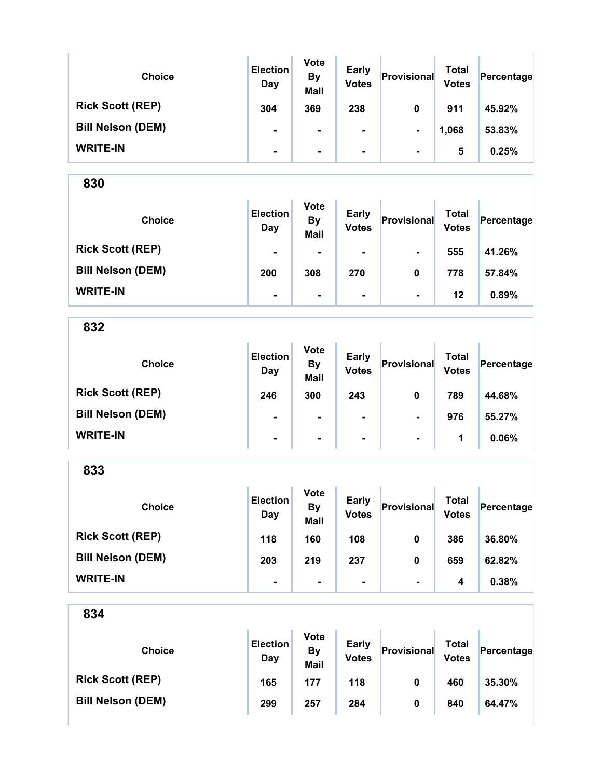| <b>Choice</b>            | <b>Election</b><br>Day | <b>Vote</b><br><b>By</b><br><b>Mail</b> | <b>Early</b><br><b>Votes</b> | Provisional    | Total<br><b>Votes</b> | Percentage |  |
|--------------------------|------------------------|-----------------------------------------|------------------------------|----------------|-----------------------|------------|--|
| <b>Rick Scott (REP)</b>  | 304                    | 369                                     | 238                          | 0              | 911                   | 45.92%     |  |
| <b>Bill Nelson (DEM)</b> | ۰                      |                                         | ۰.                           | $\blacksquare$ | 1,068                 | 53.83%     |  |
| <b>WRITE-IN</b>          | $\blacksquare$         |                                         | ۰.                           | $\blacksquare$ | 5                     | 0.25%      |  |

| <b>Choice</b>            | <b>Election</b><br>Day | <b>Vote</b><br><b>By</b><br><b>Mail</b> | <b>Early</b><br><b>Votes</b> | Provisional    | Total<br><b>Votes</b> | Percentage |
|--------------------------|------------------------|-----------------------------------------|------------------------------|----------------|-----------------------|------------|
| <b>Rick Scott (REP)</b>  | $\blacksquare$         | ۰                                       | $\blacksquare$               | $\blacksquare$ | 555                   | 41.26%     |
| <b>Bill Nelson (DEM)</b> | 200                    | 308                                     | 270                          | 0              | 778                   | 57.84%     |
| <b>WRITE-IN</b>          | ۰                      | $\blacksquare$                          | $\blacksquare$               | $\blacksquare$ | 12                    | 0.89%      |

832

| <b>Choice</b>            | <b>Election</b><br>Day | <b>Vote</b><br><b>By</b><br><b>Mail</b> | <b>Early</b><br><b>Votes</b> | Provisional    | <b>Total</b><br><b>Votes</b> | Percentage |
|--------------------------|------------------------|-----------------------------------------|------------------------------|----------------|------------------------------|------------|
| <b>Rick Scott (REP)</b>  | 246                    | 300                                     | 243                          | 0              | 789                          | 44.68%     |
| <b>Bill Nelson (DEM)</b> | $\blacksquare$         | $\blacksquare$                          | $\blacksquare$               | $\blacksquare$ | 976                          | 55.27%     |
| <b>WRITE-IN</b>          | $\blacksquare$         | $\blacksquare$                          | ۰.                           | $\blacksquare$ | 1                            | 0.06%      |

833

| <b>Choice</b>            | <b>Election</b><br>Day | <b>Vote</b><br><b>By</b><br><b>Mail</b> | <b>Early</b><br><b>Votes</b> | Provisional    | Total<br><b>Votes</b> | Percentage |
|--------------------------|------------------------|-----------------------------------------|------------------------------|----------------|-----------------------|------------|
| <b>Rick Scott (REP)</b>  | 118                    | 160                                     | 108                          | 0              | 386                   | 36.80%     |
| <b>Bill Nelson (DEM)</b> | 203                    | 219                                     | 237                          | 0              | 659                   | 62.82%     |
| <b>WRITE-IN</b>          | $\blacksquare$         | $\blacksquare$                          | $\blacksquare$               | $\blacksquare$ | 4                     | 0.38%      |

| <b>Choice</b>            | <b>Election</b><br>Day | <b>Vote</b><br>By<br><b>Mail</b> | <b>Early</b><br><b>Votes</b> | Provisional | <b>Total</b><br><b>Votes</b> | Percentage |
|--------------------------|------------------------|----------------------------------|------------------------------|-------------|------------------------------|------------|
| <b>Rick Scott (REP)</b>  | 165                    | 177                              | 118                          | 0           | 460                          | 35.30%     |
| <b>Bill Nelson (DEM)</b> | 299                    | 257                              | 284                          | 0           | 840                          | 64.47%     |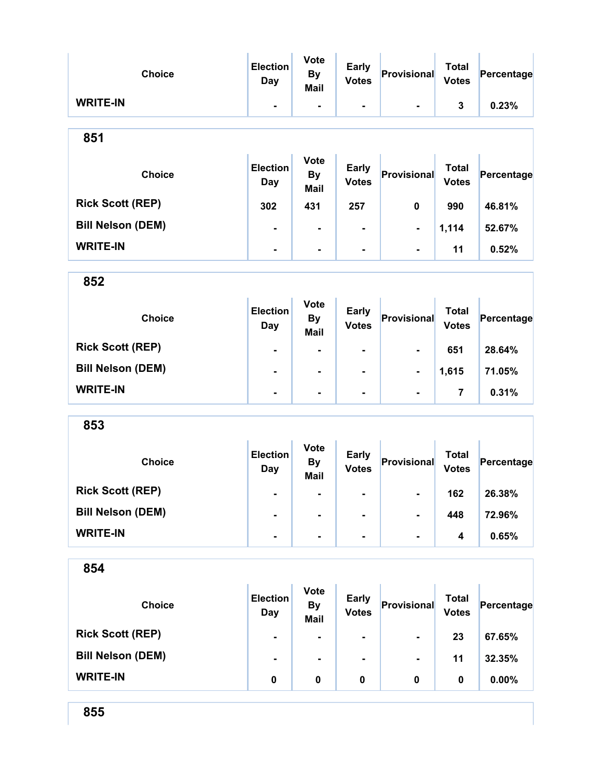| <b>Choice</b>                             | <b>Election</b><br><b>Day</b> | <b>Vote</b><br><b>By</b><br><b>Mail</b> | <b>Early</b><br><b>Votes</b> | Provisional    | <b>Total</b><br><b>Votes</b> | Percentage |
|-------------------------------------------|-------------------------------|-----------------------------------------|------------------------------|----------------|------------------------------|------------|
| <b>WRITE-IN</b>                           | $\blacksquare$                | $\blacksquare$                          | $\blacksquare$               | $\blacksquare$ | $\mathbf{3}$                 | 0.23%      |
| 851                                       |                               |                                         |                              |                |                              |            |
| <b>Choice</b>                             | <b>Election</b><br><b>Day</b> | <b>Vote</b><br><b>By</b><br>Mail        | <b>Early</b><br><b>Votes</b> | Provisional    | <b>Total</b><br><b>Votes</b> | Percentage |
| <b>Rick Scott (REP)</b>                   | 302                           | 431                                     | 257                          | $\mathbf 0$    | 990                          | 46.81%     |
| <b>Bill Nelson (DEM)</b>                  | Ξ.                            | $\blacksquare$                          | $\blacksquare$               | Ξ.             | 1,114                        | 52.67%     |
| <b>WRITE-IN</b>                           | $\blacksquare$                | $\blacksquare$                          | $\blacksquare$               | $\blacksquare$ | 11                           | 0.52%      |
| 852                                       |                               |                                         |                              |                |                              |            |
| <b>Choice</b><br><b>DULL ALL 4 / DED)</b> | <b>Election</b><br><b>Day</b> | <b>Vote</b><br><b>By</b><br><b>Mail</b> | <b>Early</b><br><b>Votes</b> | Provisional    | <b>Total</b><br><b>Votes</b> | Percentage |

| OEQ                      |   |                |                |                |       |        |  |
|--------------------------|---|----------------|----------------|----------------|-------|--------|--|
|                          |   |                |                |                |       |        |  |
| <b>WRITE-IN</b>          |   | $\blacksquare$ |                | $\blacksquare$ |       | 0.31%  |  |
| <b>Bill Nelson (DEM)</b> | ۰ | $\blacksquare$ | $\blacksquare$ | $\blacksquare$ | 1,615 | 71.05% |  |
| <b>Rick Scott (REP)</b>  | ۰ | $\blacksquare$ | $\blacksquare$ | $\blacksquare$ | 651   | 28.64% |  |

| <b>Choice</b>            | <b>Election</b><br>Day | <b>Vote</b><br><b>By</b><br><b>Mail</b> | <b>Early</b><br><b>Votes</b> | Provisional    | Total<br><b>Votes</b> | Percentage |  |
|--------------------------|------------------------|-----------------------------------------|------------------------------|----------------|-----------------------|------------|--|
| <b>Rick Scott (REP)</b>  | $\blacksquare$         | $\blacksquare$                          | $\blacksquare$               | $\blacksquare$ | 162                   | 26.38%     |  |
| <b>Bill Nelson (DEM)</b> | $\blacksquare$         |                                         | $\blacksquare$               | $\blacksquare$ | 448                   | 72.96%     |  |
| <b>WRITE-IN</b>          | $\blacksquare$         |                                         | $\blacksquare$               | $\blacksquare$ | 4                     | 0.65%      |  |

| ×<br>I<br>۰.<br>×<br>× |
|------------------------|
|------------------------|

| <b>Choice</b>            | <b>Election</b><br>Day | <b>Vote</b><br><b>By</b><br><b>Mail</b> | <b>Early</b><br><b>Votes</b> | Provisional    | Total<br><b>Votes</b> | Percentage |
|--------------------------|------------------------|-----------------------------------------|------------------------------|----------------|-----------------------|------------|
| <b>Rick Scott (REP)</b>  | $\blacksquare$         | ۰                                       | ۰                            | $\blacksquare$ | 23                    | 67.65%     |
| <b>Bill Nelson (DEM)</b> | $\blacksquare$         | ۰                                       | ۰                            | $\blacksquare$ | 11                    | 32.35%     |
| <b>WRITE-IN</b>          | 0                      | 0                                       | 0                            | 0              | 0                     | 0.00%      |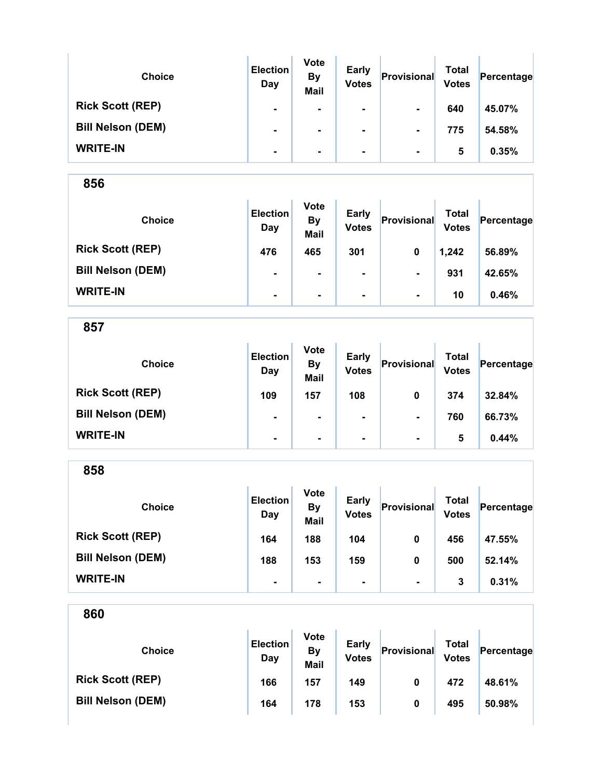| <b>Choice</b>            | <b>Election</b><br>Day | <b>Vote</b><br><b>By</b><br><b>Mail</b> | <b>Early</b><br><b>Votes</b> | Provisional    | Total<br><b>Votes</b> | Percentage |
|--------------------------|------------------------|-----------------------------------------|------------------------------|----------------|-----------------------|------------|
| <b>Rick Scott (REP)</b>  | ۰                      | ۰                                       | ۰                            | $\blacksquare$ | 640                   | 45.07%     |
| <b>Bill Nelson (DEM)</b> | ۰                      | ۰                                       | ۰                            | $\blacksquare$ | 775                   | 54.58%     |
| <b>WRITE-IN</b>          | ۰                      | ۰                                       | ۰                            | $\blacksquare$ | 5                     | 0.35%      |

| <b>Choice</b>            | <b>Election</b><br>Day | <b>Vote</b><br><b>By</b><br><b>Mail</b> | <b>Early</b><br><b>Votes</b> | Provisional    | <b>Total</b><br><b>Votes</b> | Percentage |
|--------------------------|------------------------|-----------------------------------------|------------------------------|----------------|------------------------------|------------|
| <b>Rick Scott (REP)</b>  | 476                    | 465                                     | 301                          | 0              | 1,242                        | 56.89%     |
| <b>Bill Nelson (DEM)</b> | $\blacksquare$         | $\blacksquare$                          | $\blacksquare$               | $\blacksquare$ | 931                          | 42.65%     |
| <b>WRITE-IN</b>          | $\blacksquare$         | $\blacksquare$                          | $\blacksquare$               | $\blacksquare$ | 10                           | 0.46%      |

857

| <b>Choice</b>            | <b>Election</b><br>Day | <b>Vote</b><br><b>By</b><br><b>Mail</b> | <b>Early</b><br><b>Votes</b> | Provisional    | Total<br><b>Votes</b> | Percentage |
|--------------------------|------------------------|-----------------------------------------|------------------------------|----------------|-----------------------|------------|
| <b>Rick Scott (REP)</b>  | 109                    | 157                                     | 108                          | 0              | 374                   | 32.84%     |
| <b>Bill Nelson (DEM)</b> | $\blacksquare$         | $\blacksquare$                          | ۰                            | $\blacksquare$ | 760                   | 66.73%     |
| <b>WRITE-IN</b>          | $\blacksquare$         | $\blacksquare$                          | ۰                            | $\blacksquare$ | 5                     | 0.44%      |

858 Choice **Election** Day Vote **By** Mail Early Early **Provisional** Total Votes Percentage Rick Scott (REP) 164 188 104 0 456 47.55% Bill Nelson (DEM) 188 153 159 0 500 52.14% WRITE-IN - - - - 3 0.31%

| 860                      |                        |                                  |                              |             |                              |            |
|--------------------------|------------------------|----------------------------------|------------------------------|-------------|------------------------------|------------|
| <b>Choice</b>            | <b>Election</b><br>Day | <b>Vote</b><br>By<br><b>Mail</b> | <b>Early</b><br><b>Votes</b> | Provisional | <b>Total</b><br><b>Votes</b> | Percentage |
| <b>Rick Scott (REP)</b>  | 166                    | 157                              | 149                          | 0           | 472                          | 48.61%     |
| <b>Bill Nelson (DEM)</b> | 164                    | 178                              | 153                          | 0           | 495                          | 50.98%     |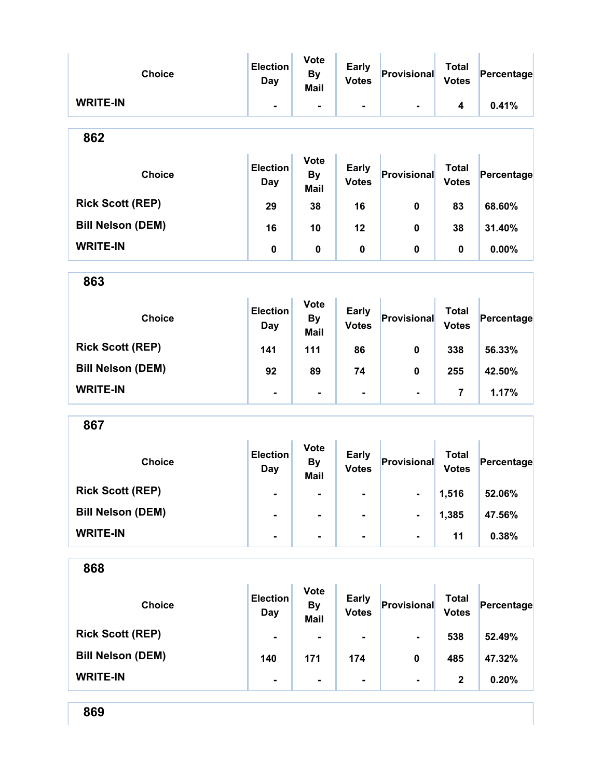| <b>Choice</b>            | <b>Election</b><br><b>Day</b> | <b>Vote</b><br><b>By</b><br><b>Mail</b> | <b>Early</b><br><b>Votes</b> | Provisional        | <b>Total</b><br><b>Votes</b> | Percentage |
|--------------------------|-------------------------------|-----------------------------------------|------------------------------|--------------------|------------------------------|------------|
| <b>WRITE-IN</b>          | $\blacksquare$                | $\blacksquare$                          | $\blacksquare$               | $\blacksquare$     | 4                            | 0.41%      |
| 862                      |                               |                                         |                              |                    |                              |            |
| <b>Choice</b>            | <b>Election</b><br>Day        | <b>Vote</b><br><b>By</b><br>Mail        | <b>Early</b><br><b>Votes</b> | Provisional        | <b>Total</b><br><b>Votes</b> | Percentage |
| <b>Rick Scott (REP)</b>  | 29                            | 38                                      | 16                           | 0                  | 83                           | 68.60%     |
| <b>Bill Nelson (DEM)</b> | 16                            | 10                                      | 12                           | 0                  | 38                           | 31.40%     |
| <b>WRITE-IN</b>          | 0                             | 0                                       | $\mathbf 0$                  | 0                  | 0                            | 0.00%      |
| 863                      |                               |                                         |                              |                    |                              |            |
| <b>Choice</b>            | <b>Election</b><br>Day        | <b>Vote</b><br><b>By</b><br><b>Mail</b> | <b>Early</b><br><b>Votes</b> | Provisional        | <b>Total</b><br><b>Votes</b> | Percentage |
| <b>Rick Scott (REP)</b>  | 141                           | 111                                     | 86                           | 0                  | 338                          | 56.33%     |
| <b>Bill Nelson (DEM)</b> | 92                            | 89                                      | 74                           | 0                  | 255                          | 42.50%     |
| <b>WRITE-IN</b>          | $\blacksquare$                | $\blacksquare$                          | $\blacksquare$               | $\blacksquare$     | $\overline{\mathbf{7}}$      | 1.17%      |
| 867                      |                               |                                         |                              |                    |                              |            |
| <b>Choice</b>            | <b>Election</b><br><b>Day</b> | <b>Vote</b><br><b>By</b><br><b>Mail</b> | <b>Early</b><br><b>Votes</b> | Provisional        | <b>Total</b><br><b>Votes</b> | Percentage |
| <b>Rick Scott (REP)</b>  |                               |                                         |                              |                    | 1,516                        | 52.06%     |
| <b>Bill Nelson (DEM)</b> | ۰                             |                                         | $\blacksquare$               | ۰                  | 1,385                        | 47.56%     |
| <b>WRITE-IN</b>          | Ξ.                            | $\blacksquare$                          | $\blacksquare$               | $\blacksquare$     | 11                           | 0.38%      |
| 868                      |                               |                                         |                              |                    |                              |            |
| <b>Choice</b>            | <b>Election</b><br><b>Day</b> | <b>Vote</b><br><b>By</b><br><b>Mail</b> | <b>Early</b><br><b>Votes</b> | <b>Provisional</b> | <b>Total</b><br><b>Votes</b> | Percentage |
| <b>Rick Scott (REP)</b>  |                               |                                         |                              |                    | 538                          | 52.49%     |
| <b>Bill Nelson (DEM)</b> | 140                           | 171                                     | 174                          | 0                  | 485                          | 47.32%     |
| <b>WRITE-IN</b>          | ٠                             | $\blacksquare$                          | -                            | $\blacksquare$     | $\mathbf 2$                  | 0.20%      |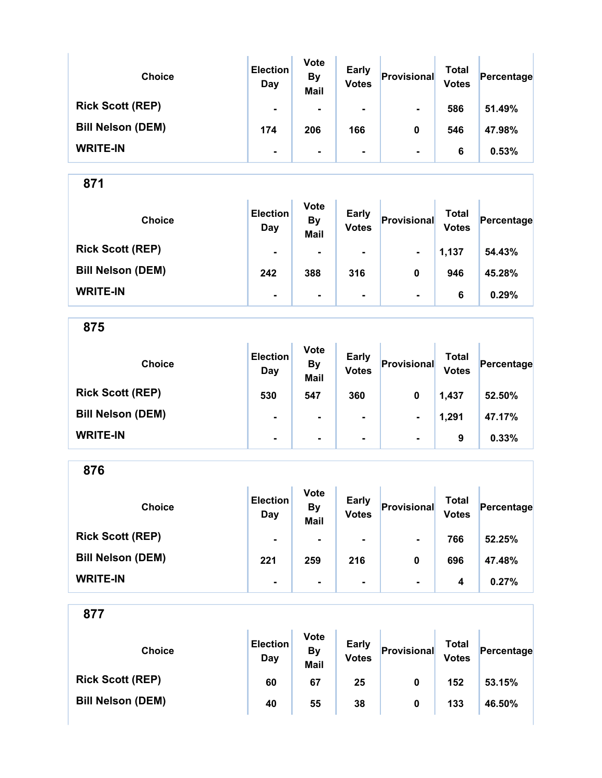| <b>Choice</b>            | <b>Election</b><br>Day | <b>Vote</b><br><b>By</b><br><b>Mail</b> | <b>Early</b><br><b>Votes</b> | Provisional    | Total<br><b>Votes</b> | Percentage |
|--------------------------|------------------------|-----------------------------------------|------------------------------|----------------|-----------------------|------------|
| <b>Rick Scott (REP)</b>  | $\blacksquare$         | $\blacksquare$                          | $\blacksquare$               | $\blacksquare$ | 586                   | 51.49%     |
| <b>Bill Nelson (DEM)</b> | 174                    | 206                                     | 166                          | 0              | 546                   | 47.98%     |
| <b>WRITE-IN</b>          | $\blacksquare$         | $\blacksquare$                          | ۰.                           | $\blacksquare$ | 6                     | 0.53%      |

| <b>Choice</b>            | <b>Election</b><br>Day | <b>Vote</b><br><b>By</b><br><b>Mail</b> | <b>Early</b><br><b>Votes</b> | Provisional    | Total<br><b>Votes</b> | Percentage |
|--------------------------|------------------------|-----------------------------------------|------------------------------|----------------|-----------------------|------------|
| <b>Rick Scott (REP)</b>  | $\blacksquare$         | ۰                                       | $\blacksquare$               | $\blacksquare$ | 1,137                 | 54.43%     |
| <b>Bill Nelson (DEM)</b> | 242                    | 388                                     | 316                          | 0              | 946                   | 45.28%     |
| <b>WRITE-IN</b>          | $\blacksquare$         | $\blacksquare$                          | $\blacksquare$               | $\blacksquare$ | 6                     | 0.29%      |

875

| <b>Choice</b>            | <b>Election</b><br>Day | <b>Vote</b><br><b>By</b><br><b>Mail</b> | <b>Early</b><br><b>Votes</b> | Provisional    | <b>Total</b><br><b>Votes</b> | Percentage |
|--------------------------|------------------------|-----------------------------------------|------------------------------|----------------|------------------------------|------------|
| <b>Rick Scott (REP)</b>  | 530                    | 547                                     | 360                          | 0              | 1,437                        | 52.50%     |
| <b>Bill Nelson (DEM)</b> | $\blacksquare$         | ٠.                                      | $\blacksquare$               | $\blacksquare$ | 1,291                        | 47.17%     |
| <b>WRITE-IN</b>          | $\blacksquare$         | ۰                                       | ۰.                           | $\blacksquare$ | 9                            | 0.33%      |

876

| <b>Choice</b>            | <b>Election</b><br>Day | <b>Vote</b><br><b>By</b><br><b>Mail</b> | <b>Early</b><br><b>Votes</b> | Provisional    | Total<br><b>Votes</b> | Percentage |
|--------------------------|------------------------|-----------------------------------------|------------------------------|----------------|-----------------------|------------|
| <b>Rick Scott (REP)</b>  | $\blacksquare$         | $\blacksquare$                          | ۰.                           | $\blacksquare$ | 766                   | 52.25%     |
| <b>Bill Nelson (DEM)</b> | 221                    | 259                                     | 216                          | 0              | 696                   | 47.48%     |
| <b>WRITE-IN</b>          | $\blacksquare$         |                                         |                              | $\blacksquare$ | 4                     | 0.27%      |

| <b>Choice</b>            | <b>Election</b><br>Day | <b>Vote</b><br>By<br><b>Mail</b> | <b>Early</b><br><b>Votes</b> | Provisional | Total<br><b>Votes</b> | Percentage |
|--------------------------|------------------------|----------------------------------|------------------------------|-------------|-----------------------|------------|
| <b>Rick Scott (REP)</b>  | 60                     | 67                               | 25                           | 0           | 152                   | 53.15%     |
| <b>Bill Nelson (DEM)</b> | 40                     | 55                               | 38                           | 0           | 133                   | 46.50%     |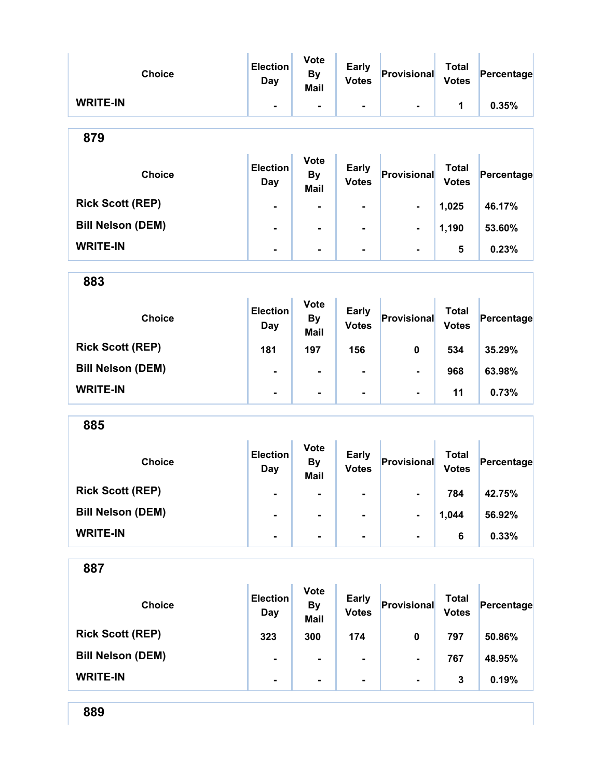| <b>Choice</b>            | <b>Election</b><br><b>Day</b> | <b>Vote</b><br><b>By</b><br><b>Mail</b> | <b>Early</b><br><b>Votes</b> | Provisional    | <b>Total</b><br><b>Votes</b> | Percentage |
|--------------------------|-------------------------------|-----------------------------------------|------------------------------|----------------|------------------------------|------------|
| <b>WRITE-IN</b>          | $\blacksquare$                | $\blacksquare$                          | -                            | $\blacksquare$ | 1                            | 0.35%      |
| 879                      |                               |                                         |                              |                |                              |            |
| <b>Choice</b>            | <b>Election</b><br><b>Day</b> | <b>Vote</b><br><b>By</b><br><b>Mail</b> | <b>Early</b><br><b>Votes</b> | Provisional    | <b>Total</b><br><b>Votes</b> | Percentage |
| <b>Rick Scott (REP)</b>  | ۰                             | -                                       | -                            | $\blacksquare$ | 1,025                        | 46.17%     |
| <b>Bill Nelson (DEM)</b> |                               | $\blacksquare$                          |                              |                | 1,190                        | 53.60%     |
| <b>WRITE-IN</b>          | Ξ.                            | $\blacksquare$                          | Ξ.                           | $\blacksquare$ | 5                            | 0.23%      |
| 883                      |                               |                                         |                              |                |                              |            |
| <b>Choice</b>            | <b>Election</b><br><b>Day</b> | <b>Vote</b><br><b>By</b><br><b>Mail</b> | <b>Early</b><br><b>Votes</b> | Provisional    | <b>Total</b><br><b>Votes</b> | Percentage |
| <b>Rick Scott (REP)</b>  | 181                           | 197                                     | 156                          | $\mathbf 0$    | 534                          | 35.29%     |
| <b>Bill Nelson (DEM)</b> | Ξ.                            |                                         | $\blacksquare$               | $\blacksquare$ | 968                          | 63.98%     |
| <b>WRITE-IN</b>          | -                             | -                                       | -                            | $\blacksquare$ | 11                           | 0.73%      |
| 885                      |                               |                                         |                              |                |                              |            |
| <b>Choice</b>            | <b>Election</b><br>Day        | <b>Vote</b><br><b>By</b><br><b>Mail</b> | <b>Early</b><br><b>Votes</b> | Provisional    | <b>Total</b><br><b>Votes</b> | Percentage |
| <b>Rick Scott (REP)</b>  | ۰                             | $\blacksquare$                          | ۰                            |                | 784                          | 42.75%     |

| <b>Bill Nelson (DEM)</b> | $\blacksquare$ | $\overline{\phantom{a}}$ | $\blacksquare$ | 1.044 | 56.92% |
|--------------------------|----------------|--------------------------|----------------|-------|--------|
| <b>WRITE-IN</b>          |                |                          | $\blacksquare$ |       | 0.33%  |

| 887                      |                        |                                         |                              |                |                              |            |
|--------------------------|------------------------|-----------------------------------------|------------------------------|----------------|------------------------------|------------|
| <b>Choice</b>            | <b>Election</b><br>Day | <b>Vote</b><br><b>By</b><br><b>Mail</b> | <b>Early</b><br><b>Votes</b> | Provisional    | <b>Total</b><br><b>Votes</b> | Percentage |
| <b>Rick Scott (REP)</b>  | 323                    | 300                                     | 174                          | 0              | 797                          | 50.86%     |
| <b>Bill Nelson (DEM)</b> | ۰                      | ۰                                       | $\blacksquare$               | $\blacksquare$ | 767                          | 48.95%     |
| <b>WRITE-IN</b>          | ۰                      | ۰                                       | $\blacksquare$               | $\blacksquare$ | 3                            | 0.19%      |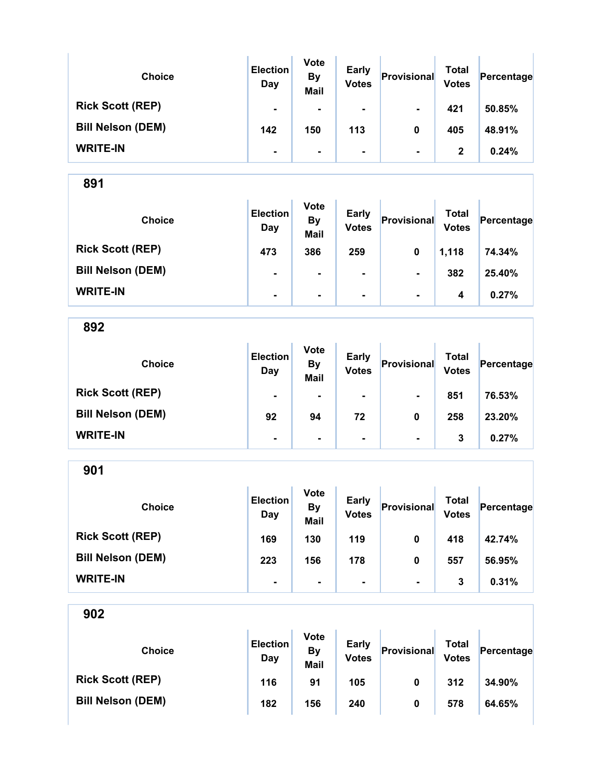| <b>Choice</b>            | <b>Election</b><br>Day | <b>Vote</b><br><b>By</b><br><b>Mail</b> | <b>Early</b><br><b>Votes</b> | Provisional    | Total<br><b>Votes</b> | Percentage |
|--------------------------|------------------------|-----------------------------------------|------------------------------|----------------|-----------------------|------------|
| <b>Rick Scott (REP)</b>  | $\blacksquare$         | $\blacksquare$                          | ۰                            | $\blacksquare$ | 421                   | 50.85%     |
| <b>Bill Nelson (DEM)</b> | 142                    | 150                                     | 113                          | 0              | 405                   | 48.91%     |
| <b>WRITE-IN</b>          | $\blacksquare$         | $\blacksquare$                          | ۰                            | $\blacksquare$ | $\mathbf{2}$          | 0.24%      |

| <b>Choice</b>            | <b>Election</b><br>Day | <b>Vote</b><br><b>By</b><br><b>Mail</b> | <b>Early</b><br><b>Votes</b> | Provisional    | Total<br><b>Votes</b> | Percentage |
|--------------------------|------------------------|-----------------------------------------|------------------------------|----------------|-----------------------|------------|
| <b>Rick Scott (REP)</b>  | 473                    | 386                                     | 259                          | 0              | 1,118                 | 74.34%     |
| <b>Bill Nelson (DEM)</b> | $\blacksquare$         | $\blacksquare$                          | $\blacksquare$               | $\blacksquare$ | 382                   | 25.40%     |
| <b>WRITE-IN</b>          | $\blacksquare$         | $\blacksquare$                          | $\blacksquare$               | $\blacksquare$ | 4                     | 0.27%      |

892

| <b>Choice</b>            | <b>Election</b><br>Day | <b>Vote</b><br><b>By</b><br><b>Mail</b> | <b>Early</b><br><b>Votes</b> | Provisional    | <b>Total</b><br><b>Votes</b> | Percentage |
|--------------------------|------------------------|-----------------------------------------|------------------------------|----------------|------------------------------|------------|
| <b>Rick Scott (REP)</b>  | $\blacksquare$         |                                         | $\blacksquare$               | $\blacksquare$ | 851                          | 76.53%     |
| <b>Bill Nelson (DEM)</b> | 92                     | 94                                      | 72                           | 0              | 258                          | 23.20%     |
| <b>WRITE-IN</b>          | $\blacksquare$         | $\blacksquare$                          | $\blacksquare$               | $\blacksquare$ | 3                            | 0.27%      |

901

| <b>Choice</b>            | <b>Election</b><br>Day | <b>Vote</b><br><b>By</b><br><b>Mail</b> | <b>Early</b><br><b>Votes</b> | Provisional    | <b>Total</b><br><b>Votes</b> | Percentage |
|--------------------------|------------------------|-----------------------------------------|------------------------------|----------------|------------------------------|------------|
| <b>Rick Scott (REP)</b>  | 169                    | 130                                     | 119                          | 0              | 418                          | 42.74%     |
| <b>Bill Nelson (DEM)</b> | 223                    | 156                                     | 178                          | 0              | 557                          | 56.95%     |
| <b>WRITE-IN</b>          | ۰                      | $\blacksquare$                          |                              | $\blacksquare$ | 3                            | 0.31%      |

| <b>Choice</b>            | <b>Election</b><br>Day | <b>Vote</b><br>By<br><b>Mail</b> | <b>Early</b><br><b>Votes</b> | Provisional | Total<br><b>Votes</b> | Percentage |
|--------------------------|------------------------|----------------------------------|------------------------------|-------------|-----------------------|------------|
| <b>Rick Scott (REP)</b>  | 116                    | 91                               | 105                          | 0           | 312                   | 34.90%     |
| <b>Bill Nelson (DEM)</b> | 182                    | 156                              | 240                          | 0           | 578                   | 64.65%     |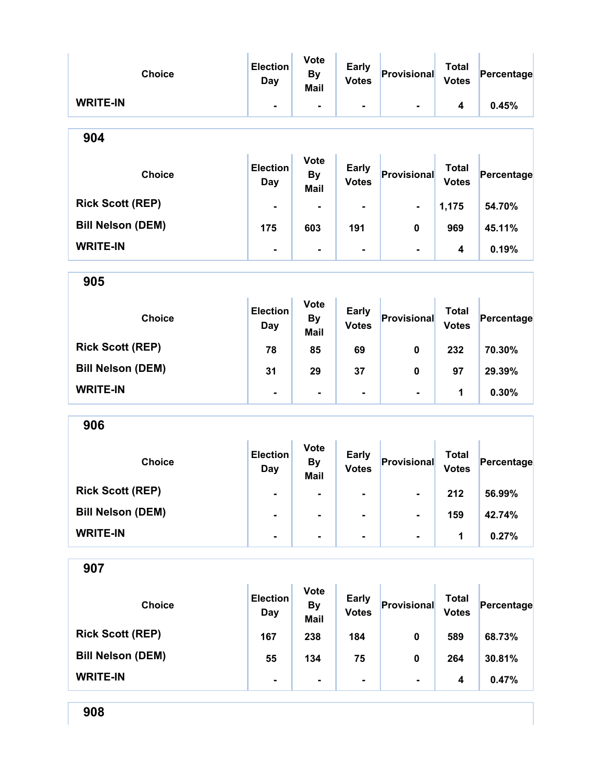| <b>Choice</b>            | <b>Election</b><br>Day        | <b>Vote</b><br><b>By</b><br><b>Mail</b> | <b>Early</b><br><b>Votes</b> | Provisional        | <b>Total</b><br><b>Votes</b> | Percentage |  |  |
|--------------------------|-------------------------------|-----------------------------------------|------------------------------|--------------------|------------------------------|------------|--|--|
| <b>WRITE-IN</b>          | $\blacksquare$                | Ξ.                                      | Ξ.                           |                    | 4                            | 0.45%      |  |  |
| 904                      |                               |                                         |                              |                    |                              |            |  |  |
| <b>Choice</b>            | <b>Election</b><br>Day        | <b>Vote</b><br><b>By</b><br><b>Mail</b> | <b>Early</b><br><b>Votes</b> | Provisional        | <b>Total</b><br><b>Votes</b> | Percentage |  |  |
| <b>Rick Scott (REP)</b>  |                               |                                         |                              | $\blacksquare$     | 1,175                        | 54.70%     |  |  |
| <b>Bill Nelson (DEM)</b> | 175                           | 603                                     | 191                          | 0                  | 969                          | 45.11%     |  |  |
| <b>WRITE-IN</b>          | $\blacksquare$                | $\blacksquare$                          | Ξ.                           | $\blacksquare$     | 4                            | 0.19%      |  |  |
| 905                      |                               |                                         |                              |                    |                              |            |  |  |
| <b>Choice</b>            | <b>Election</b><br>Day        | <b>Vote</b><br><b>By</b><br>Mail        | <b>Early</b><br><b>Votes</b> | Provisional        | <b>Total</b><br><b>Votes</b> | Percentage |  |  |
| <b>Rick Scott (REP)</b>  | 78                            | 85                                      | 69                           | 0                  | 232                          | 70.30%     |  |  |
| <b>Bill Nelson (DEM)</b> | 31                            | 29                                      | 37                           | 0                  | 97                           | 29.39%     |  |  |
| <b>WRITE-IN</b>          | $\blacksquare$                | $\blacksquare$                          |                              | $\blacksquare$     | 1                            | 0.30%      |  |  |
| 906                      |                               |                                         |                              |                    |                              |            |  |  |
| <b>Choice</b>            | <b>Election</b><br><b>Day</b> | <b>Vote</b><br><b>By</b><br><b>Mail</b> | <b>Early</b><br><b>Votes</b> | Provisional        | <b>Total</b><br><b>Votes</b> | Percentage |  |  |
| <b>Rick Scott (REP)</b>  |                               |                                         |                              |                    | 212                          | 56.99%     |  |  |
| <b>Bill Nelson (DEM)</b> |                               |                                         |                              |                    | 159                          | 42.74%     |  |  |
| <b>WRITE-IN</b>          | $\blacksquare$                | $\blacksquare$                          | Ξ.                           | $\blacksquare$     | 1                            | 0.27%      |  |  |
| 907                      |                               |                                         |                              |                    |                              |            |  |  |
| <b>Choice</b>            | <b>Election</b><br><b>Day</b> | <b>Vote</b><br><b>By</b><br><b>Mail</b> | <b>Early</b><br><b>Votes</b> | <b>Provisional</b> | <b>Total</b><br><b>Votes</b> | Percentage |  |  |
| <b>Rick Scott (REP)</b>  | 167                           | 238                                     | 184                          | 0                  | 589                          | 68.73%     |  |  |
| <b>Bill Nelson (DEM)</b> | 55                            | 134                                     | 75                           | 0                  | 264                          | 30.81%     |  |  |
| <b>WRITE-IN</b>          | $\blacksquare$                | ۰                                       |                              |                    | 4                            | 0.47%      |  |  |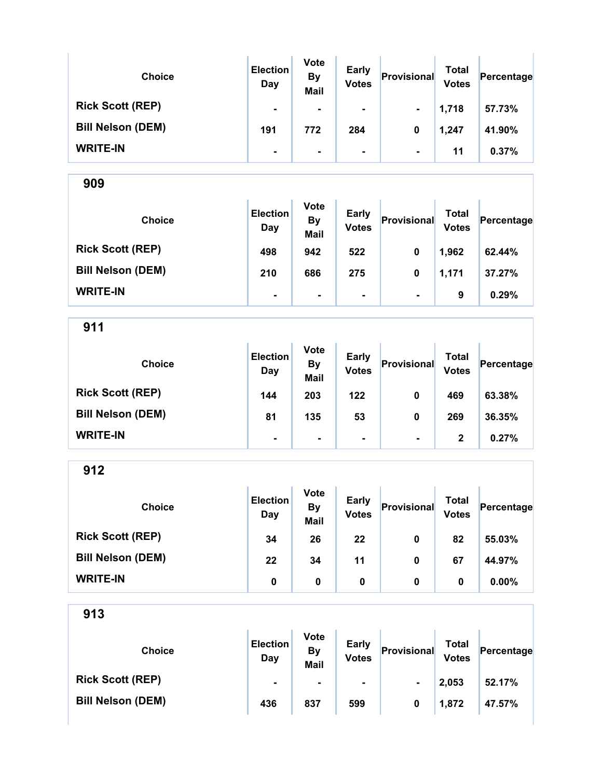| <b>Choice</b>            | <b>Election</b><br>Day | <b>Vote</b><br><b>By</b><br><b>Mail</b> | <b>Early</b><br><b>Votes</b> | Provisional    | <b>Total</b><br><b>Votes</b> | Percentage |
|--------------------------|------------------------|-----------------------------------------|------------------------------|----------------|------------------------------|------------|
| <b>Rick Scott (REP)</b>  | $\blacksquare$         | $\blacksquare$                          | ۰                            | $\blacksquare$ | 1,718                        | 57.73%     |
| <b>Bill Nelson (DEM)</b> | 191                    | 772                                     | 284                          | 0              | 1,247                        | 41.90%     |
| <b>WRITE-IN</b>          | ۰                      | $\blacksquare$                          | ۰                            | $\blacksquare$ | 11                           | 0.37%      |

909 Choice **Election Day** Vote By Mail Early Early **Provisional** Total Votes Percentage Rick Scott (REP) 498 942 522 0 1,962 62.44% Bill Nelson (DEM) 210 686 275 0 1,171 37.27% WRITE-IN  $\begin{vmatrix} 1 & 1 & 1 \ 1 & 1 & 1 \end{vmatrix}$  .  $\begin{vmatrix} 1 & 1 & 1 \ 1 & 1 & 1 \end{vmatrix}$  .  $\begin{vmatrix} 1 & 1 & 1 \ 1 & 1 & 1 \end{vmatrix}$  .  $\begin{vmatrix} 1 & 1 & 1 \ 1 & 1 & 1 \end{vmatrix}$  .  $\begin{vmatrix} 0.29\% & 0.29\% \end{vmatrix}$ 

911 Choice **Election** Day Vote By Mail Early Early **Provisional** Total Votes Percentage Rick Scott (REP) 144 203 122 0 469 63.38% Bill Nelson (DEM) 81 | 81 | 135 | 53 | 0 | 269 | 36.35% WRITE-IN  $\begin{vmatrix} 1 & 1 & 1 \ 1 & 1 & 1 \end{vmatrix}$  .  $\begin{vmatrix} 1 & 1 & 1 \ 1 & 1 & 1 \end{vmatrix}$  .  $\begin{vmatrix} 1 & 1 & 1 \ 1 & 1 & 1 \end{vmatrix}$  .  $\begin{vmatrix} 1 & 1 & 1 \ 2 & 1 & 1 \end{vmatrix}$  . 0.27%

912 Choice **Election** Day Vote By Mail Early Early **Provisional** Total Votes Percentage Rick Scott (REP) 34 26 22 0 82 55.03% Bill Nelson (DEM) 22 34 11 0 67 44.97% WRITE-IN 0 0 0 0 0 0.00%

| <b>Choice</b>            | <b>Election</b><br>Day | <b>Vote</b><br><b>By</b><br><b>Mail</b> | <b>Early</b><br><b>Votes</b> | Provisional    | Total<br><b>Votes</b> | Percentage |
|--------------------------|------------------------|-----------------------------------------|------------------------------|----------------|-----------------------|------------|
| <b>Rick Scott (REP)</b>  | $\blacksquare$         | $\blacksquare$                          | ۰                            | $\blacksquare$ | 2,053                 | 52.17%     |
| <b>Bill Nelson (DEM)</b> | 436                    | 837                                     | 599                          | 0              | 1,872                 | 47.57%     |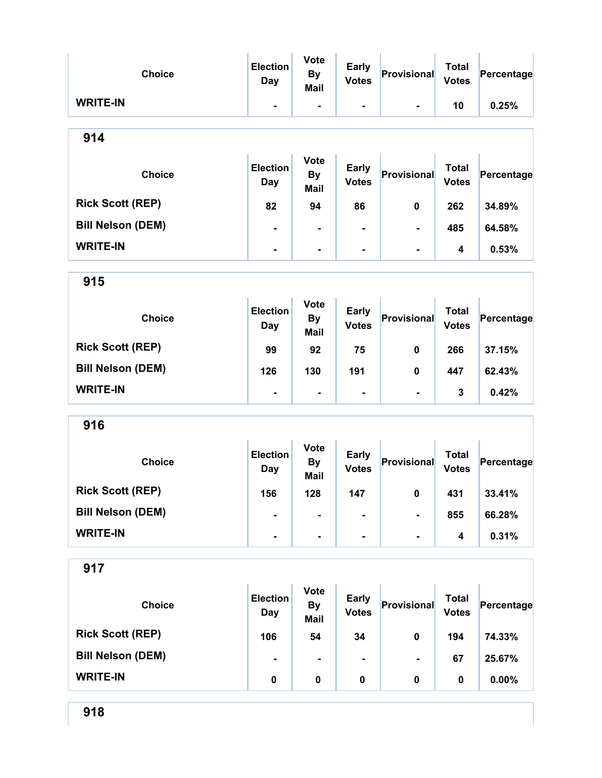| <b>Choice</b>            | <b>Election</b><br>Day        | <b>Vote</b><br><b>By</b><br><b>Mail</b> | <b>Early</b><br><b>Votes</b> | Provisional        | <b>Total</b><br><b>Votes</b> | Percentage |
|--------------------------|-------------------------------|-----------------------------------------|------------------------------|--------------------|------------------------------|------------|
| <b>WRITE-IN</b>          | $\blacksquare$                | Ξ.                                      | Ξ.                           |                    | 10                           | 0.25%      |
| 914                      |                               |                                         |                              |                    |                              |            |
| <b>Choice</b>            | <b>Election</b><br>Day        | <b>Vote</b><br><b>By</b><br><b>Mail</b> | <b>Early</b><br><b>Votes</b> | Provisional        | <b>Total</b><br><b>Votes</b> | Percentage |
| <b>Rick Scott (REP)</b>  | 82                            | 94                                      | 86                           | 0                  | 262                          | 34.89%     |
| <b>Bill Nelson (DEM)</b> | $\blacksquare$                | $\blacksquare$                          |                              | $\blacksquare$     | 485                          | 64.58%     |
| <b>WRITE-IN</b>          | $\blacksquare$                | $\blacksquare$                          | Ξ.                           | $\blacksquare$     | 4                            | 0.53%      |
| 915                      |                               |                                         |                              |                    |                              |            |
| <b>Choice</b>            | <b>Election</b><br>Day        | <b>Vote</b><br><b>By</b><br>Mail        | <b>Early</b><br><b>Votes</b> | Provisional        | <b>Total</b><br><b>Votes</b> | Percentage |
| <b>Rick Scott (REP)</b>  | 99                            | 92                                      | 75                           | 0                  | 266                          | 37.15%     |
| <b>Bill Nelson (DEM)</b> | 126                           | 130                                     | 191                          | 0                  | 447                          | 62.43%     |
| <b>WRITE-IN</b>          | $\blacksquare$                | $\blacksquare$                          | -                            | $\blacksquare$     | 3                            | 0.42%      |
| 916                      |                               |                                         |                              |                    |                              |            |
| <b>Choice</b>            | <b>Election</b><br><b>Day</b> | <b>Vote</b><br><b>By</b><br><b>Mail</b> | <b>Early</b><br><b>Votes</b> | Provisional        | <b>Total</b><br><b>Votes</b> | Percentage |
| <b>Rick Scott (REP)</b>  | 156                           | 128                                     | 147                          | $\mathbf{0}$       | 431                          | 33.41%     |
| <b>Bill Nelson (DEM)</b> | $\blacksquare$                |                                         |                              | -                  | 855                          | 66.28%     |
| <b>WRITE-IN</b>          | ٠.                            | $\blacksquare$                          | -                            | $\blacksquare$     | 4                            | 0.31%      |
| 917                      |                               |                                         |                              |                    |                              |            |
| <b>Choice</b>            | <b>Election</b><br><b>Day</b> | <b>Vote</b><br><b>By</b><br><b>Mail</b> | <b>Early</b><br><b>Votes</b> | <b>Provisional</b> | <b>Total</b><br><b>Votes</b> | Percentage |
| <b>Rick Scott (REP)</b>  | 106                           | 54                                      | 34                           | 0                  | 194                          | 74.33%     |
| <b>Bill Nelson (DEM)</b> | $\blacksquare$                | $\blacksquare$                          |                              |                    | 67                           | 25.67%     |
| <b>WRITE-IN</b>          | 0                             | $\pmb{0}$                               | $\pmb{0}$                    | 0                  | 0                            | 0.00%      |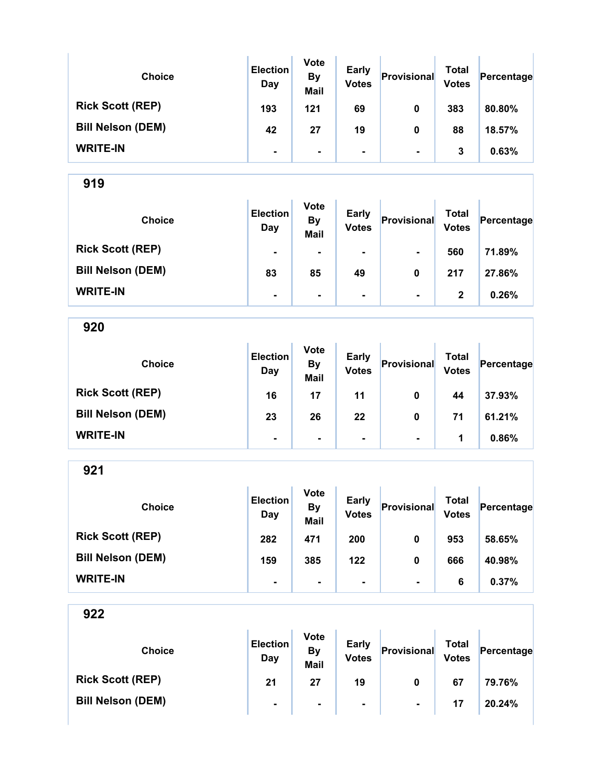| <b>Choice</b>            | <b>Election</b><br>Day | <b>Vote</b><br><b>By</b><br><b>Mail</b> | <b>Early</b><br><b>Votes</b> | Provisional    | Total<br><b>Votes</b> | Percentage |
|--------------------------|------------------------|-----------------------------------------|------------------------------|----------------|-----------------------|------------|
| <b>Rick Scott (REP)</b>  | 193                    | 121                                     | 69                           | 0              | 383                   | 80.80%     |
| <b>Bill Nelson (DEM)</b> | 42                     | 27                                      | 19                           | 0              | 88                    | 18.57%     |
| <b>WRITE-IN</b>          | ٠                      | $\blacksquare$                          |                              | $\blacksquare$ | 3                     | 0.63%      |

| <b>Choice</b>            | <b>Election</b><br>Day | <b>Vote</b><br><b>By</b><br><b>Mail</b> | <b>Early</b><br><b>Votes</b> | Provisional    | <b>Total</b><br><b>Votes</b> | Percentage |
|--------------------------|------------------------|-----------------------------------------|------------------------------|----------------|------------------------------|------------|
| <b>Rick Scott (REP)</b>  | $\blacksquare$         |                                         | $\blacksquare$               | $\blacksquare$ | 560                          | 71.89%     |
| <b>Bill Nelson (DEM)</b> | 83                     | 85                                      | 49                           | 0              | 217                          | 27.86%     |
| <b>WRITE-IN</b>          | $\blacksquare$         | ۰                                       | $\blacksquare$               | $\blacksquare$ | 2                            | 0.26%      |

920

| <b>Choice</b>            | <b>Election</b><br>Day | <b>Vote</b><br><b>By</b><br><b>Mail</b> | <b>Early</b><br><b>Votes</b> | Provisional    | <b>Total</b><br><b>Votes</b> | Percentage |
|--------------------------|------------------------|-----------------------------------------|------------------------------|----------------|------------------------------|------------|
| <b>Rick Scott (REP)</b>  | 16                     | 17                                      | 11                           | 0              | 44                           | 37.93%     |
| <b>Bill Nelson (DEM)</b> | 23                     | 26                                      | 22                           | 0              | 71                           | 61.21%     |
| <b>WRITE-IN</b>          | $\blacksquare$         | $\blacksquare$                          | $\blacksquare$               | $\blacksquare$ | 1                            | 0.86%      |

921

| <b>Choice</b>            | <b>Election</b><br>Day | <b>Vote</b><br><b>By</b><br><b>Mail</b> | <b>Early</b><br><b>Votes</b> | Provisional    | Total<br><b>Votes</b> | Percentage |
|--------------------------|------------------------|-----------------------------------------|------------------------------|----------------|-----------------------|------------|
| <b>Rick Scott (REP)</b>  | 282                    | 471                                     | 200                          | 0              | 953                   | 58.65%     |
| <b>Bill Nelson (DEM)</b> | 159                    | 385                                     | 122                          | 0              | 666                   | 40.98%     |
| <b>WRITE-IN</b>          | ۰                      |                                         |                              | $\blacksquare$ | 6                     | 0.37%      |

| <b>Choice</b>            | <b>Election</b><br>Day | <b>Vote</b><br>By<br><b>Mail</b> | <b>Early</b><br><b>Votes</b> | Provisional    | Total<br><b>Votes</b> | Percentage |
|--------------------------|------------------------|----------------------------------|------------------------------|----------------|-----------------------|------------|
| <b>Rick Scott (REP)</b>  | 21                     | 27                               | 19                           | 0              | 67                    | 79.76%     |
| <b>Bill Nelson (DEM)</b> | $\blacksquare$         | $\blacksquare$                   | ۰.                           | $\blacksquare$ | 17                    | 20.24%     |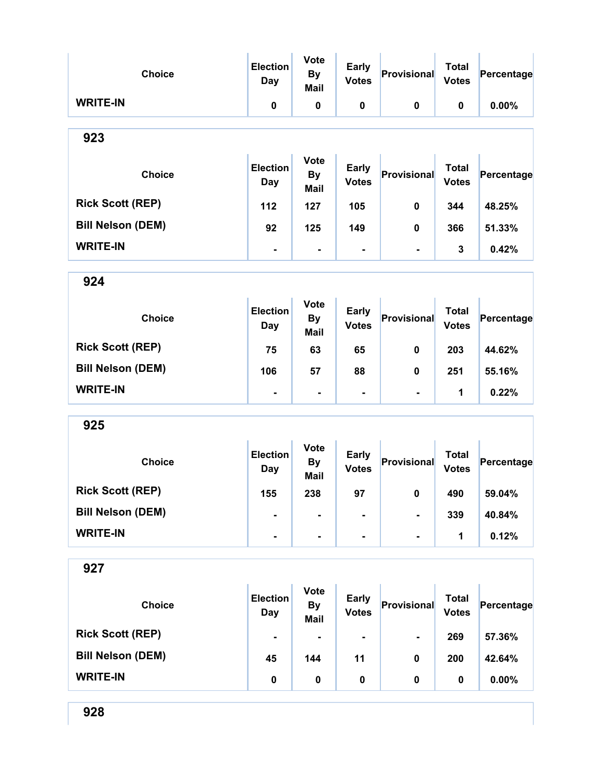| <b>Choice</b>            | <b>Election</b><br><b>Day</b> | <b>Vote</b><br><b>By</b><br>Mail        | <b>Early</b><br><b>Votes</b> | Provisional    | <b>Total</b><br><b>Votes</b> | Percentage |
|--------------------------|-------------------------------|-----------------------------------------|------------------------------|----------------|------------------------------|------------|
| <b>WRITE-IN</b>          | 0                             | $\pmb{0}$                               | $\pmb{0}$                    | $\mathbf 0$    | 0                            | 0.00%      |
| 923                      |                               |                                         |                              |                |                              |            |
| <b>Choice</b>            | <b>Election</b><br>Day        | <b>Vote</b><br><b>By</b><br>Mail        | <b>Early</b><br><b>Votes</b> | Provisional    | <b>Total</b><br><b>Votes</b> | Percentage |
| <b>Rick Scott (REP)</b>  | 112                           | 127                                     | 105                          | $\mathbf 0$    | 344                          | 48.25%     |
| <b>Bill Nelson (DEM)</b> | 92                            | 125                                     | 149                          | 0              | 366                          | 51.33%     |
| <b>WRITE-IN</b>          | $\blacksquare$                | $\blacksquare$                          | Ξ.                           | $\blacksquare$ | 3                            | 0.42%      |
| 924                      |                               |                                         |                              |                |                              |            |
| <b>Choice</b>            | <b>Election</b><br>Day        | <b>Vote</b><br><b>By</b><br><b>Mail</b> | <b>Early</b><br><b>Votes</b> | Provisional    | <b>Total</b><br><b>Votes</b> | Percentage |
| <b>Rick Scott (REP)</b>  | 75                            | 63                                      | 65                           | $\mathbf 0$    | 203                          | 44.62%     |
| <b>Bill Nelson (DEM)</b> | 106                           | 57                                      | 88                           | 0              | 251                          | 55.16%     |
| <b>WRITE-IN</b>          |                               | $\blacksquare$                          | $\blacksquare$               | $\blacksquare$ | 1                            | 0.22%      |
| 925                      |                               |                                         |                              |                |                              |            |
| <b>Choice</b>            | <b>Election</b><br>Day        | <b>Vote</b><br><b>By</b><br><b>Mail</b> | <b>Early</b><br><b>Votes</b> | Provisional    | <b>Total</b><br><b>Votes</b> | Percentage |
| <b>Rick Scott (REP)</b>  | 155                           | 238                                     | 97                           | 0              | 490                          | 59.04%     |
| <b>Bill Nelson (DEM)</b> |                               |                                         |                              |                | 339                          | 40.84%     |
| <b>WRITE-IN</b>          |                               | ۰                                       |                              |                | $\mathbf 1$                  | 0.12%      |
| 927                      |                               |                                         |                              |                |                              |            |
| <b>Choice</b>            | <b>Election</b><br><b>Day</b> | <b>Vote</b><br><b>By</b><br><b>Mail</b> | <b>Early</b><br><b>Votes</b> | Provisional    | <b>Total</b><br><b>Votes</b> | Percentage |
| <b>Rick Scott (REP)</b>  |                               |                                         |                              |                | 269                          | 57.36%     |
| <b>Bill Nelson (DEM)</b> | 45                            | 144                                     | 11                           | 0              | 200                          | 42.64%     |
| <b>WRITE-IN</b>          | $\pmb{0}$                     | 0                                       | $\pmb{0}$                    | 0              | 0                            | 0.00%      |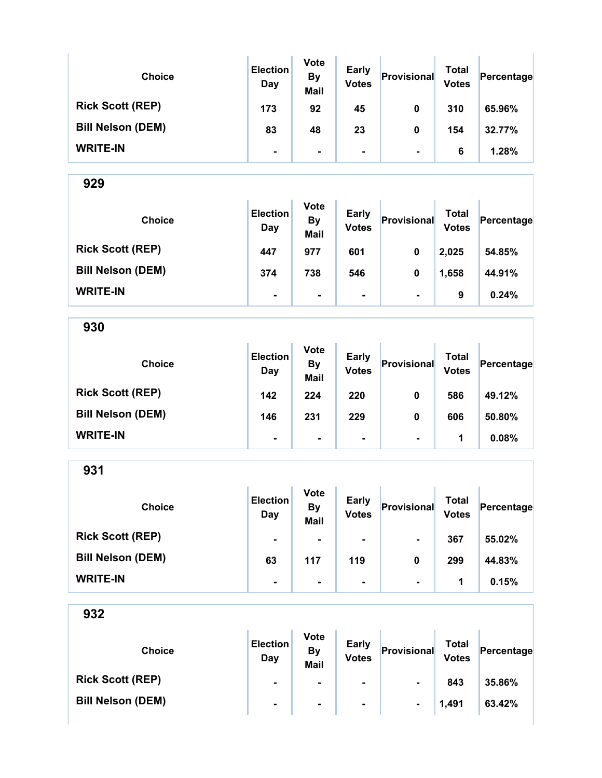| <b>Choice</b>            | <b>Election</b><br>Day | <b>Vote</b><br><b>By</b><br><b>Mail</b> | Early<br><b>Votes</b> | Provisional    | Total<br><b>Votes</b> | Percentage |
|--------------------------|------------------------|-----------------------------------------|-----------------------|----------------|-----------------------|------------|
| <b>Rick Scott (REP)</b>  | 173                    | 92                                      | 45                    | 0              | 310                   | 65.96%     |
| <b>Bill Nelson (DEM)</b> | 83                     | 48                                      | 23                    | 0              | 154                   | 32.77%     |
| <b>WRITE-IN</b>          | $\blacksquare$         | $\blacksquare$                          | ۰                     | $\blacksquare$ | 6                     | 1.28%      |

| <b>Choice</b>            | <b>Election</b><br>Day | <b>Vote</b><br><b>By</b><br><b>Mail</b> | <b>Early</b><br><b>Votes</b> | Provisional    | Total<br><b>Votes</b> | Percentage |
|--------------------------|------------------------|-----------------------------------------|------------------------------|----------------|-----------------------|------------|
| <b>Rick Scott (REP)</b>  | 447                    | 977                                     | 601                          | 0              | 2,025                 | 54.85%     |
| <b>Bill Nelson (DEM)</b> | 374                    | 738                                     | 546                          | 0              | 1,658                 | 44.91%     |
| <b>WRITE-IN</b>          | $\blacksquare$         | $\blacksquare$                          | $\blacksquare$               | $\blacksquare$ | 9                     | 0.24%      |

930

| <b>Choice</b>            | <b>Election</b><br>Day | <b>Vote</b><br><b>By</b><br><b>Mail</b> | <b>Early</b><br><b>Votes</b> | Provisional    | Total<br><b>Votes</b> | Percentage |
|--------------------------|------------------------|-----------------------------------------|------------------------------|----------------|-----------------------|------------|
| <b>Rick Scott (REP)</b>  | 142                    | 224                                     | 220                          | 0              | 586                   | 49.12%     |
| <b>Bill Nelson (DEM)</b> | 146                    | 231                                     | 229                          | 0              | 606                   | 50.80%     |
| <b>WRITE-IN</b>          | $\blacksquare$         | $\blacksquare$                          | $\blacksquare$               | $\blacksquare$ | 1                     | 0.08%      |

931

| <b>Choice</b>            | <b>Election</b><br>Day | <b>Vote</b><br><b>By</b><br><b>Mail</b> | <b>Early</b><br><b>Votes</b> | Provisional    | <b>Total</b><br><b>Votes</b> | Percentage |
|--------------------------|------------------------|-----------------------------------------|------------------------------|----------------|------------------------------|------------|
| <b>Rick Scott (REP)</b>  | $\blacksquare$         | $\blacksquare$                          | $\blacksquare$               | $\blacksquare$ | 367                          | 55.02%     |
| <b>Bill Nelson (DEM)</b> | 63                     | 117                                     | 119                          | 0              | 299                          | 44.83%     |
| <b>WRITE-IN</b>          | $\blacksquare$         | $\blacksquare$                          | ۰.                           | $\blacksquare$ | 1                            | 0.15%      |

| <b>Choice</b>            | <b>Election</b><br>Day | <b>Vote</b><br>By<br><b>Mail</b> | <b>Early</b><br><b>Votes</b> | Provisional    | Total<br><b>Votes</b> | Percentage |
|--------------------------|------------------------|----------------------------------|------------------------------|----------------|-----------------------|------------|
| <b>Rick Scott (REP)</b>  | $\blacksquare$         | $\blacksquare$                   | $\blacksquare$               | $\blacksquare$ | 843                   | 35.86%     |
| <b>Bill Nelson (DEM)</b> | $\blacksquare$         | $\blacksquare$                   | $\blacksquare$               | $\blacksquare$ | 1,491                 | 63.42%     |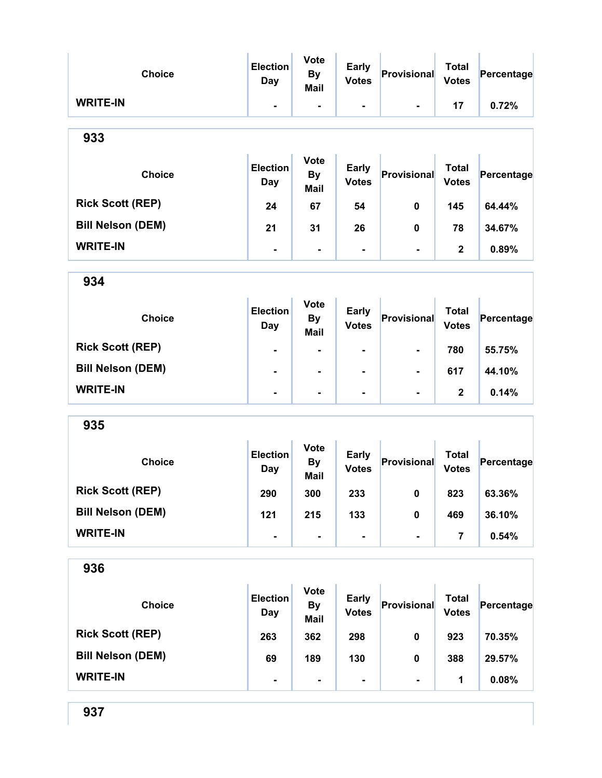| <b>Choice</b>            | <b>Election</b><br><b>Day</b> | <b>Vote</b><br><b>By</b><br><b>Mail</b> | <b>Early</b><br><b>Votes</b> | Provisional    | <b>Total</b><br><b>Votes</b> | Percentage |
|--------------------------|-------------------------------|-----------------------------------------|------------------------------|----------------|------------------------------|------------|
| <b>WRITE-IN</b>          | $\blacksquare$                | $\overline{\phantom{a}}$                | -                            | $\blacksquare$ | 17                           | 0.72%      |
| 933                      |                               |                                         |                              |                |                              |            |
| <b>Choice</b>            | <b>Election</b><br><b>Day</b> | <b>Vote</b><br><b>By</b><br><b>Mail</b> | <b>Early</b><br><b>Votes</b> | Provisional    | <b>Total</b><br><b>Votes</b> | Percentage |
| <b>Rick Scott (REP)</b>  | 24                            | 67                                      | 54                           | 0              | 145                          | 64.44%     |
| <b>Bill Nelson (DEM)</b> | 21                            | 31                                      | 26                           | 0              | 78                           | 34.67%     |
| <b>WRITE-IN</b>          | $\blacksquare$                | $\blacksquare$                          | -                            | $\blacksquare$ | $\mathbf 2$                  | 0.89%      |
| 934                      |                               |                                         |                              |                |                              |            |
| <b>Choice</b>            | <b>Election</b><br><b>Day</b> | <b>Vote</b><br><b>By</b><br><b>Mail</b> | <b>Early</b><br><b>Votes</b> | Provisional    | <b>Total</b><br><b>Votes</b> | Percentage |
| <b>Rick Scott (REP)</b>  | ۰                             |                                         |                              | $\blacksquare$ | 780                          | 55.75%     |
| <b>Bill Nelson (DEM)</b> | $\blacksquare$                | $\blacksquare$                          |                              | $\blacksquare$ | 617                          | 44.10%     |
| <b>WRITE-IN</b>          | ۰                             | $\blacksquare$                          | -                            | $\blacksquare$ | $\mathbf 2$                  | 0.14%      |
| 935                      |                               |                                         |                              |                |                              |            |
| <b>Choice</b>            | <b>Election</b><br>Day        | <b>Vote</b><br><b>By</b><br><b>Mail</b> | <b>Early</b><br><b>Votes</b> | Provisional    | <b>Total</b><br><b>Votes</b> | Percentage |
| <b>Rick Scott (REP)</b>  | 290                           | 300                                     | 233                          | $\mathbf{0}$   | 823                          | 63.36%     |
| <b>Bill Nelson (DEM)</b> | 121                           | 215                                     | 133                          | $\pmb{0}$      | 469                          | 36.10%     |
| <b>WRITE-IN</b>          | $\blacksquare$                | $\blacksquare$                          | -                            | $\blacksquare$ | 7                            | 0.54%      |
| 936                      |                               |                                         |                              |                |                              |            |
| <b>Choice</b>            | <b>Election</b><br><b>Day</b> | <b>Vote</b><br><b>By</b><br><b>Mail</b> | <b>Early</b><br><b>Votes</b> | Provisional    | <b>Total</b><br><b>Votes</b> | Percentage |
| <b>Rick Scott (REP)</b>  | 263                           | 362                                     | 298                          | 0              | 923                          | 70.35%     |
| <b>Bill Nelson (DEM)</b> | 69                            | 189                                     | 130                          | 0              | 388                          | 29.57%     |
| <b>WRITE-IN</b>          | $\overline{\phantom{0}}$      | ۰                                       | -                            | $\blacksquare$ | 1                            | 0.08%      |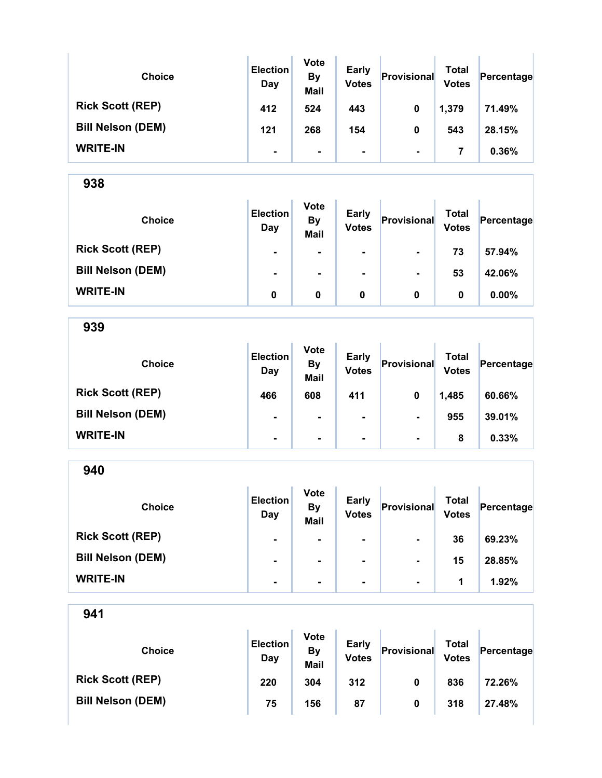| <b>Choice</b>            | <b>Election</b><br>Day | <b>Vote</b><br><b>By</b><br><b>Mail</b> | <b>Early</b><br><b>Votes</b> | Provisional    | Total<br><b>Votes</b> | Percentage |
|--------------------------|------------------------|-----------------------------------------|------------------------------|----------------|-----------------------|------------|
| <b>Rick Scott (REP)</b>  | 412                    | 524                                     | 443                          | 0              | 1,379                 | 71.49%     |
| <b>Bill Nelson (DEM)</b> | 121                    | 268                                     | 154                          | 0              | 543                   | 28.15%     |
| <b>WRITE-IN</b>          | ۰                      | $\blacksquare$                          |                              | $\blacksquare$ | 7                     | 0.36%      |

Ŷ.

938

| <b>Choice</b>            | <b>Election</b><br>Day | <b>Vote</b><br><b>By</b><br><b>Mail</b> | <b>Early</b><br><b>Votes</b> | Provisional    | Total<br><b>Votes</b> | Percentage |
|--------------------------|------------------------|-----------------------------------------|------------------------------|----------------|-----------------------|------------|
| <b>Rick Scott (REP)</b>  | $\blacksquare$         | $\blacksquare$                          | $\blacksquare$               |                | 73                    | 57.94%     |
| <b>Bill Nelson (DEM)</b> | $\blacksquare$         | $\blacksquare$                          | $\blacksquare$               | $\blacksquare$ | 53                    | 42.06%     |
| <b>WRITE-IN</b>          | 0                      | 0                                       | 0                            | 0              | 0                     | $0.00\%$   |

939

| <b>Choice</b>            | <b>Election</b><br>Day | <b>Vote</b><br><b>By</b><br><b>Mail</b> | <b>Early</b><br><b>Votes</b> | Provisional    | <b>Total</b><br><b>Votes</b> | Percentage |
|--------------------------|------------------------|-----------------------------------------|------------------------------|----------------|------------------------------|------------|
| <b>Rick Scott (REP)</b>  | 466                    | 608                                     | 411                          | 0              | 1,485                        | 60.66%     |
| <b>Bill Nelson (DEM)</b> | $\blacksquare$         | $\blacksquare$                          | $\blacksquare$               | $\blacksquare$ | 955                          | 39.01%     |
| <b>WRITE-IN</b>          | ۰                      | $\blacksquare$                          | $\blacksquare$               | $\blacksquare$ | 8                            | 0.33%      |

| 940                      |                               |                                         |                              |                |                              |            |
|--------------------------|-------------------------------|-----------------------------------------|------------------------------|----------------|------------------------------|------------|
| <b>Choice</b>            | <b>Election</b><br><b>Day</b> | <b>Vote</b><br><b>By</b><br><b>Mail</b> | <b>Early</b><br><b>Votes</b> | Provisional    | <b>Total</b><br><b>Votes</b> | Percentage |
| <b>Rick Scott (REP)</b>  | ۰                             | ۰                                       | $\blacksquare$               |                | 36                           | 69.23%     |
| <b>Bill Nelson (DEM)</b> | ۰                             | ۰                                       | $\blacksquare$               |                | 15                           | 28.85%     |
| <b>WRITE-IN</b>          |                               | -                                       |                              | $\blacksquare$ | 1                            | 1.92%      |

| <b>Choice</b>            | <b>Election</b><br>Day | <b>Vote</b><br>By<br><b>Mail</b> | <b>Early</b><br><b>Votes</b> | Provisional | Total<br><b>Votes</b> | Percentage |
|--------------------------|------------------------|----------------------------------|------------------------------|-------------|-----------------------|------------|
| <b>Rick Scott (REP)</b>  | 220                    | 304                              | 312                          | 0           | 836                   | 72.26%     |
| <b>Bill Nelson (DEM)</b> | 75                     | 156                              | 87                           | 0           | 318                   | 27.48%     |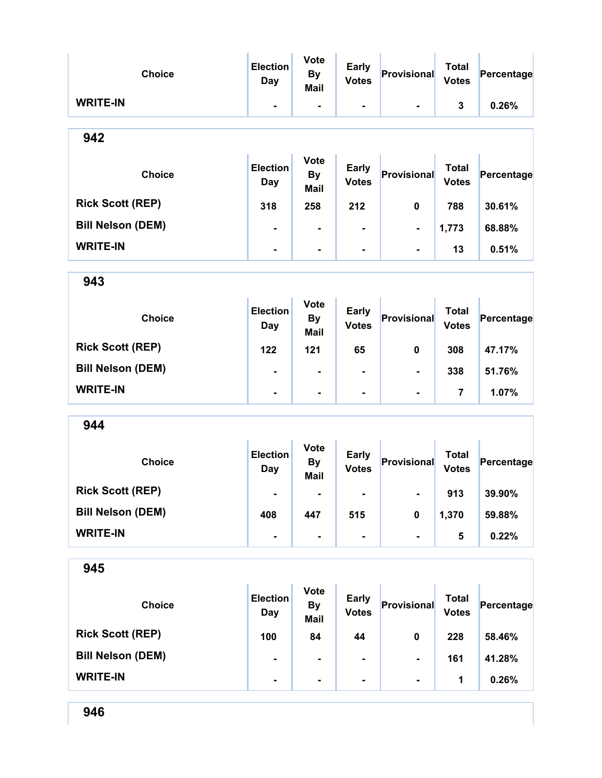| <b>Choice</b>            | <b>Election</b><br><b>Day</b> | <b>Vote</b><br><b>By</b><br><b>Mail</b> | <b>Early</b><br><b>Votes</b> | Provisional    | <b>Total</b><br><b>Votes</b> | Percentage |
|--------------------------|-------------------------------|-----------------------------------------|------------------------------|----------------|------------------------------|------------|
| <b>WRITE-IN</b>          | Ξ.                            | $\blacksquare$                          |                              |                | $\mathbf{3}$                 | 0.26%      |
| 942                      |                               |                                         |                              |                |                              |            |
| <b>Choice</b>            | <b>Election</b><br>Day        | <b>Vote</b><br><b>By</b><br><b>Mail</b> | <b>Early</b><br><b>Votes</b> | Provisional    | <b>Total</b><br><b>Votes</b> | Percentage |
| <b>Rick Scott (REP)</b>  | 318                           | 258                                     | 212                          | $\mathbf 0$    | 788                          | 30.61%     |
| <b>Bill Nelson (DEM)</b> | $\blacksquare$                | $\blacksquare$                          |                              | $\blacksquare$ | 1,773                        | 68.88%     |
| <b>WRITE-IN</b>          | ۰                             | $\blacksquare$                          |                              |                | 13                           | 0.51%      |
| 943                      |                               |                                         |                              |                |                              |            |
| <b>Choice</b>            | <b>Election</b><br>Day        | <b>Vote</b><br><b>By</b><br><b>Mail</b> | <b>Early</b><br><b>Votes</b> | Provisional    | <b>Total</b><br><b>Votes</b> | Percentage |
| <b>Rick Scott (REP)</b>  | 122                           | 121                                     | 65                           | 0              | 308                          | 47.17%     |
| <b>Bill Nelson (DEM)</b> | ۰                             | -                                       |                              |                | 338                          | 51.76%     |
| <b>WRITE-IN</b>          | Ξ.                            | $\blacksquare$                          | $\blacksquare$               | $\blacksquare$ | $\overline{7}$               | 1.07%      |
| 944                      |                               |                                         |                              |                |                              |            |
| <b>Choice</b>            | <b>Election</b><br>Day        | <b>Vote</b><br><b>By</b><br>Mail        | <b>Early</b><br><b>Votes</b> | Provisional    | <b>Total</b><br><b>Votes</b> | Percentage |
| <b>Rick Scott (REP)</b>  | $\blacksquare$                | -                                       |                              | ۰              | 913                          | 39.90%     |
| <b>Bill Nelson (DEM)</b> | 408                           | 447                                     | 515                          | 0              | 1,370                        | 59.88%     |
| <b>WRITE-IN</b>          | ۰.                            | $\qquad \qquad \blacksquare$            | ٠                            | $\blacksquare$ | $5\phantom{1}$               | 0.22%      |
| 945                      |                               |                                         |                              |                |                              |            |
| <b>Choice</b>            | <b>Election</b><br>Day        | <b>Vote</b><br><b>By</b><br><b>Mail</b> | <b>Early</b><br><b>Votes</b> | Provisional    | <b>Total</b><br><b>Votes</b> | Percentage |
| <b>Rick Scott (REP)</b>  | 100                           | 84                                      | 44                           | $\pmb{0}$      | 228                          | 58.46%     |

Bill Nelson (DEM)  $\begin{vmatrix} 1 & 1 & 1 \end{vmatrix}$  .  $\begin{vmatrix} 1 & 1 \end{vmatrix}$  -  $\begin{vmatrix} 1 & 1 \end{vmatrix}$  41.28%

WRITE-IN  $\begin{vmatrix} 1 & 1 & 1 \\ 1 & 1 & 1 \end{vmatrix}$  ,  $\begin{vmatrix} 1 & 1 & 1 \\ 0.26\% & 1 \end{vmatrix}$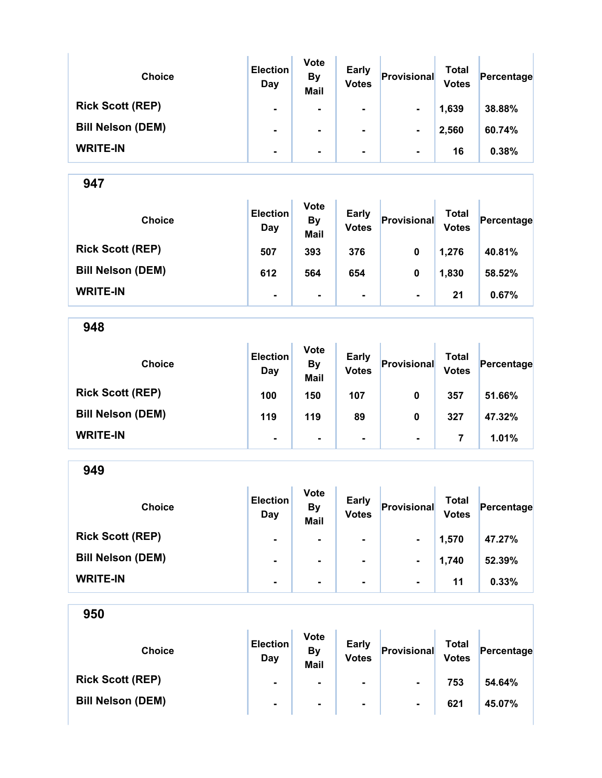| <b>Choice</b>            | <b>Election</b><br>Day | <b>Vote</b><br><b>By</b><br><b>Mail</b> | <b>Early</b><br><b>Votes</b> | Provisional    | Total<br><b>Votes</b> | Percentage |
|--------------------------|------------------------|-----------------------------------------|------------------------------|----------------|-----------------------|------------|
| <b>Rick Scott (REP)</b>  | ۰                      |                                         | ۰.                           | $\blacksquare$ | 1,639                 | 38.88%     |
| <b>Bill Nelson (DEM)</b> | $\blacksquare$         |                                         | ۰.                           | $\blacksquare$ | 2,560                 | 60.74%     |
| <b>WRITE-IN</b>          | ۰                      |                                         | ۰.                           | $\blacksquare$ | 16                    | 0.38%      |

| <b>Choice</b>            | <b>Election</b><br>Day | <b>Vote</b><br><b>By</b><br><b>Mail</b> | <b>Early</b><br><b>Votes</b> | Provisional    | Total<br><b>Votes</b> | Percentage |
|--------------------------|------------------------|-----------------------------------------|------------------------------|----------------|-----------------------|------------|
| <b>Rick Scott (REP)</b>  | 507                    | 393                                     | 376                          | 0              | 1,276                 | 40.81%     |
| <b>Bill Nelson (DEM)</b> | 612                    | 564                                     | 654                          | 0              | 1,830                 | 58.52%     |
| <b>WRITE-IN</b>          | $\blacksquare$         | $\blacksquare$                          | ۰.                           | $\blacksquare$ | 21                    | 0.67%      |

948

| <b>Choice</b>            | <b>Election</b><br>Day | <b>Vote</b><br><b>By</b><br><b>Mail</b> | <b>Early</b><br><b>Votes</b> | Provisional    | <b>Total</b><br><b>Votes</b> | Percentage |
|--------------------------|------------------------|-----------------------------------------|------------------------------|----------------|------------------------------|------------|
| <b>Rick Scott (REP)</b>  | 100                    | 150                                     | 107                          | 0              | 357                          | 51.66%     |
| <b>Bill Nelson (DEM)</b> | 119                    | 119                                     | 89                           | 0              | 327                          | 47.32%     |
| <b>WRITE-IN</b>          | ۰                      | ۰                                       | $\blacksquare$               | $\blacksquare$ |                              | 1.01%      |

| 949                      |                        |                                         |                              |                |                              |            |
|--------------------------|------------------------|-----------------------------------------|------------------------------|----------------|------------------------------|------------|
| <b>Choice</b>            | <b>Election</b><br>Day | <b>Vote</b><br><b>By</b><br><b>Mail</b> | <b>Early</b><br><b>Votes</b> | Provisional    | <b>Total</b><br><b>Votes</b> | Percentage |
| <b>Rick Scott (REP)</b>  |                        | ۰                                       | $\blacksquare$               | $\blacksquare$ | 1,570                        | 47.27%     |
| <b>Bill Nelson (DEM)</b> |                        | ۰                                       | $\blacksquare$               | $\blacksquare$ | 1,740                        | 52.39%     |
| <b>WRITE-IN</b>          | ۰                      | ۰                                       | ۰                            | $\blacksquare$ | 11                           | 0.33%      |

| <b>Choice</b>            | <b>Election</b><br>Day | <b>Vote</b><br><b>By</b><br><b>Mail</b> | <b>Early</b><br><b>Votes</b> | Provisional    | Total<br><b>Votes</b> | Percentage |
|--------------------------|------------------------|-----------------------------------------|------------------------------|----------------|-----------------------|------------|
| <b>Rick Scott (REP)</b>  | $\blacksquare$         | ۰.                                      | ۰.                           | $\blacksquare$ | 753                   | 54.64%     |
| <b>Bill Nelson (DEM)</b> | $\blacksquare$         | $\blacksquare$                          | $\blacksquare$               | $\blacksquare$ | 621                   | 45.07%     |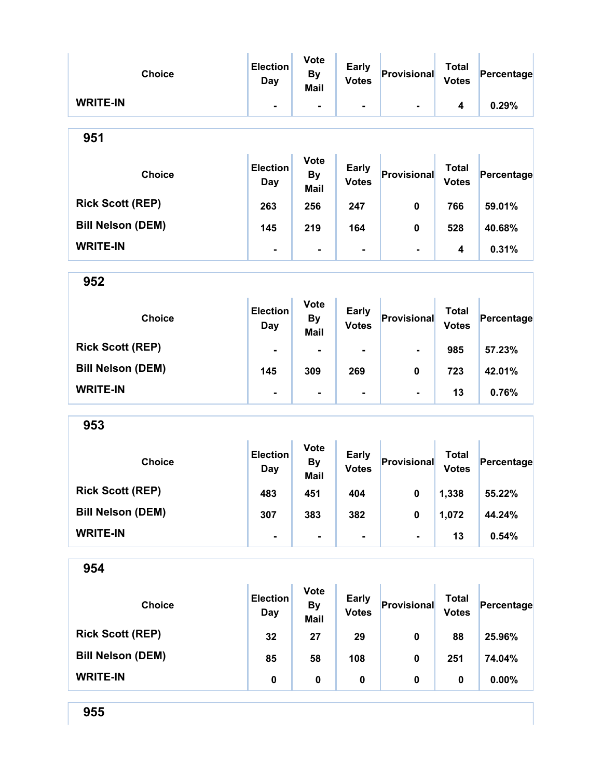| <b>Choice</b>            | <b>Election</b><br><b>Day</b> | <b>Vote</b><br><b>By</b><br><b>Mail</b> | <b>Early</b><br><b>Votes</b> | Provisional    | <b>Total</b><br><b>Votes</b> | Percentage |
|--------------------------|-------------------------------|-----------------------------------------|------------------------------|----------------|------------------------------|------------|
| <b>WRITE-IN</b>          | $\blacksquare$                | $\blacksquare$                          | ۰                            | $\blacksquare$ | 4                            | 0.29%      |
| 951                      |                               |                                         |                              |                |                              |            |
| <b>Choice</b>            | <b>Election</b><br>Day        | <b>Vote</b><br><b>By</b><br><b>Mail</b> | <b>Early</b><br><b>Votes</b> | Provisional    | <b>Total</b><br><b>Votes</b> | Percentage |
| <b>Rick Scott (REP)</b>  | 263                           | 256                                     | 247                          | $\mathbf 0$    | 766                          | 59.01%     |
| <b>Bill Nelson (DEM)</b> | 145                           | 219                                     | 164                          | 0              | 528                          | 40.68%     |
| <b>WRITE-IN</b>          | $\blacksquare$                | $\blacksquare$                          | $\blacksquare$               | $\blacksquare$ | 4                            | 0.31%      |
| 952                      |                               |                                         |                              |                |                              |            |
| <b>Choice</b>            | <b>Election</b><br><b>Day</b> | <b>Vote</b><br><b>By</b><br><b>Mail</b> | <b>Early</b><br><b>Votes</b> | Provisional    | <b>Total</b><br><b>Votes</b> | Percentage |
| <b>Rick Scott (REP)</b>  |                               |                                         |                              | $\blacksquare$ | 985                          | 57.23%     |
| <b>Bill Nelson (DEM)</b> | 145                           | 309                                     | 269                          | 0              | 723                          | 42.01%     |
| <b>WRITE-IN</b>          | $\blacksquare$                | $\blacksquare$                          | $\blacksquare$               | $\blacksquare$ | 13                           | 0.76%      |
| 953                      |                               |                                         |                              |                |                              |            |
| <b>Choice</b>            | <b>Election</b><br><b>Day</b> | <b>Vote</b><br><b>By</b><br><b>Mail</b> | <b>Early</b><br><b>Votes</b> | Provisional    | <b>Total</b><br><b>Votes</b> | Percentage |
| <b>Rick Scott (REP)</b>  | 483                           | 451                                     | 404                          | $\mathbf 0$    | 1,338                        | 55.22%     |
| <b>Bill Nelson (DEM)</b> | 307                           | 383                                     | 382                          | $\pmb{0}$      | 1,072                        | 44.24%     |
| <b>WRITE-IN</b>          |                               |                                         | -                            | $\blacksquare$ | 13                           | 0.54%      |
| 954                      |                               |                                         |                              |                |                              |            |
| <b>Choice</b>            | <b>Election</b><br><b>Day</b> | <b>Vote</b><br><b>By</b><br><b>Mail</b> | <b>Early</b><br><b>Votes</b> | Provisional    | <b>Total</b><br><b>Votes</b> | Percentage |
| <b>Rick Scott (REP)</b>  | 32                            | 27                                      | 29                           | $\mathbf 0$    | 88                           | 25.96%     |
| <b>Bill Nelson (DEM)</b> | 85                            | 58                                      | 108                          | 0              | 251                          | 74.04%     |
| <b>WRITE-IN</b>          | $\pmb{0}$                     | $\pmb{0}$                               | $\pmb{0}$                    | $\pmb{0}$      | 0                            | 0.00%      |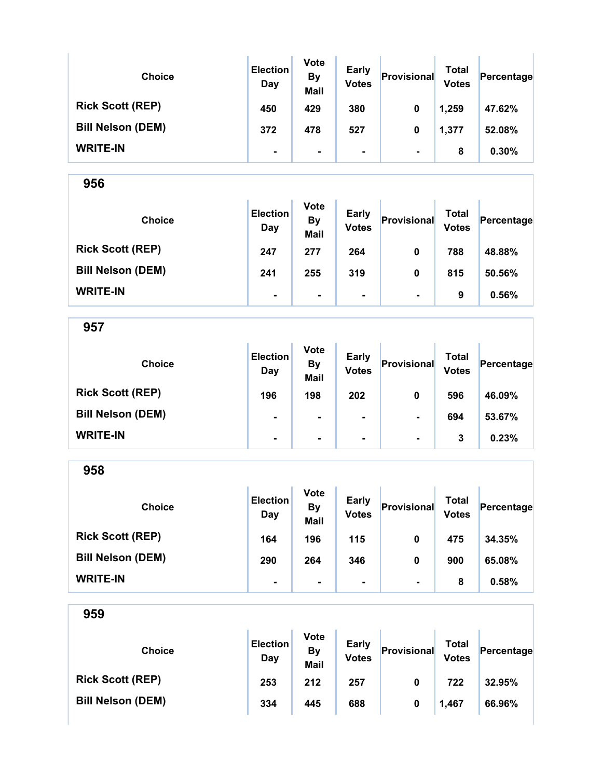| <b>Choice</b>            | <b>Election</b><br>Day | <b>Vote</b><br><b>By</b><br><b>Mail</b> | <b>Early</b><br><b>Votes</b> | Provisional    | Total<br><b>Votes</b> | Percentage |
|--------------------------|------------------------|-----------------------------------------|------------------------------|----------------|-----------------------|------------|
| <b>Rick Scott (REP)</b>  | 450                    | 429                                     | 380                          | 0              | 1,259                 | 47.62%     |
| <b>Bill Nelson (DEM)</b> | 372                    | 478                                     | 527                          | 0              | 1,377                 | 52.08%     |
| <b>WRITE-IN</b>          | ۰                      | $\blacksquare$                          | ۰                            | $\blacksquare$ | 8                     | 0.30%      |

| <b>Choice</b>            | <b>Election</b><br>Day | <b>Vote</b><br><b>By</b><br><b>Mail</b> | <b>Early</b><br><b>Votes</b> | Provisional    | Total<br><b>Votes</b> | Percentage |
|--------------------------|------------------------|-----------------------------------------|------------------------------|----------------|-----------------------|------------|
| <b>Rick Scott (REP)</b>  | 247                    | 277                                     | 264                          | 0              | 788                   | 48.88%     |
| <b>Bill Nelson (DEM)</b> | 241                    | 255                                     | 319                          | 0              | 815                   | 50.56%     |
| <b>WRITE-IN</b>          | $\blacksquare$         | $\blacksquare$                          | $\blacksquare$               | $\blacksquare$ | 9                     | 0.56%      |

957

| <b>Choice</b>            | <b>Election</b><br>Day | <b>Vote</b><br><b>By</b><br><b>Mail</b> | <b>Early</b><br><b>Votes</b> | Provisional    | Total<br><b>Votes</b> | Percentage |
|--------------------------|------------------------|-----------------------------------------|------------------------------|----------------|-----------------------|------------|
| <b>Rick Scott (REP)</b>  | 196                    | 198                                     | 202                          | 0              | 596                   | 46.09%     |
| <b>Bill Nelson (DEM)</b> | $\blacksquare$         | $\blacksquare$                          | ۰                            | $\blacksquare$ | 694                   | 53.67%     |
| <b>WRITE-IN</b>          | $\blacksquare$         | $\blacksquare$                          | ۰                            | $\blacksquare$ | 3                     | 0.23%      |

958 Choice **Election** Day Vote By Mail Early Early **Provisional** Total Votes Percentage Rick Scott (REP) 164 196 115 0 475 34.35% Bill Nelson (DEM) 290 264 346 0 900 65.08% WRITE-IN - - - - 8 0.58%

| 959                      |                        |                                         |                       |             |                              |            |
|--------------------------|------------------------|-----------------------------------------|-----------------------|-------------|------------------------------|------------|
| <b>Choice</b>            | <b>Election</b><br>Day | <b>Vote</b><br><b>By</b><br><b>Mail</b> | Early<br><b>Votes</b> | Provisional | <b>Total</b><br><b>Votes</b> | Percentage |
| <b>Rick Scott (REP)</b>  | 253                    | 212                                     | 257                   | 0           | 722                          | 32.95%     |
| <b>Bill Nelson (DEM)</b> | 334                    | 445                                     | 688                   | 0           | 1,467                        | 66.96%     |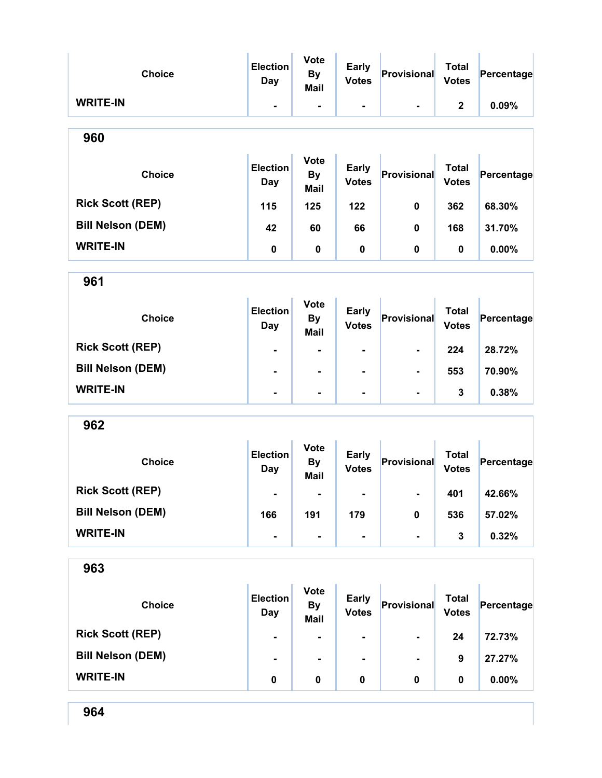| <b>Choice</b>            | <b>Election</b><br><b>Day</b> | <b>Vote</b><br><b>By</b><br><b>Mail</b> | <b>Early</b><br><b>Votes</b> | Provisional    | <b>Total</b><br><b>Votes</b> | Percentage |
|--------------------------|-------------------------------|-----------------------------------------|------------------------------|----------------|------------------------------|------------|
| <b>WRITE-IN</b>          | ٠.                            | Ξ.                                      | -                            | $\blacksquare$ | $\mathbf 2$                  | 0.09%      |
| 960                      |                               |                                         |                              |                |                              |            |
| <b>Choice</b>            | <b>Election</b><br>Day        | <b>Vote</b><br><b>By</b><br><b>Mail</b> | <b>Early</b><br><b>Votes</b> | Provisional    | <b>Total</b><br><b>Votes</b> | Percentage |
| <b>Rick Scott (REP)</b>  | 115                           | 125                                     | 122                          | 0              | 362                          | 68.30%     |
| <b>Bill Nelson (DEM)</b> | 42                            | 60                                      | 66                           | 0              | 168                          | 31.70%     |
| <b>WRITE-IN</b>          | 0                             | 0                                       | $\mathbf 0$                  | 0              | 0                            | 0.00%      |
| 961                      |                               |                                         |                              |                |                              |            |
| <b>Choice</b>            | <b>Election</b><br><b>Day</b> | <b>Vote</b><br><b>By</b><br><b>Mail</b> | <b>Early</b><br><b>Votes</b> | Provisional    | <b>Total</b><br><b>Votes</b> | Percentage |
| <b>Rick Scott (REP)</b>  | $\blacksquare$                |                                         | ۰                            | ۰              | 224                          | 28.72%     |
| <b>Bill Nelson (DEM)</b> |                               | $\blacksquare$                          | $\blacksquare$               |                | 553                          | 70.90%     |
| <b>WRITE-IN</b>          | $\blacksquare$                | $\blacksquare$                          | ۰                            | $\blacksquare$ | 3                            | 0.38%      |
| 962                      |                               |                                         |                              |                |                              |            |
| <b>Choice</b>            | <b>Election</b><br><b>Day</b> | <b>Vote</b><br><b>By</b><br><b>Mail</b> | <b>Early</b><br><b>Votes</b> | Provisional    | <b>Total</b><br><b>Votes</b> | Percentage |
| <b>Rick Scott (REP)</b>  |                               |                                         |                              |                | 401                          | 42.66%     |
| <b>Bill Nelson (DEM)</b> | 166                           | 191                                     | 179                          | 0              | 536                          | 57.02%     |
| <b>WRITE-IN</b>          | Ξ.                            | $\blacksquare$                          | Ξ.                           | -              | $\mathbf{3}$                 | 0.32%      |
| 963                      |                               |                                         |                              |                |                              |            |
| <b>Choice</b>            | <b>Election</b><br>Day        | <b>Vote</b><br><b>By</b><br><b>Mail</b> | <b>Early</b><br><b>Votes</b> | Provisional    | <b>Total</b><br><b>Votes</b> | Percentage |
| <b>Rick Scott (REP)</b>  |                               |                                         |                              |                | 24                           | 72.73%     |
| <b>Bill Nelson (DEM)</b> |                               | $\blacksquare$                          |                              |                | 9                            | 27.27%     |
| <b>WRITE-IN</b>          | 0                             | 0                                       | 0                            | 0              | $\mathbf 0$                  | 0.00%      |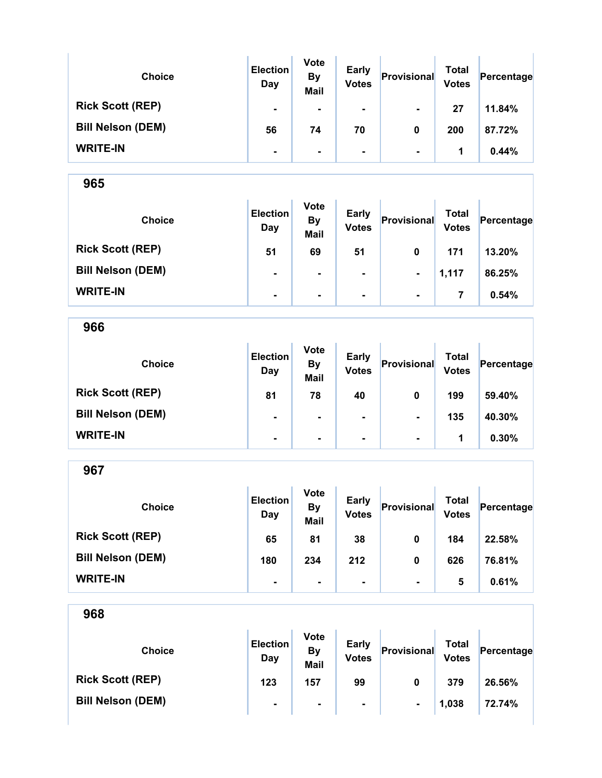| <b>Choice</b>            | <b>Election</b><br>Day | <b>Vote</b><br><b>By</b><br><b>Mail</b> | <b>Early</b><br><b>Votes</b> | Provisional    | <b>Total</b><br><b>Votes</b> | Percentage |
|--------------------------|------------------------|-----------------------------------------|------------------------------|----------------|------------------------------|------------|
| <b>Rick Scott (REP)</b>  | $\blacksquare$         | $\blacksquare$                          | ۰                            | $\blacksquare$ | 27                           | 11.84%     |
| <b>Bill Nelson (DEM)</b> | 56                     | 74                                      | 70                           | 0              | 200                          | 87.72%     |
| <b>WRITE-IN</b>          | ۰                      | ۰.                                      | ۰                            | $\blacksquare$ | 1                            | 0.44%      |

| <b>Choice</b>            | <b>Election</b><br>Day | <b>Vote</b><br><b>By</b><br><b>Mail</b> | <b>Early</b><br><b>Votes</b> | Provisional    | Total<br><b>Votes</b> | Percentage |
|--------------------------|------------------------|-----------------------------------------|------------------------------|----------------|-----------------------|------------|
| <b>Rick Scott (REP)</b>  | 51                     | 69                                      | 51                           | 0              | 171                   | 13.20%     |
| <b>Bill Nelson (DEM)</b> | $\blacksquare$         | $\blacksquare$                          | $\blacksquare$               | $\blacksquare$ | 1,117                 | 86.25%     |
| <b>WRITE-IN</b>          | $\blacksquare$         | $\blacksquare$                          | $\blacksquare$               | $\blacksquare$ | 7                     | 0.54%      |

966 Choice **Election** Day Vote By Mail Early Early **Provisional** Total Votes Percentage Rick Scott (REP) 81 78 40 0 199 59.40% Bill Nelson (DEM) - - - - - - - - - - - - 135 40.30%  $\textsf{WRITE-IN}$  -  $\begin{vmatrix} 1 & 1 & 0.30\% \end{vmatrix}$ 

967 Choice **Election** Day Vote By Mail Early Early **Provisional** Total Votes Percentage Rick Scott (REP) 65 81 38 0 184 22.58% Bill Nelson (DEM) 180 234 212 0 626 76.81% WRITE-IN  $\begin{vmatrix} 1 & 1 & 1 \end{vmatrix}$  .  $\begin{vmatrix} 1 & 1 \end{vmatrix}$  .  $\begin{vmatrix} 1 & 1 \end{vmatrix}$  .  $\begin{vmatrix} 1 & 1 \end{vmatrix}$  .  $\begin{vmatrix} 1 & 1 \end{vmatrix}$  .  $\begin{vmatrix} 1 & 1 \end{vmatrix}$  .  $\begin{vmatrix} 1 & 1 \end{vmatrix}$  .  $\begin{vmatrix} 1 & 1 \end{vmatrix}$  .  $\begin{vmatrix} 1 & 1 \end{vmatrix}$  .  $\begin{vmatrix} 1 &$ 

| 968                      |                        |                                  |                              |                |                              |            |
|--------------------------|------------------------|----------------------------------|------------------------------|----------------|------------------------------|------------|
| <b>Choice</b>            | <b>Election</b><br>Day | <b>Vote</b><br>By<br><b>Mail</b> | <b>Early</b><br><b>Votes</b> | Provisional    | <b>Total</b><br><b>Votes</b> | Percentage |
| <b>Rick Scott (REP)</b>  | 123                    | 157                              | 99                           | 0              | 379                          | 26.56%     |
| <b>Bill Nelson (DEM)</b> | ۰                      | ۰                                | $\blacksquare$               | $\blacksquare$ | 1,038                        | 72.74%     |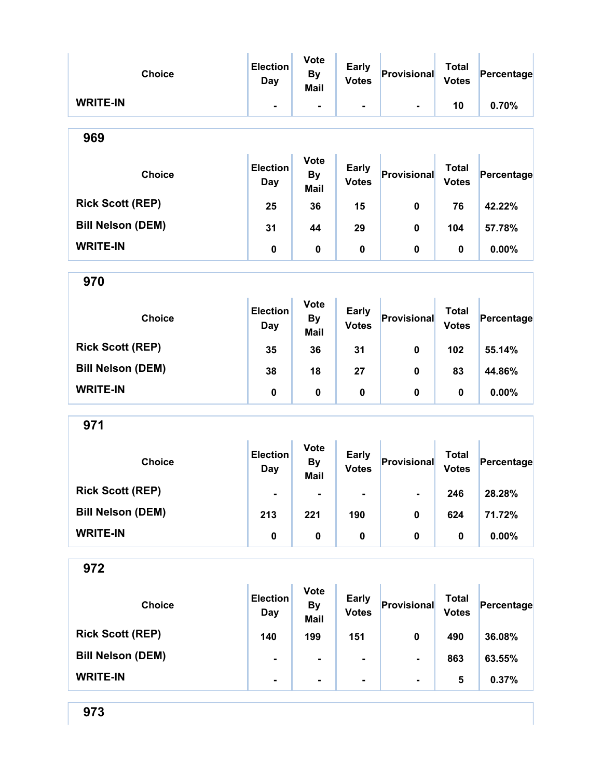| <b>Choice</b>            | <b>Election</b><br><b>Day</b> | <b>Vote</b><br><b>By</b><br><b>Mail</b> | <b>Early</b><br><b>Votes</b> | Provisional        | <b>Total</b><br><b>Votes</b> | Percentage |  |  |  |
|--------------------------|-------------------------------|-----------------------------------------|------------------------------|--------------------|------------------------------|------------|--|--|--|
| <b>WRITE-IN</b>          | $\blacksquare$                | $\blacksquare$                          | $\blacksquare$               | $\blacksquare$     | 10                           | 0.70%      |  |  |  |
| 969                      |                               |                                         |                              |                    |                              |            |  |  |  |
| <b>Choice</b>            | <b>Election</b><br>Day        | <b>Vote</b><br><b>By</b><br><b>Mail</b> | <b>Early</b><br><b>Votes</b> | Provisional        | <b>Total</b><br><b>Votes</b> | Percentage |  |  |  |
| <b>Rick Scott (REP)</b>  | 25                            | 36                                      | 15                           | 0                  | 76                           | 42.22%     |  |  |  |
| <b>Bill Nelson (DEM)</b> | 31                            | 44                                      | 29                           | 0                  | 104                          | 57.78%     |  |  |  |
| <b>WRITE-IN</b>          | 0                             | 0                                       | $\mathbf 0$                  | 0                  | 0                            | 0.00%      |  |  |  |
| 970                      |                               |                                         |                              |                    |                              |            |  |  |  |
| <b>Choice</b>            | <b>Election</b><br><b>Day</b> | <b>Vote</b><br><b>By</b><br><b>Mail</b> | <b>Early</b><br><b>Votes</b> | Provisional        | <b>Total</b><br><b>Votes</b> | Percentage |  |  |  |
| <b>Rick Scott (REP)</b>  | 35                            | 36                                      | 31                           | 0                  | 102                          | 55.14%     |  |  |  |
| <b>Bill Nelson (DEM)</b> | 38                            | 18                                      | 27                           | 0                  | 83                           | 44.86%     |  |  |  |
| <b>WRITE-IN</b>          | $\pmb{0}$                     | $\pmb{0}$                               | $\pmb{0}$                    | 0                  | 0                            | 0.00%      |  |  |  |
| 971                      |                               |                                         |                              |                    |                              |            |  |  |  |
| <b>Choice</b>            | <b>Election</b><br><b>Day</b> | <b>Vote</b><br><b>By</b><br>Mail        | <b>Early</b><br><b>Votes</b> | Provisional        | <b>Total</b><br><b>Votes</b> | Percentage |  |  |  |
| <b>Rick Scott (REP)</b>  |                               |                                         |                              |                    | 246                          | 28.28%     |  |  |  |
| <b>Bill Nelson (DEM)</b> | 213                           | 221                                     | 190                          | $\pmb{0}$          | 624                          | 71.72%     |  |  |  |
| <b>WRITE-IN</b>          | $\pmb{0}$                     | 0                                       | $\pmb{0}$                    | 0                  | $\pmb{0}$                    | 0.00%      |  |  |  |
| 972                      |                               |                                         |                              |                    |                              |            |  |  |  |
| <b>Choice</b>            | <b>Election</b><br><b>Day</b> | <b>Vote</b><br><b>By</b><br><b>Mail</b> | <b>Early</b><br><b>Votes</b> | <b>Provisional</b> | <b>Total</b><br><b>Votes</b> | Percentage |  |  |  |
| <b>Rick Scott (REP)</b>  | 140                           | 199                                     | 151                          | $\mathbf 0$        | 490                          | 36.08%     |  |  |  |
| <b>Bill Nelson (DEM)</b> |                               | $\blacksquare$                          |                              |                    | 863                          | 63.55%     |  |  |  |
| <b>WRITE-IN</b>          |                               | ۰                                       |                              |                    | 5                            | 0.37%      |  |  |  |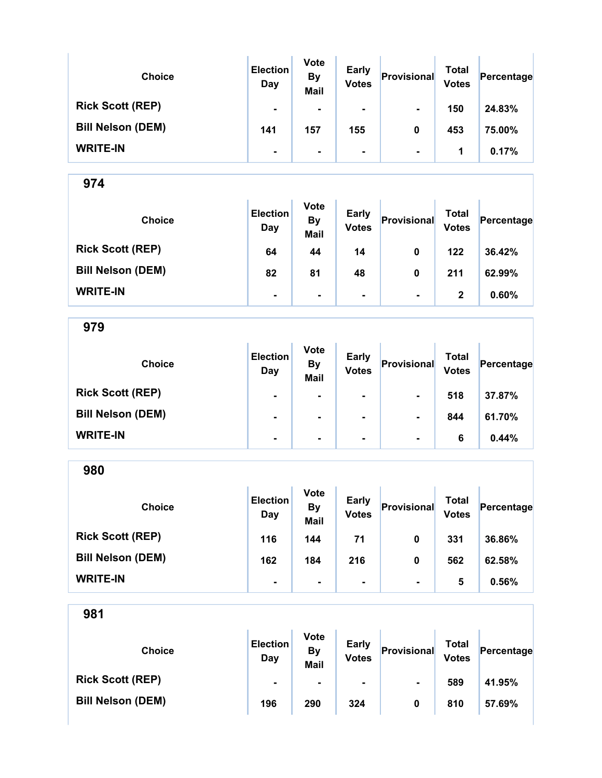| <b>Choice</b>            | <b>Election</b><br>Day | <b>Vote</b><br><b>By</b><br><b>Mail</b> | Early<br><b>Votes</b> | Provisional    | Total<br><b>Votes</b> | Percentage |
|--------------------------|------------------------|-----------------------------------------|-----------------------|----------------|-----------------------|------------|
| <b>Rick Scott (REP)</b>  | $\blacksquare$         | $\blacksquare$                          | $\blacksquare$        | $\blacksquare$ | 150                   | 24.83%     |
| <b>Bill Nelson (DEM)</b> | 141                    | 157                                     | 155                   | 0              | 453                   | 75.00%     |
| <b>WRITE-IN</b>          | $\blacksquare$         | $\blacksquare$                          | $\blacksquare$        | $\blacksquare$ | 1                     | 0.17%      |

| <b>Choice</b>            | <b>Election</b><br>Day | <b>Vote</b><br><b>By</b><br><b>Mail</b> | <b>Early</b><br><b>Votes</b> | Provisional              | Total<br><b>Votes</b> | Percentage |
|--------------------------|------------------------|-----------------------------------------|------------------------------|--------------------------|-----------------------|------------|
| <b>Rick Scott (REP)</b>  | 64                     | 44                                      | 14                           | 0                        | 122                   | 36.42%     |
| <b>Bill Nelson (DEM)</b> | 82                     | 81                                      | 48                           | 0                        | 211                   | 62.99%     |
| <b>WRITE-IN</b>          | ۰                      | $\blacksquare$                          | ۰                            | $\overline{\phantom{a}}$ | 2                     | 0.60%      |

979

| <b>Choice</b>            | <b>Election</b><br>Day | <b>Vote</b><br><b>By</b><br><b>Mail</b> | <b>Early</b><br><b>Votes</b> | Provisional    | <b>Total</b><br><b>Votes</b> | Percentage |
|--------------------------|------------------------|-----------------------------------------|------------------------------|----------------|------------------------------|------------|
| <b>Rick Scott (REP)</b>  | $\blacksquare$         |                                         | $\blacksquare$               | $\blacksquare$ | 518                          | 37.87%     |
| <b>Bill Nelson (DEM)</b> | $\blacksquare$         | $\blacksquare$                          | $\blacksquare$               | $\blacksquare$ | 844                          | 61.70%     |
| <b>WRITE-IN</b>          | ۰                      | $\blacksquare$                          | $\blacksquare$               | $\blacksquare$ | 6                            | 0.44%      |

980 Choice **Election** Day Vote By Mail Early Early Provisional Total<br>Votes Provisional Votes  $Percentage$ Rick Scott (REP) 116 144 71 0 331 36.86% Bill Nelson (DEM) 162 162 184 216 0 562 62.58% WRITE-IN  $\begin{vmatrix} 1 & 1 & 1 \ 1 & 1 & 1 \end{vmatrix}$  .  $\begin{vmatrix} 1 & 1 & 1 \ 1 & 1 & 1 \end{vmatrix}$  .  $\begin{vmatrix} 1 & 1 & 1 \ 1 & 1 & 1 \end{vmatrix}$  .  $\begin{vmatrix} 1 & 1 & 1 \ 1 & 1 & 1 \end{vmatrix}$  .  $\begin{vmatrix} 1 & 1 & 1 \ 1 & 1 & 1 \end{vmatrix}$  .  $\begin{vmatrix} 1 & 1 & 1 \ 1 & 1 & 1 \end{vmatrix}$  .  $\begin{vmatrix}$ 

| <b>Choice</b>            | <b>Election</b><br>Day | <b>Vote</b><br>By<br><b>Mail</b> | <b>Early</b><br><b>Votes</b> | Provisional    | Total<br><b>Votes</b> | Percentage |
|--------------------------|------------------------|----------------------------------|------------------------------|----------------|-----------------------|------------|
| <b>Rick Scott (REP)</b>  | $\blacksquare$         | $\blacksquare$                   | ۰.                           | $\blacksquare$ | 589                   | 41.95%     |
| <b>Bill Nelson (DEM)</b> | 196                    | 290                              | 324                          | 0              | 810                   | 57.69%     |